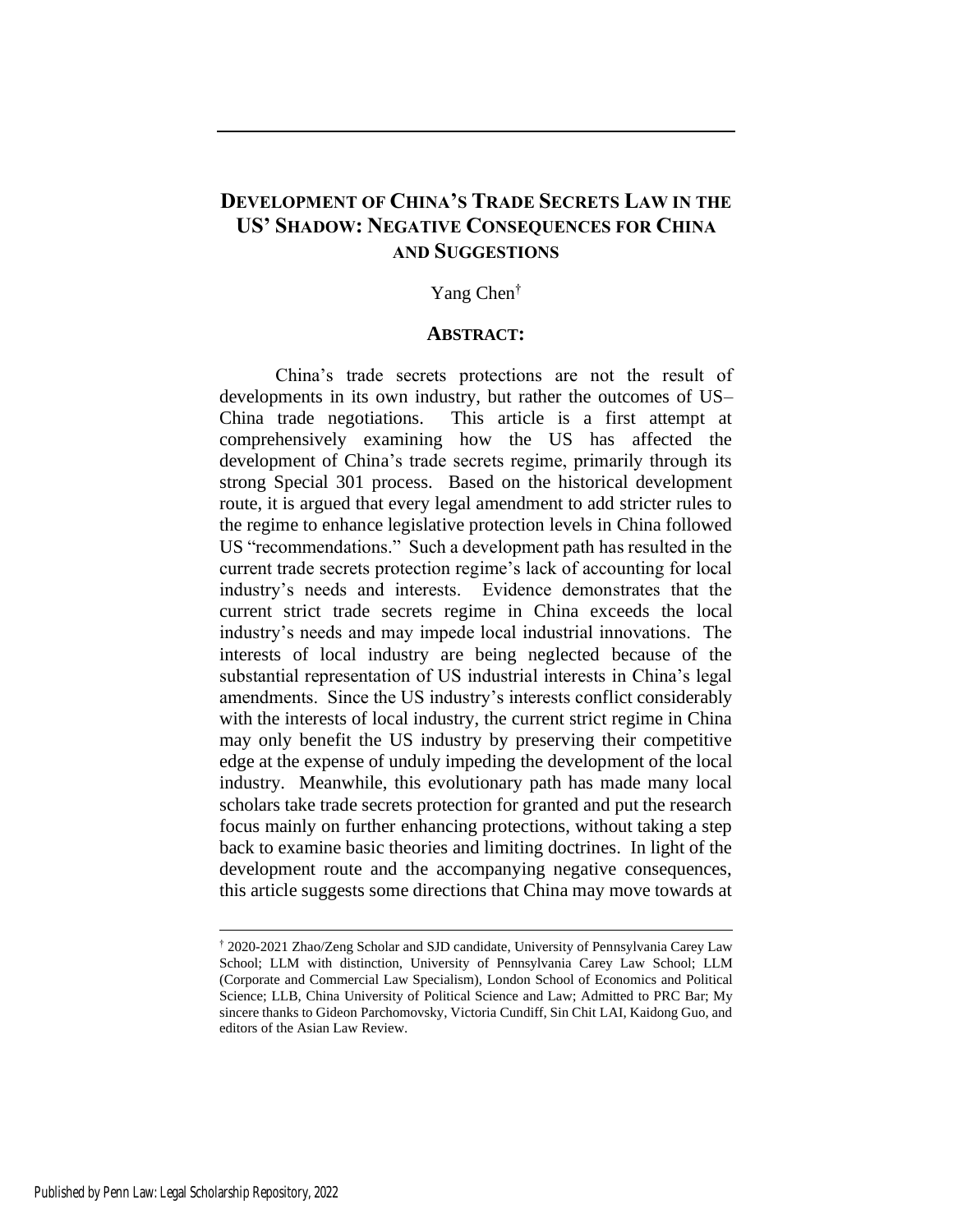# **DEVELOPMENT OF CHINA'S TRADE SECRETS LAW IN THE US' SHADOW: NEGATIVE CONSEQUENCES FOR CHINA AND SUGGESTIONS**

## Yang Chen†

# **ABSTRACT:**

China's trade secrets protections are not the result of developments in its own industry, but rather the outcomes of US– China trade negotiations. This article is a first attempt at comprehensively examining how the US has affected the development of China's trade secrets regime, primarily through its strong Special 301 process. Based on the historical development route, it is argued that every legal amendment to add stricter rules to the regime to enhance legislative protection levels in China followed US "recommendations." Such a development path has resulted in the current trade secrets protection regime's lack of accounting for local industry's needs and interests. Evidence demonstrates that the current strict trade secrets regime in China exceeds the local industry's needs and may impede local industrial innovations. The interests of local industry are being neglected because of the substantial representation of US industrial interests in China's legal amendments. Since the US industry's interests conflict considerably with the interests of local industry, the current strict regime in China may only benefit the US industry by preserving their competitive edge at the expense of unduly impeding the development of the local industry. Meanwhile, this evolutionary path has made many local scholars take trade secrets protection for granted and put the research focus mainly on further enhancing protections, without taking a step back to examine basic theories and limiting doctrines. In light of the development route and the accompanying negative consequences, this article suggests some directions that China may move towards at

<sup>†</sup> 2020-2021 Zhao/Zeng Scholar and SJD candidate, University of Pennsylvania Carey Law School; LLM with distinction, University of Pennsylvania Carey Law School; LLM (Corporate and Commercial Law Specialism), London School of Economics and Political Science; LLB, China University of Political Science and Law; Admitted to PRC Bar; My sincere thanks to Gideon Parchomovsky, Victoria Cundiff, Sin Chit LAI, Kaidong Guo, and editors of the Asian Law Review.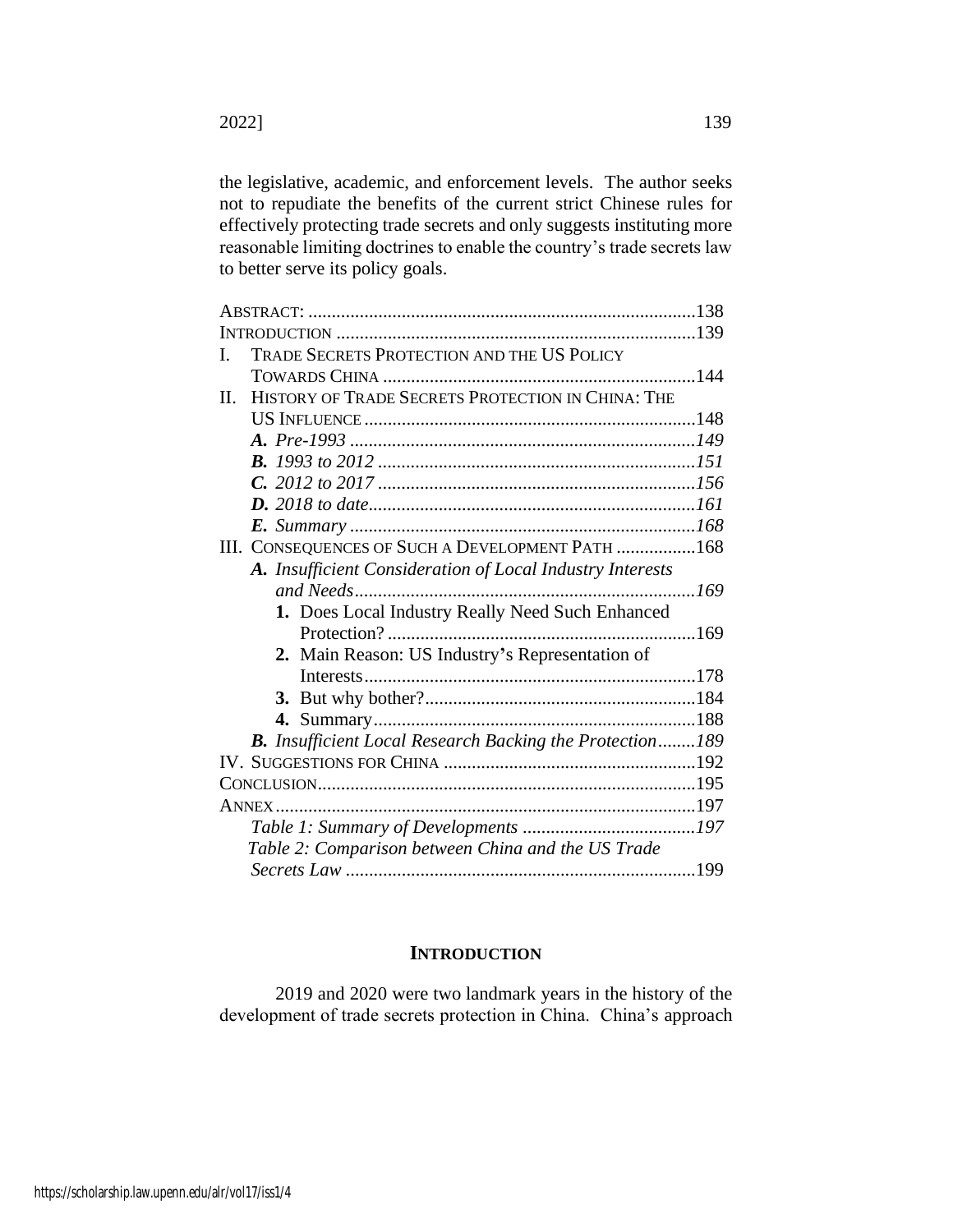the legislative, academic, and enforcement levels. The author seeks not to repudiate the benefits of the current strict Chinese rules for effectively protecting trade secrets and only suggests instituting more reasonable limiting doctrines to enable the country's trade secrets law to better serve its policy goals.

| L  | TRADE SECRETS PROTECTION AND THE US POLICY                      |     |
|----|-----------------------------------------------------------------|-----|
|    |                                                                 |     |
| П. | HISTORY OF TRADE SECRETS PROTECTION IN CHINA: THE               |     |
|    |                                                                 |     |
|    |                                                                 |     |
|    |                                                                 |     |
|    |                                                                 |     |
|    |                                                                 |     |
|    |                                                                 |     |
|    | III. CONSEQUENCES OF SUCH A DEVELOPMENT PATH 168                |     |
|    | A. Insufficient Consideration of Local Industry Interests       |     |
|    | and Needs                                                       | 169 |
|    | 1. Does Local Industry Really Need Such Enhanced                |     |
|    |                                                                 |     |
|    | 2. Main Reason: US Industry's Representation of                 |     |
|    |                                                                 |     |
|    |                                                                 |     |
|    |                                                                 |     |
|    | <b>B.</b> Insufficient Local Research Backing the Protection189 |     |
|    |                                                                 |     |
|    |                                                                 |     |
|    | <b>ANNEX</b>                                                    |     |
|    |                                                                 |     |
|    | Table 2: Comparison between China and the US Trade              |     |
|    |                                                                 |     |
|    |                                                                 |     |

# **INTRODUCTION**

2019 and 2020 were two landmark years in the history of the development of trade secrets protection in China. China's approach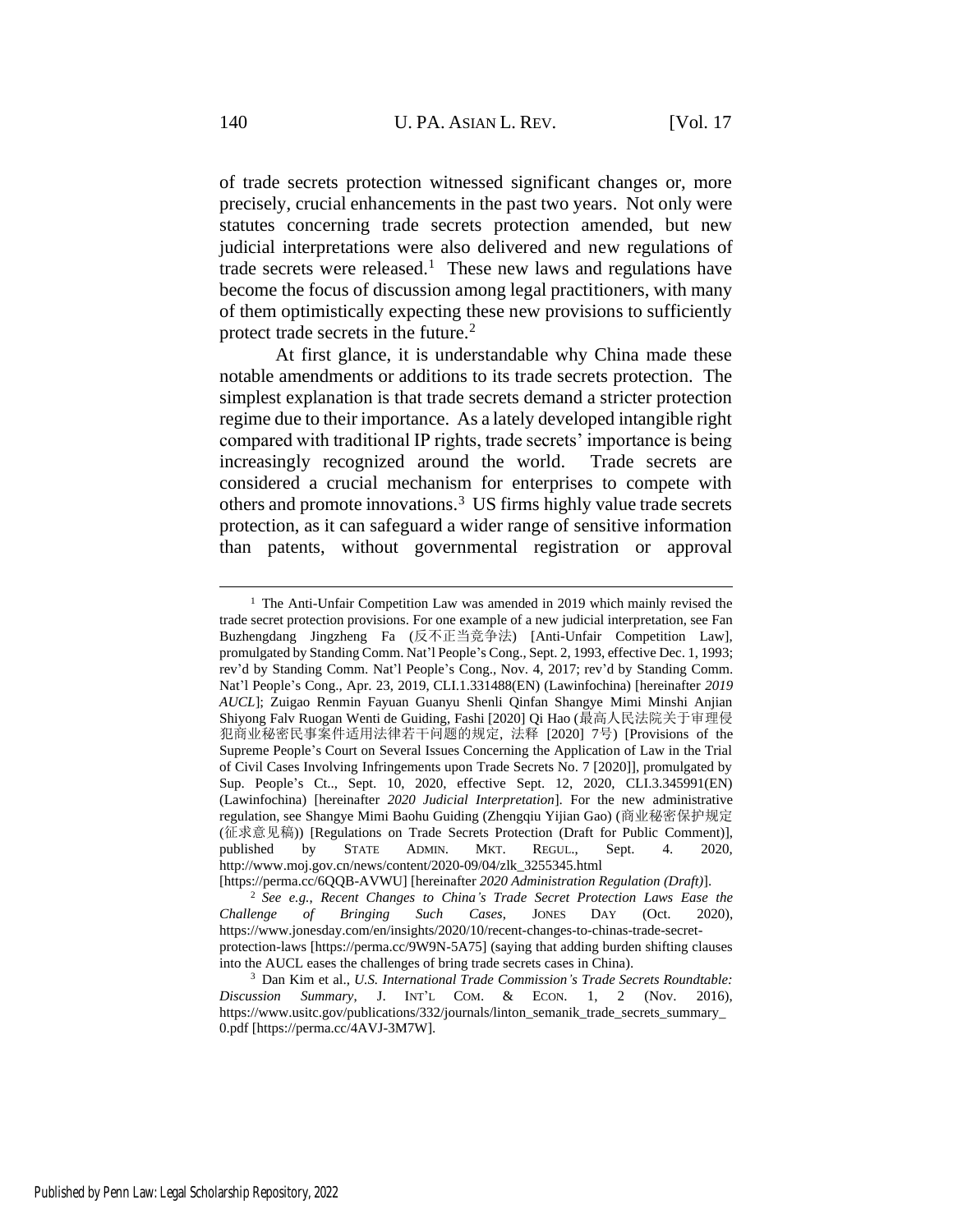<span id="page-2-1"></span><span id="page-2-0"></span>of trade secrets protection witnessed significant changes or, more precisely, crucial enhancements in the past two years. Not only were statutes concerning trade secrets protection amended, but new judicial interpretations were also delivered and new regulations of trade secrets were released.<sup>1</sup> These new laws and regulations have become the focus of discussion among legal practitioners, with many of them optimistically expecting these new provisions to sufficiently protect trade secrets in the future.<sup>2</sup>

At first glance, it is understandable why China made these notable amendments or additions to its trade secrets protection. The simplest explanation is that trade secrets demand a stricter protection regime due to their importance. As a lately developed intangible right compared with traditional IP rights, trade secrets' importance is being increasingly recognized around the world. Trade secrets are considered a crucial mechanism for enterprises to compete with others and promote innovations.<sup>3</sup> US firms highly value trade secrets protection, as it can safeguard a wider range of sensitive information than patents, without governmental registration or approval

<sup>&</sup>lt;sup>1</sup> The Anti-Unfair Competition Law was amended in 2019 which mainly revised the trade secret protection provisions. For one example of a new judicial interpretation, see Fan Buzhengdang Jingzheng Fa (反不正当竞争法) [Anti-Unfair Competition Law], promulgated by Standing Comm. Nat'l People's Cong., Sept. 2, 1993, effective Dec. 1, 1993; rev'd by Standing Comm. Nat'l People's Cong., Nov. 4, 2017; rev'd by Standing Comm. Nat'l People's Cong., Apr. 23, 2019, CLI.1.331488(EN) (Lawinfochina) [hereinafter *2019 AUCL*]; Zuigao Renmin Fayuan Guanyu Shenli Qinfan Shangye Mimi Minshi Anjian Shiyong Falv Ruogan Wenti de Guiding, Fashi [2020] Qi Hao (最高人民法院关于审理侵 犯商业秘密民事案件适用法律若干问题的规定, 法释 [2020] 7号) [Provisions of the Supreme People's Court on Several Issues Concerning the Application of Law in the Trial of Civil Cases Involving Infringements upon Trade Secrets No. 7 [2020]], promulgated by Sup. People's Ct.., Sept. 10, 2020, effective Sept. 12, 2020, CLI.3.345991(EN) (Lawinfochina) [hereinafter *2020 Judicial Interpretation*]. For the new administrative regulation, see Shangye Mimi Baohu Guiding (Zhengqiu Yijian Gao) (商业秘密保护规定 (征求意见稿)) [Regulations on Trade Secrets Protection (Draft for Public Comment)], published by STATE ADMIN. MKT. REGUL., Sept. 4. 2020, http://www.moj.gov.cn/news/content/2020-09/04/zlk\_3255345.html

<sup>[</sup>https://perma.cc/6QQB-AVWU] [hereinafter *2020 Administration Regulation (Draft)*].

<sup>2</sup> *See e.g.*, *Recent Changes to China's Trade Secret Protection Laws Ease the Challenge of Bringing Such Cases*, JONES DAY (Oct. 2020), https://www.jonesday.com/en/insights/2020/10/recent-changes-to-chinas-trade-secretprotection-laws [https://perma.cc/9W9N-5A75] (saying that adding burden shifting clauses into the AUCL eases the challenges of bring trade secrets cases in China).

<sup>3</sup> Dan Kim et al., *U.S. International Trade Commission's Trade Secrets Roundtable: Discussion Summary*, J. INT'L COM. & ECON. 1, 2 (Nov. 2016), https://www.usitc.gov/publications/332/journals/linton\_semanik\_trade\_secrets\_summary\_ 0.pdf [https://perma.cc/4AVJ-3M7W].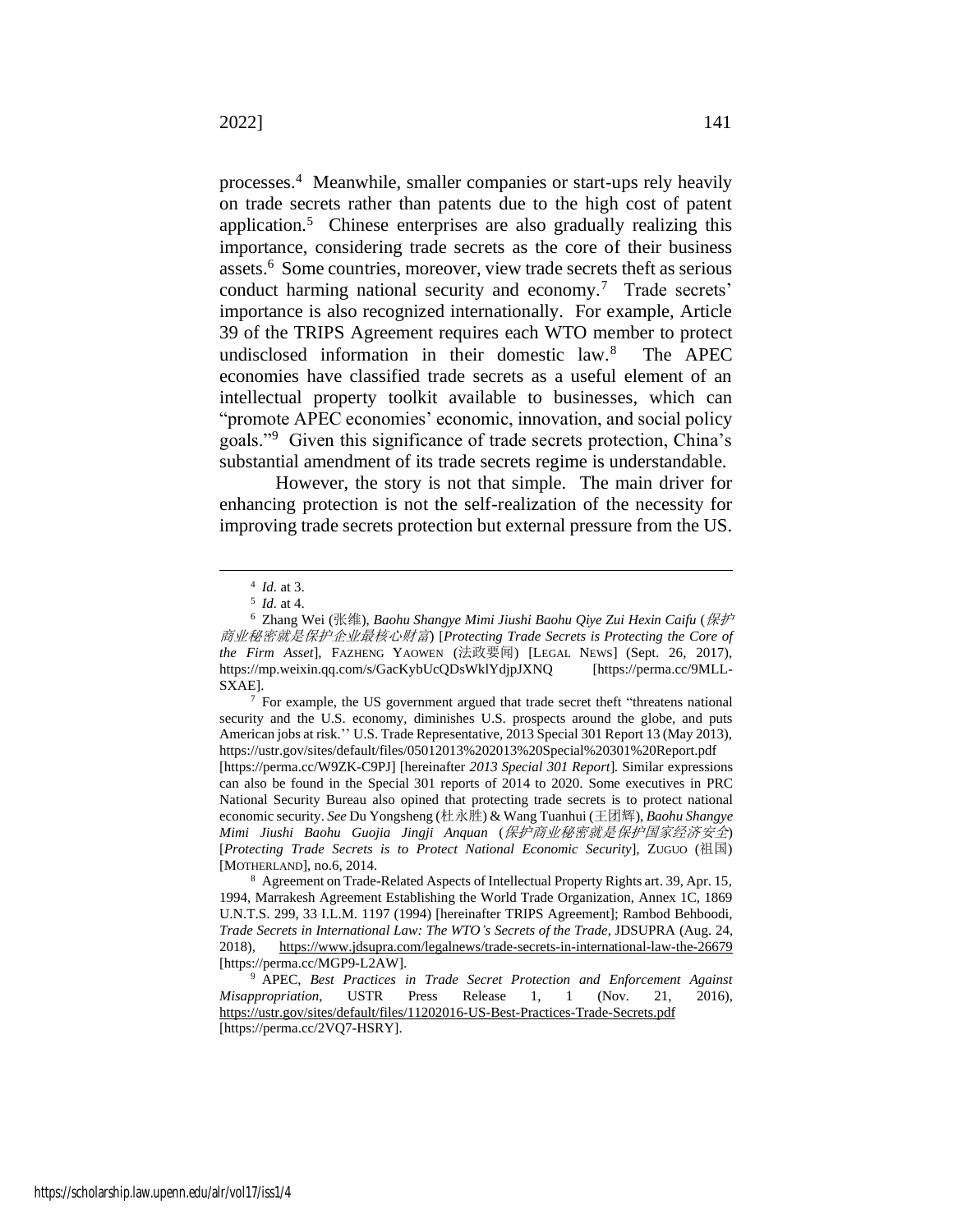<span id="page-3-1"></span>processes.<sup>4</sup> Meanwhile, smaller companies or start-ups rely heavily on trade secrets rather than patents due to the high cost of patent application.<sup>5</sup> Chinese enterprises are also gradually realizing this importance, considering trade secrets as the core of their business assets.<sup>6</sup> Some countries, moreover, view trade secrets theft as serious conduct harming national security and economy.<sup>7</sup> Trade secrets' importance is also recognized internationally. For example, Article 39 of the TRIPS Agreement requires each WTO member to protect undisclosed information in their domestic law.<sup>8</sup> The APEC economies have classified trade secrets as a useful element of an intellectual property toolkit available to businesses, which can "promote APEC economies' economic, innovation, and social policy goals."<sup>9</sup> Given this significance of trade secrets protection, China's substantial amendment of its trade secrets regime is understandable.

<span id="page-3-0"></span>However, the story is not that simple. The main driver for enhancing protection is not the self-realization of the necessity for improving trade secrets protection but external pressure from the US.

<sup>4</sup> *Id.* at 3.

<sup>5</sup> *Id.* at 4.

<sup>6</sup> Zhang Wei (张维), *Baohu Shangye Mimi Jiushi Baohu Qiye Zui Hexin Caifu* (保护 商业秘密就是保护企业最核心财富) [*Protecting Trade Secrets is Protecting the Core of the Firm Asset*], FAZHENG YAOWEN (法政要闻) [LEGAL NEWS] (Sept. 26, 2017), https://mp.weixin.qq.com/s/GacKybUcQDsWklYdjpJXNQ [https://perma.cc/9MLL-SXAE].

 $7$  For example, the US government argued that trade secret theft "threatens national security and the U.S. economy, diminishes U.S. prospects around the globe, and puts American jobs at risk.'' U.S. Trade Representative, 2013 Special 301 Report 13 (May 2013), https://ustr.gov/sites/default/files/05012013%202013%20Special%20301%20Report.pdf [https://perma.cc/W9ZK-C9PJ] [hereinafter *2013 Special 301 Report*]. Similar expressions can also be found in the Special 301 reports of 2014 to 2020. Some executives in PRC National Security Bureau also opined that protecting trade secrets is to protect national economic security. *See* Du Yongsheng (杜永胜) & Wang Tuanhui (王团辉), *Baohu Shangye Mimi Jiushi Baohu Guojia Jingji Anquan* (保护商业秘密就是保护国家经济安全) [*Protecting Trade Secrets is to Protect National Economic Security*], ZUGUO (祖国) [MOTHERLAND], no.6, 2014.

<sup>8</sup> Agreement on Trade-Related Aspects of Intellectual Property Rights art. 39, Apr. 15, 1994, Marrakesh Agreement Establishing the World Trade Organization, Annex 1C, 1869 U.N.T.S. 299, 33 I.L.M. 1197 (1994) [hereinafter TRIPS Agreement]; Rambod Behboodi, *Trade Secrets in International Law: The WTO's Secrets of the Trade*, JDSUPRA (Aug. 24, 2018), https://www.jdsupra.com/legalnews/trade-secrets-in-international-law-the-26679 [https://perma.cc/MGP9-L2AW].

<sup>9</sup> APEC, *Best Practices in Trade Secret Protection and Enforcement Against Misappropriation*, USTR Press Release 1, 1 (Nov. 21, 2016), https://ustr.gov/sites/default/files/11202016-US-Best-Practices-Trade-Secrets.pdf [https://perma.cc/2VQ7-HSRY].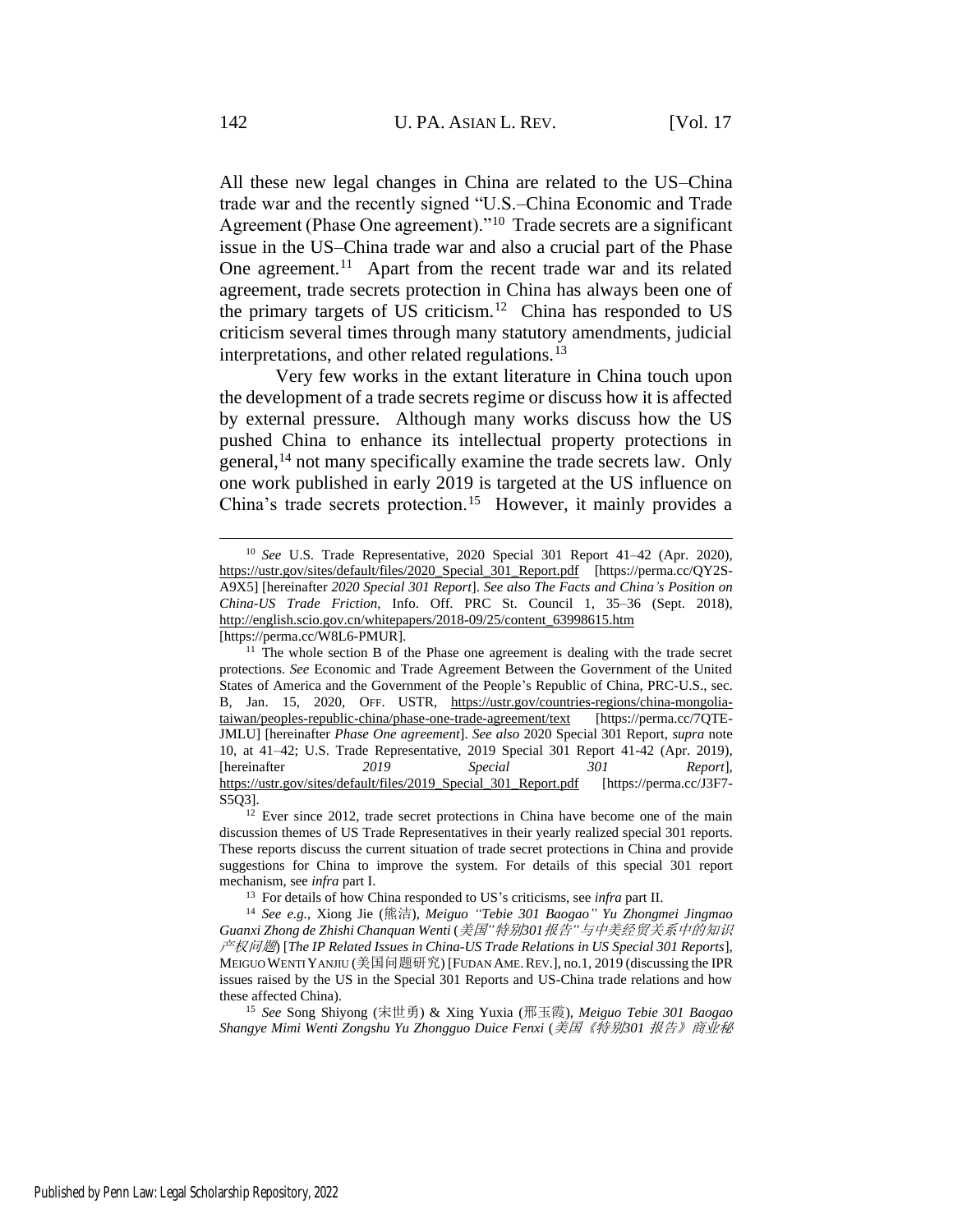<span id="page-4-3"></span><span id="page-4-2"></span><span id="page-4-0"></span>All these new legal changes in China are related to the US–China trade war and the recently signed "U.S.–China Economic and Trade Agreement (Phase One agreement)."<sup>10</sup> Trade secrets are a significant issue in the US–China trade war and also a crucial part of the Phase One agreement.<sup>11</sup> Apart from the recent trade war and its related agreement, trade secrets protection in China has always been one of the primary targets of US criticism.<sup>12</sup> China has responded to US criticism several times through many statutory amendments, judicial interpretations, and other related regulations.<sup>13</sup>

<span id="page-4-1"></span>Very few works in the extant literature in China touch upon the development of a trade secrets regime or discuss how it is affected by external pressure. Although many works discuss how the US pushed China to enhance its intellectual property protections in general,<sup>14</sup> not many specifically examine the trade secrets law. Only one work published in early 2019 is targeted at the US influence on China's trade secrets protection.<sup>15</sup> However, it mainly provides a

<sup>10</sup> *See* U.S. Trade Representative, 2020 Special 301 Report 41–42 (Apr. 2020), https://ustr.gov/sites/default/files/2020\_Special\_301\_Report.pdf [https://perma.cc/QY2S-A9X5] [hereinafter *2020 Special 301 Report*]. *See also The Facts and China's Position on China-US Trade Friction*, Info. Off. PRC St. Council 1, 35–36 (Sept. 2018), http://english.scio.gov.cn/whitepapers/2018-09/25/content\_63998615.htm [https://perma.cc/W8L6-PMUR].

 $11$  The whole section B of the Phase one agreement is dealing with the trade secret protections. *See* Economic and Trade Agreement Between the Government of the United States of America and the Government of the People's Republic of China, PRC-U.S., sec. B, Jan. 15, 2020, OFF. USTR, https://ustr.gov/countries-regions/china-mongoliataiwan/peoples-republic-china/phase-one-trade-agreement/text [https://perma.cc/7QTE-JMLU] [hereinafter *Phase One agreement*]. *See also* 2020 Special 301 Report, *supra* note [10,](#page-4-0) at 41–42; U.S. Trade Representative, 2019 Special 301 Report 41-42 (Apr. 2019), [hereinafter *2019 Special 301 Report*], https://ustr.gov/sites/default/files/2019\_Special\_301\_Report.pdf [https://perma.cc/J3F7- S5Q3].

<sup>&</sup>lt;sup>12</sup> Ever since 2012, trade secret protections in China have become one of the main discussion themes of US Trade Representatives in their yearly realized special 301 reports. These reports discuss the current situation of trade secret protections in China and provide suggestions for China to improve the system. For details of this special 301 report mechanism, see *infra* part I.

<sup>13</sup> For details of how China responded to US's criticisms, see *infra* part II.

<sup>14</sup> *See e.g.*, Xiong Jie (熊洁), *Meiguo "Tebie 301 Baogao" Yu Zhongmei Jingmao Guanxi Zhong de Zhishi Chanquan Wenti* (美国*"*特别*301*报告*"*与中美经贸关系中的知识 产权问题) [*The IP Related Issues in China-US Trade Relations in US Special 301 Reports*], MEIGUO WENTI YANJIU (美国问题研究) [FUDAN AME.REV.], no.1, 2019 (discussing the IPR issues raised by the US in the Special 301 Reports and US-China trade relations and how these affected China).

<sup>15</sup> *See* Song Shiyong (宋世勇) & Xing Yuxia (邢玉霞), *Meiguo Tebie 301 Baogao Shangye Mimi Wenti Zongshu Yu Zhongguo Duice Fenxi* (美国《特别*301* 报告》商业秘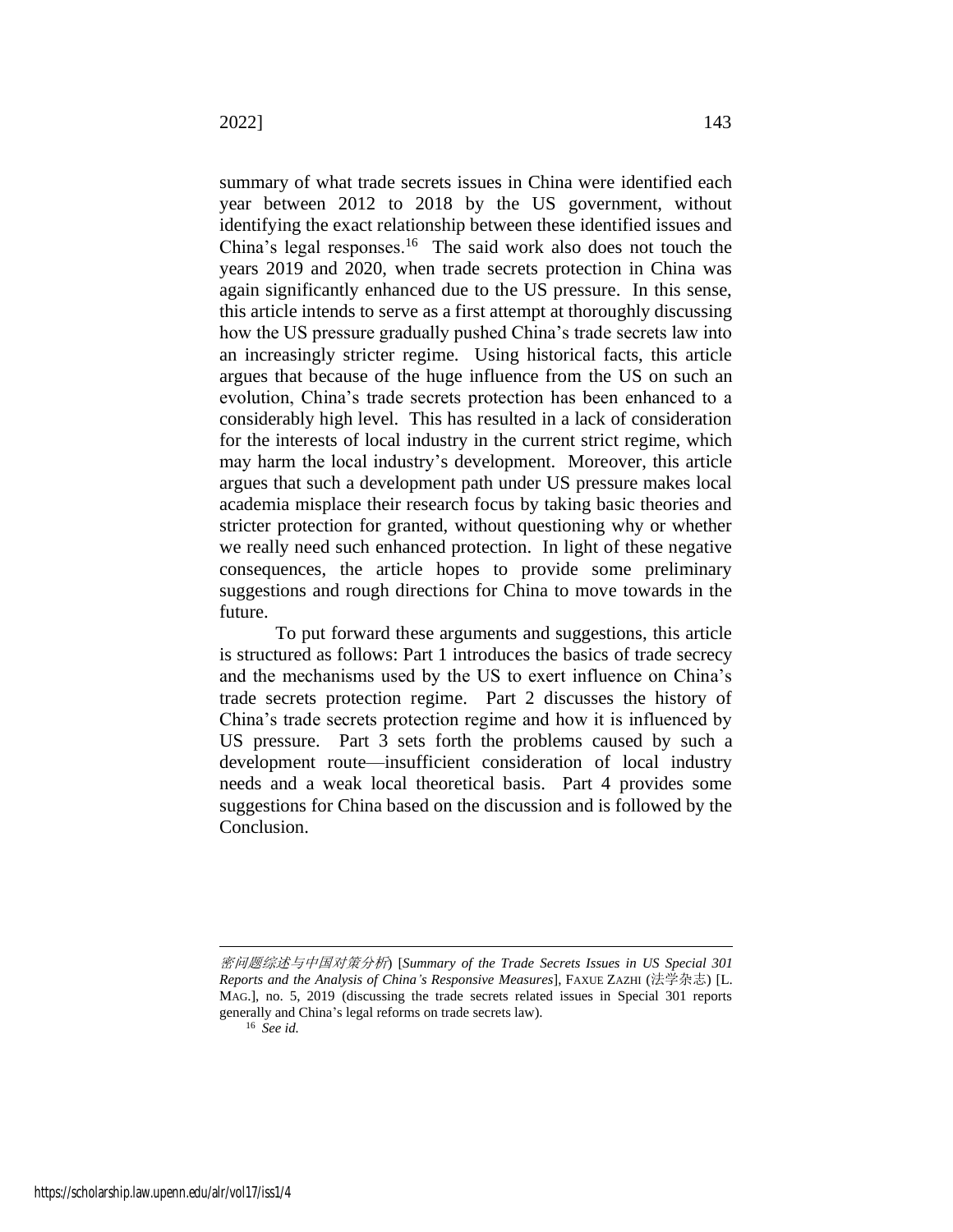summary of what trade secrets issues in China were identified each year between 2012 to 2018 by the US government, without identifying the exact relationship between these identified issues and China's legal responses.<sup>16</sup> The said work also does not touch the years 2019 and 2020, when trade secrets protection in China was again significantly enhanced due to the US pressure. In this sense, this article intends to serve as a first attempt at thoroughly discussing how the US pressure gradually pushed China's trade secrets law into an increasingly stricter regime. Using historical facts, this article argues that because of the huge influence from the US on such an evolution, China's trade secrets protection has been enhanced to a considerably high level. This has resulted in a lack of consideration for the interests of local industry in the current strict regime, which may harm the local industry's development. Moreover, this article argues that such a development path under US pressure makes local academia misplace their research focus by taking basic theories and stricter protection for granted, without questioning why or whether we really need such enhanced protection. In light of these negative consequences, the article hopes to provide some preliminary suggestions and rough directions for China to move towards in the future.

To put forward these arguments and suggestions, this article is structured as follows: Part 1 introduces the basics of trade secrecy and the mechanisms used by the US to exert influence on China's trade secrets protection regime. Part 2 discusses the history of China's trade secrets protection regime and how it is influenced by US pressure. Part 3 sets forth the problems caused by such a development route—insufficient consideration of local industry needs and a weak local theoretical basis. Part 4 provides some suggestions for China based on the discussion and is followed by the Conclusion.

密问题综述与中国对策分析) [*Summary of the Trade Secrets Issues in US Special 301 Reports and the Analysis of China's Responsive Measures*], FAXUE ZAZHI (法学杂志) [L. MAG.], no. 5, 2019 (discussing the trade secrets related issues in Special 301 reports generally and China's legal reforms on trade secrets law).

<sup>16</sup> *See id.*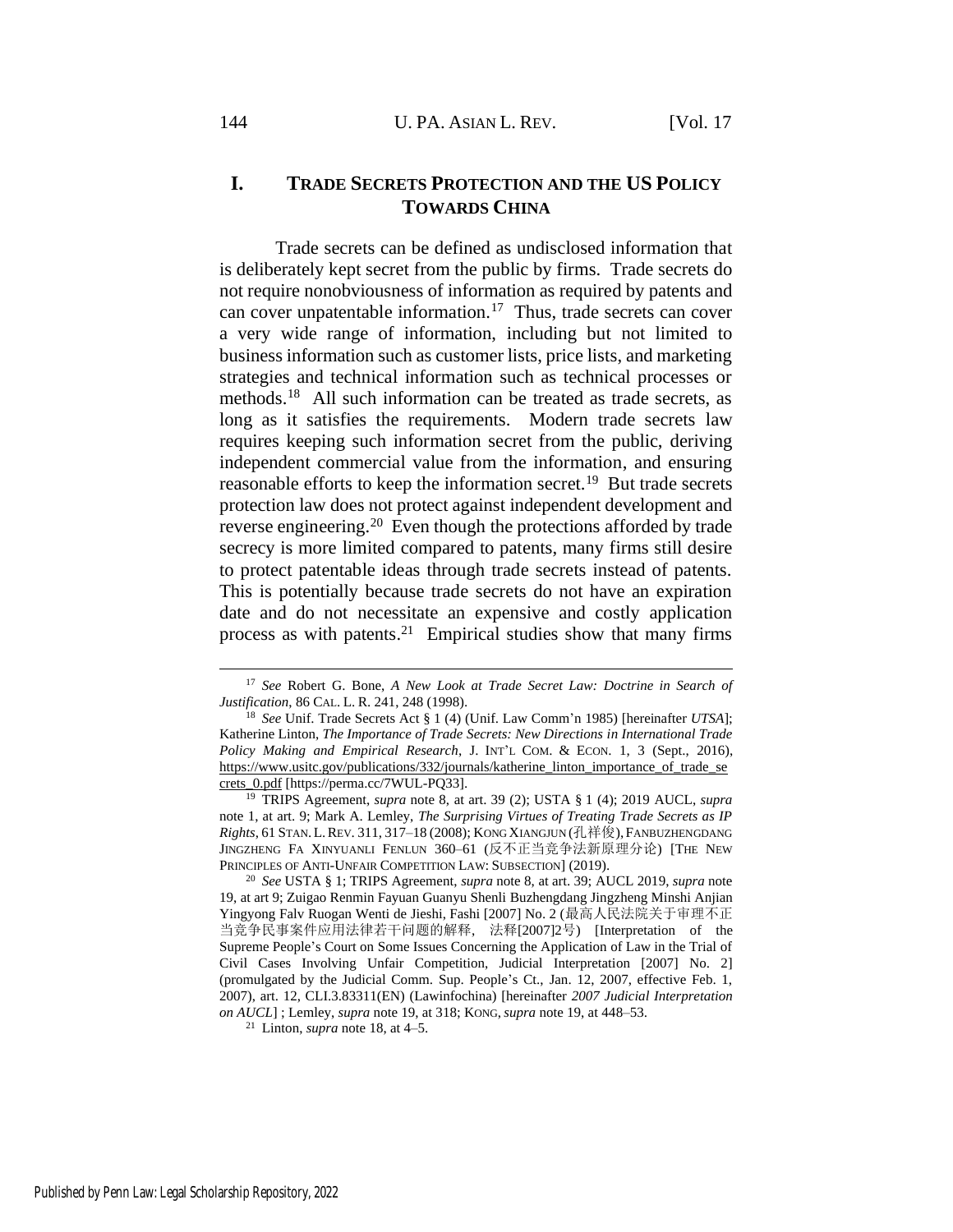# **I. TRADE SECRETS PROTECTION AND THE US POLICY TOWARDS CHINA**

<span id="page-6-2"></span><span id="page-6-1"></span>Trade secrets can be defined as undisclosed information that is deliberately kept secret from the public by firms. Trade secrets do not require nonobviousness of information as required by patents and can cover unpatentable information.<sup>17</sup> Thus, trade secrets can cover a very wide range of information, including but not limited to business information such as customer lists, price lists, and marketing strategies and technical information such as technical processes or methods.<sup>18</sup> All such information can be treated as trade secrets, as long as it satisfies the requirements. Modern trade secrets law requires keeping such information secret from the public, deriving independent commercial value from the information, and ensuring reasonable efforts to keep the information secret.<sup>19</sup> But trade secrets protection law does not protect against independent development and reverse engineering.<sup>20</sup> Even though the protections afforded by trade secrecy is more limited compared to patents, many firms still desire to protect patentable ideas through trade secrets instead of patents. This is potentially because trade secrets do not have an expiration date and do not necessitate an expensive and costly application process as with patents.<sup>21</sup> Empirical studies show that many firms

<span id="page-6-0"></span><sup>17</sup> *See* Robert G. Bone, *A New Look at Trade Secret Law: Doctrine in Search of Justification*, 86 CAL. L. R. 241, 248 (1998).

<sup>18</sup> *See* Unif. Trade Secrets Act § 1 (4) (Unif. Law Comm'n 1985) [hereinafter *UTSA*]; Katherine Linton, *The Importance of Trade Secrets: New Directions in International Trade Policy Making and Empirical Research*, J. INT'L COM. & ECON. 1, 3 (Sept., 2016), https://www.usitc.gov/publications/332/journals/katherine\_linton\_importance\_of\_trade\_se crets\_0.pdf [https://perma.cc/7WUL-PQ33].

<sup>19</sup> TRIPS Agreement, *supra* note [8,](#page-3-0) at art. 39 (2); USTA § 1 (4); 2019 AUCL, *supra* note [1,](#page-2-0) at art. 9; Mark A. Lemley, *The Surprising Virtues of Treating Trade Secrets as IP Rights*, 61 STAN.L.REV. 311, 317–18 (2008); KONG XIANGJUN (孔祥俊),FANBUZHENGDANG JINGZHENG FA XINYUANLI FENLUN 360–61 (反不正当竞争法新原理分论) [THE NEW PRINCIPLES OF ANTI-UNFAIR COMPETITION LAW: SUBSECTION] (2019).

<sup>20</sup> *See* USTA § 1; TRIPS Agreement, *supra* note [8,](#page-3-0) at art. 39; AUCL 2019, *supra* note [19,](#page-6-0) at art 9; Zuigao Renmin Fayuan Guanyu Shenli Buzhengdang Jingzheng Minshi Anjian Yingyong Falv Ruogan Wenti de Jieshi, Fashi [2007] No. 2 (最高人民法院关于审理不正 当竞争民事案件应用法律若干问题的解释, 法释[2007]2号) [Interpretation of the Supreme People's Court on Some Issues Concerning the Application of Law in the Trial of Civil Cases Involving Unfair Competition, Judicial Interpretation [2007] No. 2] (promulgated by the Judicial Comm. Sup. People's Ct., Jan. 12, 2007, effective Feb. 1, 2007), art. 12, CLI.3.83311(EN) (Lawinfochina) [hereinafter *2007 Judicial Interpretation on AUCL*] ; Lemley, *supra* note [19,](#page-6-0) at 318; KONG,*supra* not[e 19,](#page-6-0) at 448–53.

<sup>&</sup>lt;sup>21</sup> Linton, *supra* not[e 18,](#page-6-1) at  $4-5$ .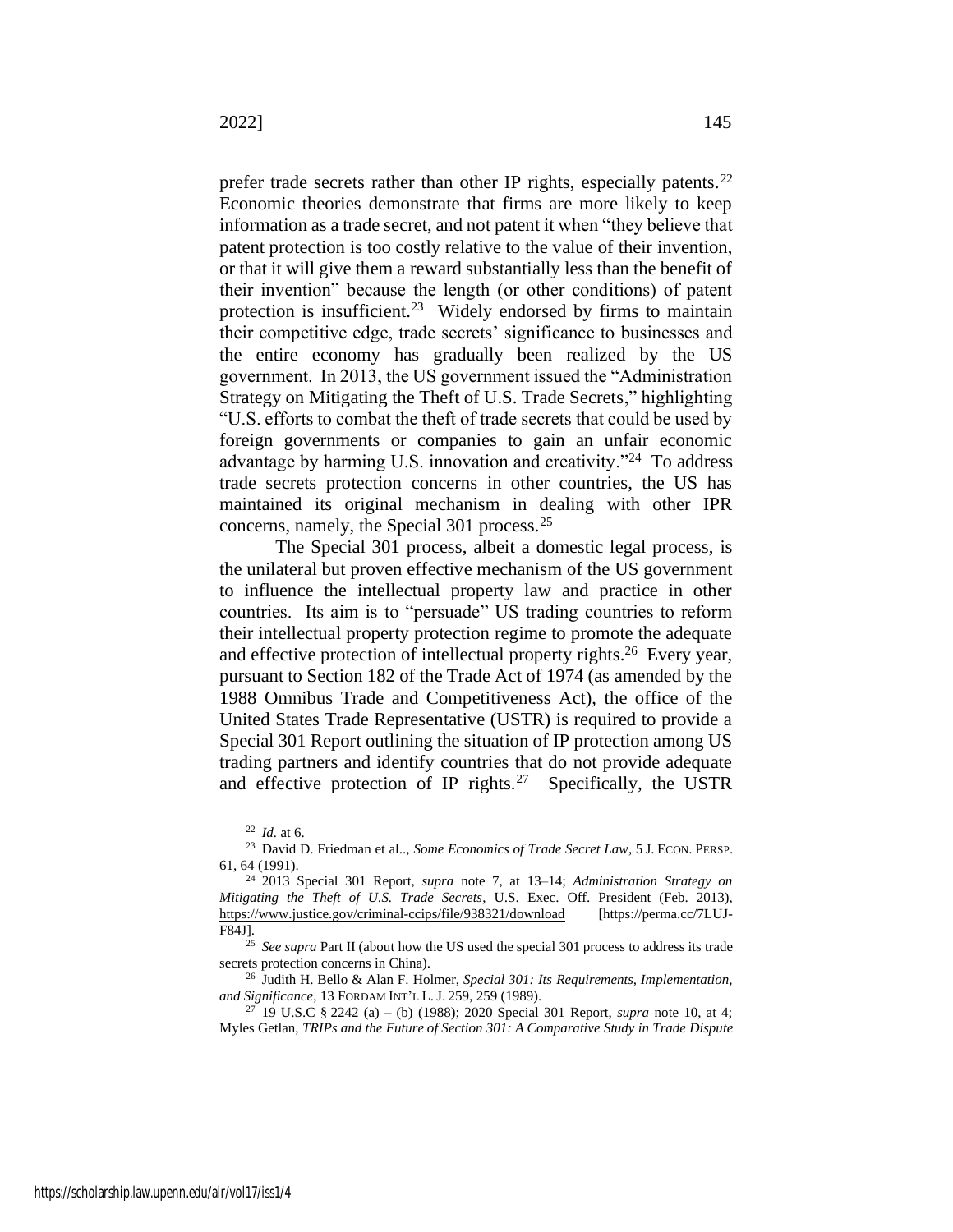prefer trade secrets rather than other IP rights, especially patents.<sup>22</sup> Economic theories demonstrate that firms are more likely to keep information as a trade secret, and not patent it when "they believe that patent protection is too costly relative to the value of their invention, or that it will give them a reward substantially less than the benefit of their invention" because the length (or other conditions) of patent protection is insufficient.<sup>23</sup> Widely endorsed by firms to maintain their competitive edge, trade secrets' significance to businesses and the entire economy has gradually been realized by the US government. In 2013, the US government issued the "Administration Strategy on Mitigating the Theft of U.S. Trade Secrets," highlighting "U.S. efforts to combat the theft of trade secrets that could be used by foreign governments or companies to gain an unfair economic advantage by harming U.S. innovation and creativity."<sup>24</sup> To address trade secrets protection concerns in other countries, the US has maintained its original mechanism in dealing with other IPR concerns, namely, the Special 301 process.<sup>25</sup>

<span id="page-7-1"></span>The Special 301 process, albeit a domestic legal process, is the unilateral but proven effective mechanism of the US government to influence the intellectual property law and practice in other countries. Its aim is to "persuade" US trading countries to reform their intellectual property protection regime to promote the adequate and effective protection of intellectual property rights.<sup>26</sup> Every year, pursuant to Section 182 of the Trade Act of 1974 (as amended by the 1988 Omnibus Trade and Competitiveness Act), the office of the United States Trade Representative (USTR) is required to provide a Special 301 Report outlining the situation of IP protection among US trading partners and identify countries that do not provide adequate and effective protection of IP rights.<sup>27</sup> Specifically, the USTR

<span id="page-7-0"></span><sup>22</sup> *Id.* at 6.

<sup>23</sup> David D. Friedman et al.., *Some Economics of Trade Secret Law*, 5 J. ECON. PERSP. 61, 64 (1991).

<sup>24</sup> 2013 Special 301 Report, *supra* note [7,](#page-3-1) at 13–14; *Administration Strategy on Mitigating the Theft of U.S. Trade Secrets*, U.S. Exec. Off. President (Feb. 2013), https://www.justice.gov/criminal-ccips/file/938321/download [https://perma.cc/7LUJ-F84J].

<sup>&</sup>lt;sup>25</sup> *See supra* Part II (about how the US used the special 301 process to address its trade secrets protection concerns in China).

<sup>26</sup> Judith H. Bello & Alan F. Holmer, *Special 301: Its Requirements, Implementation, and Significance*, 13 FORDAM INT'L L.J. 259, 259 (1989).

<sup>27</sup> 19 U.S.C § 2242 (a) – (b) (1988); 2020 Special 301 Report, *supra* note [10,](#page-4-0) at 4; Myles Getlan, *TRIPs and the Future of Section 301: A Comparative Study in Trade Dispute*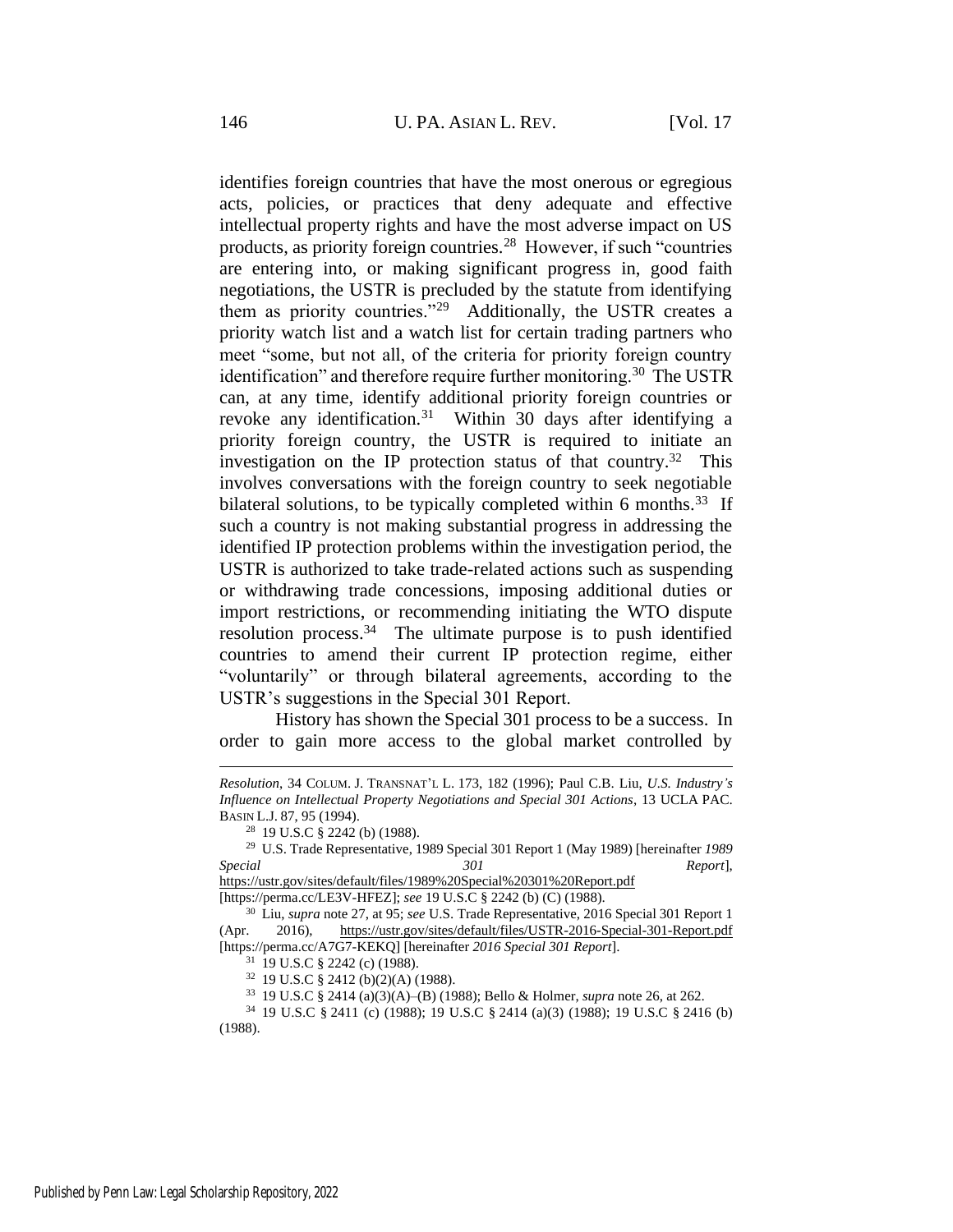<span id="page-8-0"></span>identifies foreign countries that have the most onerous or egregious acts, policies, or practices that deny adequate and effective intellectual property rights and have the most adverse impact on US products, as priority foreign countries.<sup>28</sup> However, if such "countries are entering into, or making significant progress in, good faith negotiations, the USTR is precluded by the statute from identifying them as priority countries."<sup>29</sup> Additionally, the USTR creates a priority watch list and a watch list for certain trading partners who meet "some, but not all, of the criteria for priority foreign country identification" and therefore require further monitoring.<sup>30</sup> The USTR can, at any time, identify additional priority foreign countries or revoke any identification.<sup>31</sup> Within 30 days after identifying a priority foreign country, the USTR is required to initiate an investigation on the IP protection status of that country.<sup>32</sup> This involves conversations with the foreign country to seek negotiable bilateral solutions, to be typically completed within 6 months.<sup>33</sup> If such a country is not making substantial progress in addressing the identified IP protection problems within the investigation period, the USTR is authorized to take trade-related actions such as suspending or withdrawing trade concessions, imposing additional duties or import restrictions, or recommending initiating the WTO dispute resolution process.<sup>34</sup> The ultimate purpose is to push identified countries to amend their current IP protection regime, either "voluntarily" or through bilateral agreements, according to the USTR's suggestions in the Special 301 Report.

History has shown the Special 301 process to be a success. In order to gain more access to the global market controlled by

*Resolution*, 34 COLUM. J. TRANSNAT'L L. 173, 182 (1996); Paul C.B. Liu, *U.S. Industry's Influence on Intellectual Property Negotiations and Special 301 Actions*, 13 UCLA PAC. BASIN L.J. 87, 95 (1994).

<sup>28</sup> 19 U.S.C § 2242 (b) (1988).

<sup>29</sup> U.S. Trade Representative, 1989 Special 301 Report 1 (May 1989) [hereinafter *1989 Special 301 Report*],

https://ustr.gov/sites/default/files/1989%20Special%20301%20Report.pdf [https://perma.cc/LE3V-HFEZ]; *see* 19 U.S.C § 2242 (b) (C) (1988).

<sup>30</sup> Liu, *supra* note [27,](#page-7-0) at 95; *see* U.S. Trade Representative, 2016 Special 301 Report 1 (Apr. 2016), https://ustr.gov/sites/default/files/USTR-2016-Special-301-Report.pdf [https://perma.cc/A7G7-KEKQ] [hereinafter *2016 Special 301 Report*].

<sup>31</sup> 19 U.S.C § 2242 (c) (1988).

<sup>32</sup> 19 U.S.C § 2412 (b)(2)(A) (1988).

<sup>33</sup> 19 U.S.C § 2414 (a)(3)(A)–(B) (1988); Bello & Holmer, *supra* note [26,](#page-7-1) at 262.

<sup>34</sup> 19 U.S.C § 2411 (c) (1988); 19 U.S.C § 2414 (a)(3) (1988); 19 U.S.C § 2416 (b) (1988).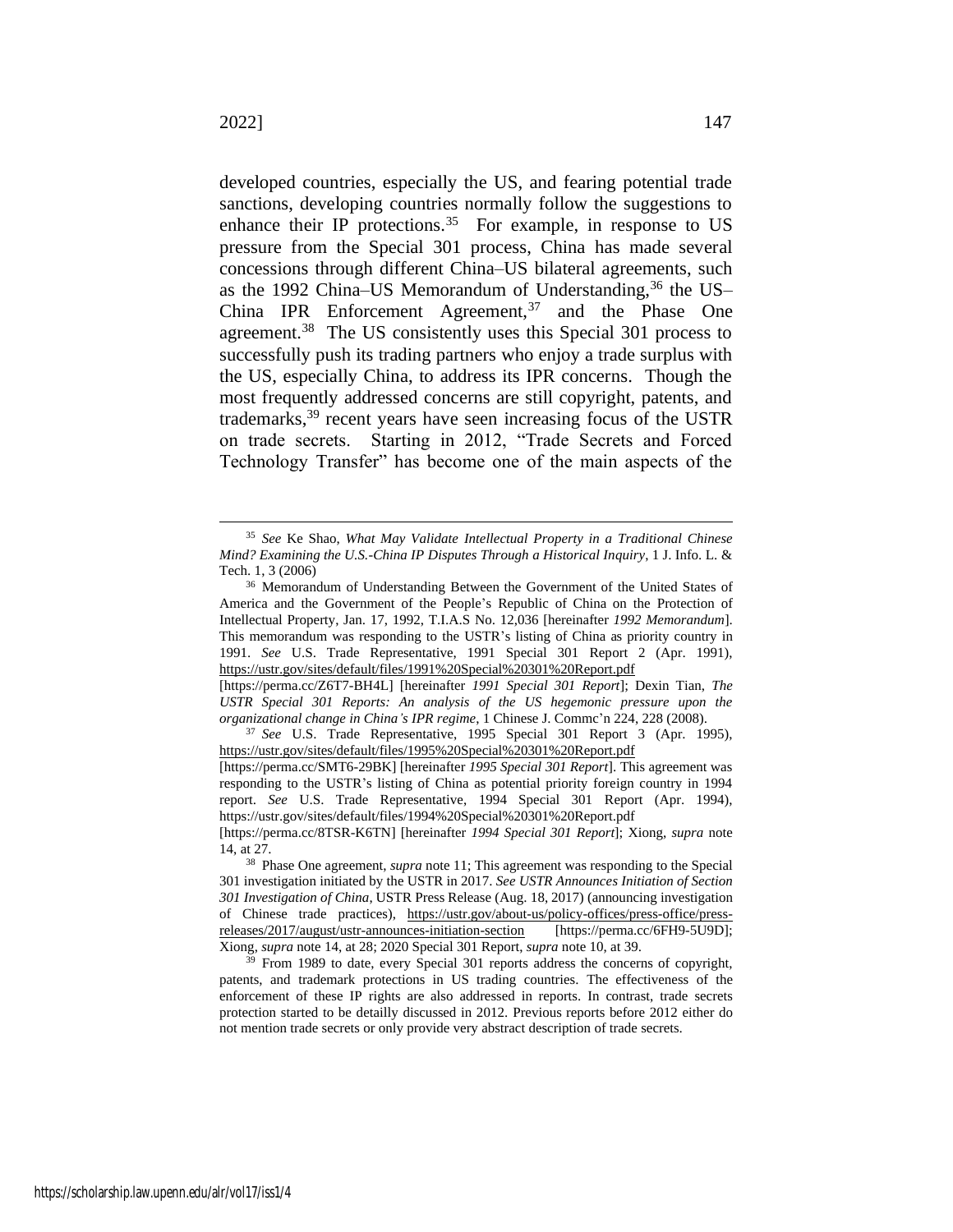<span id="page-9-1"></span><span id="page-9-0"></span>developed countries, especially the US, and fearing potential trade sanctions, developing countries normally follow the suggestions to enhance their IP protections.<sup>35</sup> For example, in response to US pressure from the Special 301 process, China has made several concessions through different China–US bilateral agreements, such as the 1992 China–US Memorandum of Understanding,<sup>36</sup> the US– China IPR Enforcement Agreement,  $37$  and the Phase One agreement.<sup>38</sup> The US consistently uses this Special 301 process to successfully push its trading partners who enjoy a trade surplus with the US, especially China, to address its IPR concerns. Though the most frequently addressed concerns are still copyright, patents, and trademarks,<sup>39</sup> recent years have seen increasing focus of the USTR on trade secrets. Starting in 2012, "Trade Secrets and Forced Technology Transfer" has become one of the main aspects of the

[https://perma.cc/Z6T7-BH4L] [hereinafter *1991 Special 301 Report*]; Dexin Tian, *The USTR Special 301 Reports: An analysis of the US hegemonic pressure upon the organizational change in China's IPR regime*, 1 Chinese J. Commc'n 224, 228 (2008).

<sup>35</sup> *See* Ke Shao, *What May Validate Intellectual Property in a Traditional Chinese Mind? Examining the U.S.-China IP Disputes Through a Historical Inquiry*, 1 J. Info. L. & Tech. 1, 3 (2006)

<sup>36</sup> Memorandum of Understanding Between the Government of the United States of America and the Government of the People's Republic of China on the Protection of Intellectual Property, Jan. 17, 1992, T.I.A.S No. 12,036 [hereinafter *1992 Memorandum*]. This memorandum was responding to the USTR's listing of China as priority country in 1991. *See* U.S. Trade Representative, 1991 Special 301 Report 2 (Apr. 1991), https://ustr.gov/sites/default/files/1991%20Special%20301%20Report.pdf

<sup>37</sup> *See* U.S. Trade Representative, 1995 Special 301 Report 3 (Apr. 1995), https://ustr.gov/sites/default/files/1995%20Special%20301%20Report.pdf

<sup>[</sup>https://perma.cc/SMT6-29BK] [hereinafter *1995 Special 301 Report*]. This agreement was responding to the USTR's listing of China as potential priority foreign country in 1994 report. *See* U.S. Trade Representative, 1994 Special 301 Report (Apr. 1994), https://ustr.gov/sites/default/files/1994%20Special%20301%20Report.pdf

<sup>[</sup>https://perma.cc/8TSR-K6TN] [hereinafter *1994 Special 301 Report*]; Xiong, *supra* note [14,](#page-4-1) at 27.

<sup>38</sup> Phase One agreement, *supra* not[e 11;](#page-4-2) This agreement was responding to the Special 301 investigation initiated by the USTR in 2017. *See USTR Announces Initiation of Section 301 Investigation of China*, USTR Press Release (Aug. 18, 2017) (announcing investigation of Chinese trade practices), https://ustr.gov/about-us/policy-offices/press-office/pressreleases/2017/august/ustr-announces-initiation-section [https://perma.cc/6FH9-5U9D]; Xiong, *supra* not[e 14,](#page-4-1) at 28; 2020 Special 301 Report, *supra* note [10,](#page-4-0) at 39.

<sup>&</sup>lt;sup>39</sup> From 1989 to date, every Special 301 reports address the concerns of copyright, patents, and trademark protections in US trading countries. The effectiveness of the enforcement of these IP rights are also addressed in reports. In contrast, trade secrets protection started to be detailly discussed in 2012. Previous reports before 2012 either do not mention trade secrets or only provide very abstract description of trade secrets.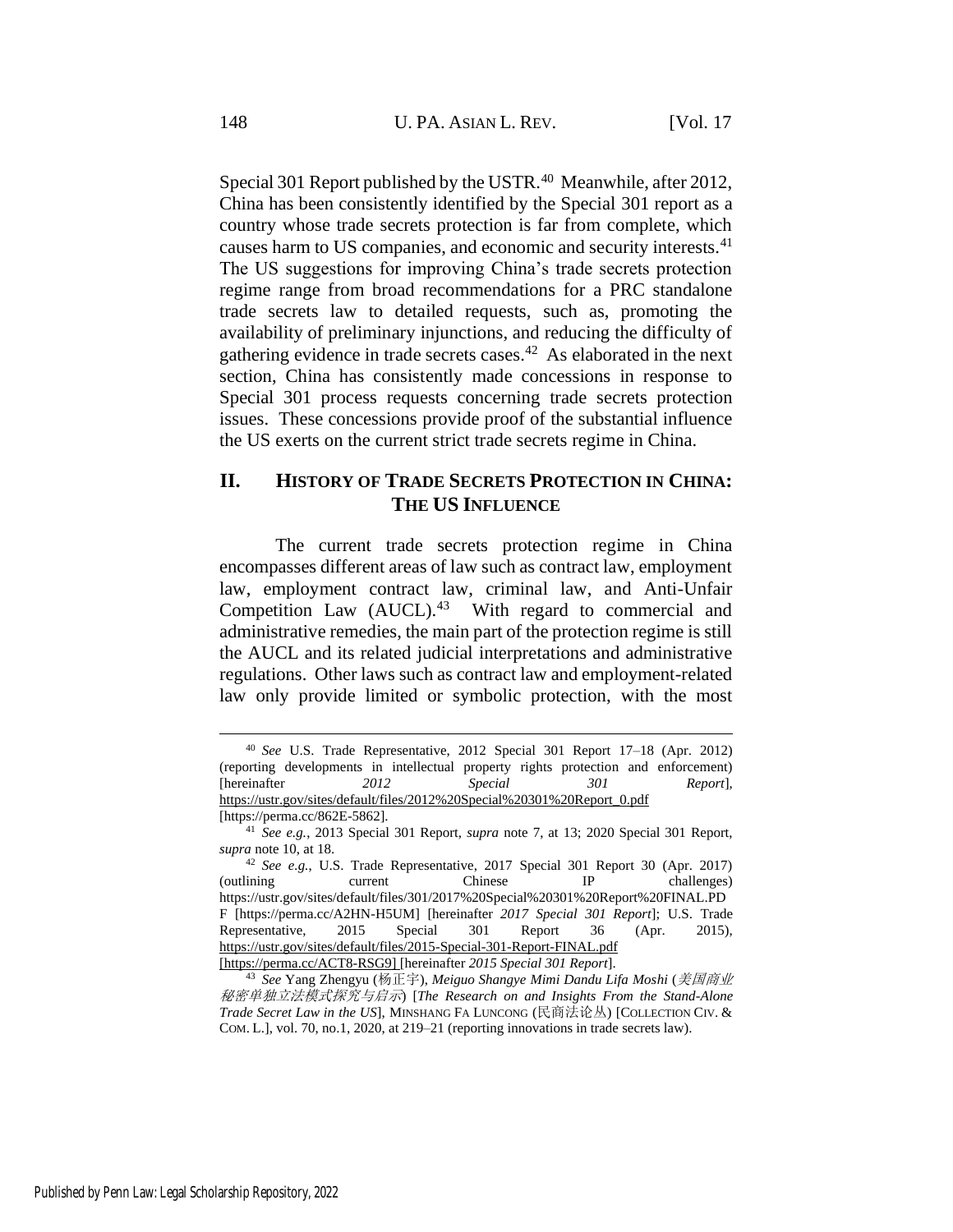Special 301 Report published by the USTR.<sup>40</sup> Meanwhile, after 2012, China has been consistently identified by the Special 301 report as a country whose trade secrets protection is far from complete, which causes harm to US companies, and economic and security interests.<sup>41</sup> The US suggestions for improving China's trade secrets protection regime range from broad recommendations for a PRC standalone trade secrets law to detailed requests, such as, promoting the availability of preliminary injunctions, and reducing the difficulty of gathering evidence in trade secrets cases.<sup>42</sup> As elaborated in the next section, China has consistently made concessions in response to Special 301 process requests concerning trade secrets protection issues. These concessions provide proof of the substantial influence the US exerts on the current strict trade secrets regime in China.

# <span id="page-10-0"></span>**II. HISTORY OF TRADE SECRETS PROTECTION IN CHINA: THE US INFLUENCE**

The current trade secrets protection regime in China encompasses different areas of law such as contract law, employment law, employment contract law, criminal law, and Anti-Unfair Competition Law  $(AUCL).<sup>43</sup>$  With regard to commercial and administrative remedies, the main part of the protection regime is still the AUCL and its related judicial interpretations and administrative regulations. Other laws such as contract law and employment-related law only provide limited or symbolic protection, with the most

<sup>40</sup> *See* U.S. Trade Representative, 2012 Special 301 Report 17–18 (Apr. 2012) (reporting developments in intellectual property rights protection and enforcement) [hereinafter *2012 Special 301 Report*], https://ustr.gov/sites/default/files/2012%20Special%20301%20Report\_0.pdf [https://perma.cc/862E-5862].

<sup>41</sup> *See e.g.*, 2013 Special 301 Report, *supra* note [7,](#page-3-1) at 13; 2020 Special 301 Report, *supra* not[e 10,](#page-4-0) at 18.

<sup>42</sup> *See e.g.*, U.S. Trade Representative, 2017 Special 301 Report 30 (Apr. 2017) (outlining current Chinese IP challenges) https://ustr.gov/sites/default/files/301/2017%20Special%20301%20Report%20FINAL.PD F [https://perma.cc/A2HN-H5UM] [hereinafter *2017 Special 301 Report*]; U.S. Trade Representative, 2015 Special 301 Report 36 (Apr. 2015), https://ustr.gov/sites/default/files/2015-Special-301-Report-FINAL.pdf [https://perma.cc/ACT8-RSG9] [hereinafter *2015 Special 301 Report*].

<sup>43</sup> *See* Yang Zhengyu (杨正宇), *Meiguo Shangye Mimi Dandu Lifa Moshi* (美国商业 秘密单独立法模式探究与启示) [*The Research on and Insights From the Stand-Alone Trade Secret Law in the US*], MINSHANG FA LUNCONG (民商法论丛) [COLLECTION CIV. & COM. L.], vol. 70, no.1, 2020, at 219–21 (reporting innovations in trade secrets law).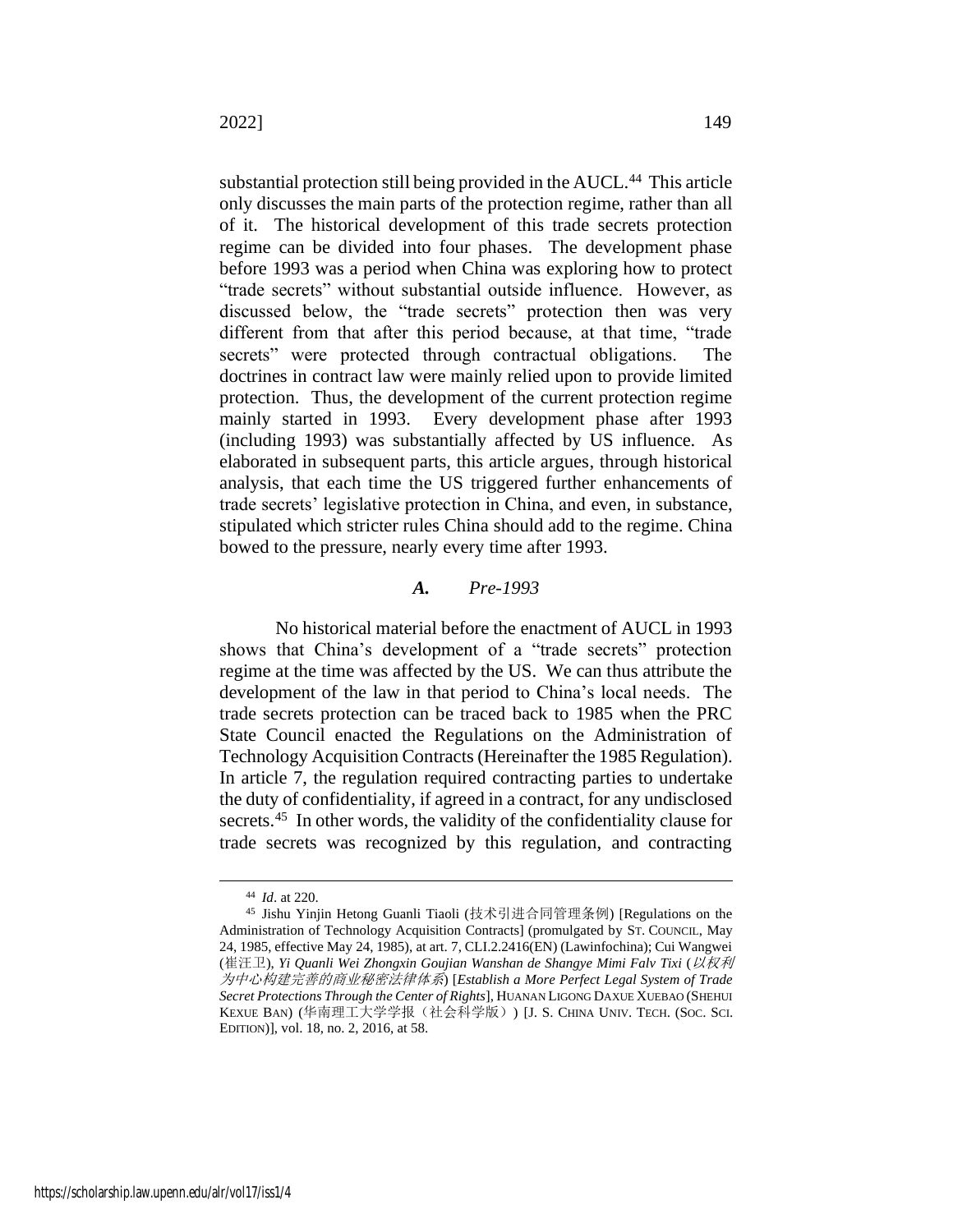substantial protection still being provided in the AUCL.<sup>44</sup> This article only discusses the main parts of the protection regime, rather than all of it. The historical development of this trade secrets protection regime can be divided into four phases. The development phase before 1993 was a period when China was exploring how to protect "trade secrets" without substantial outside influence. However, as discussed below, the "trade secrets" protection then was very different from that after this period because, at that time, "trade secrets" were protected through contractual obligations. The doctrines in contract law were mainly relied upon to provide limited protection. Thus, the development of the current protection regime mainly started in 1993. Every development phase after 1993 (including 1993) was substantially affected by US influence. As elaborated in subsequent parts, this article argues, through historical analysis, that each time the US triggered further enhancements of trade secrets' legislative protection in China, and even, in substance, stipulated which stricter rules China should add to the regime. China bowed to the pressure, nearly every time after 1993.

## *A. Pre-1993*

No historical material before the enactment of AUCL in 1993 shows that China's development of a "trade secrets" protection regime at the time was affected by the US. We can thus attribute the development of the law in that period to China's local needs. The trade secrets protection can be traced back to 1985 when the PRC State Council enacted the Regulations on the Administration of Technology Acquisition Contracts (Hereinafter the 1985 Regulation). In article 7, the regulation required contracting parties to undertake the duty of confidentiality, if agreed in a contract, for any undisclosed secrets.<sup>45</sup> In other words, the validity of the confidentiality clause for trade secrets was recognized by this regulation, and contracting

<span id="page-11-0"></span><sup>44</sup> *Id*. at 220.

<sup>45</sup> Jishu Yinjin Hetong Guanli Tiaoli (技术引进合同管理条例) [Regulations on the Administration of Technology Acquisition Contracts] (promulgated by ST. COUNCIL, May 24, 1985, effective May 24, 1985), at art. 7, CLI.2.2416(EN) (Lawinfochina); Cui Wangwei (崔汪卫), *Yi Quanli Wei Zhongxin Goujian Wanshan de Shangye Mimi Falv Tixi* (以权利 为中心构建完善的商业秘密法律体系) [*Establish a More Perfect Legal System of Trade Secret Protections Through the Center of Rights*], HUANAN LIGONG DAXUE XUEBAO (SHEHUI KEXUE BAN) (华南理工大学学报(社会科学版)) [J. S. CHINA UNIV. TECH. (SOC. SCI. EDITION)], vol. 18, no. 2, 2016, at 58.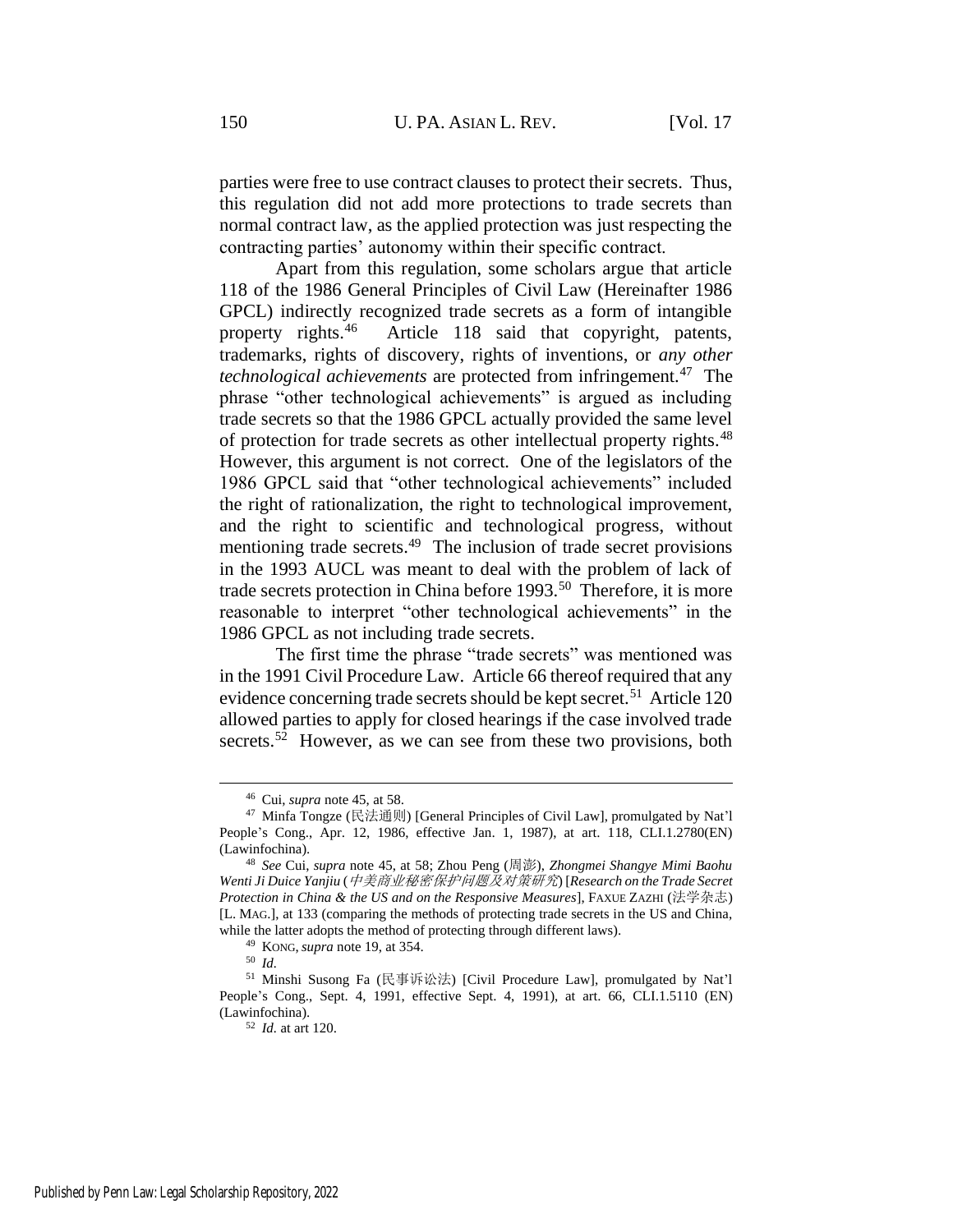parties were free to use contract clauses to protect their secrets. Thus, this regulation did not add more protections to trade secrets than normal contract law, as the applied protection was just respecting the contracting parties' autonomy within their specific contract.

<span id="page-12-0"></span>Apart from this regulation, some scholars argue that article 118 of the 1986 General Principles of Civil Law (Hereinafter 1986 GPCL) indirectly recognized trade secrets as a form of intangible property rights.<sup>46</sup> Article 118 said that copyright, patents, trademarks, rights of discovery, rights of inventions, or *any other technological achievements* are protected from infringement.<sup>47</sup> The phrase "other technological achievements" is argued as including trade secrets so that the 1986 GPCL actually provided the same level of protection for trade secrets as other intellectual property rights.<sup>48</sup> However, this argument is not correct. One of the legislators of the 1986 GPCL said that "other technological achievements" included the right of rationalization, the right to technological improvement, and the right to scientific and technological progress, without mentioning trade secrets.<sup>49</sup> The inclusion of trade secret provisions in the 1993 AUCL was meant to deal with the problem of lack of trade secrets protection in China before 1993.<sup>50</sup> Therefore, it is more reasonable to interpret "other technological achievements" in the 1986 GPCL as not including trade secrets.

The first time the phrase "trade secrets" was mentioned was in the 1991 Civil Procedure Law. Article 66 thereof required that any evidence concerning trade secrets should be kept secret.<sup>51</sup> Article 120 allowed parties to apply for closed hearings if the case involved trade secrets.<sup>52</sup> However, as we can see from these two provisions, both

<sup>46</sup> Cui, *supra* not[e 45,](#page-11-0) at 58.

<sup>47</sup> Minfa Tongze (民法通则) [General Principles of Civil Law], promulgated by Nat'l People's Cong., Apr. 12, 1986, effective Jan. 1, 1987), at art. 118, CLI.1.2780(EN) (Lawinfochina).

<sup>48</sup> *See* Cui, *supra* note [45,](#page-11-0) at 58; Zhou Peng (周澎), *Zhongmei Shangye Mimi Baohu Wenti Ji Duice Yanjiu* (中美商业秘密保护问题及对策研究) [*Research on the Trade Secret Protection in China & the US and on the Responsive Measures*], FAXUE ZAZHI (法学杂志) [L. MAG.], at 133 (comparing the methods of protecting trade secrets in the US and China, while the latter adopts the method of protecting through different laws).

<sup>49</sup> KONG,*supra* not[e 19,](#page-6-0) at 354.

<sup>50</sup> *Id.*

<sup>51</sup> Minshi Susong Fa (民事诉讼法) [Civil Procedure Law], promulgated by Nat'l People's Cong., Sept. 4, 1991, effective Sept. 4, 1991), at art. 66, CLI.1.5110 (EN) (Lawinfochina).

<sup>52</sup> *Id.* at art 120.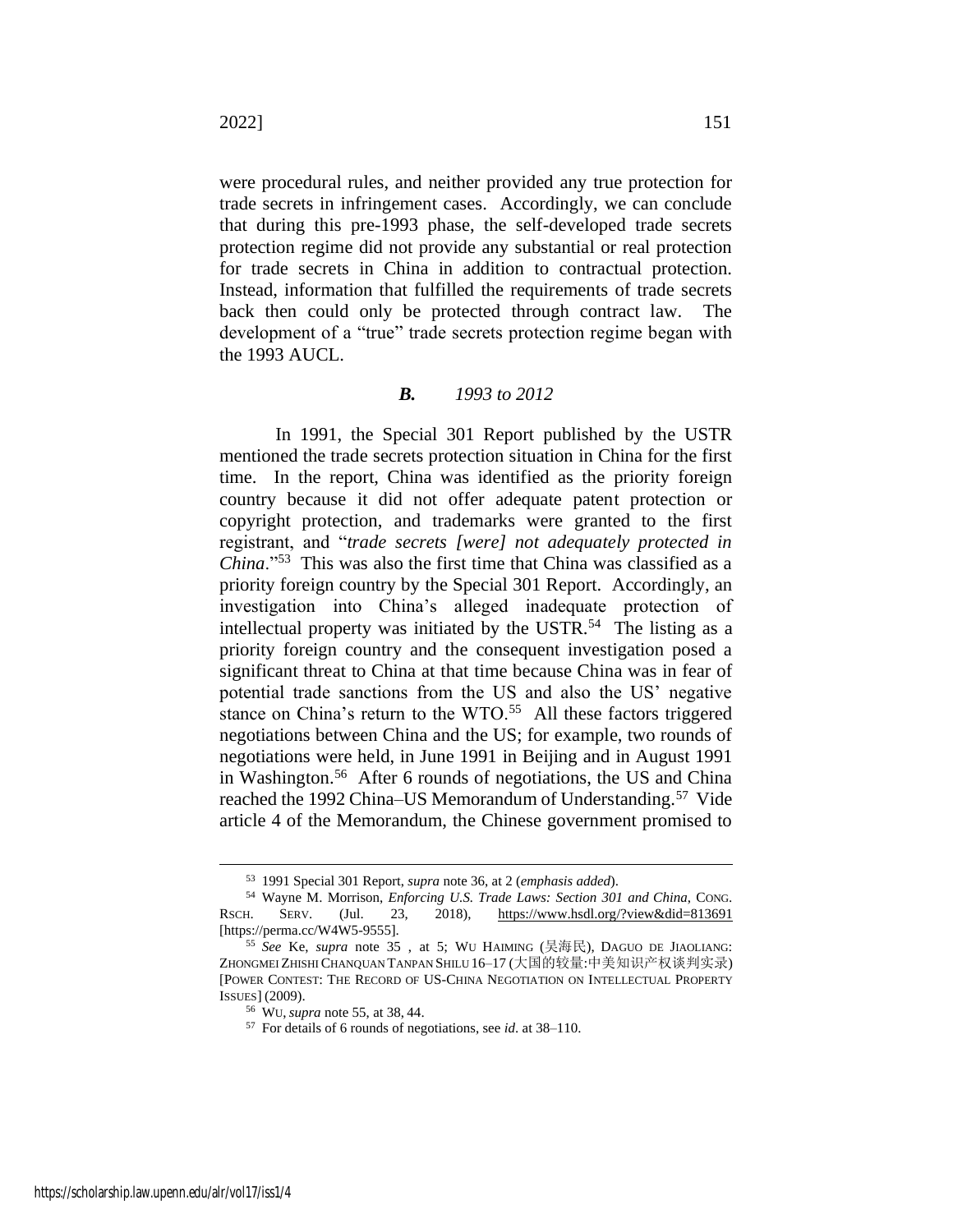were procedural rules, and neither provided any true protection for trade secrets in infringement cases. Accordingly, we can conclude that during this pre-1993 phase, the self-developed trade secrets protection regime did not provide any substantial or real protection for trade secrets in China in addition to contractual protection. Instead, information that fulfilled the requirements of trade secrets back then could only be protected through contract law. The development of a "true" trade secrets protection regime began with the 1993 AUCL.

# *B. 1993 to 2012*

In 1991, the Special 301 Report published by the USTR mentioned the trade secrets protection situation in China for the first time. In the report, China was identified as the priority foreign country because it did not offer adequate patent protection or copyright protection, and trademarks were granted to the first registrant, and "*trade secrets [were] not adequately protected in China*."<sup>53</sup> This was also the first time that China was classified as a priority foreign country by the Special 301 Report. Accordingly, an investigation into China's alleged inadequate protection of intellectual property was initiated by the USTR. $54$  The listing as a priority foreign country and the consequent investigation posed a significant threat to China at that time because China was in fear of potential trade sanctions from the US and also the US' negative stance on China's return to the  $WTO<sup>55</sup>$  All these factors triggered negotiations between China and the US; for example, two rounds of negotiations were held, in June 1991 in Beijing and in August 1991 in Washington.<sup>56</sup> After 6 rounds of negotiations, the US and China reached the 1992 China–US Memorandum of Understanding.<sup>57</sup> Vide article 4 of the Memorandum, the Chinese government promised to

<span id="page-13-0"></span><sup>53</sup> 1991 Special 301 Report, *supra* not[e 36,](#page-9-0) at 2 (*emphasis added*).

<sup>54</sup> Wayne M. Morrison, *Enforcing U.S. Trade Laws: Section 301 and China*, CONG. RSCH. SERV. (Jul. 23, 2018), https://www.hsdl.org/?view&did=813691 [https://perma.cc/W4W5-9555].

<sup>55</sup> *See* Ke, *supra* note [35](#page-9-1) , at 5; WU HAIMING (吴海民), DAGUO DE JIAOLIANG: ZHONGMEI ZHISHI CHANQUAN TANPAN SHILU 16–17 (大国的较量:中美知识产权谈判实录) [POWER CONTEST: THE RECORD OF US-CHINA NEGOTIATION ON INTELLECTUAL PROPERTY ISSUES] (2009).

<sup>56</sup> WU,*supra* not[e 55,](#page-13-0) at 38, 44.

<sup>57</sup> For details of 6 rounds of negotiations, see *id*. at 38–110.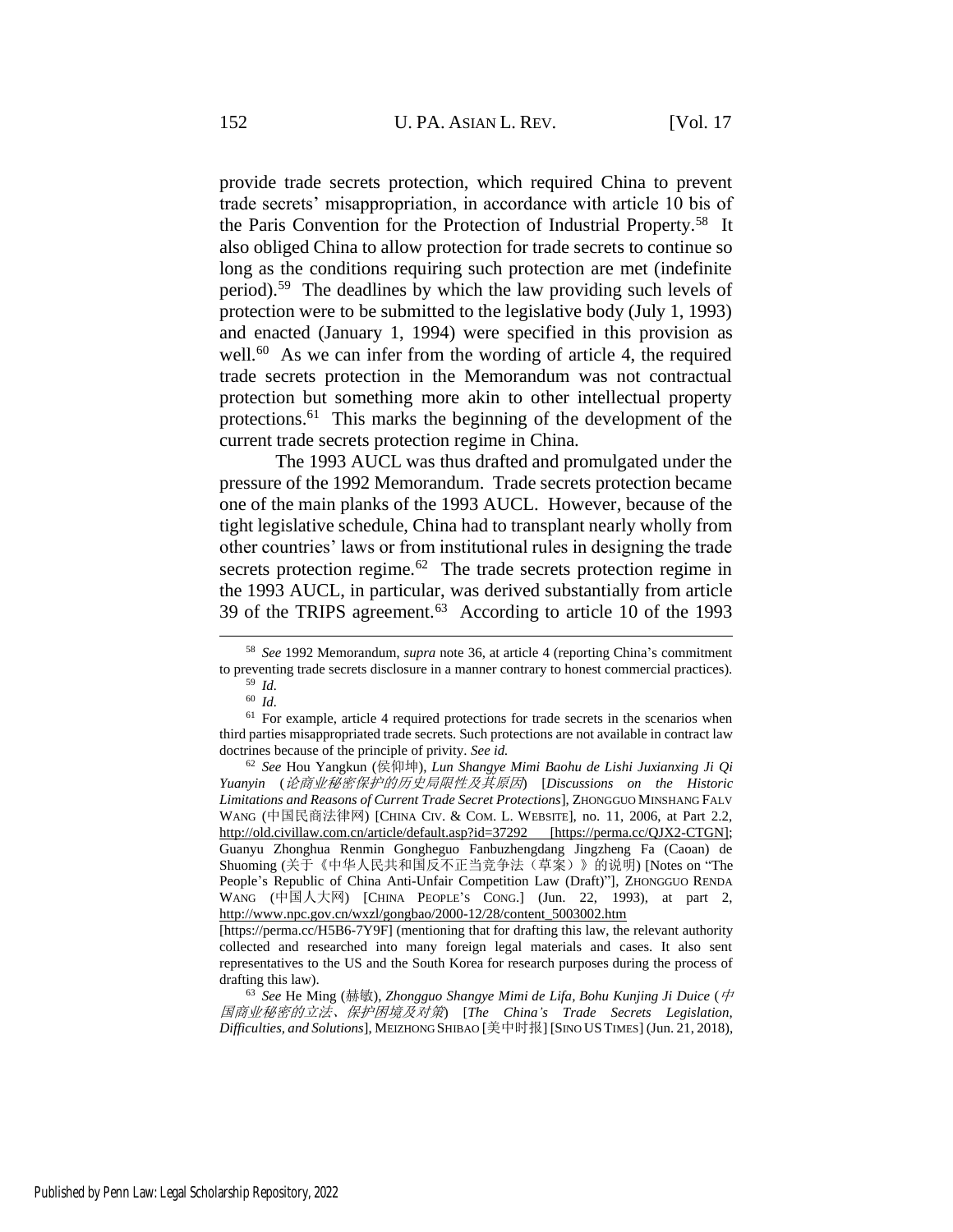provide trade secrets protection, which required China to prevent trade secrets' misappropriation, in accordance with article 10 bis of the Paris Convention for the Protection of Industrial Property.<sup>58</sup> It also obliged China to allow protection for trade secrets to continue so long as the conditions requiring such protection are met (indefinite period).<sup>59</sup> The deadlines by which the law providing such levels of protection were to be submitted to the legislative body (July 1, 1993) and enacted (January 1, 1994) were specified in this provision as well.<sup>60</sup> As we can infer from the wording of article 4, the required trade secrets protection in the Memorandum was not contractual protection but something more akin to other intellectual property protections.<sup>61</sup> This marks the beginning of the development of the current trade secrets protection regime in China.

The 1993 AUCL was thus drafted and promulgated under the pressure of the 1992 Memorandum. Trade secrets protection became one of the main planks of the 1993 AUCL. However, because of the tight legislative schedule, China had to transplant nearly wholly from other countries' laws or from institutional rules in designing the trade secrets protection regime.<sup>62</sup> The trade secrets protection regime in the 1993 AUCL, in particular, was derived substantially from article 39 of the TRIPS agreement.<sup>63</sup> According to article 10 of the 1993

<sup>58</sup> *See* 1992 Memorandum, *supra* note [36,](#page-9-0) at article 4 (reporting China's commitment to preventing trade secrets disclosure in a manner contrary to honest commercial practices).

<span id="page-14-1"></span><span id="page-14-0"></span><sup>59</sup> *Id.* <sup>60</sup> *Id.*

<sup>&</sup>lt;sup>61</sup> For example, article 4 required protections for trade secrets in the scenarios when third parties misappropriated trade secrets. Such protections are not available in contract law doctrines because of the principle of privity. *See id.*

<sup>62</sup> *See* Hou Yangkun (侯仰坤), *Lun Shangye Mimi Baohu de Lishi Juxianxing Ji Qi Yuanyin* (论商业秘密保护的历史局限性及其原因) [*Discussions on the Historic Limitations and Reasons of Current Trade Secret Protections*], ZHONGGUO MINSHANG FALV WANG (中国民商法律网) [CHINA CIV. & COM. L. WEBSITE], no. 11, 2006, at Part 2.2, http://old.civillaw.com.cn/article/default.asp?id=37292 [https://perma.cc/QJX2-CTGN]; Guanyu Zhonghua Renmin Gongheguo Fanbuzhengdang Jingzheng Fa (Caoan) de Shuoming (关于《中华人民共和国反不正当竞争法(草案)》的说明) [Notes on "The People's Republic of China Anti-Unfair Competition Law (Draft)"], ZHONGGUO RENDA WANG (中国人大网) [CHINA PEOPLE'S CONG.] (Jun. 22, 1993), at part 2, http://www.npc.gov.cn/wxzl/gongbao/2000-12/28/content\_5003002.htm

<sup>[</sup>https://perma.cc/H5B6-7Y9F] (mentioning that for drafting this law, the relevant authority collected and researched into many foreign legal materials and cases. It also sent representatives to the US and the South Korea for research purposes during the process of drafting this law).

<sup>63</sup> *See* He Ming (赫敏), *Zhongguo Shangye Mimi de Lifa, Bohu Kunjing Ji Duice* (中 国商业秘密的立法、保护困境及对策) [*The China's Trade Secrets Legislation, Difficulties, and Solutions*], MEIZHONG SHIBAO [美中时报] [SINO USTIMES] (Jun. 21, 2018),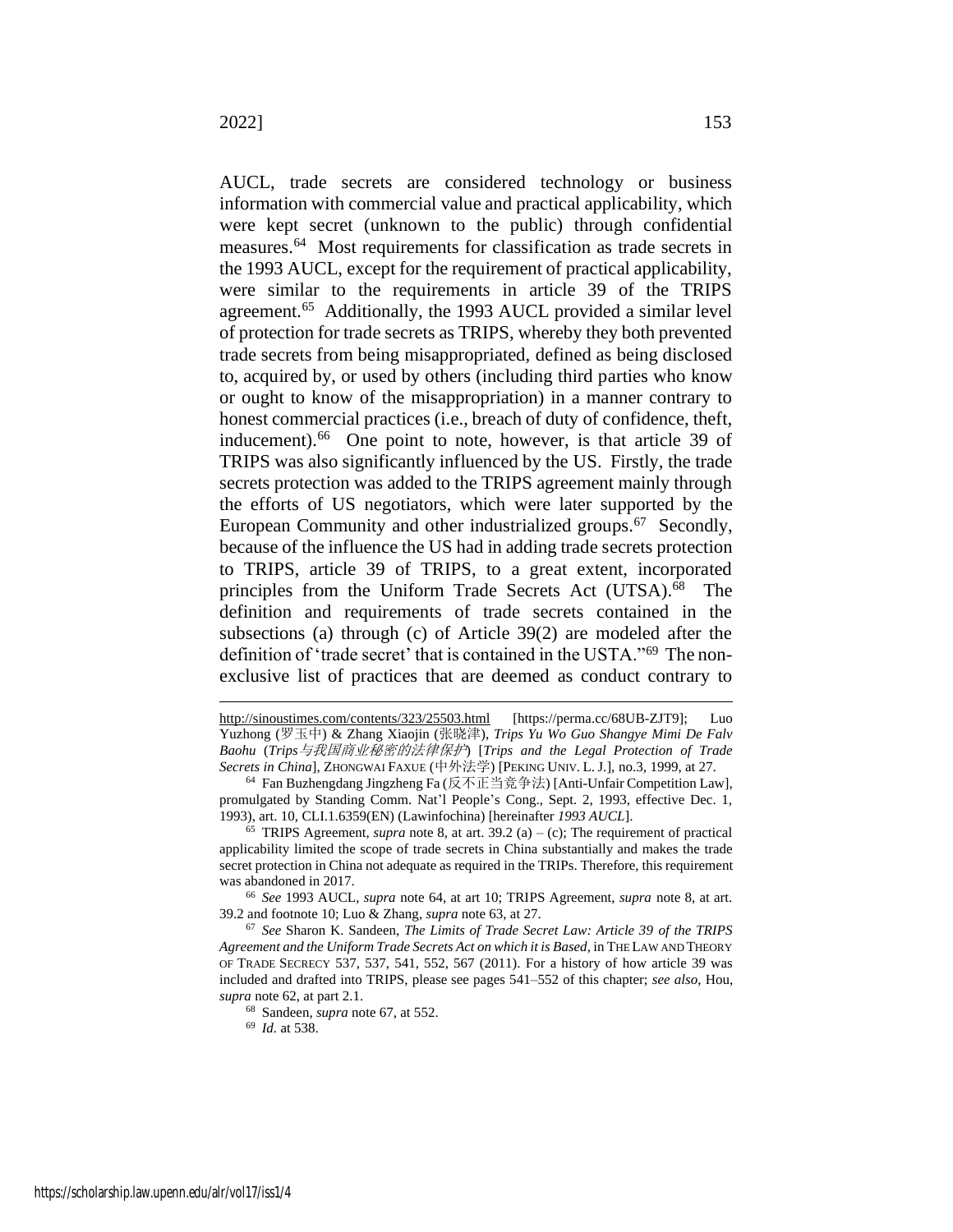<span id="page-15-0"></span>AUCL, trade secrets are considered technology or business information with commercial value and practical applicability, which were kept secret (unknown to the public) through confidential measures.<sup>64</sup> Most requirements for classification as trade secrets in the 1993 AUCL, except for the requirement of practical applicability, were similar to the requirements in article 39 of the TRIPS agreement.<sup>65</sup> Additionally, the 1993 AUCL provided a similar level of protection for trade secrets as TRIPS, whereby they both prevented trade secrets from being misappropriated, defined as being disclosed to, acquired by, or used by others (including third parties who know or ought to know of the misappropriation) in a manner contrary to honest commercial practices (i.e., breach of duty of confidence, theft, inducement).<sup>66</sup> One point to note, however, is that article 39 of TRIPS was also significantly influenced by the US. Firstly, the trade secrets protection was added to the TRIPS agreement mainly through the efforts of US negotiators, which were later supported by the European Community and other industrialized groups.<sup>67</sup> Secondly, because of the influence the US had in adding trade secrets protection to TRIPS, article 39 of TRIPS, to a great extent, incorporated principles from the Uniform Trade Secrets Act (UTSA).<sup>68</sup> The definition and requirements of trade secrets contained in the subsections (a) through (c) of Article 39(2) are modeled after the definition of 'trade secret' that is contained in the USTA."<sup>69</sup> The nonexclusive list of practices that are deemed as conduct contrary to

<span id="page-15-1"></span>http://sinoustimes.com/contents/323/25503.html [https://perma.cc/68UB-ZJT9]; Yuzhong (罗玉中) & Zhang Xiaojin (张晓津), *Trips Yu Wo Guo Shangye Mimi De Falv Baohu* (*Trips*与我国商业秘密的法律保护) [*Trips and the Legal Protection of Trade Secrets in China*], ZHONGWAI FAXUE (中外法学) [PEKING UNIV. L.J.], no.3, 1999, at 27.

<sup>64</sup> Fan Buzhengdang Jingzheng Fa (反不正当竞争法) [Anti-Unfair Competition Law], promulgated by Standing Comm. Nat'l People's Cong., Sept. 2, 1993, effective Dec. 1, 1993), art. 10, CLI.1.6359(EN) (Lawinfochina) [hereinafter *1993 AUCL*].

<sup>&</sup>lt;sup>65</sup> TRIPS Agreement, *supra* note [8,](#page-3-0) at art.  $39.2$  (a) – (c); The requirement of practical applicability limited the scope of trade secrets in China substantially and makes the trade secret protection in China not adequate as required in the TRIPs. Therefore, this requirement was abandoned in 2017.

<sup>66</sup> *See* 1993 AUCL, *supra* note [64,](#page-15-0) at art 10; TRIPS Agreement, *supra* note [8,](#page-3-0) at art. 39.2 and footnote 10; Luo & Zhang, *supra* not[e 63,](#page-14-0) at 27.

<sup>67</sup> *See* Sharon K. Sandeen, *The Limits of Trade Secret Law: Article 39 of the TRIPS Agreement and the Uniform Trade Secrets Act on which it is Based*, in THE LAW AND THEORY OF TRADE SECRECY 537, 537, 541, 552, 567 (2011). For a history of how article 39 was included and drafted into TRIPS, please see pages 541–552 of this chapter; *see also*, Hou, *supra* not[e 62,](#page-14-1) at part 2.1.

<sup>68</sup> Sandeen, *supra* note [67,](#page-15-1) at 552.

<sup>69</sup> *Id.* at 538.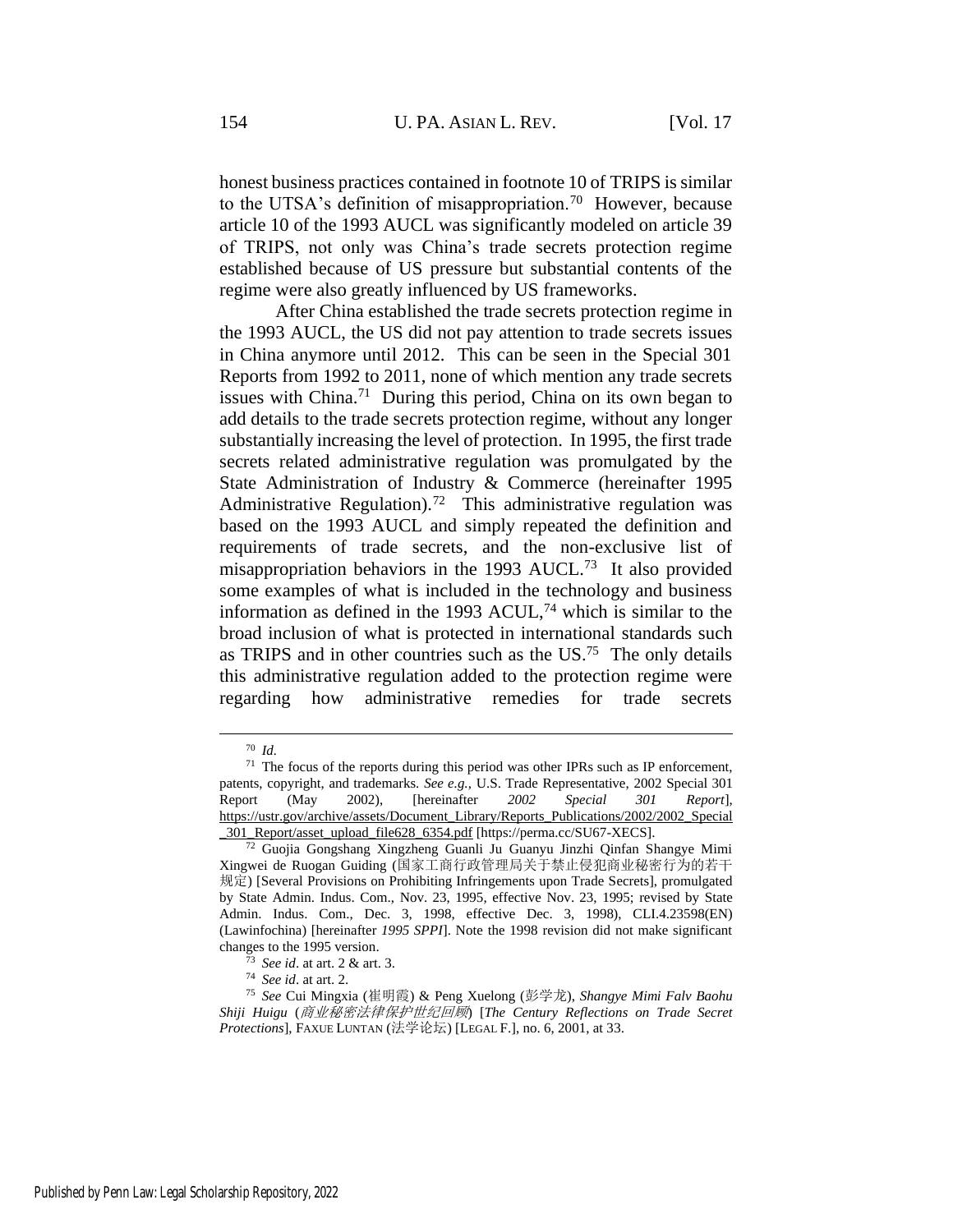honest business practices contained in footnote 10 of TRIPS is similar to the UTSA's definition of misappropriation.<sup>70</sup> However, because article 10 of the 1993 AUCL was significantly modeled on article 39 of TRIPS, not only was China's trade secrets protection regime established because of US pressure but substantial contents of the regime were also greatly influenced by US frameworks.

<span id="page-16-0"></span>After China established the trade secrets protection regime in the 1993 AUCL, the US did not pay attention to trade secrets issues in China anymore until 2012. This can be seen in the Special 301 Reports from 1992 to 2011, none of which mention any trade secrets issues with China.<sup>71</sup> During this period, China on its own began to add details to the trade secrets protection regime, without any longer substantially increasing the level of protection. In 1995, the first trade secrets related administrative regulation was promulgated by the State Administration of Industry & Commerce (hereinafter 1995 Administrative Regulation).<sup>72</sup> This administrative regulation was based on the 1993 AUCL and simply repeated the definition and requirements of trade secrets, and the non-exclusive list of misappropriation behaviors in the 1993 AUCL.<sup>73</sup> It also provided some examples of what is included in the technology and business information as defined in the 1993 ACUL,<sup>74</sup> which is similar to the broad inclusion of what is protected in international standards such as TRIPS and in other countries such as the  $US^{75}$  The only details this administrative regulation added to the protection regime were regarding how administrative remedies for trade secrets

<sup>70</sup> *Id.*

<sup>71</sup> The focus of the reports during this period was other IPRs such as IP enforcement, patents, copyright, and trademarks. *See e.g.,* U.S. Trade Representative, 2002 Special 301 Report (May 2002), [hereinafter *2002 Special 301 Report*], https://ustr.gov/archive/assets/Document\_Library/Reports\_Publications/2002/2002\_Special \_301\_Report/asset\_upload\_file628\_6354.pdf [https://perma.cc/SU67-XECS].

<sup>72</sup> Guojia Gongshang Xingzheng Guanli Ju Guanyu Jinzhi Qinfan Shangye Mimi Xingwei de Ruogan Guiding (国家工商行政管理局关于禁止侵犯商业秘密行为的若干 规定) [Several Provisions on Prohibiting Infringements upon Trade Secrets], promulgated by State Admin. Indus. Com., Nov. 23, 1995, effective Nov. 23, 1995; revised by State Admin. Indus. Com., Dec. 3, 1998, effective Dec. 3, 1998), CLI.4.23598(EN) (Lawinfochina) [hereinafter *1995 SPPI*]. Note the 1998 revision did not make significant changes to the 1995 version.

<sup>73</sup> *See id*. at art. 2 & art. 3.

<sup>74</sup> *See id*. at art. 2.

<sup>75</sup> *See* Cui Mingxia (崔明霞) & Peng Xuelong (彭学龙), *Shangye Mimi Falv Baohu Shiji Huigu* (商业秘密法律保护世纪回顾) [*The Century Reflections on Trade Secret Protections*], FAXUE LUNTAN (法学论坛) [LEGAL F.], no. 6, 2001, at 33.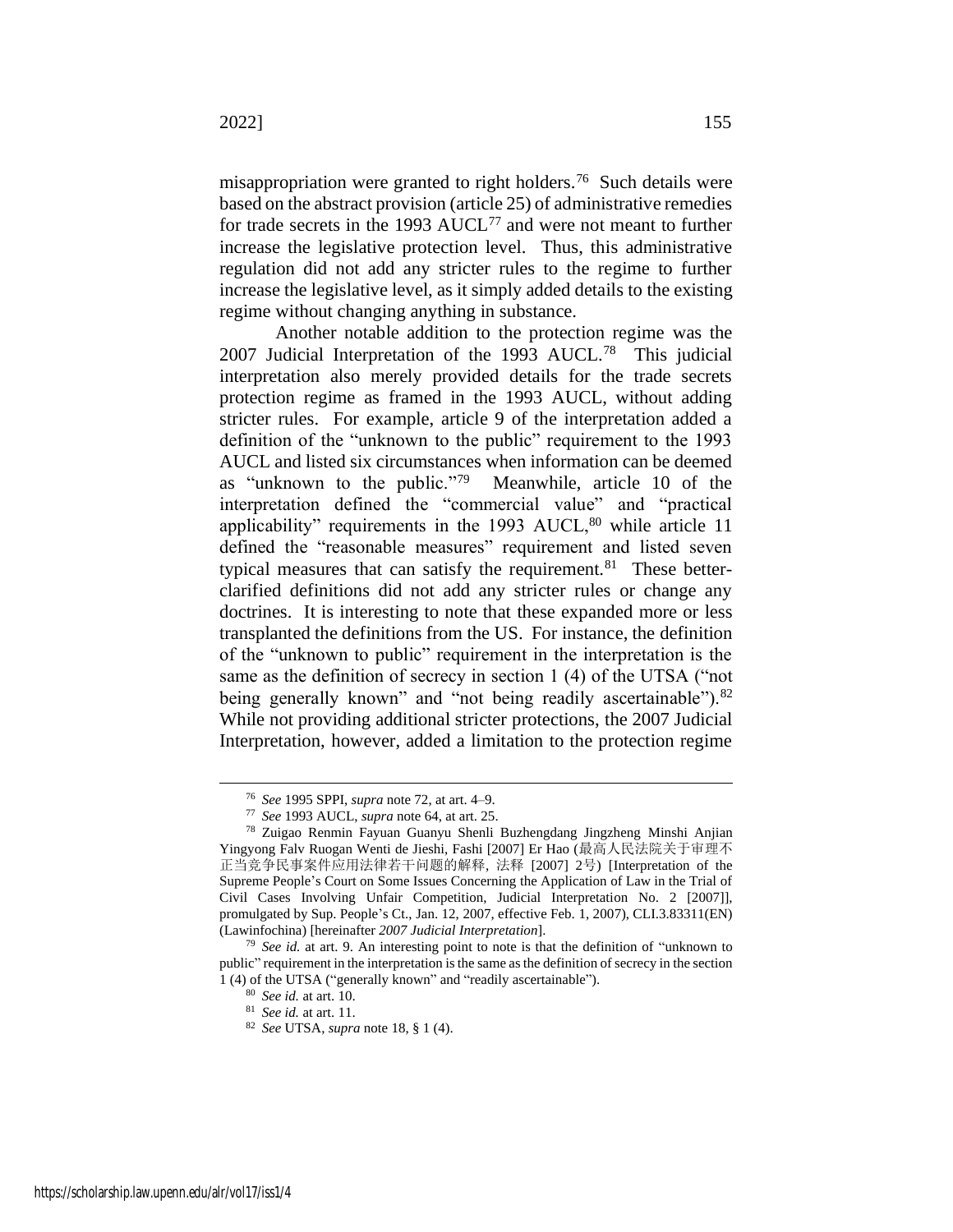misappropriation were granted to right holders.<sup>76</sup> Such details were based on the abstract provision (article 25) of administrative remedies for trade secrets in the 1993  $AUCL^{77}$  and were not meant to further increase the legislative protection level. Thus, this administrative regulation did not add any stricter rules to the regime to further increase the legislative level, as it simply added details to the existing regime without changing anything in substance.

<span id="page-17-0"></span>Another notable addition to the protection regime was the 2007 Judicial Interpretation of the 1993 AUCL.<sup>78</sup> This judicial interpretation also merely provided details for the trade secrets protection regime as framed in the 1993 AUCL, without adding stricter rules. For example, article 9 of the interpretation added a definition of the "unknown to the public" requirement to the 1993 AUCL and listed six circumstances when information can be deemed as "unknown to the public."<sup>79</sup> Meanwhile, article 10 of the interpretation defined the "commercial value" and "practical applicability" requirements in the  $1993 \text{ AUCL}$ ,  $80 \text{ while article } 11$ defined the "reasonable measures" requirement and listed seven typical measures that can satisfy the requirement.<sup>81</sup> These betterclarified definitions did not add any stricter rules or change any doctrines. It is interesting to note that these expanded more or less transplanted the definitions from the US. For instance, the definition of the "unknown to public" requirement in the interpretation is the same as the definition of secrecy in section 1 (4) of the UTSA ("not being generally known" and "not being readily ascertainable").<sup>82</sup> While not providing additional stricter protections, the 2007 Judicial Interpretation, however, added a limitation to the protection regime

<sup>76</sup> *See* 1995 SPPI, *supra* not[e 72,](#page-16-0) at art. 4–9.

<sup>77</sup> *See* 1993 AUCL, *supra* note [64,](#page-15-0) at art. 25.

<sup>78</sup> Zuigao Renmin Fayuan Guanyu Shenli Buzhengdang Jingzheng Minshi Anjian Yingyong Falv Ruogan Wenti de Jieshi, Fashi [2007] Er Hao (最高人民法院关于审理不 正当竞争民事案件应用法律若干问题的解释, 法释 [2007] 2号) [Interpretation of the Supreme People's Court on Some Issues Concerning the Application of Law in the Trial of Civil Cases Involving Unfair Competition, Judicial Interpretation No. 2 [2007]], promulgated by Sup. People's Ct., Jan. 12, 2007, effective Feb. 1, 2007), CLI.3.83311(EN) (Lawinfochina) [hereinafter *2007 Judicial Interpretation*].

<sup>79</sup> *See id.* at art. 9. An interesting point to note is that the definition of "unknown to public" requirement in the interpretation is the same as the definition of secrecy in the section 1 (4) of the UTSA ("generally known" and "readily ascertainable").

<sup>80</sup> *See id.* at art. 10.

<sup>81</sup> *See id.* at art. 11.

<sup>82</sup> *See* UTSA, *supra* not[e 18,](#page-6-1) § 1 (4).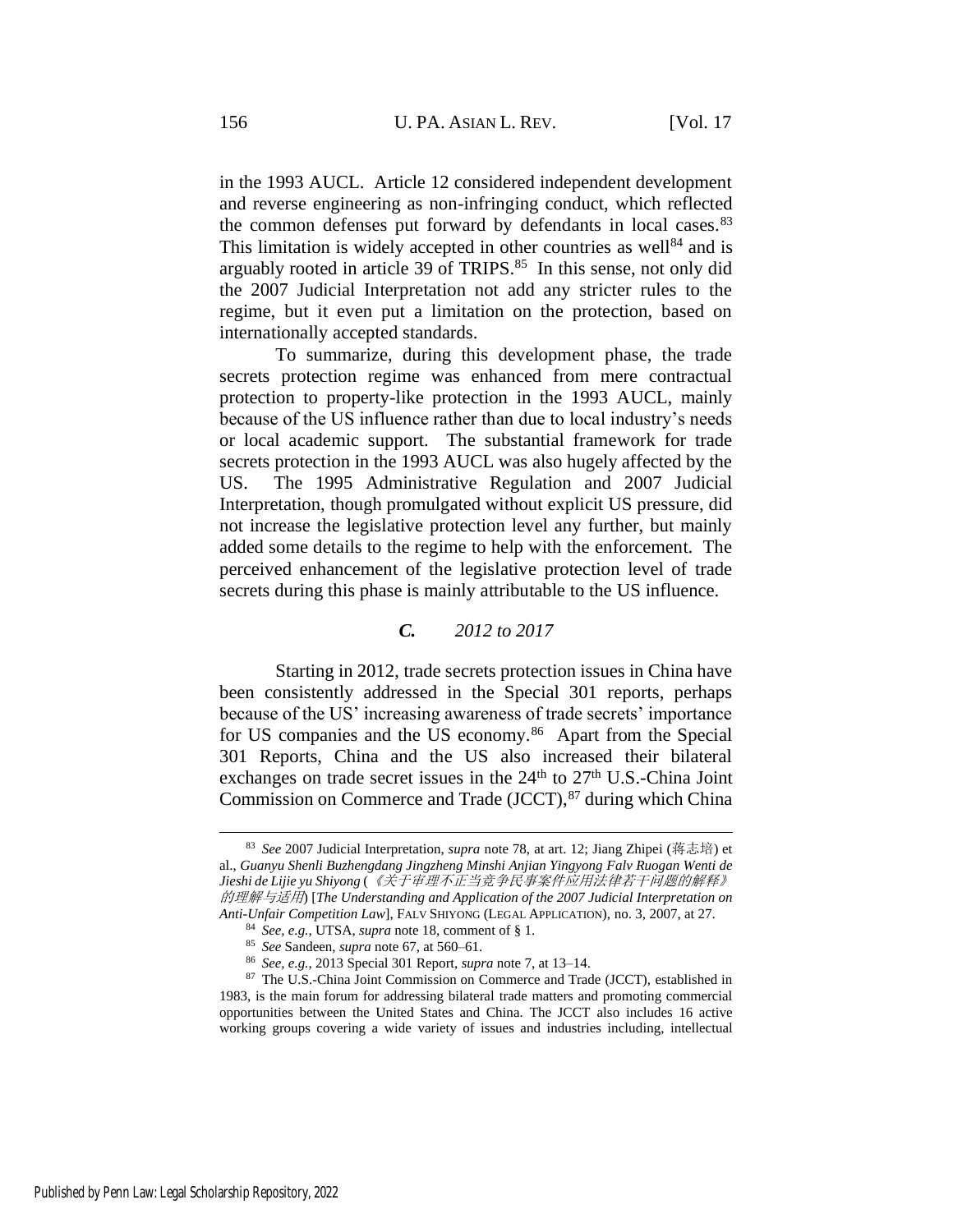in the 1993 AUCL. Article 12 considered independent development and reverse engineering as non-infringing conduct, which reflected the common defenses put forward by defendants in local cases.<sup>83</sup> This limitation is widely accepted in other countries as well $^{84}$  and is arguably rooted in article 39 of TRIPS.<sup>85</sup> In this sense, not only did the 2007 Judicial Interpretation not add any stricter rules to the regime, but it even put a limitation on the protection, based on internationally accepted standards.

To summarize, during this development phase, the trade secrets protection regime was enhanced from mere contractual protection to property-like protection in the 1993 AUCL, mainly because of the US influence rather than due to local industry's needs or local academic support. The substantial framework for trade secrets protection in the 1993 AUCL was also hugely affected by the US. The 1995 Administrative Regulation and 2007 Judicial Interpretation, though promulgated without explicit US pressure, did not increase the legislative protection level any further, but mainly added some details to the regime to help with the enforcement. The perceived enhancement of the legislative protection level of trade secrets during this phase is mainly attributable to the US influence.

#### *C. 2012 to 2017*

Starting in 2012, trade secrets protection issues in China have been consistently addressed in the Special 301 reports, perhaps because of the US' increasing awareness of trade secrets' importance for US companies and the US economy.<sup>86</sup> Apart from the Special 301 Reports, China and the US also increased their bilateral exchanges on trade secret issues in the  $24<sup>th</sup>$  to  $27<sup>th</sup>$  U.S.-China Joint Commission on Commerce and Trade  $(JCCT)$ ,  $87$  during which China

<sup>83</sup> *See* 2007 Judicial Interpretation, *supra* note [78,](#page-17-0) at art. 12; Jiang Zhipei (蒋志培) et al., *Guanyu Shenli Buzhengdang Jingzheng Minshi Anjian Yingyong Falv Ruogan Wenti de Jieshi de Lijie yu Shiyong* (《关于审理不正当竞争民事案件应用法律若干问题的解释》 的理解与适用) [*The Understanding and Application of the 2007 Judicial Interpretation on Anti-Unfair Competition Law*], FALV SHIYONG (LEGAL APPLICATION), no. 3, 2007, at 27.

<sup>84</sup> *See, e.g.*, UTSA, *supra* not[e 18,](#page-6-1) comment of § 1.

<sup>85</sup> *See* Sandeen, *supra* not[e 67,](#page-15-1) at 560–61.

<sup>86</sup> *See, e.g.*, 2013 Special 301 Report, *supra* note [7,](#page-3-1) at 13–14.

<sup>87</sup> The U.S.-China Joint Commission on Commerce and Trade (JCCT), established in 1983, is the main forum for addressing bilateral trade matters and promoting commercial opportunities between the United States and China. The JCCT also includes 16 active working groups covering a wide variety of issues and industries including, intellectual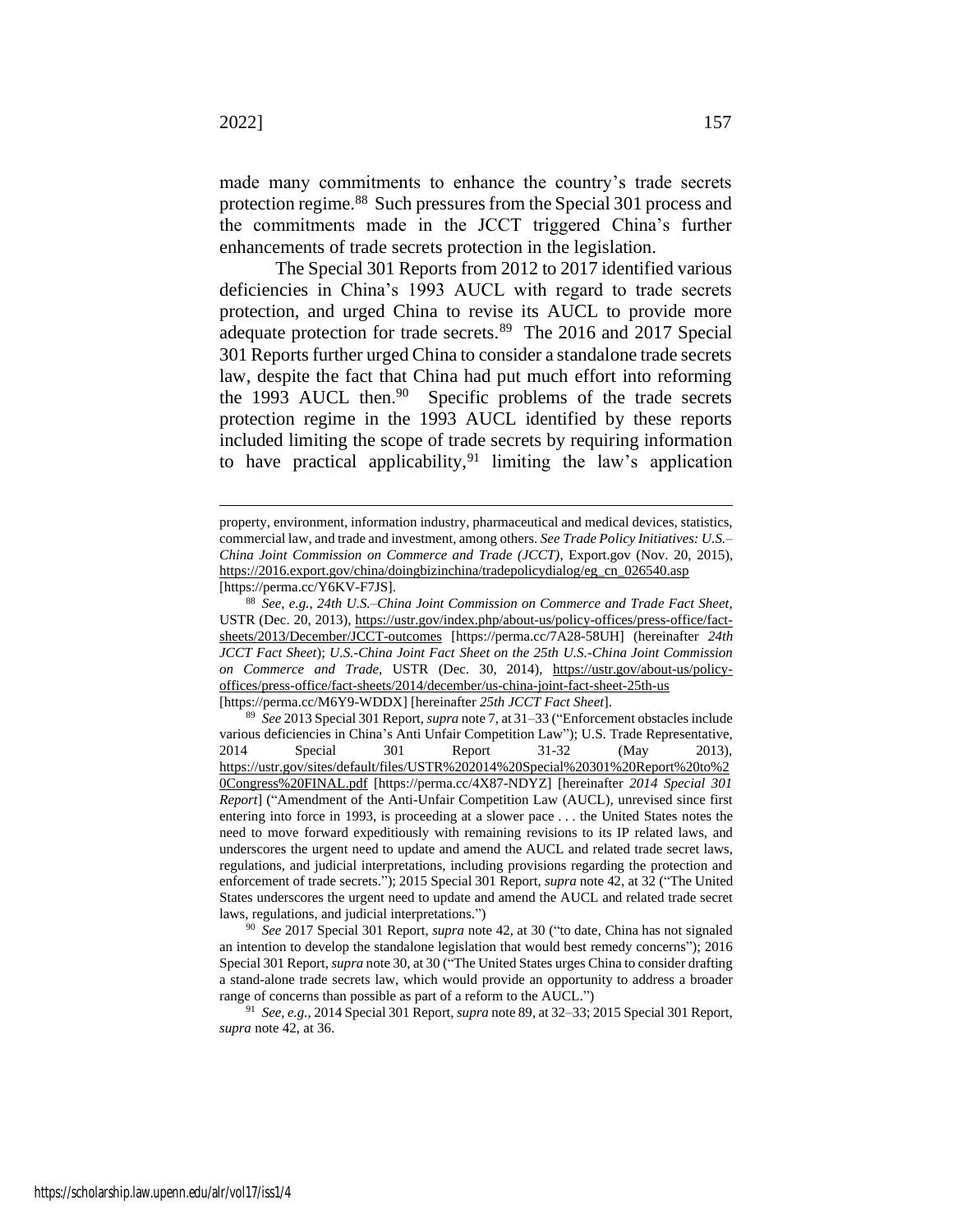<span id="page-19-1"></span>made many commitments to enhance the country's trade secrets protection regime.<sup>88</sup> Such pressures from the Special 301 process and the commitments made in the JCCT triggered China's further enhancements of trade secrets protection in the legislation.

<span id="page-19-0"></span>The Special 301 Reports from 2012 to 2017 identified various deficiencies in China's 1993 AUCL with regard to trade secrets protection, and urged China to revise its AUCL to provide more adequate protection for trade secrets.<sup>89</sup> The 2016 and 2017 Special 301 Reports further urged China to consider a standalone trade secrets law, despite the fact that China had put much effort into reforming the 1993 AUCL then.<sup>90</sup> Specific problems of the trade secrets protection regime in the 1993 AUCL identified by these reports included limiting the scope of trade secrets by requiring information to have practical applicability, <sup>91</sup> limiting the law's application

<sup>90</sup> *See* 2017 Special 301 Report, *supra* not[e 42,](#page-10-0) at 30 ("to date, China has not signaled an intention to develop the standalone legislation that would best remedy concerns"); 2016 Special 301 Report, *supra* not[e 30,](#page-8-0) at 30 ("The United States urges China to consider drafting a stand-alone trade secrets law, which would provide an opportunity to address a broader range of concerns than possible as part of a reform to the AUCL.")

<sup>91</sup> *See, e.g.*, 2014 Special 301 Report, *supra* not[e 89,](#page-19-0) at 32–33; 2015 Special 301 Report, *supra* not[e 42,](#page-10-0) at 36.

property, environment, information industry, pharmaceutical and medical devices, statistics, commercial law, and trade and investment, among others. *See Trade Policy Initiatives: U.S.– China Joint Commission on Commerce and Trade (JCCT)*, Export.gov (Nov. 20, 2015), https://2016.export.gov/china/doingbizinchina/tradepolicydialog/eg\_cn\_026540.asp [https://perma.cc/Y6KV-F7JS].

<sup>88</sup> *See, e.g.*, *24th U.S.–China Joint Commission on Commerce and Trade Fact Sheet*, USTR (Dec. 20, 2013), https://ustr.gov/index.php/about-us/policy-offices/press-office/factsheets/2013/December/JCCT-outcomes [https://perma.cc/7A28-58UH] (hereinafter *24th JCCT Fact Sheet*); *U.S.-China Joint Fact Sheet on the 25th U.S.-China Joint Commission on Commerce and Trade,* USTR (Dec. 30, 2014), https://ustr.gov/about-us/policyoffices/press-office/fact-sheets/2014/december/us-china-joint-fact-sheet-25th-us [https://perma.cc/M6Y9-WDDX] [hereinafter *25th JCCT Fact Sheet*].

<sup>89</sup> *See* 2013 Special 301 Report, *supra* not[e 7,](#page-3-1) at 31–33 ("Enforcement obstacles include various deficiencies in China's Anti Unfair Competition Law"); U.S. Trade Representative, 2014 Special 301 Report 31-32 (May 2013), https://ustr.gov/sites/default/files/USTR%202014%20Special%20301%20Report%20to%2 0Congress%20FINAL.pdf [https://perma.cc/4X87-NDYZ] [hereinafter *2014 Special 301 Report*] ("Amendment of the Anti-Unfair Competition Law (AUCL), unrevised since first entering into force in 1993, is proceeding at a slower pace . . . the United States notes the need to move forward expeditiously with remaining revisions to its IP related laws, and underscores the urgent need to update and amend the AUCL and related trade secret laws, regulations, and judicial interpretations, including provisions regarding the protection and enforcement of trade secrets."); 2015 Special 301 Report, *supra* not[e 42,](#page-10-0) at 32 ("The United States underscores the urgent need to update and amend the AUCL and related trade secret laws, regulations, and judicial interpretations.")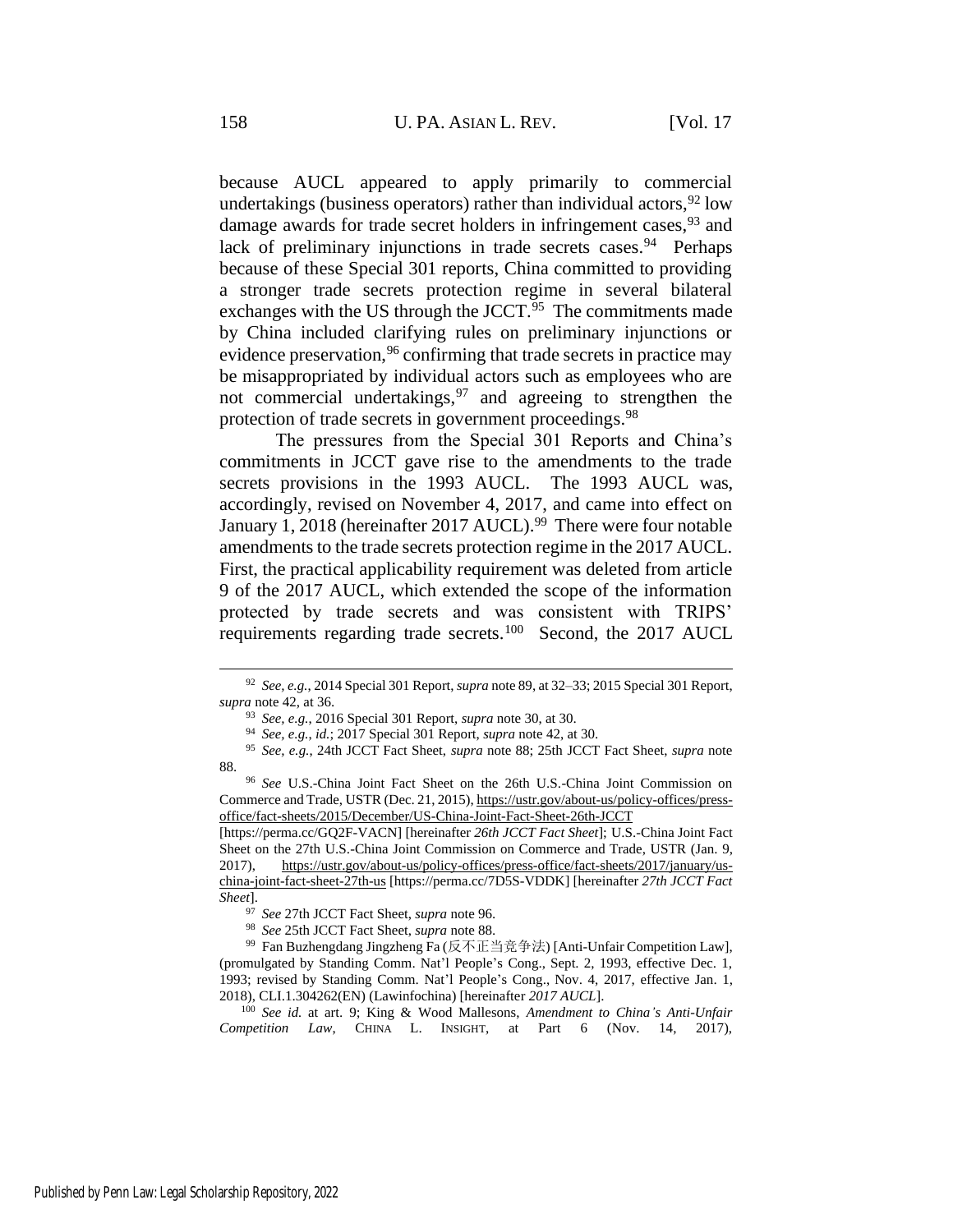because AUCL appeared to apply primarily to commercial undertakings (business operators) rather than individual actors,  $92 \text{ low}$ damage awards for trade secret holders in infringement cases, <sup>93</sup> and lack of preliminary injunctions in trade secrets cases.<sup>94</sup> Perhaps because of these Special 301 reports, China committed to providing a stronger trade secrets protection regime in several bilateral exchanges with the US through the JCCT.<sup>95</sup> The commitments made by China included clarifying rules on preliminary injunctions or evidence preservation,<sup>96</sup> confirming that trade secrets in practice may be misappropriated by individual actors such as employees who are not commercial undertakings,  $97$  and agreeing to strengthen the protection of trade secrets in government proceedings.<sup>98</sup>

<span id="page-20-3"></span><span id="page-20-1"></span><span id="page-20-0"></span>The pressures from the Special 301 Reports and China's commitments in JCCT gave rise to the amendments to the trade secrets provisions in the 1993 AUCL. The 1993 AUCL was, accordingly, revised on November 4, 2017, and came into effect on January 1, 2018 (hereinafter 2017 AUCL).<sup>99</sup> There were four notable amendments to the trade secrets protection regime in the 2017 AUCL. First, the practical applicability requirement was deleted from article 9 of the 2017 AUCL, which extended the scope of the information protected by trade secrets and was consistent with TRIPS' requirements regarding trade secrets.<sup>100</sup> Second, the 2017 AUCL

<sup>92</sup> *See, e.g.*, 2014 Special 301 Report, *supra* not[e 89,](#page-19-0) at 32–33; 2015 Special 301 Report, *supra* not[e 42,](#page-10-0) at 36.

<span id="page-20-2"></span><sup>93</sup> *See, e.g.*, 2016 Special 301 Report, *supra* note [30,](#page-8-0) at 30.

<sup>94</sup> *See, e.g.*, *id.*; 2017 Special 301 Report, *supra* note [42,](#page-10-0) at 30.

<sup>95</sup> *See, e.g.*, 24th JCCT Fact Sheet, *supra* note [88;](#page-19-1) 25th JCCT Fact Sheet, *supra* note [88.](#page-19-1)

<sup>96</sup> *See* U.S.-China Joint Fact Sheet on the 26th U.S.-China Joint Commission on Commerce and Trade, USTR (Dec. 21, 2015), https://ustr.gov/about-us/policy-offices/pressoffice/fact-sheets/2015/December/US-China-Joint-Fact-Sheet-26th-JCCT

<sup>[</sup>https://perma.cc/GQ2F-VACN] [hereinafter *26th JCCT Fact Sheet*]; U.S.-China Joint Fact Sheet on the 27th U.S.-China Joint Commission on Commerce and Trade, USTR (Jan. 9, 2017), https://ustr.gov/about-us/policy-offices/press-office/fact-sheets/2017/january/uschina-joint-fact-sheet-27th-us [https://perma.cc/7D5S-VDDK] [hereinafter *27th JCCT Fact Sheet*].

<sup>97</sup> *See* 27th JCCT Fact Sheet, *supra* not[e 96.](#page-20-0)

<sup>98</sup> *See* 25th JCCT Fact Sheet, *supra* not[e 88.](#page-19-1)

<sup>99</sup> Fan Buzhengdang Jingzheng Fa (反不正当竞争法) [Anti-Unfair Competition Law], (promulgated by Standing Comm. Nat'l People's Cong., Sept. 2, 1993, effective Dec. 1, 1993; revised by Standing Comm. Nat'l People's Cong., Nov. 4, 2017, effective Jan. 1, 2018), CLI.1.304262(EN) (Lawinfochina) [hereinafter *2017 AUCL*].

<sup>100</sup> *See id.* at art. 9; King & Wood Mallesons, *Amendment to China's Anti-Unfair Competition Law*, CHINA L. INSIGHT, at Part 6 (Nov. 14, 2017),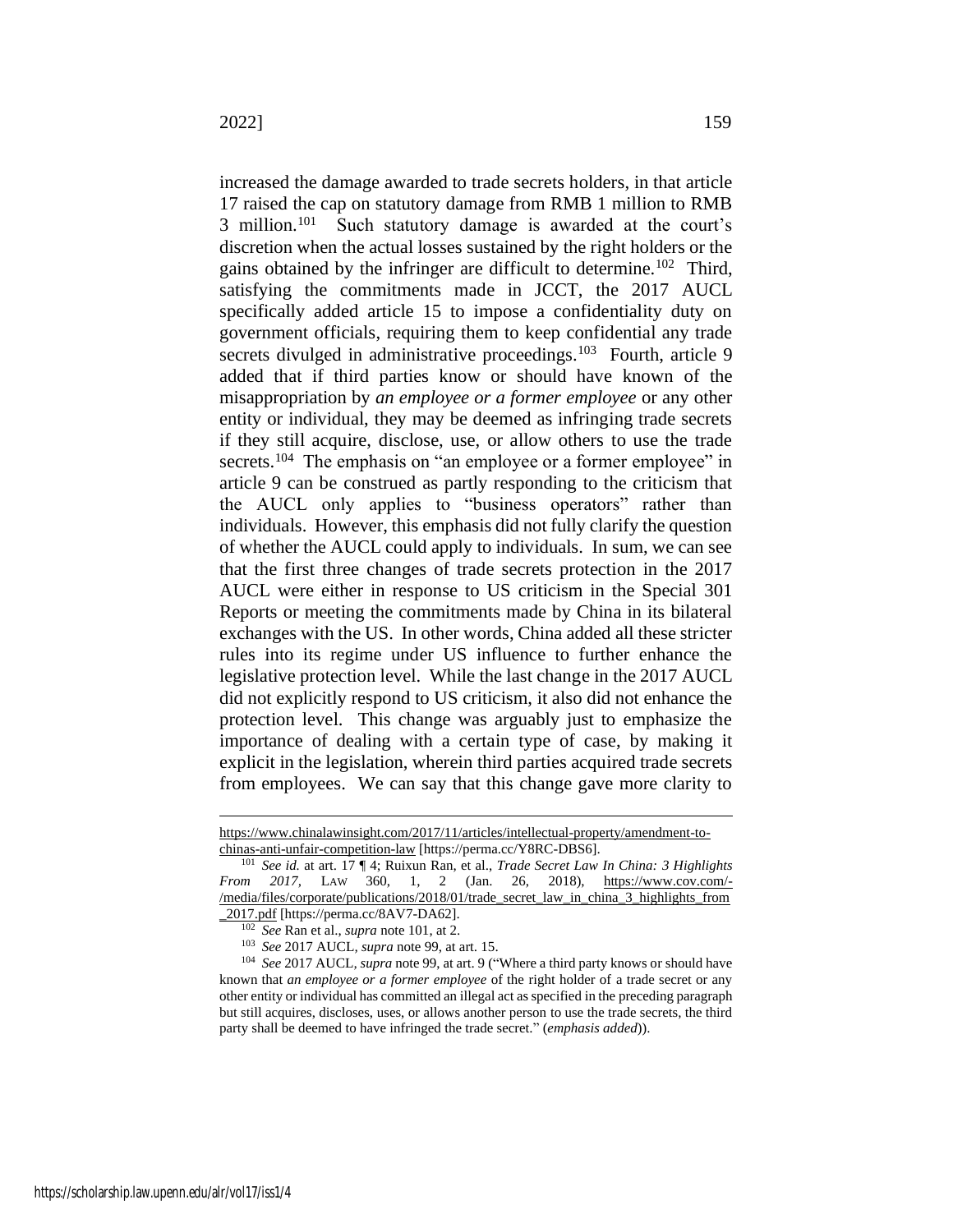<span id="page-21-0"></span>increased the damage awarded to trade secrets holders, in that article 17 raised the cap on statutory damage from RMB 1 million to RMB 3 million. $101$  Such statutory damage is awarded at the court's discretion when the actual losses sustained by the right holders or the gains obtained by the infringer are difficult to determine.<sup>102</sup> Third, satisfying the commitments made in JCCT, the 2017 AUCL specifically added article 15 to impose a confidentiality duty on government officials, requiring them to keep confidential any trade secrets divulged in administrative proceedings.<sup>103</sup> Fourth, article 9 added that if third parties know or should have known of the misappropriation by *an employee or a former employee* or any other entity or individual, they may be deemed as infringing trade secrets if they still acquire, disclose, use, or allow others to use the trade secrets.<sup>104</sup> The emphasis on "an employee or a former employee" in article 9 can be construed as partly responding to the criticism that the AUCL only applies to "business operators" rather than individuals. However, this emphasis did not fully clarify the question of whether the AUCL could apply to individuals. In sum, we can see that the first three changes of trade secrets protection in the 2017 AUCL were either in response to US criticism in the Special 301 Reports or meeting the commitments made by China in its bilateral exchanges with the US. In other words, China added all these stricter rules into its regime under US influence to further enhance the legislative protection level. While the last change in the 2017 AUCL did not explicitly respond to US criticism, it also did not enhance the

protection level. This change was arguably just to emphasize the importance of dealing with a certain type of case, by making it explicit in the legislation, wherein third parties acquired trade secrets from employees. We can say that this change gave more clarity to

https://www.chinalawinsight.com/2017/11/articles/intellectual-property/amendment-tochinas-anti-unfair-competition-law [https://perma.cc/Y8RC-DBS6].

<sup>101</sup> *See id.* at art. 17 ¶ 4; Ruixun Ran, et al., *Trade Secret Law In China: 3 Highlights From 2017,* LAW 360, 1, 2 (Jan. 26, 2018), https://www.cov.com/- /media/files/corporate/publications/2018/01/trade\_secret\_law\_in\_china\_3\_highlights\_from \_2017.pdf [https://perma.cc/8AV7-DA62].

<sup>102</sup> *See* Ran et al., *supra* not[e 101,](#page-21-0) at 2.

<sup>103</sup> *See* 2017 AUCL*, supra* note [99,](#page-20-1) at art. 15.

<sup>104</sup> *See* 2017 AUCL*, supra* note [99,](#page-20-1) at art. 9 ("Where a third party knows or should have known that *an employee or a former employee* of the right holder of a trade secret or any other entity or individual has committed an illegal act as specified in the preceding paragraph but still acquires, discloses, uses, or allows another person to use the trade secrets, the third party shall be deemed to have infringed the trade secret." (*emphasis added*)).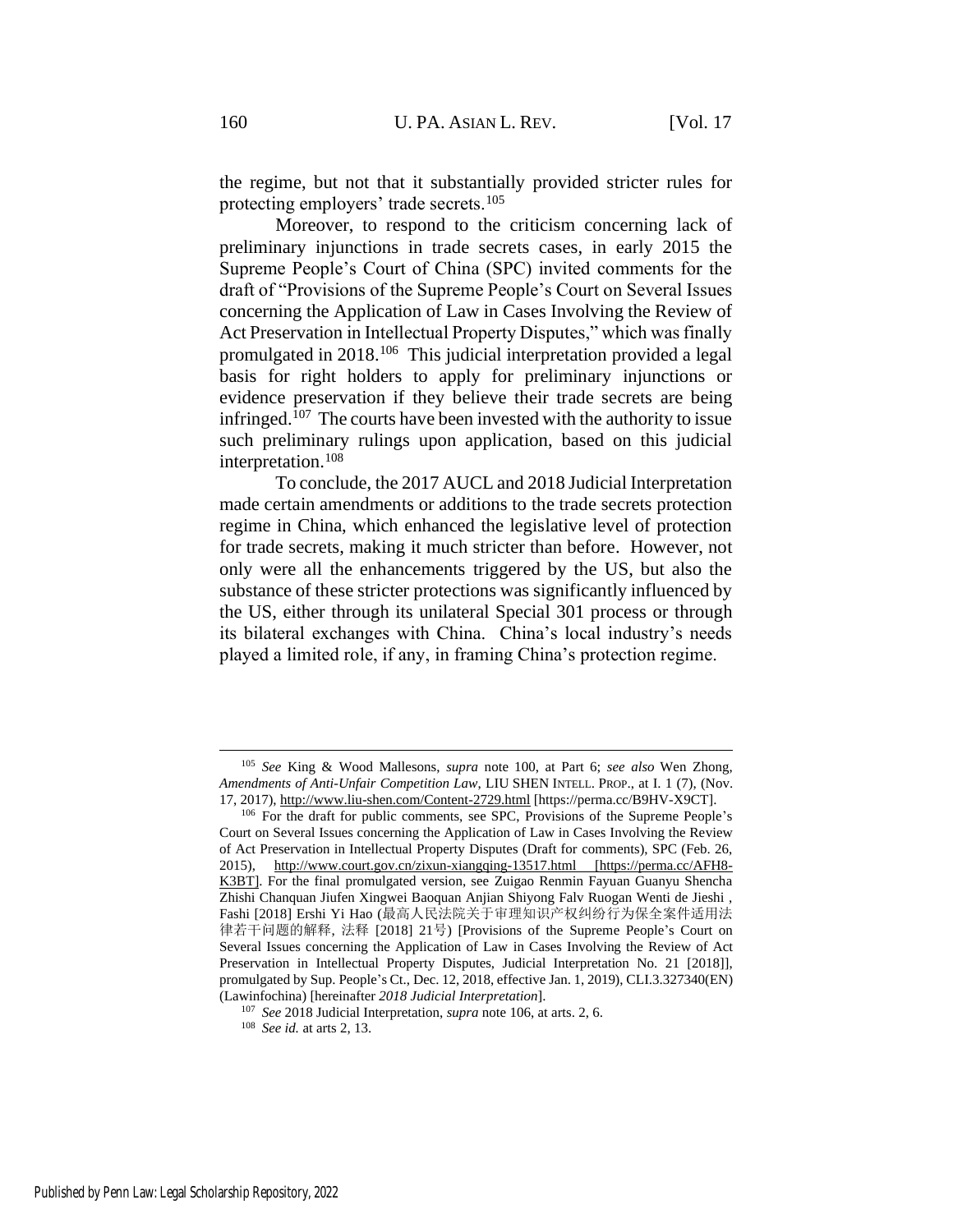<span id="page-22-1"></span>the regime, but not that it substantially provided stricter rules for protecting employers' trade secrets.<sup>105</sup>

<span id="page-22-0"></span>Moreover, to respond to the criticism concerning lack of preliminary injunctions in trade secrets cases, in early 2015 the Supreme People's Court of China (SPC) invited comments for the draft of "Provisions of the Supreme People's Court on Several Issues concerning the Application of Law in Cases Involving the Review of Act Preservation in Intellectual Property Disputes," which was finally promulgated in 2018.<sup>106</sup> This judicial interpretation provided a legal basis for right holders to apply for preliminary injunctions or evidence preservation if they believe their trade secrets are being infringed.<sup>107</sup> The courts have been invested with the authority to issue such preliminary rulings upon application, based on this judicial interpretation.<sup>108</sup>

To conclude, the 2017 AUCL and 2018 Judicial Interpretation made certain amendments or additions to the trade secrets protection regime in China, which enhanced the legislative level of protection for trade secrets, making it much stricter than before. However, not only were all the enhancements triggered by the US, but also the substance of these stricter protections was significantly influenced by the US, either through its unilateral Special 301 process or through its bilateral exchanges with China. China's local industry's needs played a limited role, if any, in framing China's protection regime.

<sup>105</sup> *See* King & Wood Mallesons, *supra* note [100,](#page-20-2) at Part 6; *see also* Wen Zhong, *Amendments of Anti-Unfair Competition Law*, LIU SHEN INTELL. PROP., at I. 1 (7), (Nov. 17, 2017), http://www.liu-shen.com/Content-2729.html [https://perma.cc/B9HV-X9CT].

<sup>106</sup> For the draft for public comments, see SPC, Provisions of the Supreme People's Court on Several Issues concerning the Application of Law in Cases Involving the Review of Act Preservation in Intellectual Property Disputes (Draft for comments), SPC (Feb. 26, 2015), http://www.court.gov.cn/zixun-xiangqing-13517.html [https://perma.cc/AFH8-K3BT]. For the final promulgated version, see Zuigao Renmin Fayuan Guanyu Shencha Zhishi Chanquan Jiufen Xingwei Baoquan Anjian Shiyong Falv Ruogan Wenti de Jieshi , Fashi [2018] Ershi Yi Hao (最高人民法院关于审理知识产权纠纷行为保全案件适用法 律若干问题的解释, 法释 [2018] 21号) [Provisions of the Supreme People's Court on Several Issues concerning the Application of Law in Cases Involving the Review of Act Preservation in Intellectual Property Disputes, Judicial Interpretation No. 21 [2018]], promulgated by Sup. People's Ct., Dec. 12, 2018, effective Jan. 1, 2019), CLI.3.327340(EN) (Lawinfochina) [hereinafter *2018 Judicial Interpretation*].

<sup>107</sup> *See* 2018 Judicial Interpretation, *supra* not[e 106,](#page-22-0) at arts. 2, 6.

<sup>108</sup> *See id.* at arts 2, 13.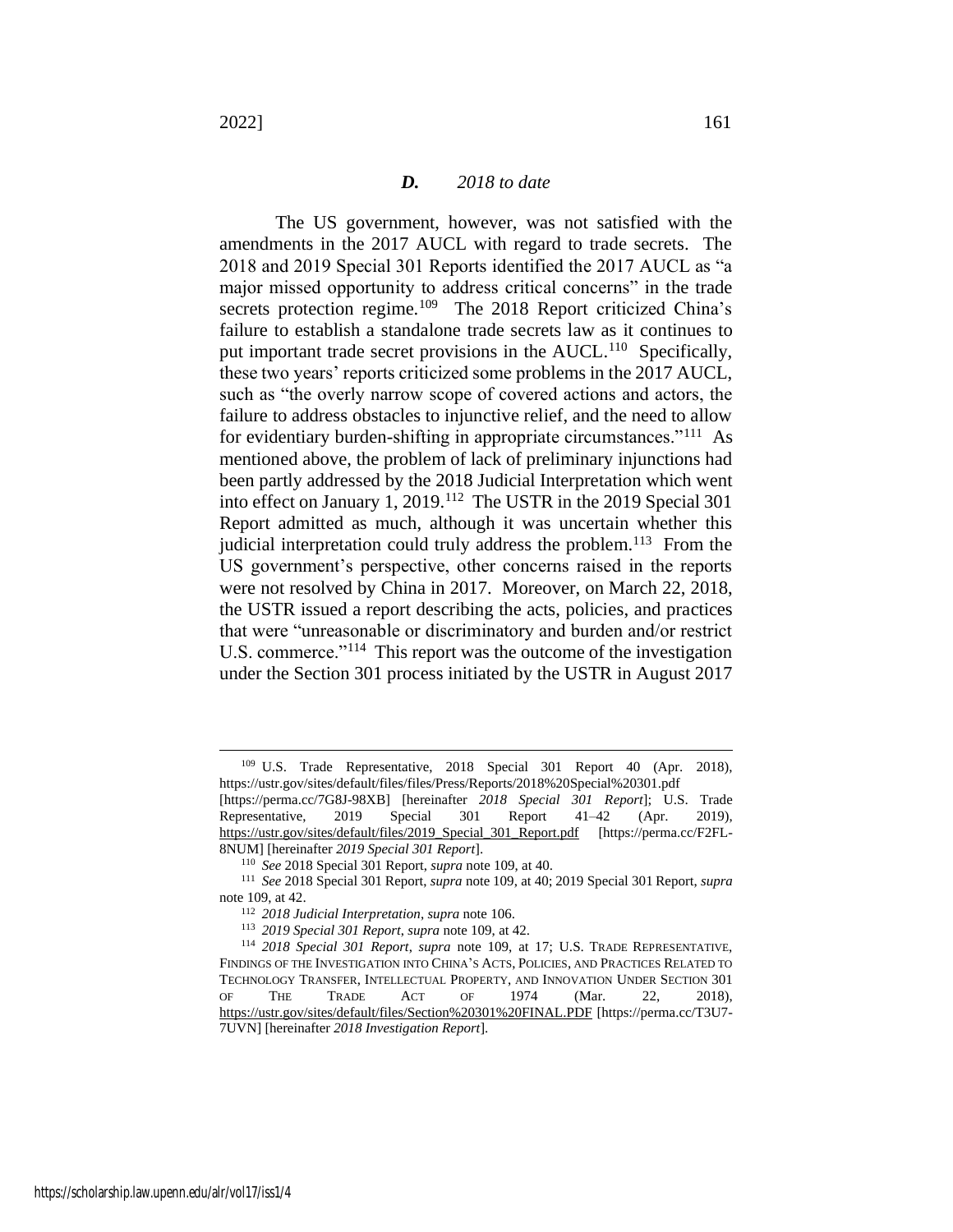#### <span id="page-23-2"></span><span id="page-23-0"></span>*D. 2018 to date*

The US government, however, was not satisfied with the amendments in the 2017 AUCL with regard to trade secrets. The 2018 and 2019 Special 301 Reports identified the 2017 AUCL as "a major missed opportunity to address critical concerns" in the trade secrets protection regime.<sup>109</sup> The 2018 Report criticized China's failure to establish a standalone trade secrets law as it continues to put important trade secret provisions in the AUCL.<sup>110</sup> Specifically, these two years' reports criticized some problems in the 2017 AUCL, such as "the overly narrow scope of covered actions and actors, the failure to address obstacles to injunctive relief, and the need to allow for evidentiary burden-shifting in appropriate circumstances."<sup>111</sup> As mentioned above, the problem of lack of preliminary injunctions had been partly addressed by the 2018 Judicial Interpretation which went into effect on January 1, 2019.<sup>112</sup> The USTR in the 2019 Special 301 Report admitted as much, although it was uncertain whether this judicial interpretation could truly address the problem.<sup>113</sup> From the US government's perspective, other concerns raised in the reports were not resolved by China in 2017. Moreover, on March 22, 2018, the USTR issued a report describing the acts, policies, and practices that were "unreasonable or discriminatory and burden and/or restrict U.S. commerce."<sup>114</sup> This report was the outcome of the investigation under the Section 301 process initiated by the USTR in August 2017

<span id="page-23-1"></span><sup>109</sup> U.S. Trade Representative, 2018 Special 301 Report 40 (Apr. 2018), https://ustr.gov/sites/default/files/files/Press/Reports/2018%20Special%20301.pdf

<sup>[</sup>https://perma.cc/7G8J-98XB] [hereinafter *2018 Special 301 Report*]; U.S. Trade Representative, 2019 Special 301 Report 41–42 (Apr. 2019), https://ustr.gov/sites/default/files/2019\_Special\_301\_Report.pdf [https://perma.cc/F2FL-8NUM] [hereinafter *2019 Special 301 Report*].

<sup>110</sup> *See* 2018 Special 301 Report, *supra* not[e 109,](#page-23-0) at 40.

<sup>111</sup> *See* 2018 Special 301 Report, *supra* note [109,](#page-23-0) at 40; 2019 Special 301 Report, *supra* note [109,](#page-23-0) at 42.

<sup>112</sup> *2018 Judicial Interpretation*, *supra* not[e 106.](#page-22-0)

<sup>113</sup> *2019 Special 301 Report*, *supra* not[e 109,](#page-23-0) at 42.

<sup>114</sup> *2018 Special 301 Report*, *supra* note [109,](#page-23-0) at 17; U.S. TRADE REPRESENTATIVE, FINDINGS OF THE INVESTIGATION INTO CHINA'S ACTS, POLICIES, AND PRACTICES RELATED TO TECHNOLOGY TRANSFER, INTELLECTUAL PROPERTY, AND INNOVATION UNDER SECTION 301 OF THE TRADE ACT OF 1974 (Mar. 22, 2018), https://ustr.gov/sites/default/files/Section%20301%20FINAL.PDF [https://perma.cc/T3U7- 7UVN] [hereinafter *2018 Investigation Report*].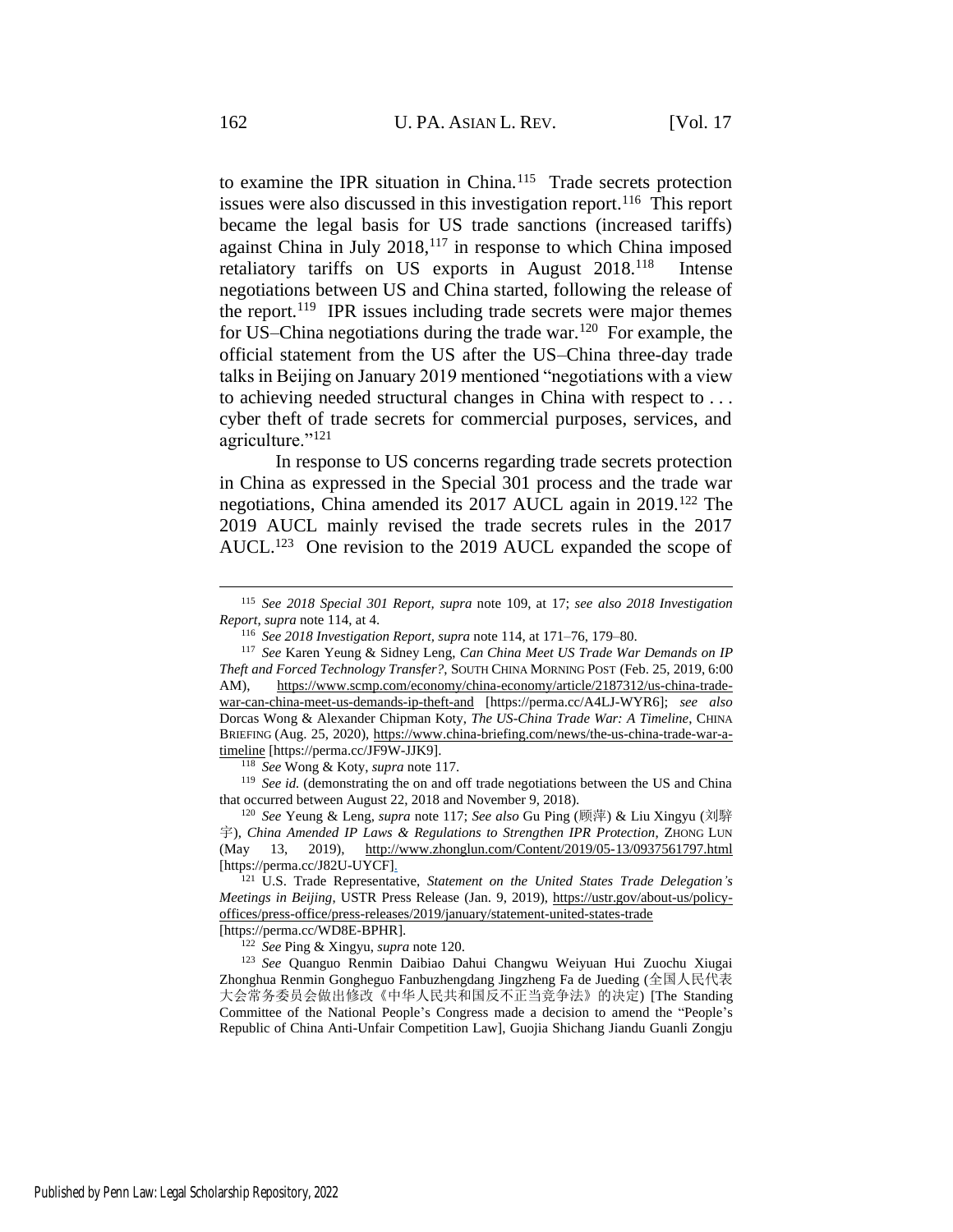<span id="page-24-3"></span><span id="page-24-0"></span>to examine the IPR situation in China.<sup>115</sup> Trade secrets protection issues were also discussed in this investigation report.<sup>116</sup> This report became the legal basis for US trade sanctions (increased tariffs) against China in July 2018,<sup>117</sup> in response to which China imposed retaliatory tariffs on US exports in August 2018.<sup>118</sup> Intense negotiations between US and China started, following the release of the report. 119 IPR issues including trade secrets were major themes for US–China negotiations during the trade war.<sup>120</sup> For example, the official statement from the US after the US–China three-day trade talks in Beijing on January 2019 mentioned "negotiations with a view to achieving needed structural changes in China with respect to . . . cyber theft of trade secrets for commercial purposes, services, and agriculture."<sup>121</sup>

<span id="page-24-2"></span><span id="page-24-1"></span>In response to US concerns regarding trade secrets protection in China as expressed in the Special 301 process and the trade war negotiations, China amended its 2017 AUCL again in 2019.<sup>122</sup> The 2019 AUCL mainly revised the trade secrets rules in the 2017 AUCL.<sup>123</sup> One revision to the 2019 AUCL expanded the scope of

<sup>118</sup> *See* Wong & Koty, *supra* not[e 117.](#page-24-0)

<sup>119</sup> See id. (demonstrating the on and off trade negotiations between the US and China that occurred between August 22, 2018 and November 9, 2018).

<sup>120</sup> *See* Yeung & Leng, *supra* not[e 117;](#page-24-0) *See also* Gu Ping (顾萍) & Liu Xingyu (刘騂 宇), *China Amended IP Laws & Regulations to Strengthen IPR Protection*, ZHONG LUN (May 13, 2019), http://www.zhonglun.com/Content/2019/05-13/0937561797.html [https://perma.cc/J82U-UYCF].

<sup>121</sup> U.S. Trade Representative, *Statement on the United States Trade Delegation's Meetings in Beijing*, USTR Press Release (Jan. 9, 2019), https://ustr.gov/about-us/policyoffices/press-office/press-releases/2019/january/statement-united-states-trade [https://perma.cc/WD8E-BPHR].

<sup>122</sup> *See* Ping & Xingyu, *supra* note [120.](#page-24-1)

<sup>123</sup> *See* Quanguo Renmin Daibiao Dahui Changwu Weiyuan Hui Zuochu Xiugai Zhonghua Renmin Gongheguo Fanbuzhengdang Jingzheng Fa de Jueding (全国人民代表 大会常务委员会做出修改《中华人民共和国反不正当竞争法》的决定) [The Standing Committee of the National People's Congress made a decision to amend the "People's Republic of China Anti-Unfair Competition Law], Guojia Shichang Jiandu Guanli Zongju

<sup>115</sup> *See 2018 Special 301 Report, supra* note [109,](#page-23-0) at 17; *see also 2018 Investigation Report*, *supra* not[e 114,](#page-23-1) at 4.

<span id="page-24-4"></span><sup>116</sup> *See 2018 Investigation Report, supra* note [114,](#page-23-1) at 171–76, 179–80.

<sup>117</sup> *See* Karen Yeung & Sidney Leng, *Can China Meet US Trade War Demands on IP Theft and Forced Technology Transfer?*, SOUTH CHINA MORNING POST (Feb. 25, 2019, 6:00 AM), https://www.scmp.com/economy/china-economy/article/2187312/us-china-tradewar-can-china-meet-us-demands-ip-theft-and [https://perma.cc/A4LJ-WYR6]; *see also*  Dorcas Wong & Alexander Chipman Koty, *The US-China Trade War: A Timeline*, CHINA BRIEFING (Aug. 25, 2020), https://www.china-briefing.com/news/the-us-china-trade-war-atimeline [https://perma.cc/JF9W-JJK9].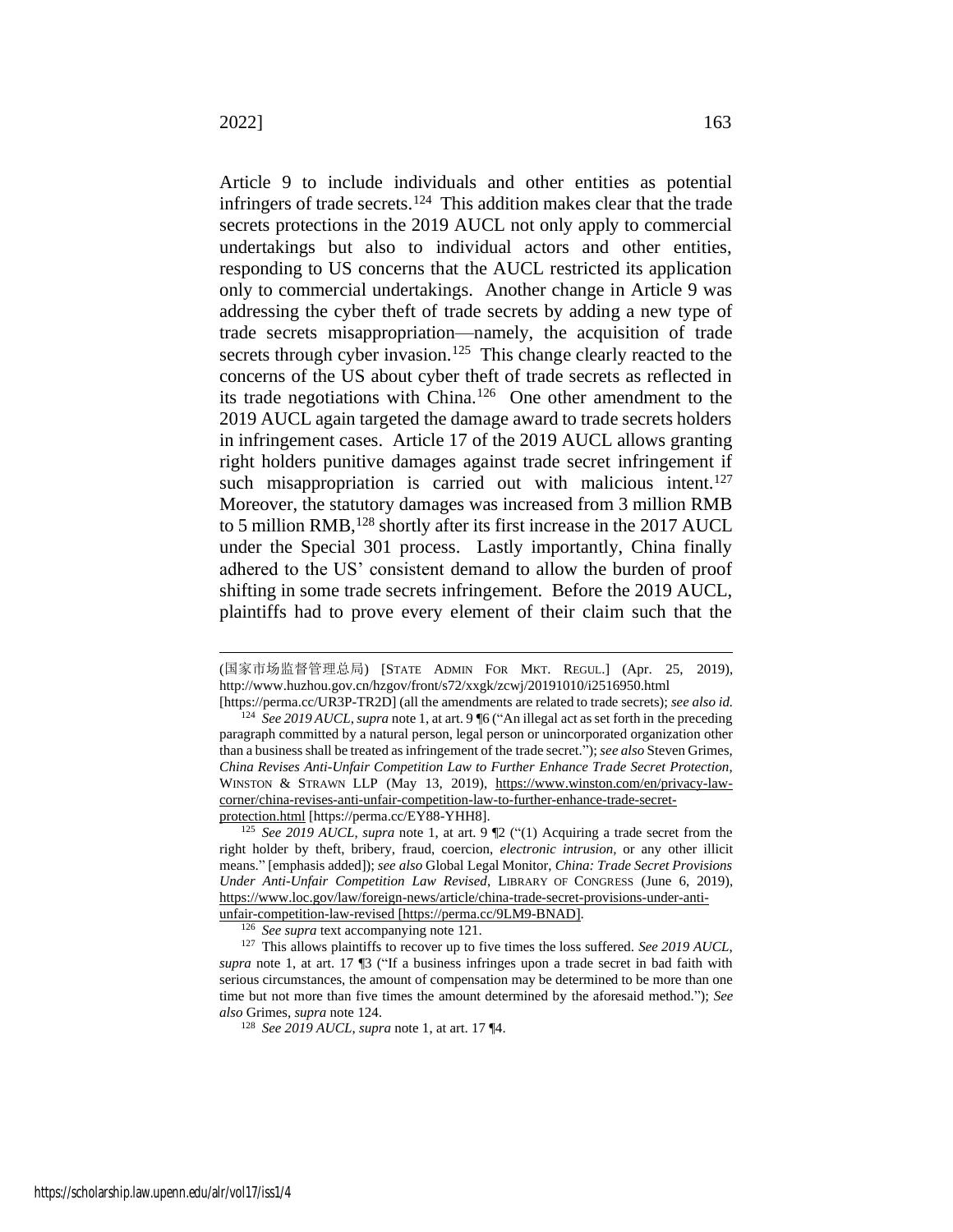<span id="page-25-1"></span><span id="page-25-0"></span>Article 9 to include individuals and other entities as potential infringers of trade secrets.<sup>124</sup> This addition makes clear that the trade secrets protections in the 2019 AUCL not only apply to commercial undertakings but also to individual actors and other entities, responding to US concerns that the AUCL restricted its application only to commercial undertakings. Another change in Article 9 was addressing the cyber theft of trade secrets by adding a new type of trade secrets misappropriation—namely, the acquisition of trade secrets through cyber invasion.<sup>125</sup> This change clearly reacted to the concerns of the US about cyber theft of trade secrets as reflected in its trade negotiations with China.<sup>126</sup> One other amendment to the 2019 AUCL again targeted the damage award to trade secrets holders in infringement cases. Article 17 of the 2019 AUCL allows granting right holders punitive damages against trade secret infringement if such misappropriation is carried out with malicious intent.<sup>127</sup> Moreover, the statutory damages was increased from 3 million RMB to 5 million RMB,<sup>128</sup> shortly after its first increase in the 2017 AUCL under the Special 301 process. Lastly importantly, China finally adhered to the US' consistent demand to allow the burden of proof shifting in some trade secrets infringement. Before the 2019 AUCL, plaintiffs had to prove every element of their claim such that the

<sup>(</sup>国家市场监督管理总局) [STATE ADMIN FOR MKT. REGUL.] (Apr. 25, 2019), http://www.huzhou.gov.cn/hzgov/front/s72/xxgk/zcwj/20191010/i2516950.html

<sup>[</sup>https://perma.cc/UR3P-TR2D] (all the amendments are related to trade secrets); *see also id.* <sup>124</sup> *See 2019 AUCL*, *supra* not[e 1,](#page-2-0) at art. 9 ¶6 ("An illegal act as set forth in the preceding paragraph committed by a natural person, legal person or unincorporated organization other than a business shall be treated as infringement of the trade secret.");*see also* Steven Grimes, *China Revises Anti-Unfair Competition Law to Further Enhance Trade Secret Protection*, WINSTON & STRAWN LLP (May 13, 2019), https://www.winston.com/en/privacy-lawcorner/china-revises-anti-unfair-competition-law-to-further-enhance-trade-secretprotection.html [https://perma.cc/EY88-YHH8].

<sup>125</sup> *See 2019 AUCL*, *supra* note [1,](#page-2-0) at art. 9 ¶2 ("(1) Acquiring a trade secret from the right holder by theft, bribery, fraud, coercion, *electronic intrusion,* or any other illicit means." [emphasis added]); *see also* Global Legal Monitor, *China: Trade Secret Provisions Under Anti-Unfair Competition Law Revised*, LIBRARY OF CONGRESS (June 6, 2019), https://www.loc.gov/law/foreign-news/article/china-trade-secret-provisions-under-antiunfair-competition-law-revised [https://perma.cc/9LM9-BNAD].

<sup>126</sup> *See supra* text accompanying note [121.](#page-24-2)

<sup>127</sup> This allows plaintiffs to recover up to five times the loss suffered. *See 2019 AUCL*, *supra* note [1,](#page-2-0) at art. 17 ¶3 ("If a business infringes upon a trade secret in bad faith with serious circumstances, the amount of compensation may be determined to be more than one time but not more than five times the amount determined by the aforesaid method."); *See also* Grimes, *supra* note [124.](#page-25-0)

<sup>128</sup> *See 2019 AUCL*, *supra* not[e 1,](#page-2-0) at art. 17 ¶4.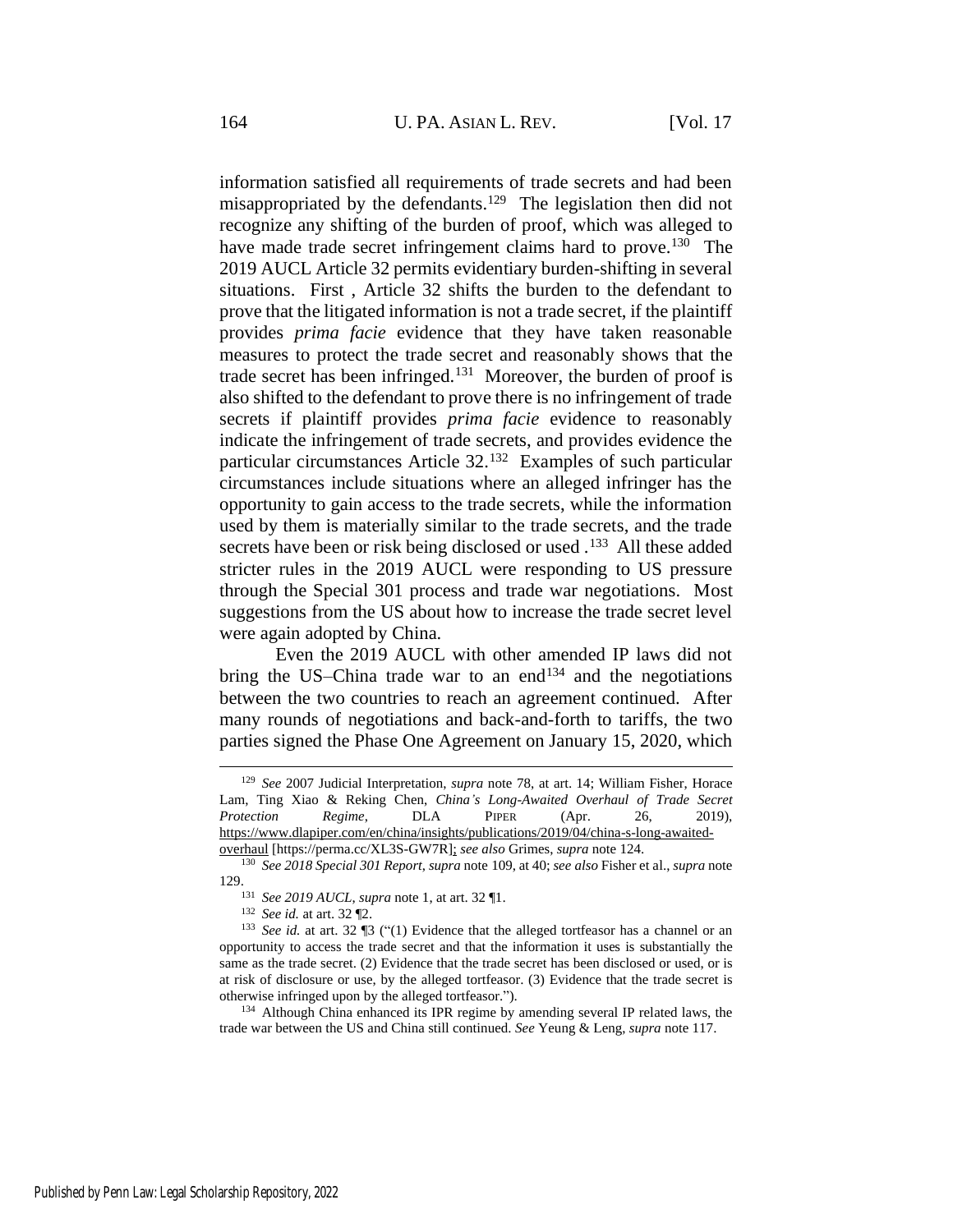<span id="page-26-0"></span>information satisfied all requirements of trade secrets and had been misappropriated by the defendants.<sup>129</sup> The legislation then did not recognize any shifting of the burden of proof, which was alleged to have made trade secret infringement claims hard to prove.<sup>130</sup> The 2019 AUCL Article 32 permits evidentiary burden-shifting in several situations. First , Article 32 shifts the burden to the defendant to prove that the litigated information is not a trade secret, if the plaintiff provides *prima facie* evidence that they have taken reasonable measures to protect the trade secret and reasonably shows that the trade secret has been infringed.<sup>131</sup> Moreover, the burden of proof is also shifted to the defendant to prove there is no infringement of trade secrets if plaintiff provides *prima facie* evidence to reasonably indicate the infringement of trade secrets, and provides evidence the particular circumstances Article 32.<sup>132</sup> Examples of such particular circumstances include situations where an alleged infringer has the opportunity to gain access to the trade secrets, while the information used by them is materially similar to the trade secrets, and the trade secrets have been or risk being disclosed or used .<sup>133</sup> All these added stricter rules in the 2019 AUCL were responding to US pressure through the Special 301 process and trade war negotiations. Most suggestions from the US about how to increase the trade secret level were again adopted by China.

<span id="page-26-1"></span>Even the 2019 AUCL with other amended IP laws did not bring the US–China trade war to an end<sup>134</sup> and the negotiations between the two countries to reach an agreement continued. After many rounds of negotiations and back-and-forth to tariffs, the two parties signed the Phase One Agreement on January 15, 2020, which

<sup>129</sup> *See* 2007 Judicial Interpretation, *supra* note [78,](#page-17-0) at art. 14; William Fisher, Horace Lam, Ting Xiao & Reking Chen, *China's Long-Awaited Overhaul of Trade Secret Protection Regime*, DLA PIPER (Apr. 26, 2019), https://www.dlapiper.com/en/china/insights/publications/2019/04/china-s-long-awaitedoverhaul [https://perma.cc/XL3S-GW7R]; *see also* Grimes, *supra* not[e 124.](#page-25-0)

<sup>130</sup> *See 2018 Special 301 Report*, *supra* note [109,](#page-23-0) at 40; *see also* Fisher et al., *supra* note [129.](#page-26-0)

<sup>131</sup> *See 2019 AUCL*, *supra* not[e 1,](#page-2-0) at art. 32 ¶1.

<sup>132</sup> *See id.* at art. 32 ¶2.

<sup>133</sup> *See id.* at art. 32 ¶3 ("(1) Evidence that the alleged tortfeasor has a channel or an opportunity to access the trade secret and that the information it uses is substantially the same as the trade secret. (2) Evidence that the trade secret has been disclosed or used, or is at risk of disclosure or use, by the alleged tortfeasor. (3) Evidence that the trade secret is otherwise infringed upon by the alleged tortfeasor.").

<sup>&</sup>lt;sup>134</sup> Although China enhanced its IPR regime by amending several IP related laws, the trade war between the US and China still continued. *See* Yeung & Leng, *supra* note [117.](#page-24-0)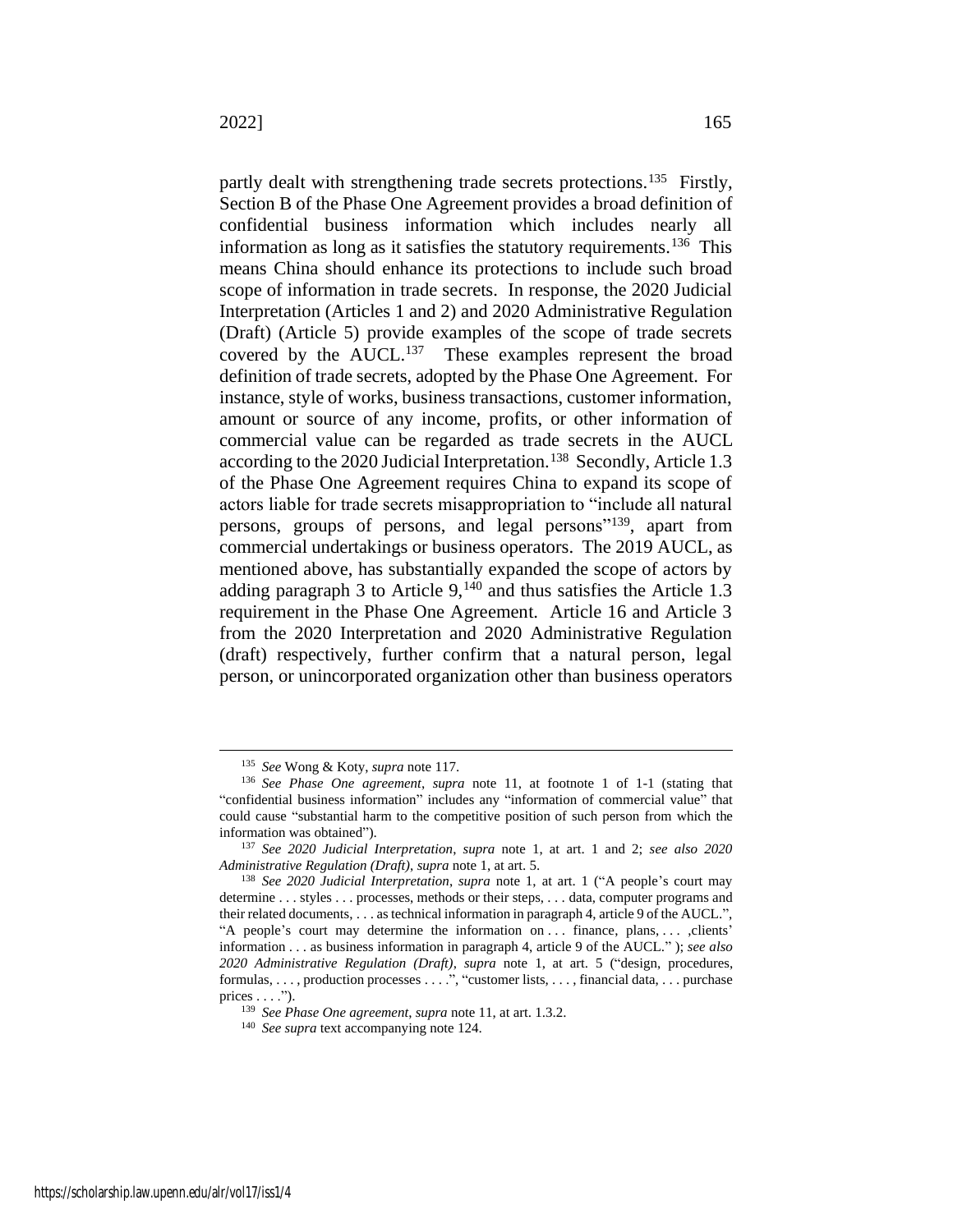partly dealt with strengthening trade secrets protections.<sup>135</sup> Firstly, Section B of the Phase One Agreement provides a broad definition of confidential business information which includes nearly all information as long as it satisfies the statutory requirements.  $136$  This means China should enhance its protections to include such broad scope of information in trade secrets. In response, the 2020 Judicial Interpretation (Articles 1 and 2) and 2020 Administrative Regulation (Draft) (Article 5) provide examples of the scope of trade secrets covered by the AUCL.<sup>137</sup> These examples represent the broad definition of trade secrets, adopted by the Phase One Agreement. For instance, style of works, business transactions, customer information, amount or source of any income, profits, or other information of commercial value can be regarded as trade secrets in the AUCL according to the 2020 Judicial Interpretation.<sup>138</sup> Secondly, Article 1.3 of the Phase One Agreement requires China to expand its scope of actors liable for trade secrets misappropriation to "include all natural persons, groups of persons, and legal persons"<sup>139</sup>, apart from commercial undertakings or business operators. The 2019 AUCL, as mentioned above, has substantially expanded the scope of actors by adding paragraph 3 to Article  $9,140$  and thus satisfies the Article 1.3 requirement in the Phase One Agreement. Article 16 and Article 3 from the 2020 Interpretation and 2020 Administrative Regulation (draft) respectively, further confirm that a natural person, legal person, or unincorporated organization other than business operators

<sup>135</sup> *See* Wong & Koty, *supra* not[e 117.](#page-24-0)

<sup>136</sup> *See Phase One agreement*, *supra* note [11,](#page-4-2) at footnote 1 of 1-1 (stating that "confidential business information" includes any "information of commercial value" that could cause "substantial harm to the competitive position of such person from which the information was obtained").

<sup>137</sup> *See 2020 Judicial Interpretation*, *supra* note [1,](#page-2-0) at art. 1 and 2; *see also 2020 Administrative Regulation (Draft)*, *supra* not[e 1,](#page-2-0) at art. 5.

<sup>138</sup> *See 2020 Judicial Interpretation*, *supra* note [1,](#page-2-0) at art. 1 ("A people's court may determine . . . styles . . . processes, methods or their steps, . . . data, computer programs and their related documents, . . . as technical information in paragraph 4, article 9 of the AUCL.", "A people's court may determine the information on . . . finance, plans, . . . ,clients' information . . . as business information in paragraph 4, article 9 of the AUCL." ); *see also 2020 Administrative Regulation (Draft)*, *supra* note [1,](#page-2-0) at art. 5 ("design, procedures, formulas, . . . , production processes . . . .", "customer lists, . . . , financial data, . . . purchase prices  $\dots$ .").

<sup>139</sup> *See Phase One agreement*, *supra* not[e 11,](#page-4-2) at art. 1.3.2.

<sup>140</sup> *See supra* text accompanying note [124.](#page-25-0)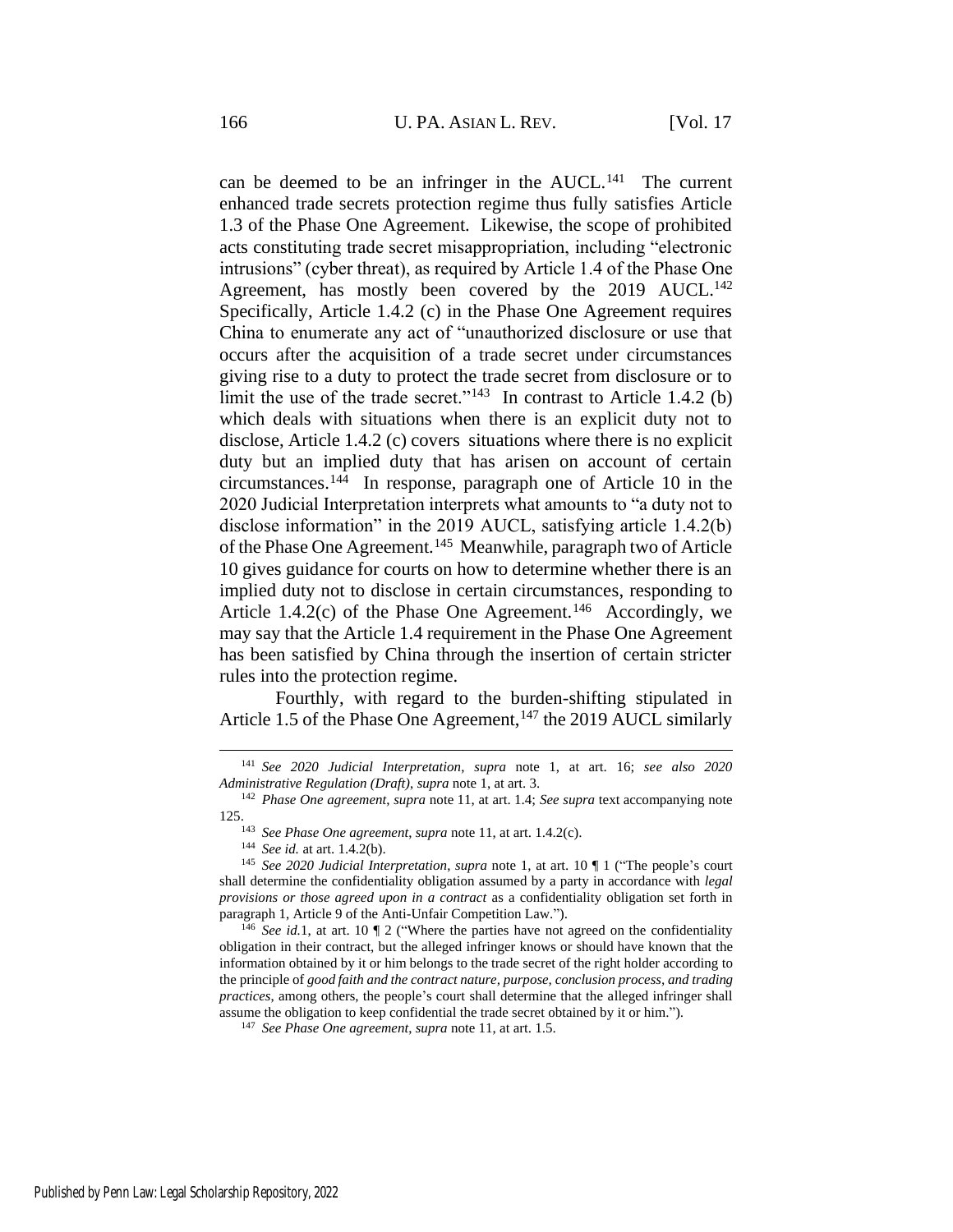can be deemed to be an infringer in the AUCL.<sup>141</sup> The current enhanced trade secrets protection regime thus fully satisfies Article 1.3 of the Phase One Agreement. Likewise, the scope of prohibited acts constituting trade secret misappropriation, including "electronic intrusions" (cyber threat), as required by Article 1.4 of the Phase One Agreement, has mostly been covered by the 2019 AUCL.<sup>142</sup> Specifically, Article 1.4.2 (c) in the Phase One Agreement requires China to enumerate any act of "unauthorized disclosure or use that occurs after the acquisition of a trade secret under circumstances giving rise to a duty to protect the trade secret from disclosure or to limit the use of the trade secret."<sup>143</sup> In contrast to Article 1.4.2 (b) which deals with situations when there is an explicit duty not to disclose, Article 1.4.2 (c) covers situations where there is no explicit duty but an implied duty that has arisen on account of certain circumstances.<sup>144</sup> In response, paragraph one of Article 10 in the 2020 Judicial Interpretation interprets what amounts to "a duty not to disclose information" in the 2019 AUCL, satisfying article 1.4.2(b) of the Phase One Agreement.<sup>145</sup> Meanwhile, paragraph two of Article 10 gives guidance for courts on how to determine whether there is an implied duty not to disclose in certain circumstances, responding to Article 1.4.2 $(c)$  of the Phase One Agreement.<sup>146</sup> Accordingly, we may say that the Article 1.4 requirement in the Phase One Agreement has been satisfied by China through the insertion of certain stricter rules into the protection regime.

Fourthly, with regard to the burden-shifting stipulated in Article 1.5 of the Phase One Agreement,<sup>147</sup> the 2019 AUCL similarly

<sup>141</sup> *See 2020 Judicial Interpretation*, *supra* note [1,](#page-2-0) at art. 16; *see also 2020 Administrative Regulation (Draft)*, *supra* not[e 1,](#page-2-0) at art. 3.

<sup>142</sup> *Phase One agreement*, *supra* note [11,](#page-4-2) at art. 1.4; *See supra* text accompanying note [125.](#page-25-1)

<sup>143</sup> *See Phase One agreement*, *supra* not[e 11,](#page-4-2) at art. 1.4.2(c).

<sup>144</sup> *See id.* at art. 1.4.2(b).

<sup>145</sup> *See 2020 Judicial Interpretation*, *supra* note [1,](#page-2-0) at art. 10 ¶ 1 ("The people's court shall determine the confidentiality obligation assumed by a party in accordance with *legal provisions or those agreed upon in a contract* as a confidentiality obligation set forth in paragraph 1, Article 9 of the Anti-Unfair Competition Law.").

<sup>146</sup> *See id.*[1,](#page-2-0) at art. 10 ¶ 2 ("Where the parties have not agreed on the confidentiality obligation in their contract, but the alleged infringer knows or should have known that the information obtained by it or him belongs to the trade secret of the right holder according to the principle of *good faith and the contract nature, purpose, conclusion process, and trading practices*, among others, the people's court shall determine that the alleged infringer shall assume the obligation to keep confidential the trade secret obtained by it or him.").

<sup>147</sup> *See Phase One agreement*, *supra* not[e 11,](#page-4-2) at art. 1.5.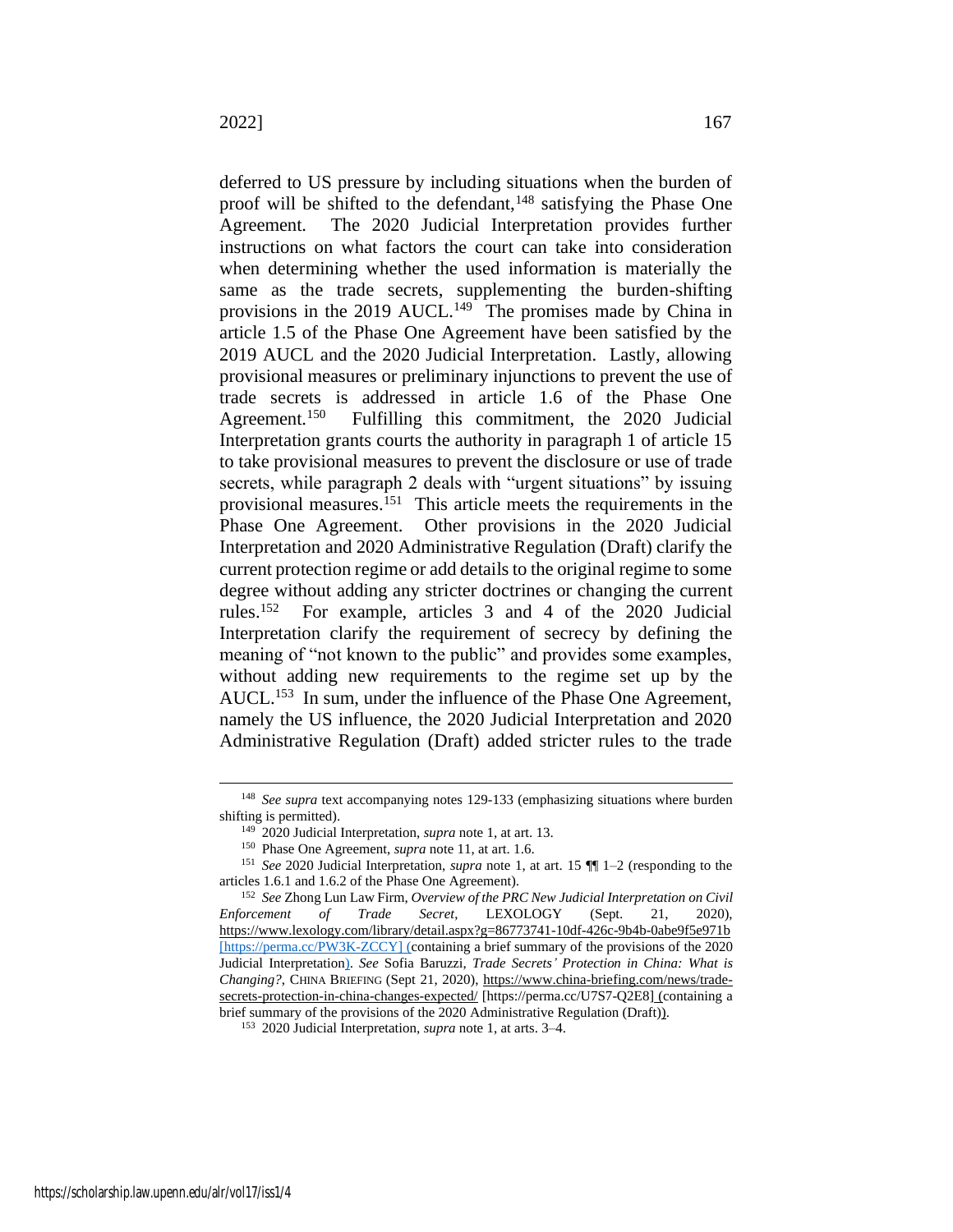<span id="page-29-0"></span>deferred to US pressure by including situations when the burden of proof will be shifted to the defendant,  $148$  satisfying the Phase One Agreement. The 2020 Judicial Interpretation provides further instructions on what factors the court can take into consideration when determining whether the used information is materially the same as the trade secrets, supplementing the burden-shifting provisions in the 2019 AUCL.<sup>149</sup> The promises made by China in article 1.5 of the Phase One Agreement have been satisfied by the 2019 AUCL and the 2020 Judicial Interpretation. Lastly, allowing provisional measures or preliminary injunctions to prevent the use of trade secrets is addressed in article 1.6 of the Phase One Agreement.<sup>150</sup> Fulfilling this commitment, the 2020 Judicial Interpretation grants courts the authority in paragraph 1 of article 15 to take provisional measures to prevent the disclosure or use of trade secrets, while paragraph 2 deals with "urgent situations" by issuing provisional measures.<sup>151</sup> This article meets the requirements in the Phase One Agreement. Other provisions in the 2020 Judicial Interpretation and 2020 Administrative Regulation (Draft) clarify the current protection regime or add details to the original regime to some degree without adding any stricter doctrines or changing the current rules.<sup>152</sup> For example, articles 3 and 4 of the 2020 Judicial Interpretation clarify the requirement of secrecy by defining the meaning of "not known to the public" and provides some examples, without adding new requirements to the regime set up by the AUCL.<sup>153</sup> In sum, under the influence of the Phase One Agreement, namely the US influence, the 2020 Judicial Interpretation and 2020

Administrative Regulation (Draft) added stricter rules to the trade

<sup>148</sup> *See supra* text accompanying notes [129](#page-26-0)[-133](#page-26-1) (emphasizing situations where burden shifting is permitted).

<sup>149</sup> 2020 Judicial Interpretation, *supra* note [1,](#page-2-0) at art. 13.

<sup>150</sup> Phase One Agreement, *supra* note [11,](#page-4-2) at art. 1.6.

<sup>151</sup> *See* 2020 Judicial Interpretation, *supra* note [1,](#page-2-0) at art. 15 ¶¶ 1–2 (responding to the articles 1.6.1 and 1.6.2 of the Phase One Agreement).

<sup>152</sup> *See* Zhong Lun Law Firm, *Overview of the PRC New Judicial Interpretation on Civil Enforcement of Trade Secret*, LEXOLOGY (Sept. 21, 2020), https://www.lexology.com/library/detail.aspx?g=86773741-10df-426c-9b4b-0abe9f5e971b [https://perma.cc/PW3K-ZCCY] (containing a brief summary of the provisions of the 2020 Judicial Interpretation). *See* Sofia Baruzzi, *Trade Secrets' Protection in China: What is Changing?*, CHINA BRIEFING (Sept 21, 2020), https://www.china-briefing.com/news/tradesecrets-protection-in-china-changes-expected/ [https://perma.cc/U7S7-Q2E8] (containing a brief summary of the provisions of the 2020 Administrative Regulation (Draft)).

<sup>153</sup> 2020 Judicial Interpretation, *supra* note [1,](#page-2-0) at arts. 3–4.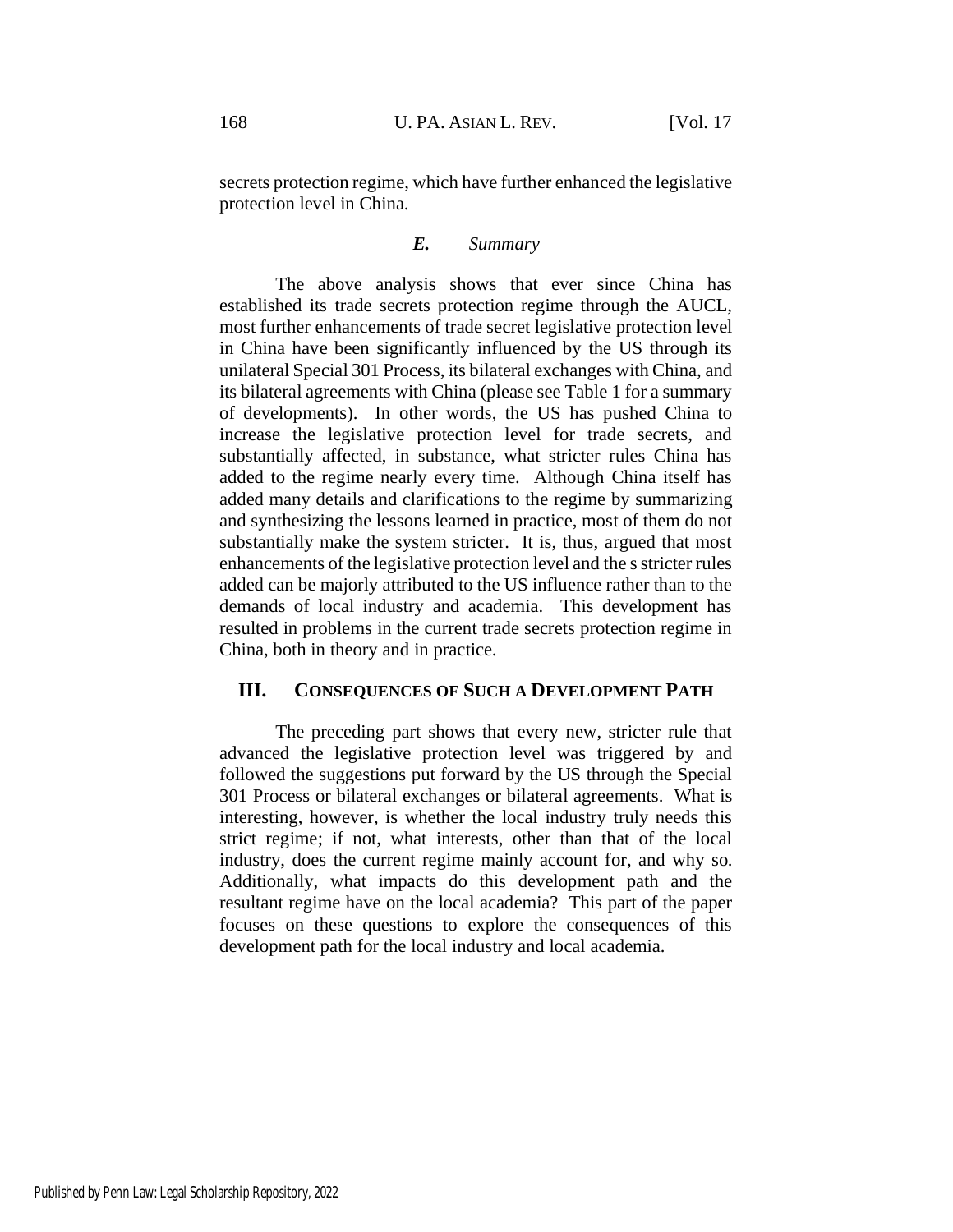secrets protection regime, which have further enhanced the legislative protection level in China.

# *E. Summary*

The above analysis shows that ever since China has established its trade secrets protection regime through the AUCL, most further enhancements of trade secret legislative protection level in China have been significantly influenced by the US through its unilateral Special 301 Process, its bilateral exchanges with China, and its bilateral agreements with China (please see Table 1 for a summary of developments). In other words, the US has pushed China to increase the legislative protection level for trade secrets, and substantially affected, in substance, what stricter rules China has added to the regime nearly every time. Although China itself has added many details and clarifications to the regime by summarizing and synthesizing the lessons learned in practice, most of them do not substantially make the system stricter. It is, thus, argued that most enhancements of the legislative protection level and the s stricter rules added can be majorly attributed to the US influence rather than to the demands of local industry and academia. This development has resulted in problems in the current trade secrets protection regime in China, both in theory and in practice.

# **III. CONSEQUENCES OF SUCH A DEVELOPMENT PATH**

The preceding part shows that every new, stricter rule that advanced the legislative protection level was triggered by and followed the suggestions put forward by the US through the Special 301 Process or bilateral exchanges or bilateral agreements. What is interesting, however, is whether the local industry truly needs this strict regime; if not, what interests, other than that of the local industry, does the current regime mainly account for, and why so. Additionally, what impacts do this development path and the resultant regime have on the local academia? This part of the paper focuses on these questions to explore the consequences of this development path for the local industry and local academia.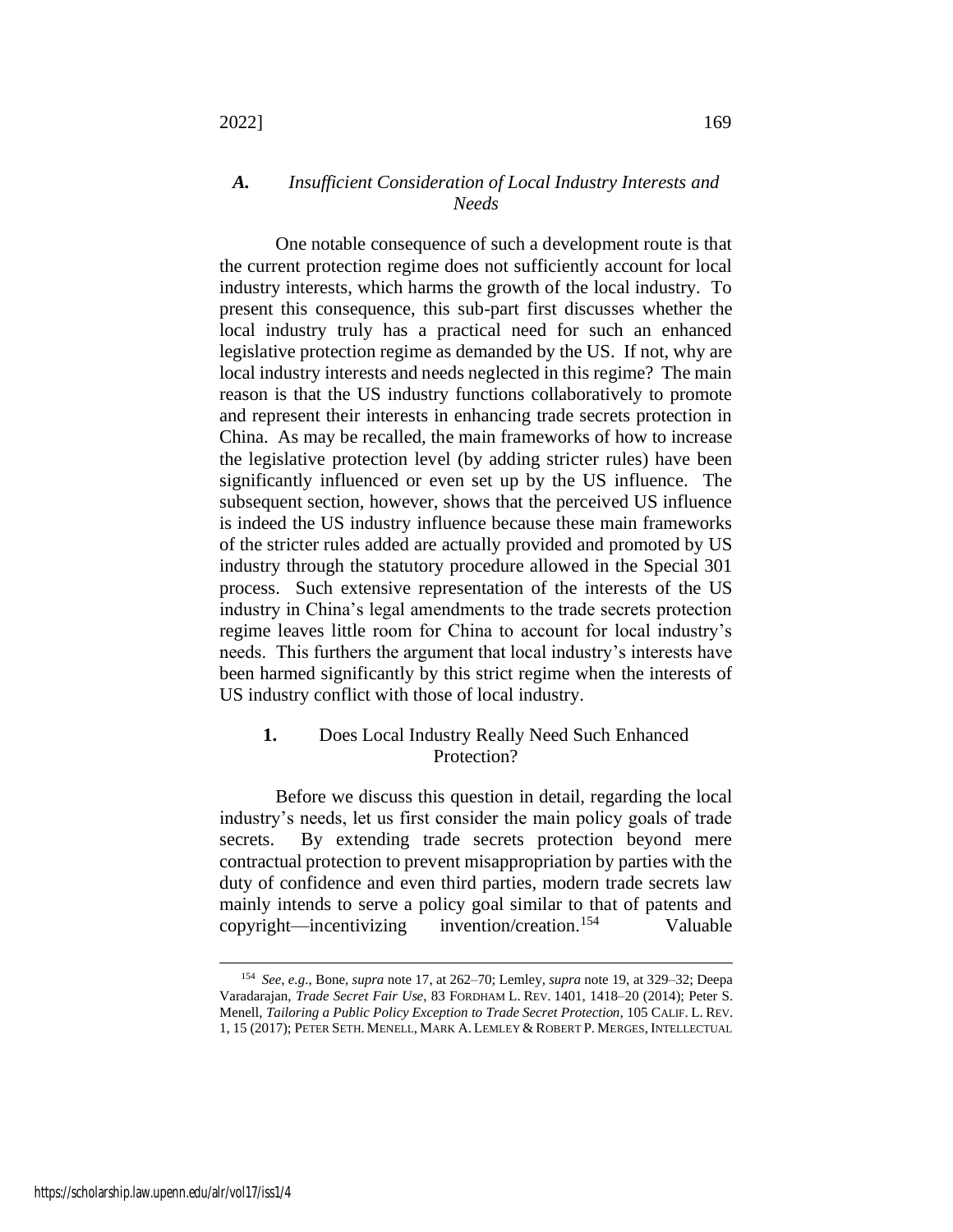# *A. Insufficient Consideration of Local Industry Interests and Needs*

One notable consequence of such a development route is that the current protection regime does not sufficiently account for local industry interests, which harms the growth of the local industry. To present this consequence, this sub-part first discusses whether the local industry truly has a practical need for such an enhanced legislative protection regime as demanded by the US. If not, why are local industry interests and needs neglected in this regime? The main reason is that the US industry functions collaboratively to promote and represent their interests in enhancing trade secrets protection in China. As may be recalled, the main frameworks of how to increase the legislative protection level (by adding stricter rules) have been significantly influenced or even set up by the US influence. The subsequent section, however, shows that the perceived US influence is indeed the US industry influence because these main frameworks of the stricter rules added are actually provided and promoted by US industry through the statutory procedure allowed in the Special 301 process. Such extensive representation of the interests of the US industry in China's legal amendments to the trade secrets protection regime leaves little room for China to account for local industry's needs. This furthers the argument that local industry's interests have been harmed significantly by this strict regime when the interests of US industry conflict with those of local industry.

# **1.** Does Local Industry Really Need Such Enhanced Protection?

Before we discuss this question in detail, regarding the local industry's needs, let us first consider the main policy goals of trade secrets. By extending trade secrets protection beyond mere contractual protection to prevent misappropriation by parties with the duty of confidence and even third parties, modern trade secrets law mainly intends to serve a policy goal similar to that of patents and copyright—incentivizing invention/creation.<sup>154</sup> Valuable

<span id="page-31-0"></span><sup>154</sup> *See, e.g*., Bone, *supra* note [17,](#page-6-2) at 262–70; Lemley, *supra* note [19,](#page-6-0) at 329–32; Deepa Varadarajan, *Trade Secret Fair Use*, 83 FORDHAM L. REV. 1401, 1418–20 (2014); Peter S. Menell, *Tailoring a Public Policy Exception to Trade Secret Protection*, 105 CALIF. L. REV. 1, 15 (2017); PETER SETH. MENELL, MARK A. LEMLEY & ROBERT P. MERGES, INTELLECTUAL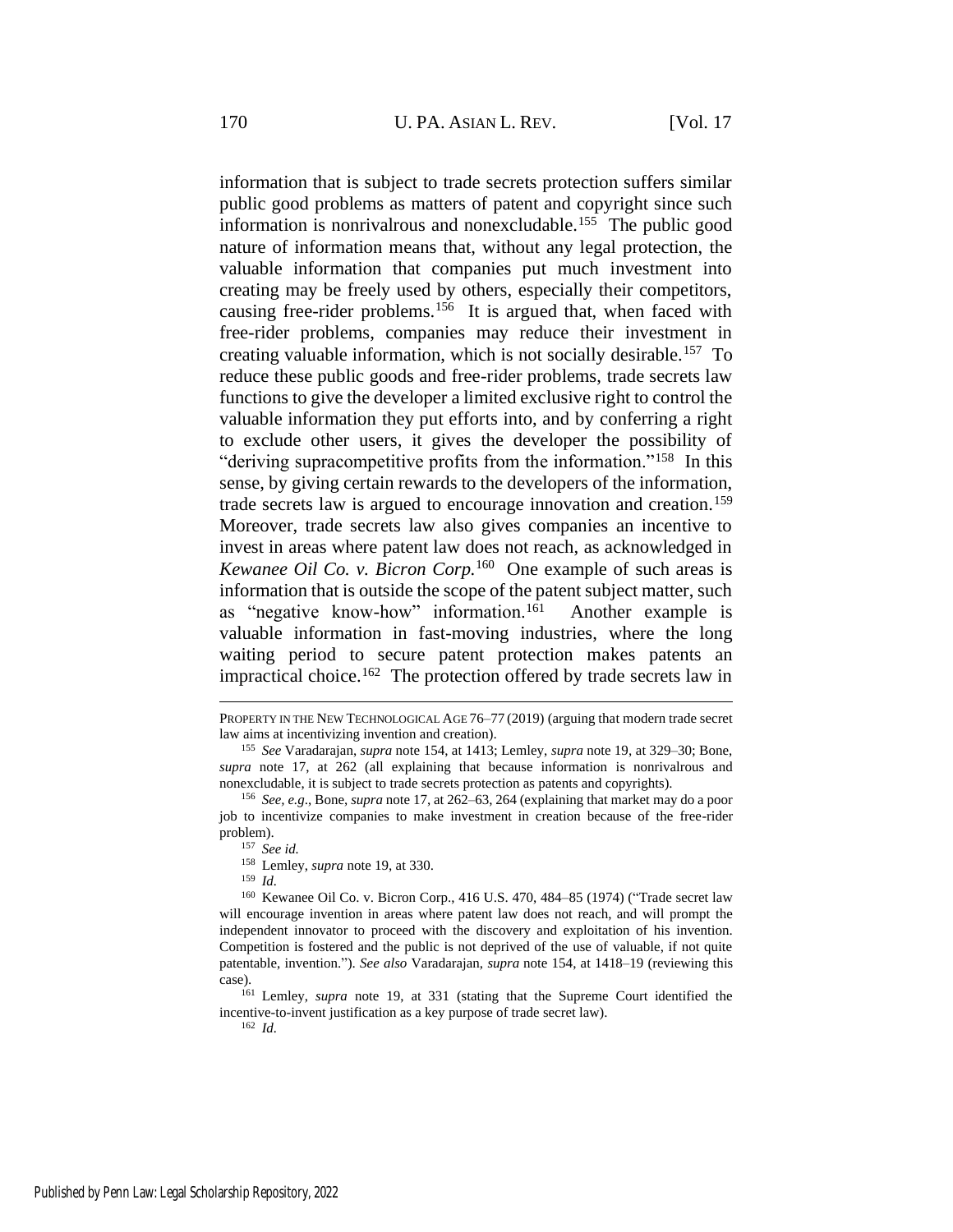information that is subject to trade secrets protection suffers similar public good problems as matters of patent and copyright since such information is nonrivalrous and nonexcludable.<sup>155</sup> The public good nature of information means that, without any legal protection, the valuable information that companies put much investment into creating may be freely used by others, especially their competitors, causing free-rider problems.<sup>156</sup> It is argued that, when faced with free-rider problems, companies may reduce their investment in creating valuable information, which is not socially desirable.<sup>157</sup> To reduce these public goods and free-rider problems, trade secrets law functions to give the developer a limited exclusive right to control the valuable information they put efforts into, and by conferring a right to exclude other users, it gives the developer the possibility of "deriving supracompetitive profits from the information."<sup>158</sup> In this sense, by giving certain rewards to the developers of the information, trade secrets law is argued to encourage innovation and creation.<sup>159</sup> Moreover, trade secrets law also gives companies an incentive to invest in areas where patent law does not reach, as acknowledged in *Kewanee Oil Co. v. Bicron Corp.*<sup>160</sup> One example of such areas is information that is outside the scope of the patent subject matter, such as "negative know-how" information.<sup>161</sup> Another example is valuable information in fast-moving industries, where the long waiting period to secure patent protection makes patents an impractical choice.<sup>162</sup> The protection offered by trade secrets law in

<sup>158</sup> Lemley, *supra* note [19,](#page-6-0) at 330.

<sup>159</sup> *Id.*

<sup>160</sup> Kewanee Oil Co. v. Bicron Corp., 416 U.S. 470, 484–85 (1974) ("Trade secret law will encourage invention in areas where patent law does not reach, and will prompt the independent innovator to proceed with the discovery and exploitation of his invention. Competition is fostered and the public is not deprived of the use of valuable, if not quite patentable, invention."). *See also* Varadarajan, *supra* note [154,](#page-31-0) at 1418–19 (reviewing this case).

<sup>161</sup> Lemley, *supra* note [19,](#page-6-0) at 331 (stating that the Supreme Court identified the incentive-to-invent justification as a key purpose of trade secret law).

<sup>162</sup> *Id.*

PROPERTY IN THE NEW TECHNOLOGICAL AGE 76–77 (2019) (arguing that modern trade secret law aims at incentivizing invention and creation).

<sup>155</sup> *See* Varadarajan, *supra* note [154,](#page-31-0) at 1413; Lemley, *supra* note [19,](#page-6-0) at 329–30; Bone, *supra* note [17,](#page-6-2) at 262 (all explaining that because information is nonrivalrous and nonexcludable, it is subject to trade secrets protection as patents and copyrights).

<sup>156</sup> *See, e.g*., Bone, *supra* note [17,](#page-6-2) at 262–63, 264 (explaining that market may do a poor job to incentivize companies to make investment in creation because of the free-rider problem).

<sup>157</sup> *See id.*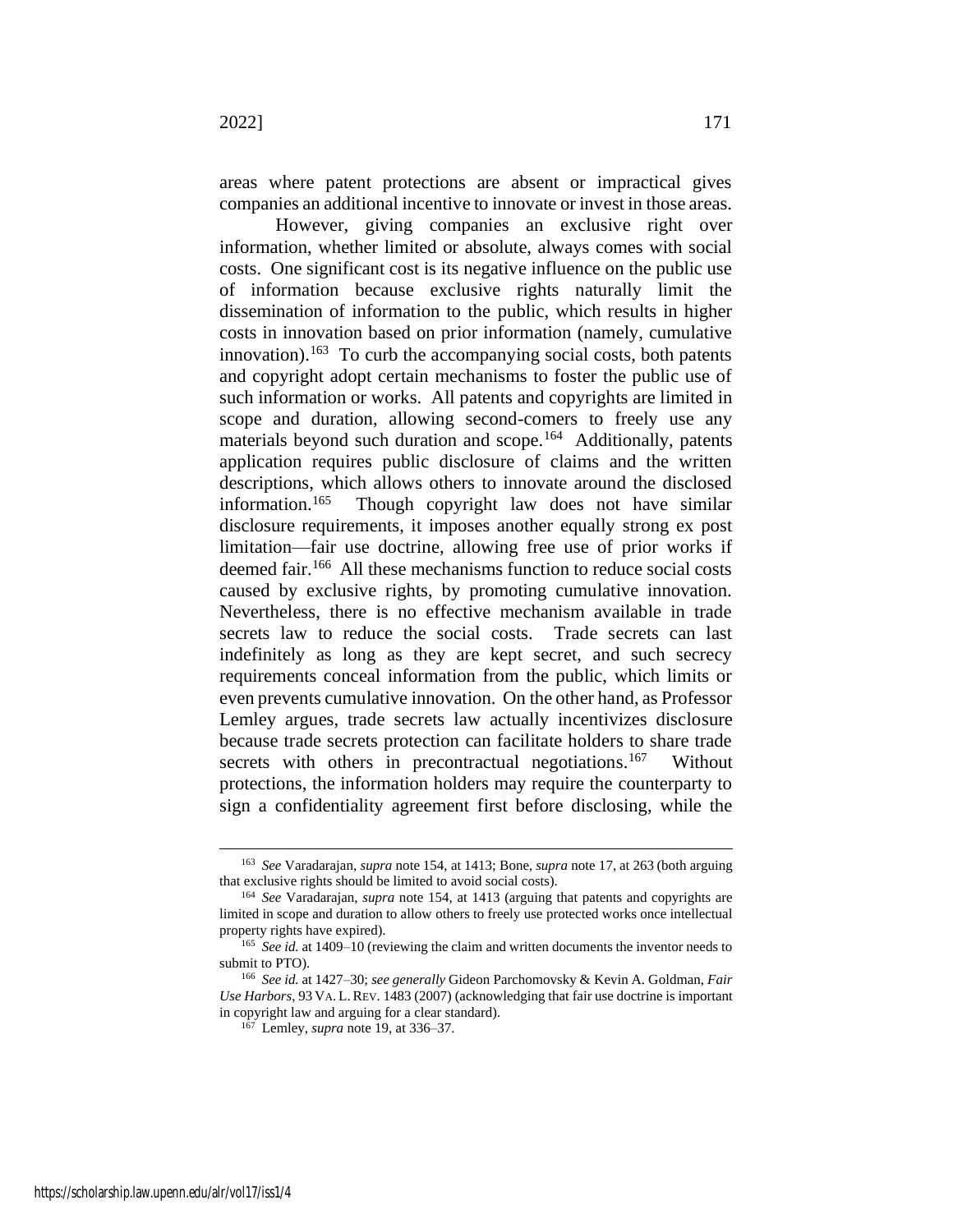areas where patent protections are absent or impractical gives companies an additional incentive to innovate or invest in those areas.

However, giving companies an exclusive right over information, whether limited or absolute, always comes with social costs. One significant cost is its negative influence on the public use of information because exclusive rights naturally limit the dissemination of information to the public, which results in higher costs in innovation based on prior information (namely, cumulative innovation).<sup>163</sup> To curb the accompanying social costs, both patents and copyright adopt certain mechanisms to foster the public use of such information or works. All patents and copyrights are limited in scope and duration, allowing second-comers to freely use any materials beyond such duration and scope.<sup>164</sup> Additionally, patents application requires public disclosure of claims and the written descriptions, which allows others to innovate around the disclosed information.<sup>165</sup> Though copyright law does not have similar disclosure requirements, it imposes another equally strong ex post limitation—fair use doctrine, allowing free use of prior works if deemed fair. 166 All these mechanisms function to reduce social costs caused by exclusive rights, by promoting cumulative innovation. Nevertheless, there is no effective mechanism available in trade secrets law to reduce the social costs. Trade secrets can last indefinitely as long as they are kept secret, and such secrecy requirements conceal information from the public, which limits or even prevents cumulative innovation. On the other hand, as Professor Lemley argues, trade secrets law actually incentivizes disclosure because trade secrets protection can facilitate holders to share trade secrets with others in precontractual negotiations.<sup>167</sup> Without protections, the information holders may require the counterparty to sign a confidentiality agreement first before disclosing, while the

<sup>163</sup> *See* Varadarajan, *supra* not[e 154,](#page-31-0) at 1413; Bone, *supra* not[e 17,](#page-6-2) at 263 (both arguing that exclusive rights should be limited to avoid social costs).

<sup>164</sup> *See* Varadarajan, *supra* note [154,](#page-31-0) at 1413 (arguing that patents and copyrights are limited in scope and duration to allow others to freely use protected works once intellectual property rights have expired).

<sup>165</sup> *See id.* at 1409–10 (reviewing the claim and written documents the inventor needs to submit to PTO).

<sup>166</sup> *See id.* at 1427–30; *see generally* Gideon Parchomovsky & Kevin A. Goldman, *Fair Use Harbors*, 93 VA. L.REV. 1483 (2007) (acknowledging that fair use doctrine is important in copyright law and arguing for a clear standard).

<sup>167</sup> Lemley, *supra* note [19,](#page-6-0) at 336–37.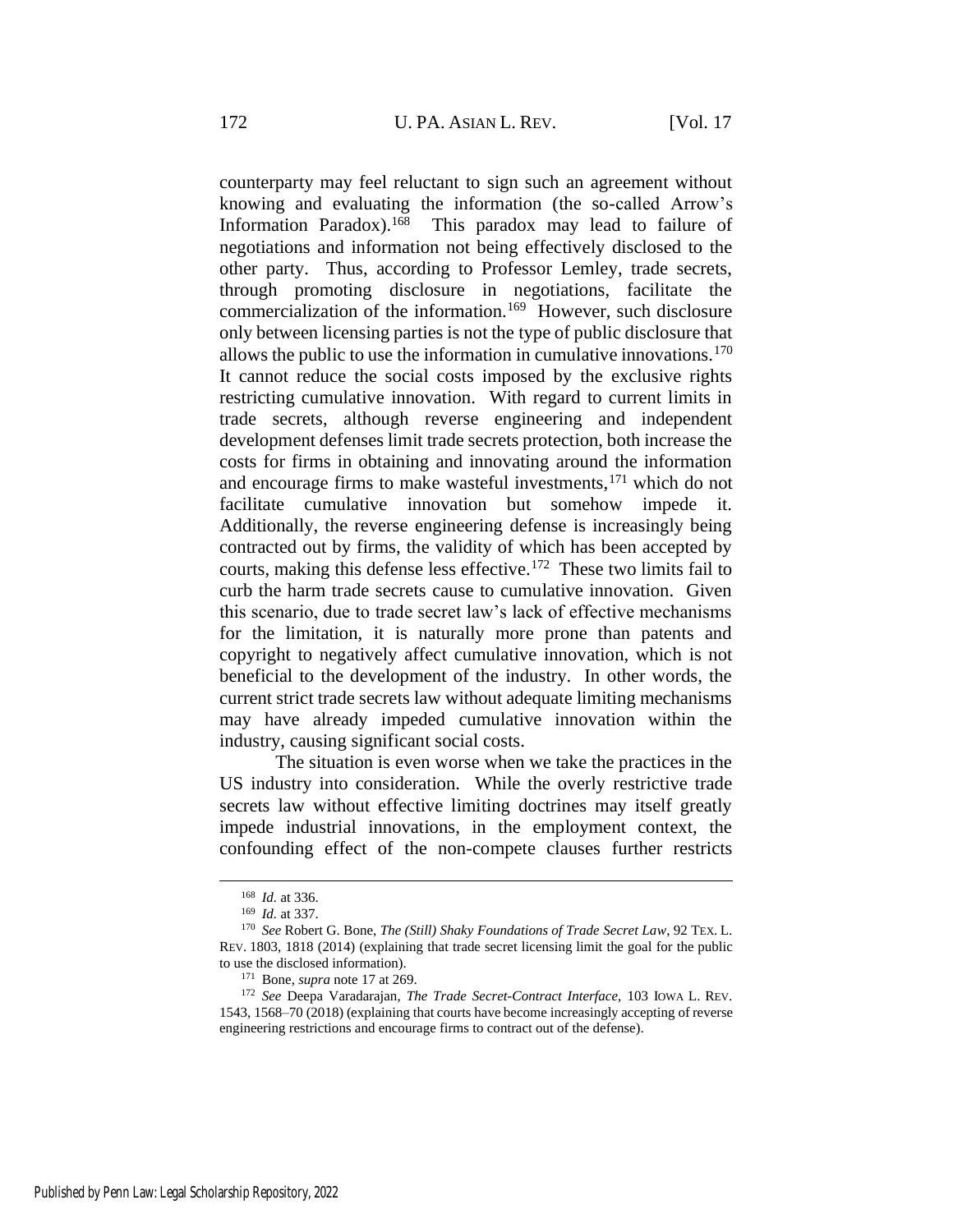<span id="page-34-1"></span>counterparty may feel reluctant to sign such an agreement without knowing and evaluating the information (the so-called Arrow's Information Paradox).<sup>168</sup> This paradox may lead to failure of negotiations and information not being effectively disclosed to the other party. Thus, according to Professor Lemley, trade secrets, through promoting disclosure in negotiations, facilitate the commercialization of the information.<sup>169</sup> However, such disclosure only between licensing parties is not the type of public disclosure that allows the public to use the information in cumulative innovations.<sup>170</sup> It cannot reduce the social costs imposed by the exclusive rights restricting cumulative innovation. With regard to current limits in trade secrets, although reverse engineering and independent development defenses limit trade secrets protection, both increase the costs for firms in obtaining and innovating around the information and encourage firms to make wasteful investments,  $171$  which do not facilitate cumulative innovation but somehow impede it. Additionally, the reverse engineering defense is increasingly being contracted out by firms, the validity of which has been accepted by courts, making this defense less effective.<sup>172</sup> These two limits fail to curb the harm trade secrets cause to cumulative innovation. Given this scenario, due to trade secret law's lack of effective mechanisms for the limitation, it is naturally more prone than patents and copyright to negatively affect cumulative innovation, which is not beneficial to the development of the industry. In other words, the current strict trade secrets law without adequate limiting mechanisms may have already impeded cumulative innovation within the industry, causing significant social costs.

<span id="page-34-0"></span>The situation is even worse when we take the practices in the US industry into consideration. While the overly restrictive trade secrets law without effective limiting doctrines may itself greatly impede industrial innovations, in the employment context, the confounding effect of the non-compete clauses further restricts

<sup>168</sup> *Id.* at 336.

<sup>169</sup> *Id.* at 337.

<sup>170</sup> *See* Robert G. Bone, *The (Still) Shaky Foundations of Trade Secret Law*, 92 TEX. L. REV. 1803, 1818 (2014) (explaining that trade secret licensing limit the goal for the public to use the disclosed information).

<sup>171</sup> Bone, *supra* not[e 17](#page-6-2) at 269.

<sup>172</sup> *See* Deepa Varadarajan, *The Trade Secret-Contract Interface*, 103 IOWA L. REV. 1543, 1568–70 (2018) (explaining that courts have become increasingly accepting of reverse engineering restrictions and encourage firms to contract out of the defense).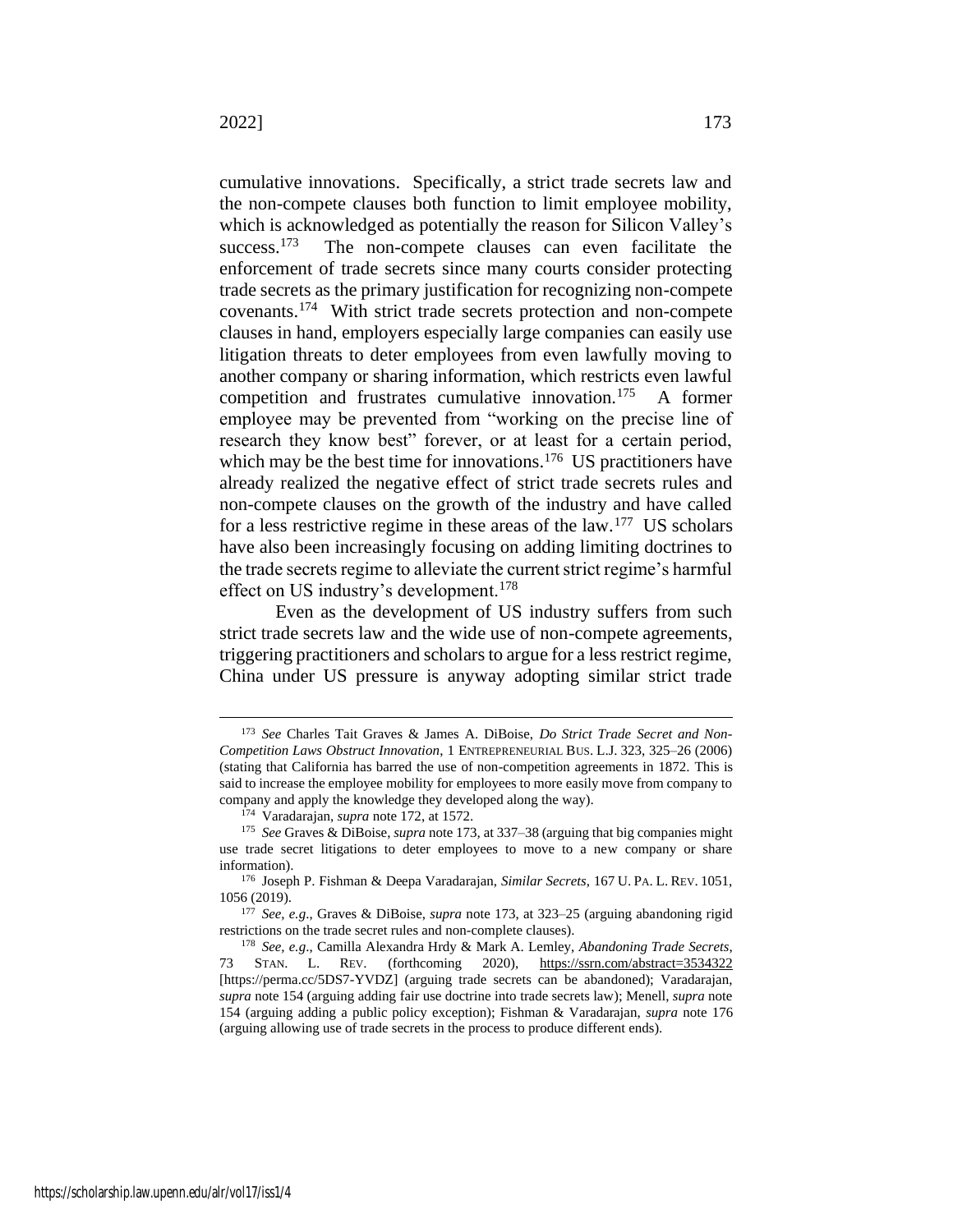<span id="page-35-2"></span><span id="page-35-0"></span>cumulative innovations. Specifically, a strict trade secrets law and the non-compete clauses both function to limit employee mobility, which is acknowledged as potentially the reason for Silicon Valley's success. $173$  The non-compete clauses can even facilitate the enforcement of trade secrets since many courts consider protecting trade secrets as the primary justification for recognizing non-compete covenants.<sup>174</sup> With strict trade secrets protection and non-compete clauses in hand, employers especially large companies can easily use litigation threats to deter employees from even lawfully moving to another company or sharing information, which restricts even lawful competition and frustrates cumulative innovation.<sup>175</sup> A former employee may be prevented from "working on the precise line of research they know best" forever, or at least for a certain period, which may be the best time for innovations.<sup>176</sup> US practitioners have already realized the negative effect of strict trade secrets rules and non-compete clauses on the growth of the industry and have called for a less restrictive regime in these areas of the law.<sup>177</sup> US scholars have also been increasingly focusing on adding limiting doctrines to the trade secrets regime to alleviate the current strict regime's harmful effect on US industry's development.<sup>178</sup>

<span id="page-35-3"></span><span id="page-35-1"></span>Even as the development of US industry suffers from such strict trade secrets law and the wide use of non-compete agreements, triggering practitioners and scholars to argue for a less restrict regime, China under US pressure is anyway adopting similar strict trade

<sup>173</sup> *See* Charles Tait Graves & James A. DiBoise, *Do Strict Trade Secret and Non-Competition Laws Obstruct Innovation*, 1 ENTREPRENEURIAL BUS. L.J. 323, 325–26 (2006) (stating that California has barred the use of non-competition agreements in 1872. This is said to increase the employee mobility for employees to more easily move from company to company and apply the knowledge they developed along the way).

<sup>174</sup> Varadarajan, *supra* not[e 172,](#page-34-0) at 1572.

<sup>175</sup> *See* Graves & DiBoise, *supra* not[e 173](#page-35-0)*,* at 337–38 (arguing that big companies might use trade secret litigations to deter employees to move to a new company or share information).

<sup>176</sup> Joseph P. Fishman & Deepa Varadarajan, *Similar Secrets*, 167 U. PA. L. REV. 1051, 1056 (2019).

<sup>177</sup> *See, e.g*., Graves & DiBoise, *supra* note [173,](#page-35-0) at 323–25 (arguing abandoning rigid restrictions on the trade secret rules and non-complete clauses).

<sup>178</sup> *See, e.g*., Camilla Alexandra Hrdy & Mark A. Lemley, *Abandoning Trade Secrets*, 73 STAN. L. REV. (forthcoming 2020), https://ssrn.com/abstract=3534322 [https://perma.cc/5DS7-YVDZ] (arguing trade secrets can be abandoned); Varadarajan, *supra* note [154](#page-31-0) (arguing adding fair use doctrine into trade secrets law); Menell, *supra* note [154](#page-31-0) (arguing adding a public policy exception); Fishman & Varadarajan, *supra* note [176](#page-35-1) (arguing allowing use of trade secrets in the process to produce different ends).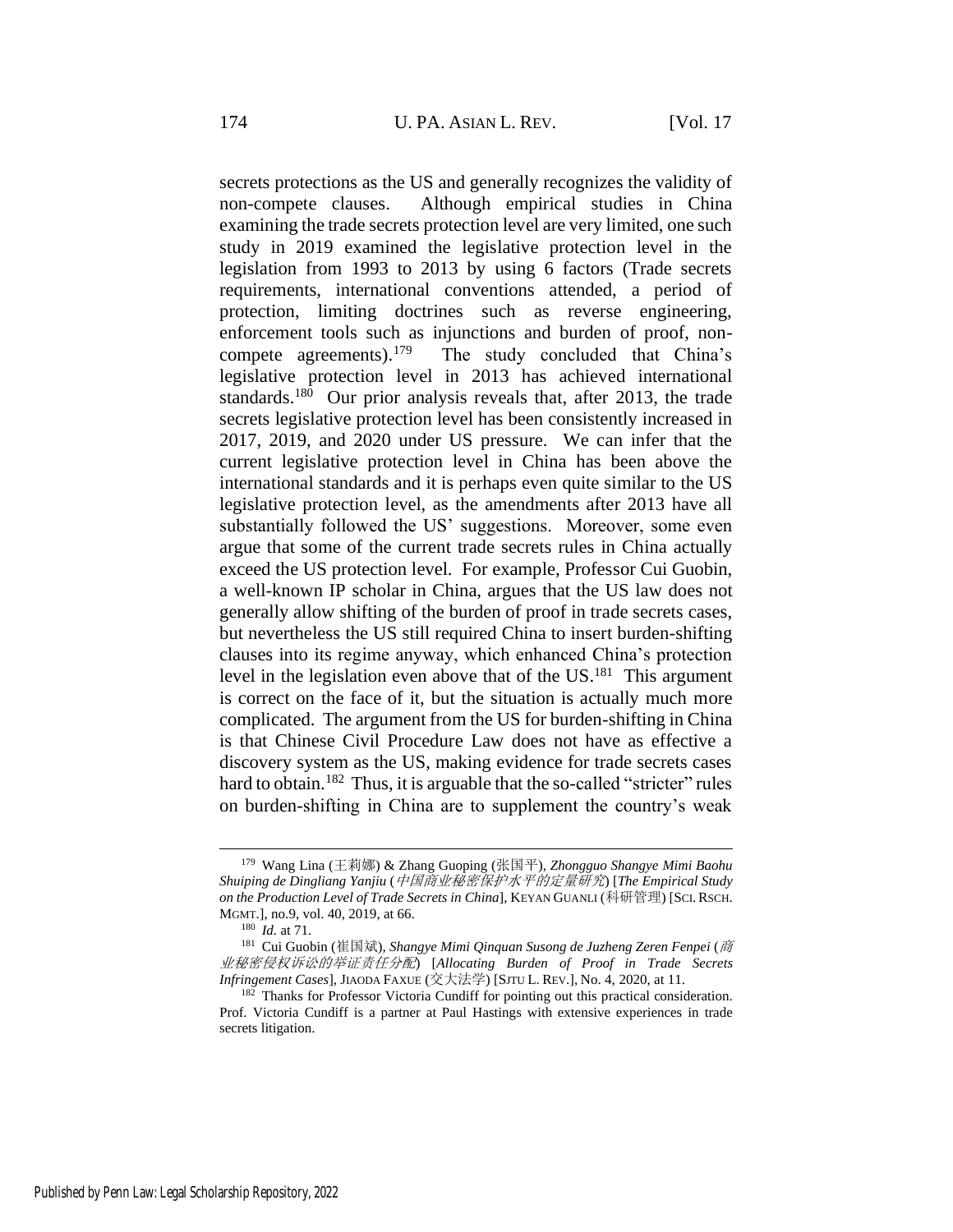secrets protections as the US and generally recognizes the validity of non-compete clauses. Although empirical studies in China examining the trade secrets protection level are very limited, one such study in 2019 examined the legislative protection level in the legislation from 1993 to 2013 by using 6 factors (Trade secrets requirements, international conventions attended, a period of protection, limiting doctrines such as reverse engineering, enforcement tools such as injunctions and burden of proof, noncompete agreements).<sup>179</sup> The study concluded that China's legislative protection level in 2013 has achieved international standards.<sup>180</sup> Our prior analysis reveals that, after 2013, the trade secrets legislative protection level has been consistently increased in 2017, 2019, and 2020 under US pressure. We can infer that the current legislative protection level in China has been above the international standards and it is perhaps even quite similar to the US legislative protection level, as the amendments after 2013 have all substantially followed the US' suggestions. Moreover, some even argue that some of the current trade secrets rules in China actually exceed the US protection level. For example, Professor Cui Guobin, a well-known IP scholar in China, argues that the US law does not generally allow shifting of the burden of proof in trade secrets cases, but nevertheless the US still required China to insert burden-shifting clauses into its regime anyway, which enhanced China's protection level in the legislation even above that of the  $US.<sup>181</sup>$  This argument is correct on the face of it, but the situation is actually much more complicated. The argument from the US for burden-shifting in China is that Chinese Civil Procedure Law does not have as effective a discovery system as the US, making evidence for trade secrets cases hard to obtain.<sup>182</sup> Thus, it is arguable that the so-called "stricter" rules on burden-shifting in China are to supplement the country's weak

<span id="page-36-0"></span><sup>179</sup> Wang Lina (王莉娜) & Zhang Guoping (张国平), *Zhongguo Shangye Mimi Baohu Shuiping de Dingliang Yanjiu* (中国商业秘密保护水平的定量研究) [*The Empirical Study on the Production Level of Trade Secrets in China*], KEYAN GUANLI (科研管理) [SCI.RSCH. MGMT.], no.9, vol. 40, 2019, at 66.

<sup>180</sup> *Id.* at 71.

<sup>181</sup> Cui Guobin (崔国斌), *Shangye Mimi Qinquan Susong de Juzheng Zeren Fenpei* (商 业秘密侵权诉讼的举证责任分配) [*Allocating Burden of Proof in Trade Secrets Infringement Cases*], JIAODA FAXUE (交大法学) [SJTU L. REV.], No. 4, 2020, at 11.

<sup>&</sup>lt;sup>182</sup> Thanks for Professor Victoria Cundiff for pointing out this practical consideration. Prof. Victoria Cundiff is a partner at Paul Hastings with extensive experiences in trade secrets litigation.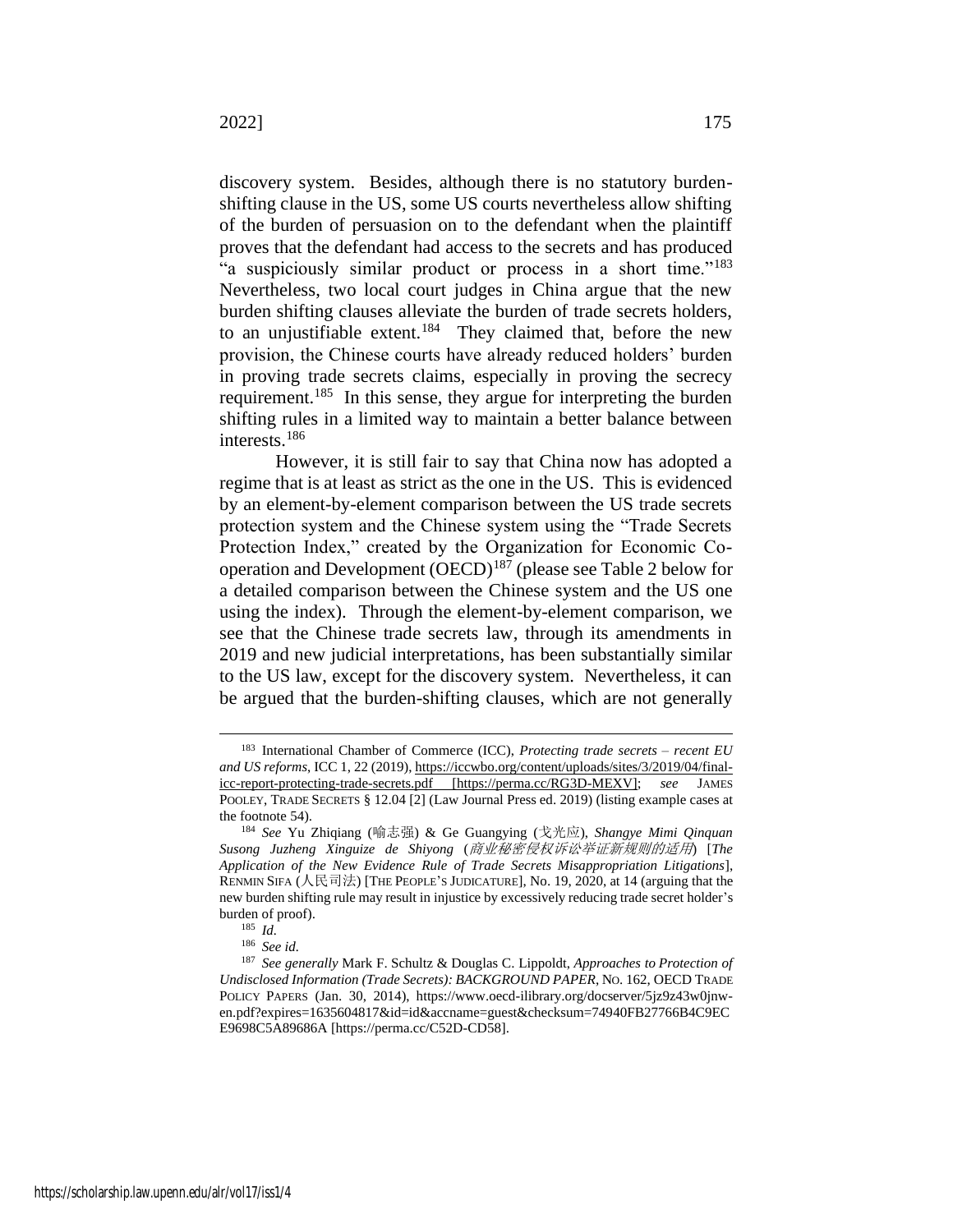discovery system. Besides, although there is no statutory burdenshifting clause in the US, some US courts nevertheless allow shifting of the burden of persuasion on to the defendant when the plaintiff proves that the defendant had access to the secrets and has produced "a suspiciously similar product or process in a short time."<sup>183</sup> Nevertheless, two local court judges in China argue that the new burden shifting clauses alleviate the burden of trade secrets holders, to an unjustifiable extent.<sup>184</sup> They claimed that, before the new provision, the Chinese courts have already reduced holders' burden in proving trade secrets claims, especially in proving the secrecy requirement.<sup>185</sup> In this sense, they argue for interpreting the burden shifting rules in a limited way to maintain a better balance between interests.<sup>186</sup>

However, it is still fair to say that China now has adopted a regime that is at least as strict as the one in the US. This is evidenced by an element-by-element comparison between the US trade secrets protection system and the Chinese system using the "Trade Secrets Protection Index," created by the Organization for Economic Cooperation and Development (OECD)<sup>187</sup> (please see Table 2 below for a detailed comparison between the Chinese system and the US one using the index). Through the element-by-element comparison, we see that the Chinese trade secrets law, through its amendments in 2019 and new judicial interpretations, has been substantially similar to the US law, except for the discovery system. Nevertheless, it can be argued that the burden-shifting clauses, which are not generally

<sup>183</sup> International Chamber of Commerce (ICC), *Protecting trade secrets – recent EU and US reforms*, ICC 1, 22 (2019), https://iccwbo.org/content/uploads/sites/3/2019/04/finalicc-report-protecting-trade-secrets.pdf [https://perma.cc/RG3D-MEXV]; *see* JAMES POOLEY, TRADE SECRETS § 12.04 [2] (Law Journal Press ed. 2019) (listing example cases at the footnote 54).

<sup>184</sup> *See* Yu Zhiqiang (喻志强) & Ge Guangying (戈光应), *Shangye Mimi Qinquan Susong Juzheng Xinguize de Shiyong* (商业秘密侵权诉讼举证新规则的适用) [*The Application of the New Evidence Rule of Trade Secrets Misappropriation Litigations*], RENMIN SIFA (人民司法) [THE PEOPLE'S JUDICATURE], No. 19, 2020, at 14 (arguing that the new burden shifting rule may result in injustice by excessively reducing trade secret holder's burden of proof).

<sup>185</sup> *Id.*

<sup>186</sup> *See id.*

<sup>187</sup> *See generally* Mark F. Schultz & Douglas C. Lippoldt, *Approaches to Protection of Undisclosed Information (Trade Secrets): BACKGROUND PAPER*, NO. 162, OECD TRADE POLICY PAPERS (Jan. 30, 2014), https://www.oecd-ilibrary.org/docserver/5jz9z43w0jnwen.pdf?expires=1635604817&id=id&accname=guest&checksum=74940FB27766B4C9EC E9698C5A89686A [https://perma.cc/C52D-CD58].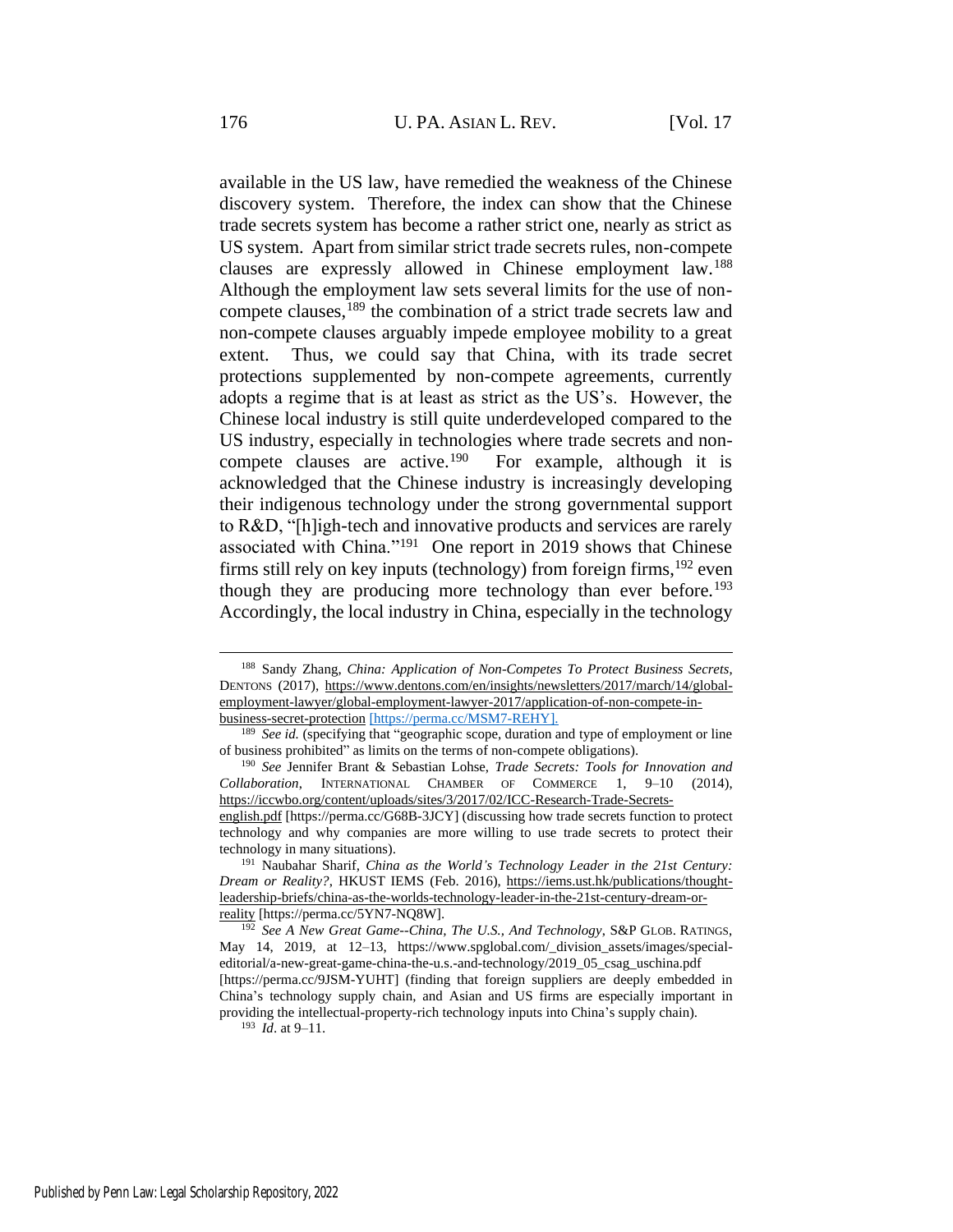available in the US law, have remedied the weakness of the Chinese discovery system. Therefore, the index can show that the Chinese trade secrets system has become a rather strict one, nearly as strict as US system. Apart from similar strict trade secrets rules, non-compete clauses are expressly allowed in Chinese employment law.<sup>188</sup> Although the employment law sets several limits for the use of noncompete clauses,<sup>189</sup> the combination of a strict trade secrets law and non-compete clauses arguably impede employee mobility to a great extent. Thus, we could say that China, with its trade secret protections supplemented by non-compete agreements, currently adopts a regime that is at least as strict as the US's. However, the Chinese local industry is still quite underdeveloped compared to the US industry, especially in technologies where trade secrets and noncompete clauses are active.<sup>190</sup> For example, although it is acknowledged that the Chinese industry is increasingly developing their indigenous technology under the strong governmental support to R&D, "[h]igh-tech and innovative products and services are rarely associated with China."<sup>191</sup> One report in 2019 shows that Chinese firms still rely on key inputs (technology) from foreign firms,  $192$  even though they are producing more technology than ever before.<sup>193</sup> Accordingly, the local industry in China, especially in the technology

<span id="page-38-1"></span><span id="page-38-0"></span><sup>188</sup> Sandy Zhang, *China: Application of Non-Competes To Protect Business Secrets*, DENTONS (2017), https://www.dentons.com/en/insights/newsletters/2017/march/14/globalemployment-lawyer/global-employment-lawyer-2017/application-of-non-compete-inbusiness-secret-protection [https://perma.cc/MSM7-REHY].

<sup>&</sup>lt;sup>189</sup> See id. (specifying that "geographic scope, duration and type of employment or line of business prohibited" as limits on the terms of non-compete obligations).

<sup>190</sup> *See* Jennifer Brant & Sebastian Lohse, *Trade Secrets: Tools for Innovation and Collaboration*, INTERNATIONAL CHAMBER OF COMMERCE 1, 9–10 (2014), https://iccwbo.org/content/uploads/sites/3/2017/02/ICC-Research-Trade-Secrets-

english.pdf [https://perma.cc/G68B-3JCY] (discussing how trade secrets function to protect technology and why companies are more willing to use trade secrets to protect their technology in many situations).

<sup>191</sup> Naubahar Sharif, *China as the World's Technology Leader in the 21st Century: Dream or Reality?*, HKUST IEMS (Feb. 2016), https://iems.ust.hk/publications/thoughtleadership-briefs/china-as-the-worlds-technology-leader-in-the-21st-century-dream-orreality [https://perma.cc/5YN7-NQ8W].

<sup>192</sup> *See A New Great Game--China, The U.S., And Technology*, S&P GLOB. RATINGS, May 14, 2019, at 12–13, https://www.spglobal.com/\_division\_assets/images/specialeditorial/a-new-great-game-china-the-u.s.-and-technology/2019\_05\_csag\_uschina.pdf [https://perma.cc/9JSM-YUHT] (finding that foreign suppliers are deeply embedded in China's technology supply chain, and Asian and US firms are especially important in providing the intellectual-property-rich technology inputs into China's supply chain).

<sup>193</sup> *Id*. at 9–11.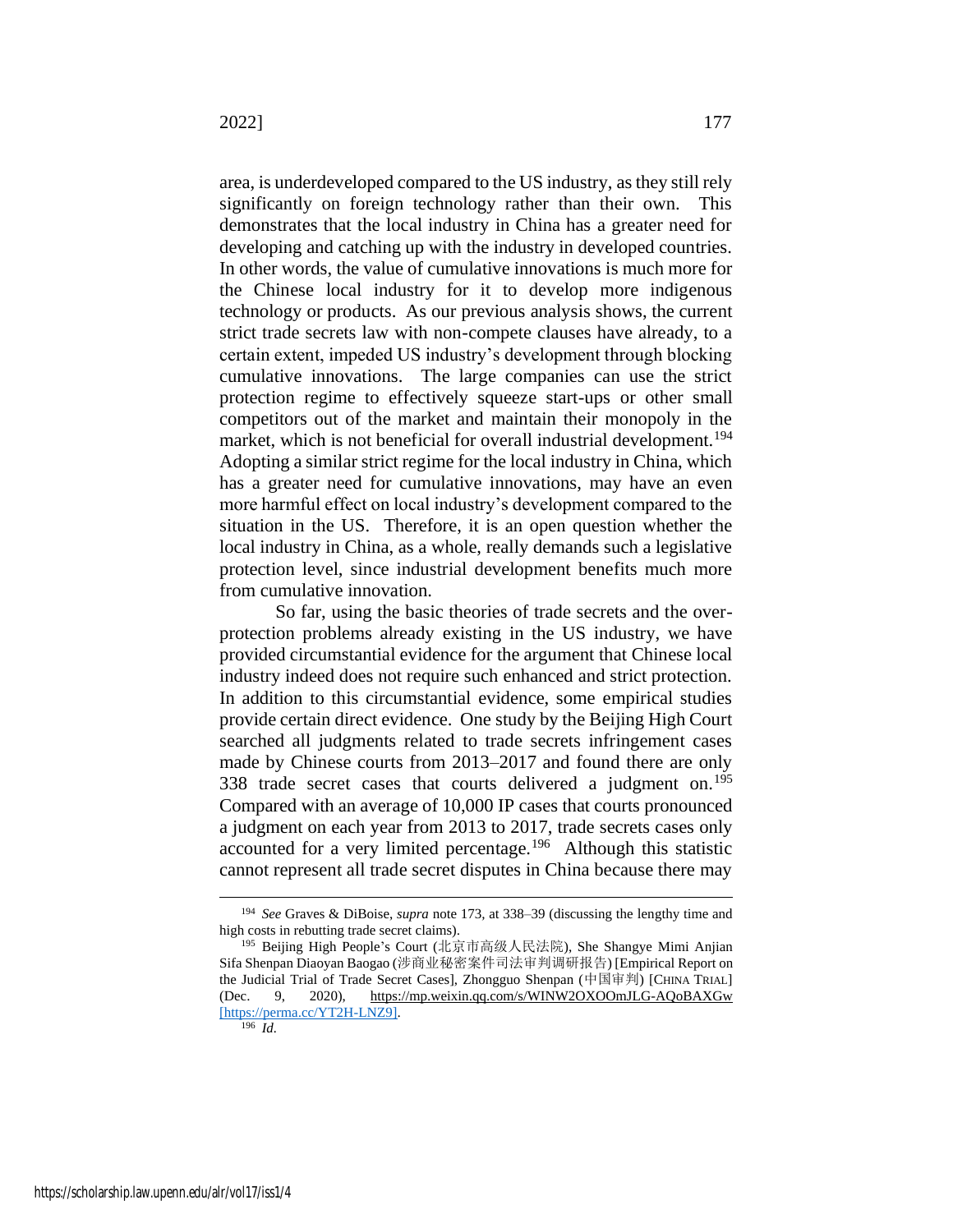area, is underdeveloped compared to the US industry, as they still rely significantly on foreign technology rather than their own. This demonstrates that the local industry in China has a greater need for developing and catching up with the industry in developed countries. In other words, the value of cumulative innovations is much more for the Chinese local industry for it to develop more indigenous technology or products. As our previous analysis shows, the current strict trade secrets law with non-compete clauses have already, to a certain extent, impeded US industry's development through blocking cumulative innovations. The large companies can use the strict protection regime to effectively squeeze start-ups or other small competitors out of the market and maintain their monopoly in the market, which is not beneficial for overall industrial development.<sup>194</sup> Adopting a similar strict regime for the local industry in China, which has a greater need for cumulative innovations, may have an even more harmful effect on local industry's development compared to the situation in the US. Therefore, it is an open question whether the local industry in China, as a whole, really demands such a legislative protection level, since industrial development benefits much more from cumulative innovation.

<span id="page-39-0"></span>So far, using the basic theories of trade secrets and the overprotection problems already existing in the US industry, we have provided circumstantial evidence for the argument that Chinese local industry indeed does not require such enhanced and strict protection. In addition to this circumstantial evidence, some empirical studies provide certain direct evidence. One study by the Beijing High Court searched all judgments related to trade secrets infringement cases made by Chinese courts from 2013–2017 and found there are only 338 trade secret cases that courts delivered a judgment on.<sup>195</sup> Compared with an average of 10,000 IP cases that courts pronounced a judgment on each year from 2013 to 2017, trade secrets cases only accounted for a very limited percentage.<sup>196</sup> Although this statistic cannot represent all trade secret disputes in China because there may

<sup>194</sup> *See* Graves & DiBoise, *supra* note [173](#page-35-0)*,* at 338–39 (discussing the lengthy time and high costs in rebutting trade secret claims).

<sup>195</sup> Beijing High People's Court (北京市高级人民法院), She Shangye Mimi Anjian Sifa Shenpan Diaoyan Baogao (涉商业秘密案件司法审判调研报告) [Empirical Report on the Judicial Trial of Trade Secret Cases], Zhongguo Shenpan (中国审判) [CHINA TRIAL] (Dec. 9, 2020), https://mp.weixin.qq.com/s/WINW2OXOOmJLG-AQoBAXGw [https://perma.cc/YT2H-LNZ9].

<sup>196</sup> *Id.*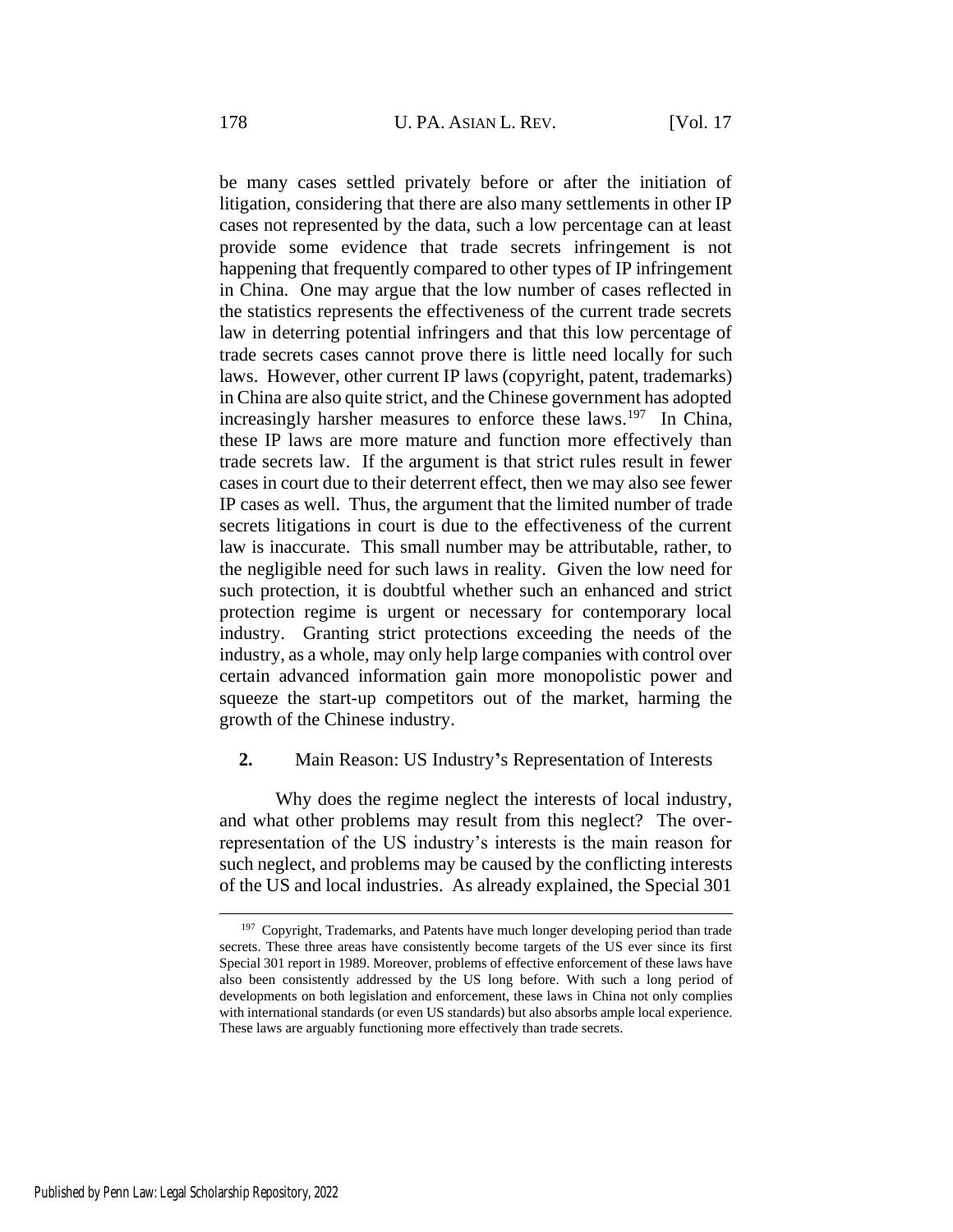be many cases settled privately before or after the initiation of litigation, considering that there are also many settlements in other IP cases not represented by the data, such a low percentage can at least provide some evidence that trade secrets infringement is not happening that frequently compared to other types of IP infringement in China. One may argue that the low number of cases reflected in the statistics represents the effectiveness of the current trade secrets law in deterring potential infringers and that this low percentage of trade secrets cases cannot prove there is little need locally for such laws. However, other current IP laws (copyright, patent, trademarks) in China are also quite strict, and the Chinese government has adopted increasingly harsher measures to enforce these laws.<sup>197</sup> In China, these IP laws are more mature and function more effectively than trade secrets law. If the argument is that strict rules result in fewer cases in court due to their deterrent effect, then we may also see fewer IP cases as well. Thus, the argument that the limited number of trade secrets litigations in court is due to the effectiveness of the current law is inaccurate. This small number may be attributable, rather, to the negligible need for such laws in reality. Given the low need for such protection, it is doubtful whether such an enhanced and strict protection regime is urgent or necessary for contemporary local industry. Granting strict protections exceeding the needs of the industry, as a whole, may only help large companies with control over certain advanced information gain more monopolistic power and squeeze the start-up competitors out of the market, harming the growth of the Chinese industry.

#### **2.** Main Reason: US Industry**'**s Representation of Interests

Why does the regime neglect the interests of local industry, and what other problems may result from this neglect? The overrepresentation of the US industry's interests is the main reason for such neglect, and problems may be caused by the conflicting interests of the US and local industries. As already explained, the Special 301

<sup>&</sup>lt;sup>197</sup> Copyright, Trademarks, and Patents have much longer developing period than trade secrets. These three areas have consistently become targets of the US ever since its first Special 301 report in 1989. Moreover, problems of effective enforcement of these laws have also been consistently addressed by the US long before. With such a long period of developments on both legislation and enforcement, these laws in China not only complies with international standards (or even US standards) but also absorbs ample local experience. These laws are arguably functioning more effectively than trade secrets.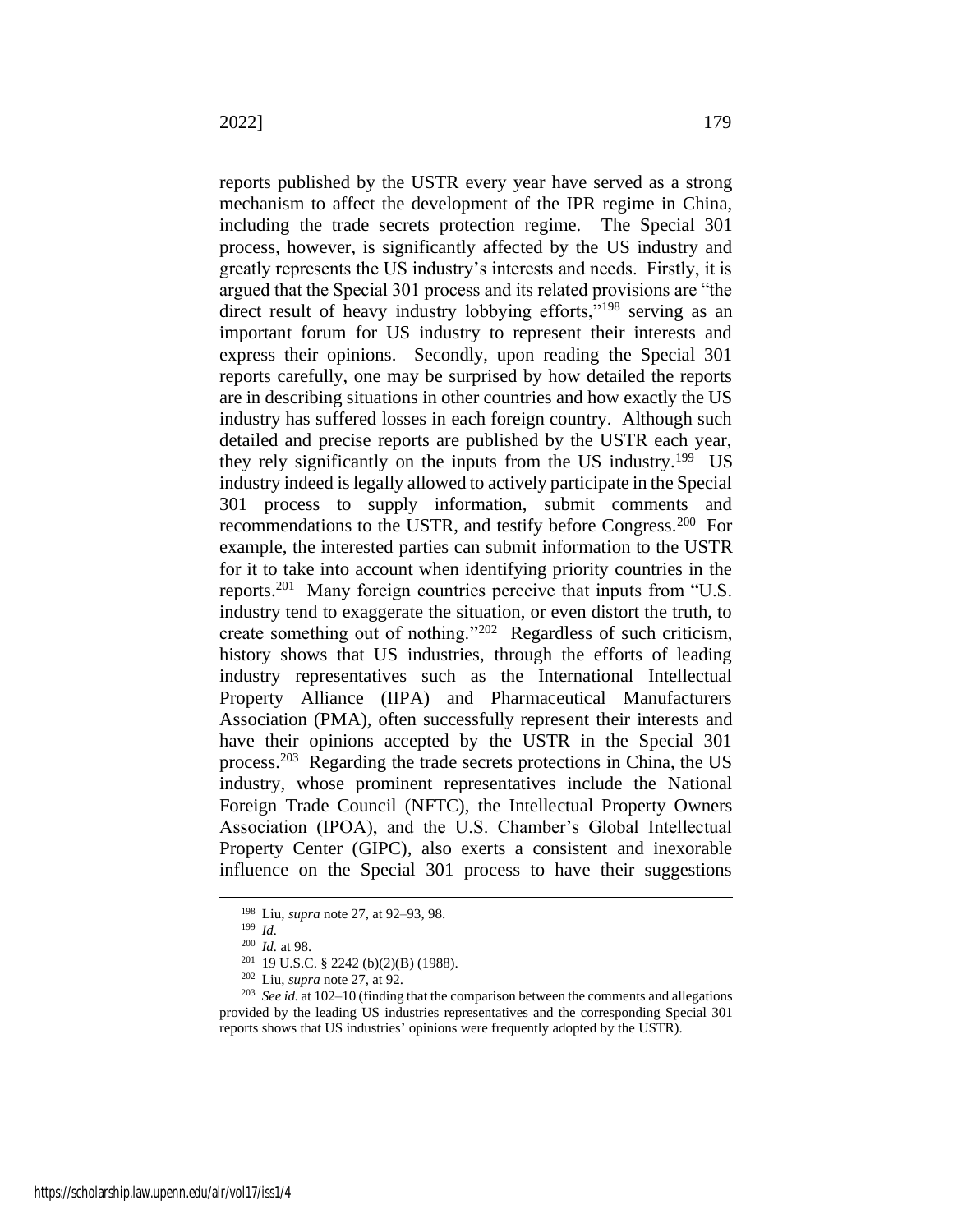reports published by the USTR every year have served as a strong mechanism to affect the development of the IPR regime in China, including the trade secrets protection regime. The Special 301 process, however, is significantly affected by the US industry and greatly represents the US industry's interests and needs. Firstly, it is argued that the Special 301 process and its related provisions are "the direct result of heavy industry lobbying efforts,"<sup>198</sup> serving as an important forum for US industry to represent their interests and express their opinions. Secondly, upon reading the Special 301 reports carefully, one may be surprised by how detailed the reports are in describing situations in other countries and how exactly the US industry has suffered losses in each foreign country. Although such detailed and precise reports are published by the USTR each year, they rely significantly on the inputs from the US industry.<sup>199</sup> US industry indeed is legally allowed to actively participate in the Special 301 process to supply information, submit comments and recommendations to the USTR, and testify before Congress.<sup>200</sup> For example, the interested parties can submit information to the USTR for it to take into account when identifying priority countries in the reports.<sup>201</sup> Many foreign countries perceive that inputs from "U.S. industry tend to exaggerate the situation, or even distort the truth, to create something out of nothing."<sup>202</sup> Regardless of such criticism, history shows that US industries, through the efforts of leading industry representatives such as the International Intellectual Property Alliance (IIPA) and Pharmaceutical Manufacturers Association (PMA), often successfully represent their interests and have their opinions accepted by the USTR in the Special 301 process.<sup>203</sup> Regarding the trade secrets protections in China, the US industry, whose prominent representatives include the National Foreign Trade Council (NFTC), the Intellectual Property Owners Association (IPOA), and the U.S. Chamber's Global Intellectual Property Center (GIPC), also exerts a consistent and inexorable influence on the Special 301 process to have their suggestions

<sup>198</sup> Liu, *supra* note [27,](#page-7-0) at 92–93, 98.

<sup>199</sup> *Id.*

<sup>200</sup> *Id.* at 98.

<sup>201</sup> 19 U.S.C. § 2242 (b)(2)(B) (1988).

<sup>202</sup> Liu, *supra* note [27,](#page-7-0) at 92.

<sup>203</sup> *See id.* at 102–10 (finding that the comparison between the comments and allegations provided by the leading US industries representatives and the corresponding Special 301 reports shows that US industries' opinions were frequently adopted by the USTR).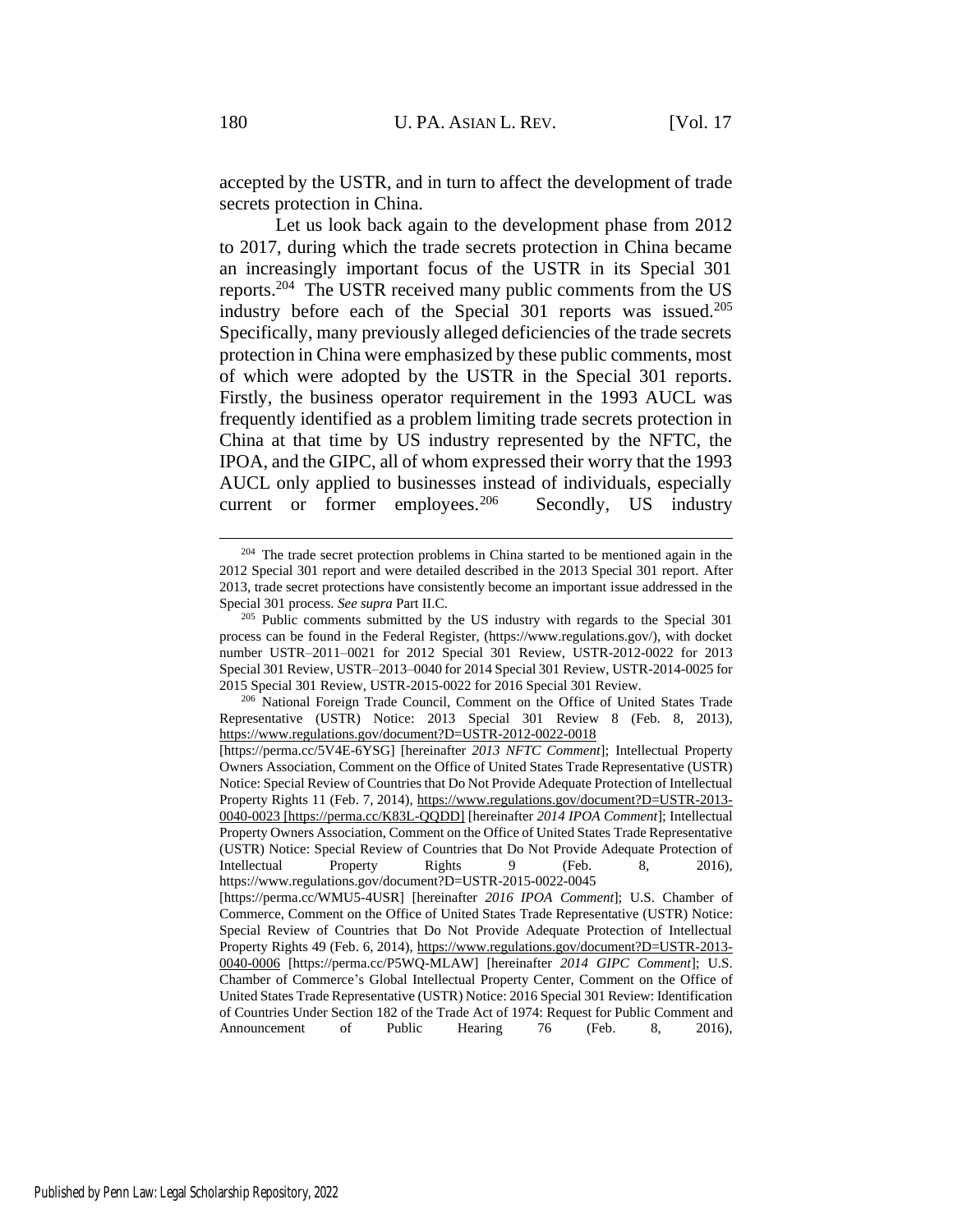accepted by the USTR, and in turn to affect the development of trade secrets protection in China.

Let us look back again to the development phase from 2012 to 2017, during which the trade secrets protection in China became an increasingly important focus of the USTR in its Special 301 reports.<sup>204</sup> The USTR received many public comments from the US industry before each of the Special 301 reports was issued.<sup>205</sup> Specifically, many previously alleged deficiencies of the trade secrets protection in China were emphasized by these public comments, most of which were adopted by the USTR in the Special 301 reports. Firstly, the business operator requirement in the 1993 AUCL was frequently identified as a problem limiting trade secrets protection in China at that time by US industry represented by the NFTC, the IPOA, and the GIPC, all of whom expressed their worry that the 1993 AUCL only applied to businesses instead of individuals, especially current or former employees.<sup>206</sup> Secondly, US industry

 $204$  The trade secret protection problems in China started to be mentioned again in the 2012 Special 301 report and were detailed described in the 2013 Special 301 report. After 2013, trade secret protections have consistently become an important issue addressed in the Special 301 process. *See supra* Part II.C.

<sup>&</sup>lt;sup>205</sup> Public comments submitted by the US industry with regards to the Special  $301$ process can be found in the Federal Register, (https://www.regulations.gov/), with docket number USTR–2011–0021 for 2012 Special 301 Review, USTR-2012-0022 for 2013 Special 301 Review, USTR–2013–0040 for 2014 Special 301 Review, USTR-2014-0025 for 2015 Special 301 Review, USTR-2015-0022 for 2016 Special 301 Review.

<sup>206</sup> National Foreign Trade Council, Comment on the Office of United States Trade Representative (USTR) Notice: 2013 Special 301 Review 8 (Feb. 8, 2013), https://www.regulations.gov/document?D=USTR-2012-0022-0018

<sup>[</sup>https://perma.cc/5V4E-6YSG] [hereinafter *2013 NFTC Comment*]; Intellectual Property Owners Association, Comment on the Office of United States Trade Representative (USTR) Notice: Special Review of Countries that Do Not Provide Adequate Protection of Intellectual Property Rights 11 (Feb. 7, 2014), https://www.regulations.gov/document?D=USTR-2013- 0040-0023 [https://perma.cc/K83L-QQDD] [hereinafter *2014 IPOA Comment*]; Intellectual Property Owners Association, Comment on the Office of United States Trade Representative (USTR) Notice: Special Review of Countries that Do Not Provide Adequate Protection of Intellectual Property Rights 9 (Feb. 8, 2016), https://www.regulations.gov/document?D=USTR-2015-0022-0045

<sup>[</sup>https://perma.cc/WMU5-4USR] [hereinafter *2016 IPOA Comment*]; U.S. Chamber of Commerce, Comment on the Office of United States Trade Representative (USTR) Notice: Special Review of Countries that Do Not Provide Adequate Protection of Intellectual Property Rights 49 (Feb. 6, 2014), https://www.regulations.gov/document?D=USTR-2013- 0040-0006 [https://perma.cc/P5WQ-MLAW] [hereinafter *2014 GIPC Comment*]; U.S. Chamber of Commerce's Global Intellectual Property Center, Comment on the Office of United States Trade Representative (USTR) Notice: 2016 Special 301 Review: Identification of Countries Under Section 182 of the Trade Act of 1974: Request for Public Comment and Announcement of Public Hearing 76 (Feb. 8, 2016),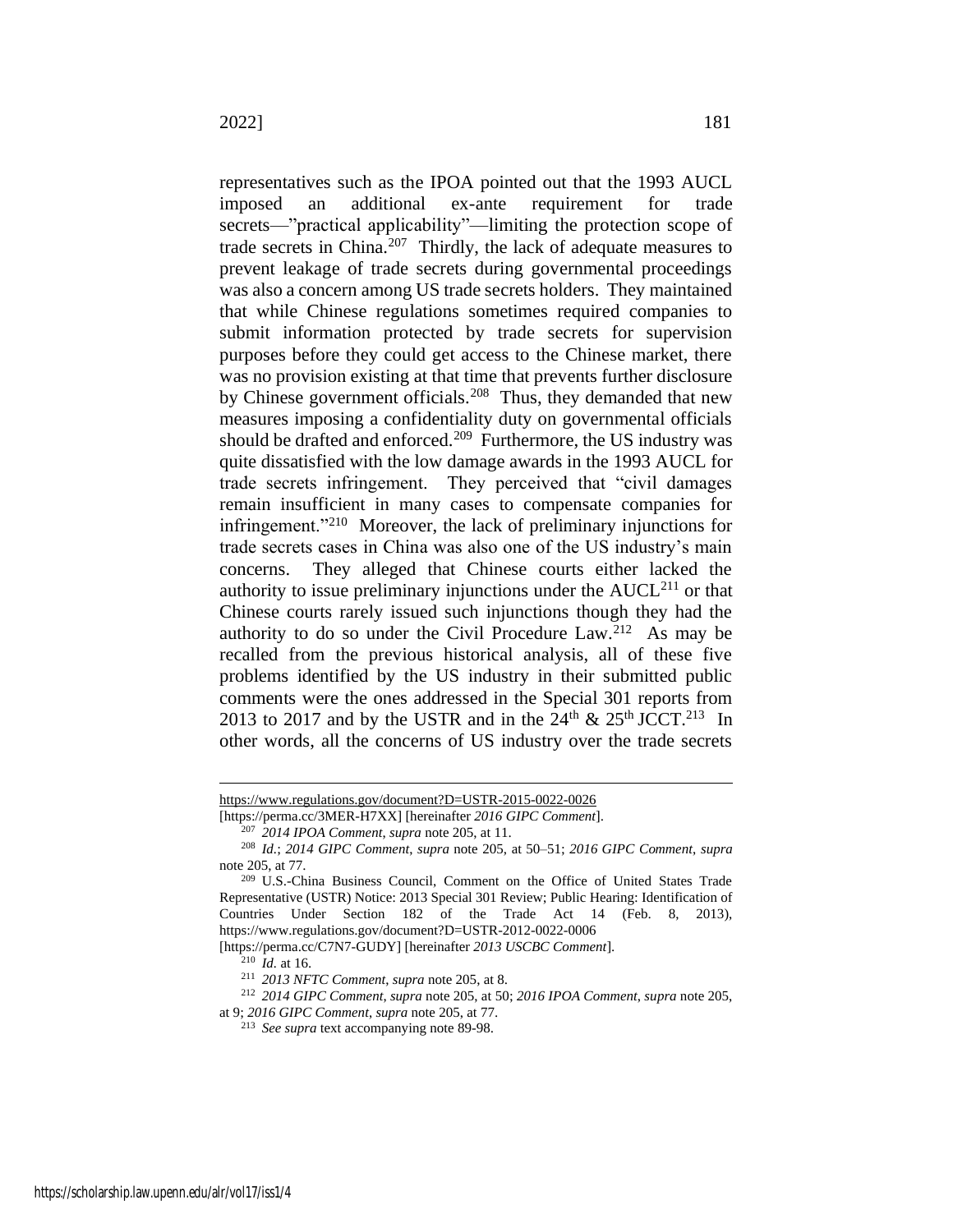representatives such as the IPOA pointed out that the 1993 AUCL imposed an additional ex-ante requirement for trade secrets—"practical applicability"—limiting the protection scope of trade secrets in China.<sup>207</sup> Thirdly, the lack of adequate measures to prevent leakage of trade secrets during governmental proceedings was also a concern among US trade secrets holders. They maintained that while Chinese regulations sometimes required companies to submit information protected by trade secrets for supervision purposes before they could get access to the Chinese market, there was no provision existing at that time that prevents further disclosure by Chinese government officials.<sup>208</sup> Thus, they demanded that new measures imposing a confidentiality duty on governmental officials should be drafted and enforced.<sup>209</sup> Furthermore, the US industry was quite dissatisfied with the low damage awards in the 1993 AUCL for trade secrets infringement. They perceived that "civil damages remain insufficient in many cases to compensate companies for infringement."<sup>210</sup> Moreover, the lack of preliminary injunctions for trade secrets cases in China was also one of the US industry's main concerns. They alleged that Chinese courts either lacked the authority to issue preliminary injunctions under the  $AUCL<sup>211</sup>$  or that Chinese courts rarely issued such injunctions though they had the authority to do so under the Civil Procedure  $Law.^{212}$ . As may be recalled from the previous historical analysis, all of these five problems identified by the US industry in their submitted public comments were the ones addressed in the Special 301 reports from 2013 to 2017 and by the USTR and in the  $24<sup>th</sup>$  &  $25<sup>th</sup>$  JCCT.<sup>213</sup> In other words, all the concerns of US industry over the trade secrets

[https://perma.cc/C7N7-GUDY] [hereinafter *2013 USCBC Comment*].

https://www.regulations.gov/document?D=USTR-2015-0022-0026

<sup>[</sup>https://perma.cc/3MER-H7XX] [hereinafter *2016 GIPC Comment*].

<sup>207</sup> *2014 IPOA Comment*, *supra* note 205, at 11.

<sup>208</sup> *Id.*; *2014 GIPC Comment*, *supra* note 205, at 50–51; *2016 GIPC Comment*, *supra* note 205, at 77.

<sup>209</sup> U.S.-China Business Council, Comment on the Office of United States Trade Representative (USTR) Notice: 2013 Special 301 Review; Public Hearing: Identification of Countries Under Section 182 of the Trade Act 14 (Feb. 8, 2013), https://www.regulations.gov/document?D=USTR-2012-0022-0006

<sup>210</sup> *Id.* at 16.

<sup>211</sup> *2013 NFTC Comment*, *supra* note 205, at 8.

<sup>212</sup> *2014 GIPC Comment*, *supra* note 205, at 50; *2016 IPOA Comment*, *supra* note 205, at 9; *2016 GIPC Comment*, *supra* note 205, at 77.

<sup>213</sup> *See supra* text accompanying note [89](#page-19-0)[-98.](#page-20-3)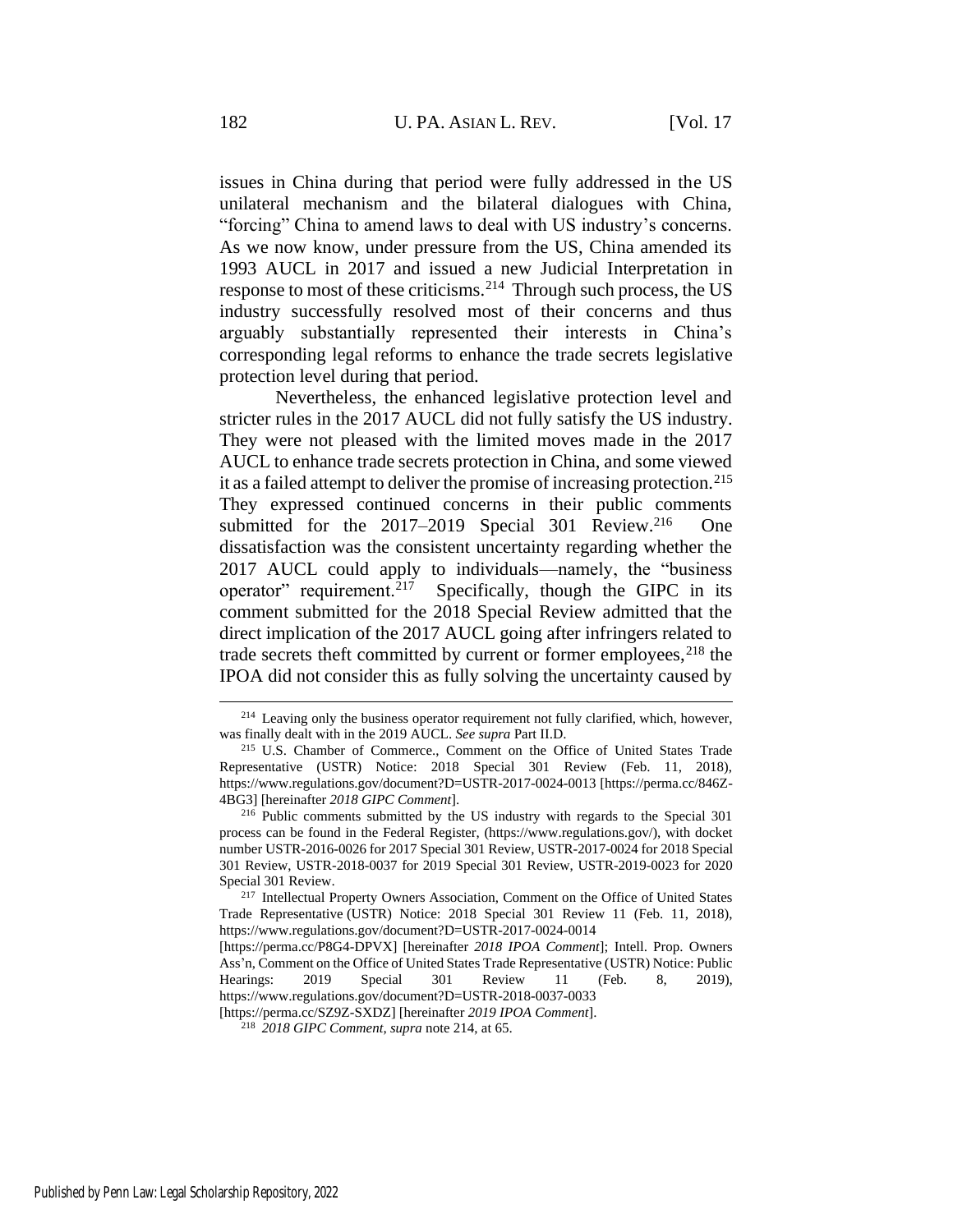issues in China during that period were fully addressed in the US unilateral mechanism and the bilateral dialogues with China, "forcing" China to amend laws to deal with US industry's concerns. As we now know, under pressure from the US, China amended its 1993 AUCL in 2017 and issued a new Judicial Interpretation in response to most of these criticisms.<sup>214</sup> Through such process, the US industry successfully resolved most of their concerns and thus arguably substantially represented their interests in China's corresponding legal reforms to enhance the trade secrets legislative protection level during that period.

<span id="page-44-1"></span>Nevertheless, the enhanced legislative protection level and stricter rules in the 2017 AUCL did not fully satisfy the US industry. They were not pleased with the limited moves made in the 2017 AUCL to enhance trade secrets protection in China, and some viewed it as a failed attempt to deliver the promise of increasing protection.<sup>215</sup> They expressed continued concerns in their public comments submitted for the 2017–2019 Special 301 Review.<sup>216</sup> One dissatisfaction was the consistent uncertainty regarding whether the 2017 AUCL could apply to individuals—namely, the "business operator" requirement.<sup>217</sup> Specifically, though the GIPC in its comment submitted for the 2018 Special Review admitted that the direct implication of the 2017 AUCL going after infringers related to trade secrets theft committed by current or former employees, $^{218}$  the IPOA did not consider this as fully solving the uncertainty caused by

[https://perma.cc/SZ9Z-SXDZ] [hereinafter *2019 IPOA Comment*].

<span id="page-44-0"></span><sup>&</sup>lt;sup>214</sup> Leaving only the business operator requirement not fully clarified, which, however, was finally dealt with in the 2019 AUCL. *See supra* Part II.D.

<sup>215</sup> U.S. Chamber of Commerce., Comment on the Office of United States Trade Representative (USTR) Notice: 2018 Special 301 Review (Feb. 11, 2018), https://www.regulations.gov/document?D=USTR-2017-0024-0013 [https://perma.cc/846Z-4BG3] [hereinafter *2018 GIPC Comment*].

<sup>216</sup> Public comments submitted by the US industry with regards to the Special 301 process can be found in the Federal Register, (https://www.regulations.gov/), with docket number USTR-2016-0026 for 2017 Special 301 Review, USTR-2017-0024 for 2018 Special 301 Review, USTR-2018-0037 for 2019 Special 301 Review, USTR-2019-0023 for 2020 Special 301 Review.

<sup>217</sup> Intellectual Property Owners Association, Comment on the Office of United States Trade Representative (USTR) Notice: 2018 Special 301 Review 11 (Feb. 11, 2018), https://www.regulations.gov/document?D=USTR-2017-0024-0014

<sup>[</sup>https://perma.cc/P8G4-DPVX] [hereinafter *2018 IPOA Comment*]; Intell. Prop. Owners Ass'n, Comment on the Office of United States Trade Representative (USTR) Notice: Public Hearings: 2019 Special 301 Review 11 (Feb. 8, 2019), https://www.regulations.gov/document?D=USTR-2018-0037-0033

<sup>218</sup> *2018 GIPC Comment*, *supra* note 214, at 65.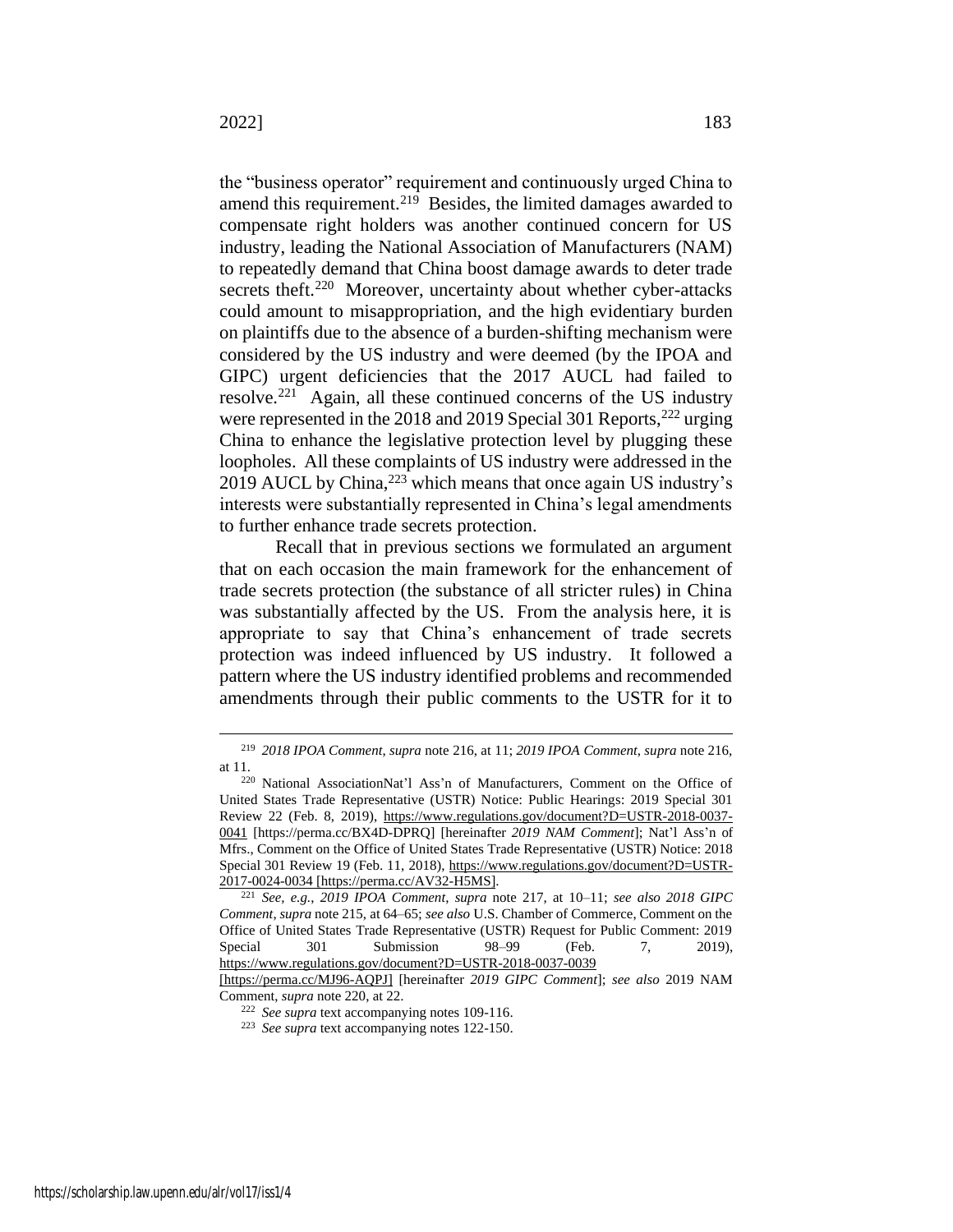<span id="page-45-0"></span>the "business operator" requirement and continuously urged China to amend this requirement.<sup>219</sup> Besides, the limited damages awarded to compensate right holders was another continued concern for US industry, leading the National Association of Manufacturers (NAM) to repeatedly demand that China boost damage awards to deter trade secrets theft.<sup>220</sup> Moreover, uncertainty about whether cyber-attacks could amount to misappropriation, and the high evidentiary burden on plaintiffs due to the absence of a burden-shifting mechanism were considered by the US industry and were deemed (by the IPOA and GIPC) urgent deficiencies that the 2017 AUCL had failed to resolve.<sup>221</sup> Again, all these continued concerns of the US industry were represented in the 2018 and 2019 Special 301 Reports,<sup>222</sup> urging China to enhance the legislative protection level by plugging these loopholes. All these complaints of US industry were addressed in the 2019 AUCL by China, <sup>223</sup> which means that once again US industry's interests were substantially represented in China's legal amendments to further enhance trade secrets protection.

Recall that in previous sections we formulated an argument that on each occasion the main framework for the enhancement of trade secrets protection (the substance of all stricter rules) in China was substantially affected by the US. From the analysis here, it is appropriate to say that China's enhancement of trade secrets protection was indeed influenced by US industry. It followed a pattern where the US industry identified problems and recommended amendments through their public comments to the USTR for it to

<sup>219</sup> *2018 IPOA Comment*, *supra* note 216, at 11; *2019 IPOA Comment*, *supra* note 216, at 11.

<sup>220</sup> National AssociationNat'l Ass'n of Manufacturers, Comment on the Office of United States Trade Representative (USTR) Notice: Public Hearings: 2019 Special 301 Review 22 (Feb. 8, 2019), https://www.regulations.gov/document?D=USTR-2018-0037- 0041 [https://perma.cc/BX4D-DPRQ] [hereinafter *2019 NAM Comment*]; Nat'l Ass'n of Mfrs., Comment on the Office of United States Trade Representative (USTR) Notice: 2018 Special 301 Review 19 (Feb. 11, 2018), https://www.regulations.gov/document?D=USTR-2017-0024-0034 [https://perma.cc/AV32-H5MS].

<sup>221</sup> *See, e.g.*, *2019 IPOA Comment*, *supra* note [217,](#page-44-0) at 10–11; *see also 2018 GIPC Comment*, *supra* note [215,](#page-44-1) at 64–65; *see also* U.S. Chamber of Commerce, Comment on the Office of United States Trade Representative (USTR) Request for Public Comment: 2019 Special 301 Submission 98–99 (Feb. 7, 2019), https://www.regulations.gov/document?D=USTR-2018-0037-0039

<sup>[</sup>https://perma.cc/MJ96-AQPJ] [hereinafter *2019 GIPC Comment*]; *see also* 2019 NAM Comment, *supra* not[e 220,](#page-45-0) at 22.

<sup>222</sup> *See supra* text accompanying note[s 109](#page-23-2)[-116.](#page-24-3)

<sup>223</sup> *See supra* text accompanying note[s 122](#page-24-4)[-150.](#page-29-0)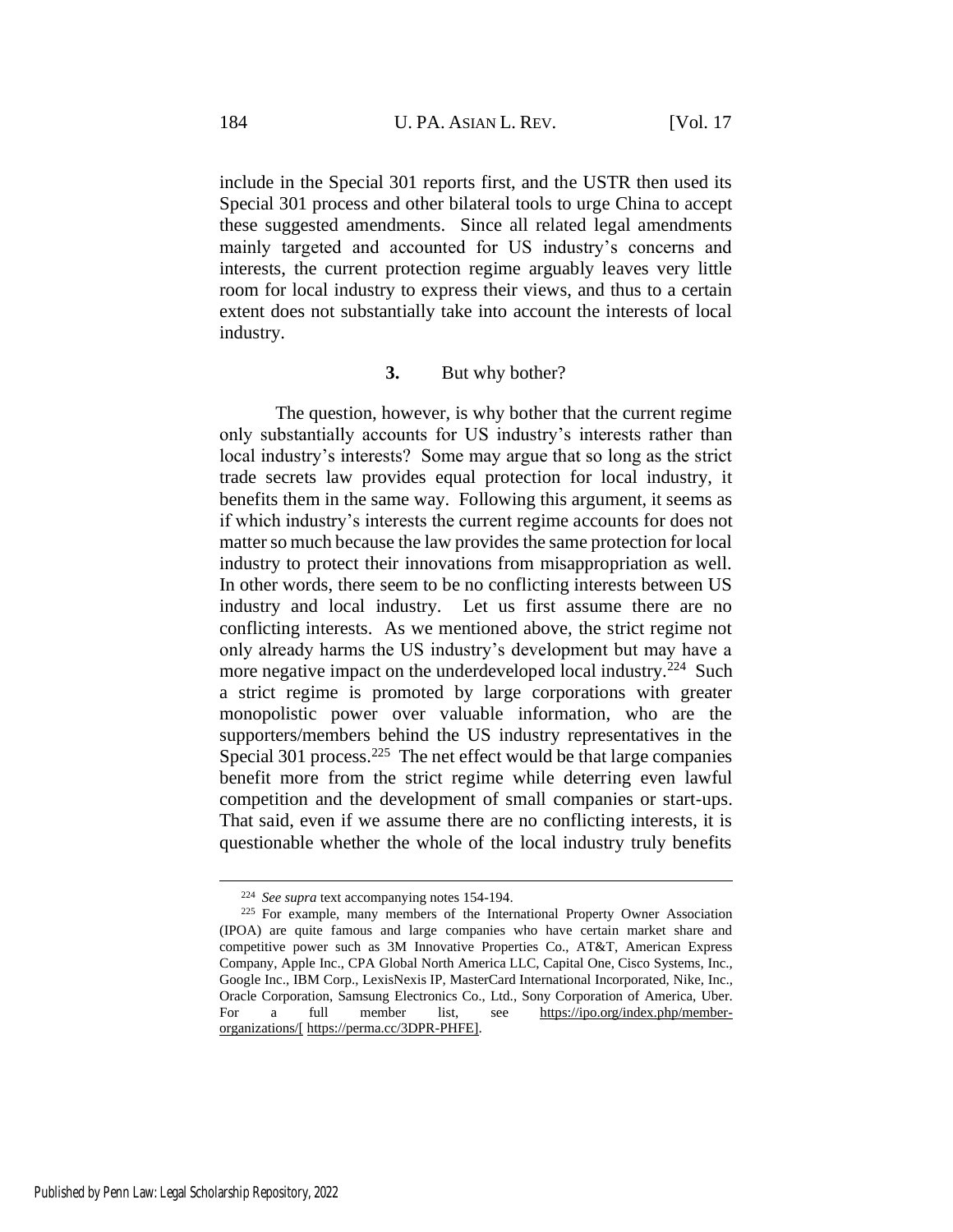include in the Special 301 reports first, and the USTR then used its Special 301 process and other bilateral tools to urge China to accept these suggested amendments. Since all related legal amendments mainly targeted and accounted for US industry's concerns and interests, the current protection regime arguably leaves very little room for local industry to express their views, and thus to a certain extent does not substantially take into account the interests of local industry.

#### **3.** But why bother?

The question, however, is why bother that the current regime only substantially accounts for US industry's interests rather than local industry's interests? Some may argue that so long as the strict trade secrets law provides equal protection for local industry, it benefits them in the same way. Following this argument, it seems as if which industry's interests the current regime accounts for does not matter so much because the law provides the same protection for local industry to protect their innovations from misappropriation as well. In other words, there seem to be no conflicting interests between US industry and local industry. Let us first assume there are no conflicting interests. As we mentioned above, the strict regime not only already harms the US industry's development but may have a more negative impact on the underdeveloped local industry.<sup>224</sup> Such a strict regime is promoted by large corporations with greater monopolistic power over valuable information, who are the supporters/members behind the US industry representatives in the Special 301 process.<sup>225</sup> The net effect would be that large companies benefit more from the strict regime while deterring even lawful competition and the development of small companies or start-ups. That said, even if we assume there are no conflicting interests, it is questionable whether the whole of the local industry truly benefits

<sup>224</sup> *See supra* text accompanying note[s 154](#page-31-0)[-194.](#page-39-0)

<sup>&</sup>lt;sup>225</sup> For example, many members of the International Property Owner Association (IPOA) are quite famous and large companies who have certain market share and competitive power such as 3M Innovative Properties Co., AT&T, American Express Company, Apple Inc., CPA Global North America LLC, Capital One, Cisco Systems, Inc., Google Inc., IBM Corp., LexisNexis IP, MasterCard International Incorporated, Nike, Inc., Oracle Corporation, Samsung Electronics Co., Ltd., Sony Corporation of America, Uber. For a full member list, see https://ipo.org/index.php/memberorganizations/[ https://perma.cc/3DPR-PHFE].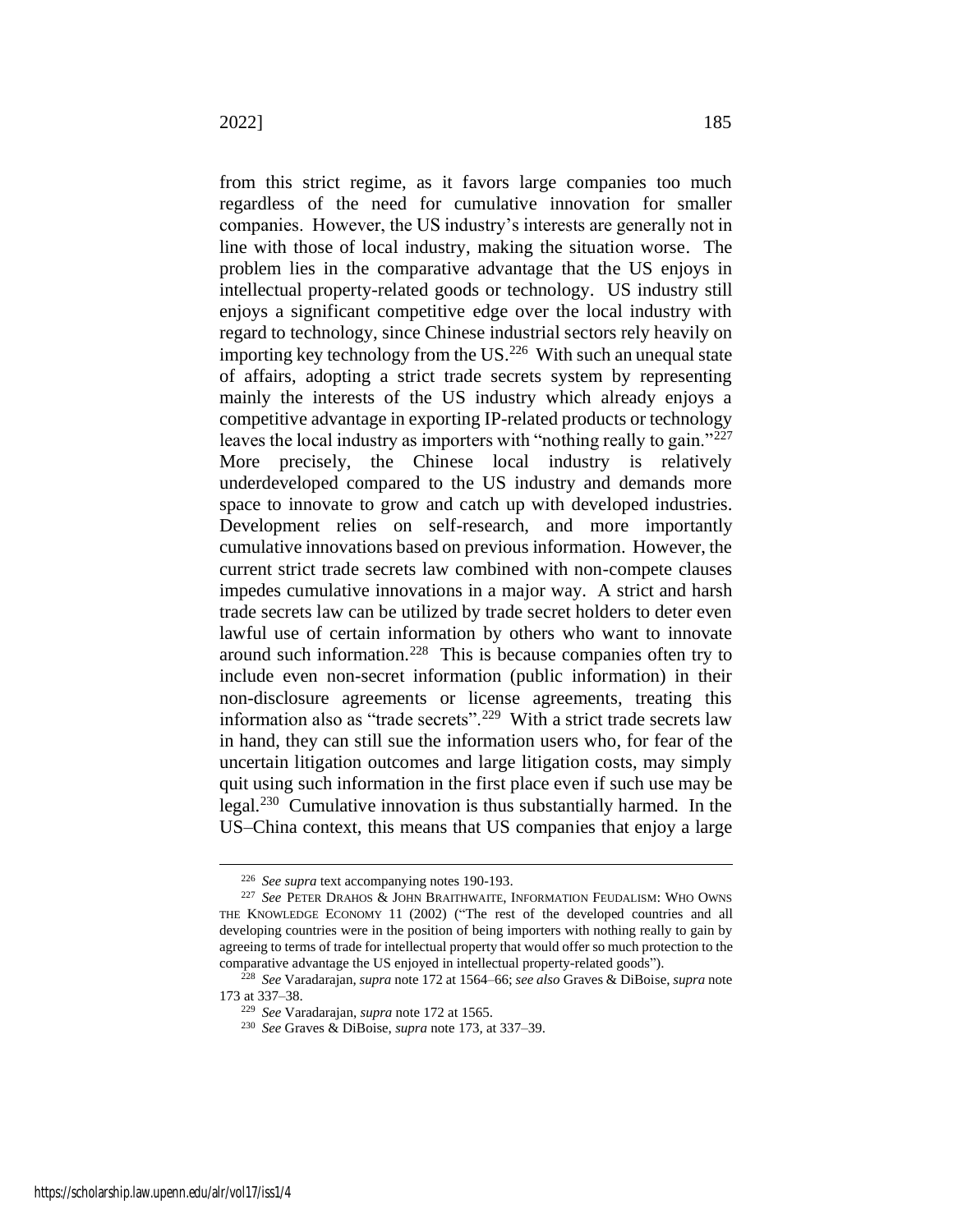<span id="page-47-0"></span>from this strict regime, as it favors large companies too much regardless of the need for cumulative innovation for smaller companies. However, the US industry's interests are generally not in line with those of local industry, making the situation worse. The problem lies in the comparative advantage that the US enjoys in intellectual property-related goods or technology. US industry still enjoys a significant competitive edge over the local industry with regard to technology, since Chinese industrial sectors rely heavily on importing key technology from the US. $226$  With such an unequal state of affairs, adopting a strict trade secrets system by representing mainly the interests of the US industry which already enjoys a competitive advantage in exporting IP-related products or technology leaves the local industry as importers with "nothing really to gain."<sup>227</sup> More precisely, the Chinese local industry is relatively underdeveloped compared to the US industry and demands more space to innovate to grow and catch up with developed industries. Development relies on self-research, and more importantly cumulative innovations based on previous information. However, the current strict trade secrets law combined with non-compete clauses impedes cumulative innovations in a major way. A strict and harsh trade secrets law can be utilized by trade secret holders to deter even lawful use of certain information by others who want to innovate around such information.<sup>228</sup> This is because companies often try to include even non-secret information (public information) in their non-disclosure agreements or license agreements, treating this information also as "trade secrets".<sup>229</sup> With a strict trade secrets law in hand, they can still sue the information users who, for fear of the uncertain litigation outcomes and large litigation costs, may simply quit using such information in the first place even if such use may be legal.<sup>230</sup> Cumulative innovation is thus substantially harmed. In the US–China context, this means that US companies that enjoy a large

<sup>226</sup> *See supra* text accompanying note[s 190](#page-38-0)[-193.](#page-38-1)

<sup>227</sup> *See* PETER DRAHOS & JOHN BRAITHWAITE, INFORMATION FEUDALISM: WHO OWNS THE KNOWLEDGE ECONOMY 11 (2002) ("The rest of the developed countries and all developing countries were in the position of being importers with nothing really to gain by agreeing to terms of trade for intellectual property that would offer so much protection to the comparative advantage the US enjoyed in intellectual property-related goods").

<sup>228</sup> *See* Varadarajan, *supra* not[e 172](#page-34-0) at 1564–66; *see also* Graves & DiBoise, *supra* note [173](#page-35-0) at 337–38.

<sup>229</sup> *See* Varadarajan, *supra* note [172](#page-34-0) at 1565.

<sup>230</sup> *See* Graves & DiBoise, *supra* not[e 173](#page-35-0)*,* at 337–39.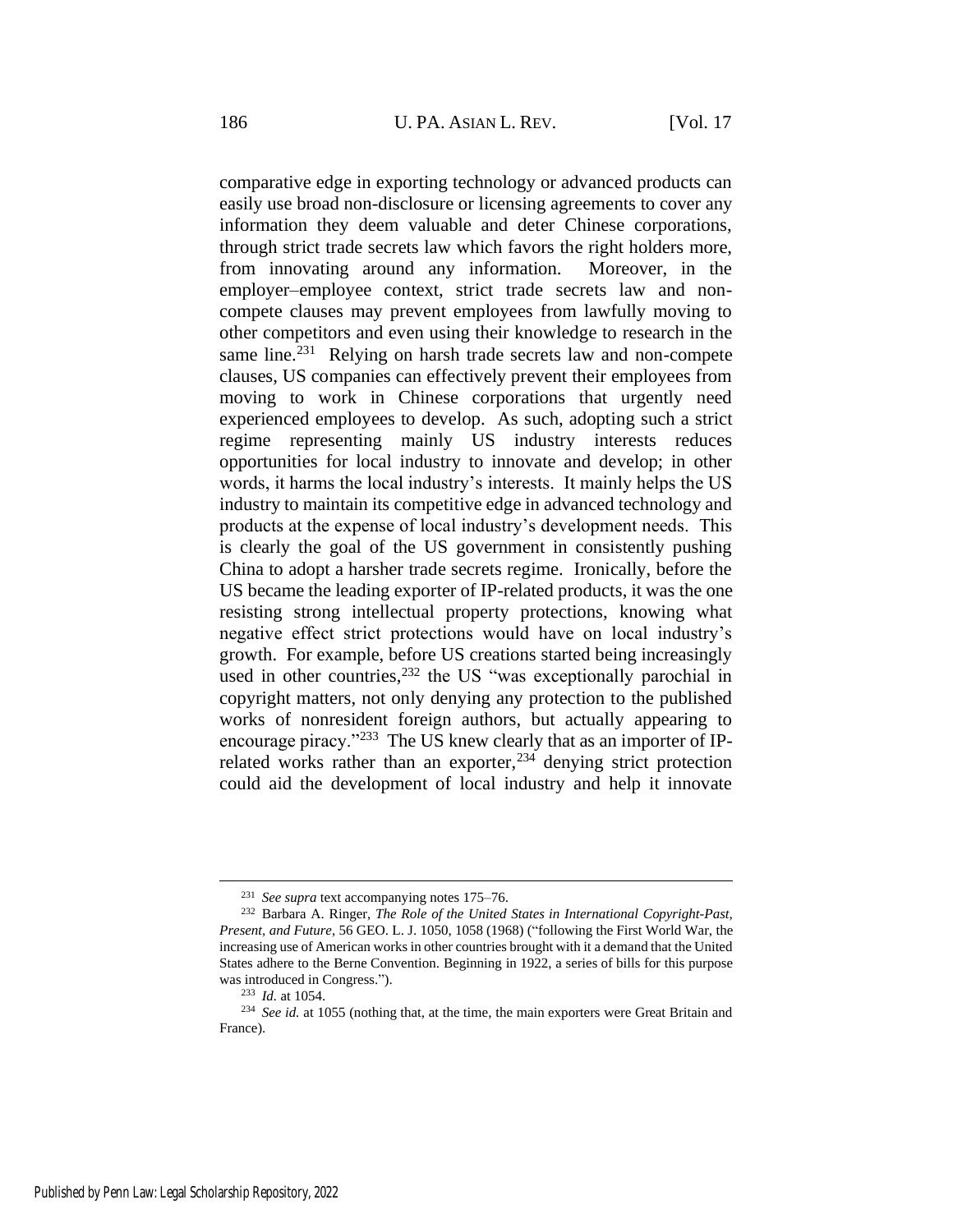comparative edge in exporting technology or advanced products can easily use broad non-disclosure or licensing agreements to cover any information they deem valuable and deter Chinese corporations, through strict trade secrets law which favors the right holders more, from innovating around any information. Moreover, in the employer–employee context, strict trade secrets law and noncompete clauses may prevent employees from lawfully moving to other competitors and even using their knowledge to research in the same line.<sup>231</sup> Relying on harsh trade secrets law and non-compete clauses, US companies can effectively prevent their employees from moving to work in Chinese corporations that urgently need experienced employees to develop. As such, adopting such a strict regime representing mainly US industry interests reduces opportunities for local industry to innovate and develop; in other words, it harms the local industry's interests. It mainly helps the US industry to maintain its competitive edge in advanced technology and products at the expense of local industry's development needs. This is clearly the goal of the US government in consistently pushing China to adopt a harsher trade secrets regime. Ironically, before the US became the leading exporter of IP-related products, it was the one resisting strong intellectual property protections, knowing what negative effect strict protections would have on local industry's growth. For example, before US creations started being increasingly used in other countries,  $232$  the US "was exceptionally parochial in copyright matters, not only denying any protection to the published works of nonresident foreign authors, but actually appearing to encourage piracy."<sup>233</sup> The US knew clearly that as an importer of IPrelated works rather than an exporter,  $234$  denying strict protection could aid the development of local industry and help it innovate

<sup>231</sup> *See supra* text accompanying note[s 175–](#page-35-2)76.

<sup>232</sup> Barbara A. Ringer, *The Role of the United States in International Copyright-Past, Present, and Future*, 56 GEO. L. J. 1050, 1058 (1968) ("following the First World War, the increasing use of American works in other countries brought with it a demand that the United States adhere to the Berne Convention. Beginning in 1922, a series of bills for this purpose was introduced in Congress.").

<sup>233</sup> *Id.* at 1054.

<sup>234</sup> *See id.* at 1055 (nothing that, at the time, the main exporters were Great Britain and France).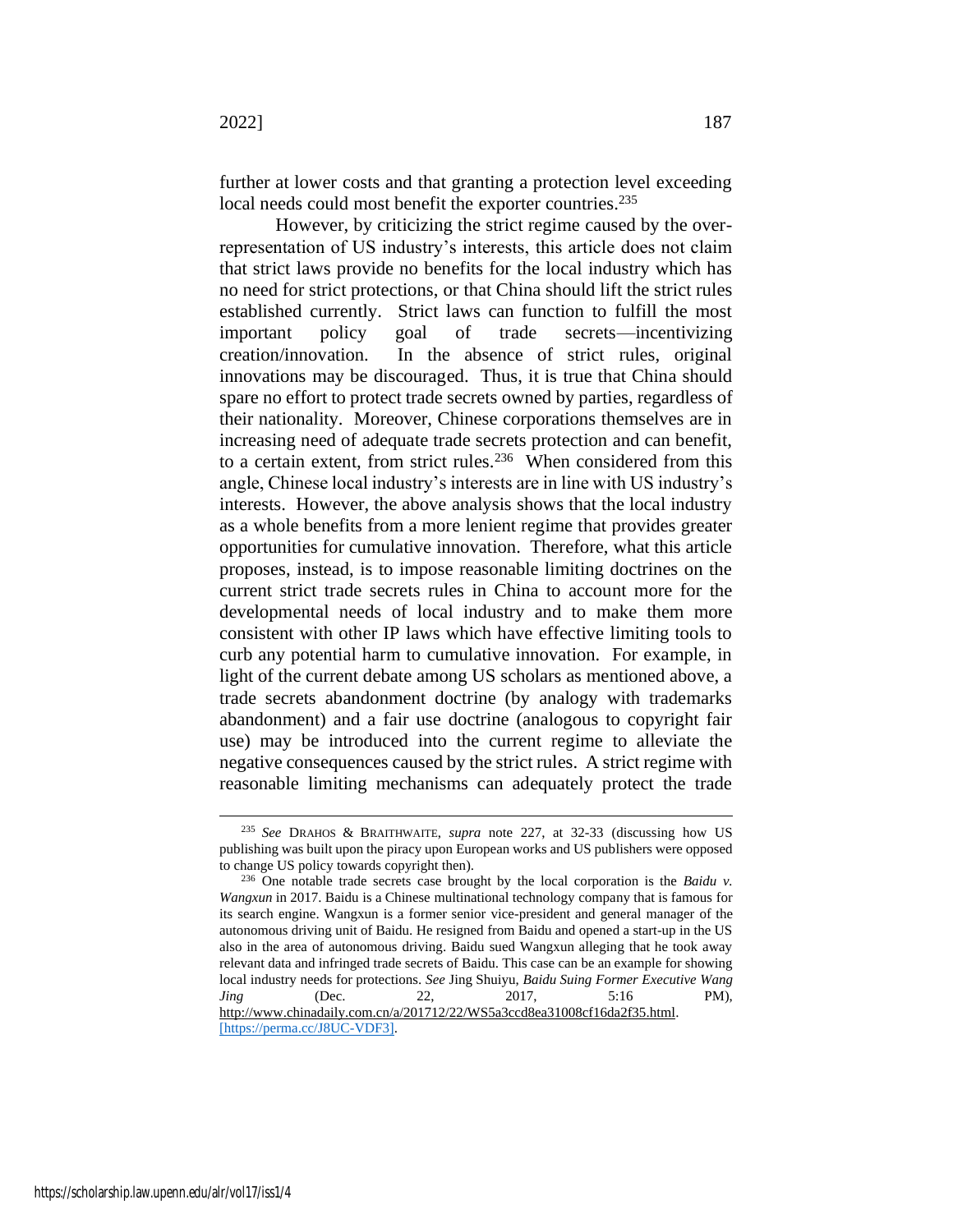further at lower costs and that granting a protection level exceeding local needs could most benefit the exporter countries.<sup>235</sup>

However, by criticizing the strict regime caused by the overrepresentation of US industry's interests, this article does not claim that strict laws provide no benefits for the local industry which has no need for strict protections, or that China should lift the strict rules established currently. Strict laws can function to fulfill the most important policy goal of trade secrets—incentivizing creation/innovation. In the absence of strict rules, original innovations may be discouraged. Thus, it is true that China should spare no effort to protect trade secrets owned by parties, regardless of their nationality. Moreover, Chinese corporations themselves are in increasing need of adequate trade secrets protection and can benefit, to a certain extent, from strict rules.<sup>236</sup> When considered from this angle, Chinese local industry's interests are in line with US industry's interests. However, the above analysis shows that the local industry as a whole benefits from a more lenient regime that provides greater opportunities for cumulative innovation. Therefore, what this article proposes, instead, is to impose reasonable limiting doctrines on the current strict trade secrets rules in China to account more for the developmental needs of local industry and to make them more consistent with other IP laws which have effective limiting tools to curb any potential harm to cumulative innovation. For example, in light of the current debate among US scholars as mentioned above, a trade secrets abandonment doctrine (by analogy with trademarks abandonment) and a fair use doctrine (analogous to copyright fair use) may be introduced into the current regime to alleviate the negative consequences caused by the strict rules. A strict regime with reasonable limiting mechanisms can adequately protect the trade

<sup>235</sup> *See* DRAHOS & BRAITHWAITE, *supra* note [227,](#page-47-0) at 32-33 (discussing how US publishing was built upon the piracy upon European works and US publishers were opposed to change US policy towards copyright then).

<sup>236</sup> One notable trade secrets case brought by the local corporation is the *Baidu v. Wangxun* in 2017. Baidu is a Chinese multinational technology company that is famous for its search engine. Wangxun is a former senior vice-president and general manager of the autonomous driving unit of Baidu. He resigned from Baidu and opened a start-up in the US also in the area of autonomous driving. Baidu sued Wangxun alleging that he took away relevant data and infringed trade secrets of Baidu. This case can be an example for showing local industry needs for protections. *See* Jing Shuiyu, *Baidu Suing Former Executive Wang Jing* (Dec. 22, 2017, 5:16 PM), http://www.chinadaily.com.cn/a/201712/22/WS5a3ccd8ea31008cf16da2f35.html. [https://perma.cc/J8UC-VDF3].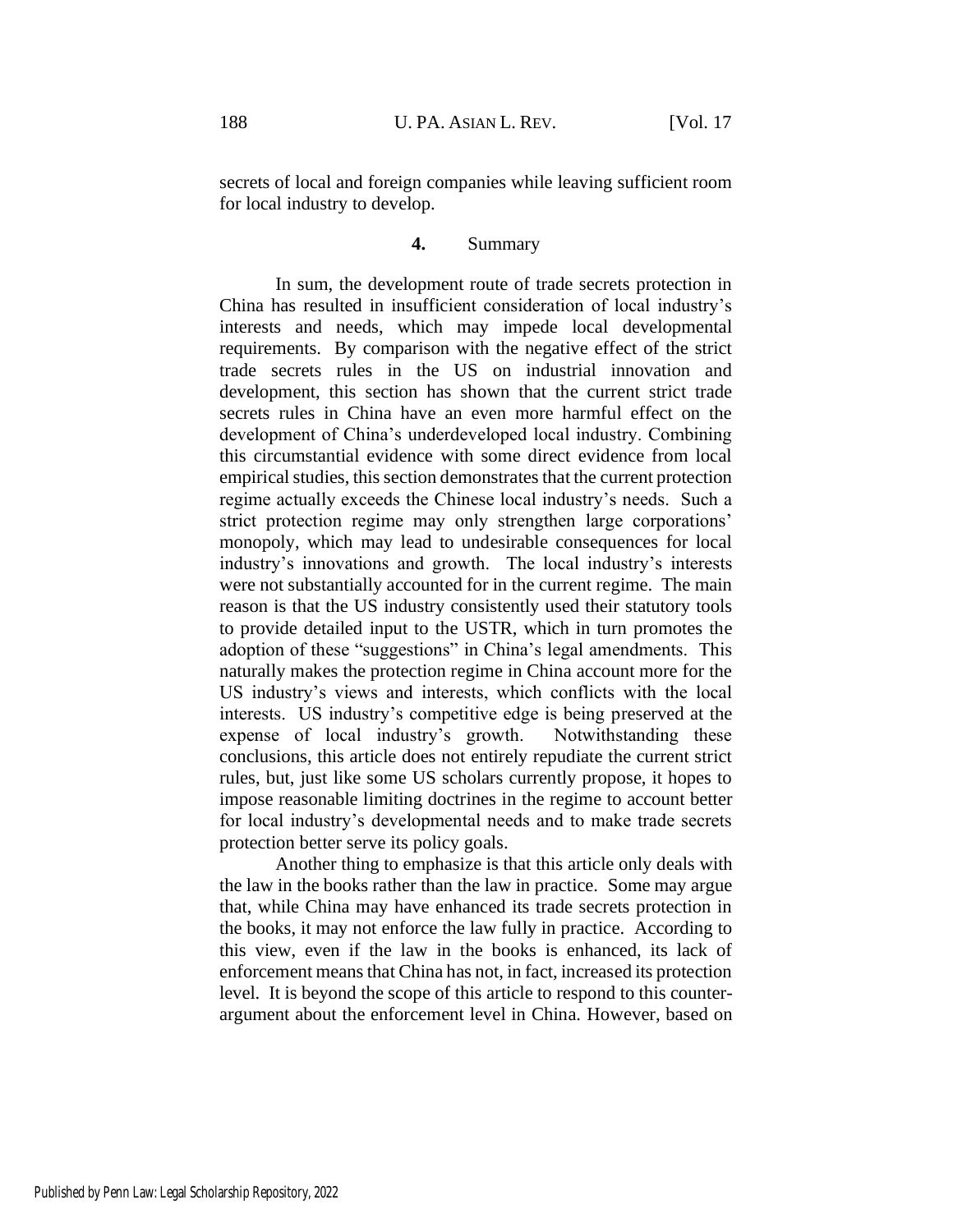secrets of local and foreign companies while leaving sufficient room for local industry to develop.

# **4.** Summary

In sum, the development route of trade secrets protection in China has resulted in insufficient consideration of local industry's interests and needs, which may impede local developmental requirements. By comparison with the negative effect of the strict trade secrets rules in the US on industrial innovation and development, this section has shown that the current strict trade secrets rules in China have an even more harmful effect on the development of China's underdeveloped local industry. Combining this circumstantial evidence with some direct evidence from local empirical studies, this section demonstrates that the current protection regime actually exceeds the Chinese local industry's needs. Such a strict protection regime may only strengthen large corporations' monopoly, which may lead to undesirable consequences for local industry's innovations and growth. The local industry's interests were not substantially accounted for in the current regime. The main reason is that the US industry consistently used their statutory tools to provide detailed input to the USTR, which in turn promotes the adoption of these "suggestions" in China's legal amendments. This naturally makes the protection regime in China account more for the US industry's views and interests, which conflicts with the local interests. US industry's competitive edge is being preserved at the expense of local industry's growth. Notwithstanding these conclusions, this article does not entirely repudiate the current strict rules, but, just like some US scholars currently propose, it hopes to impose reasonable limiting doctrines in the regime to account better for local industry's developmental needs and to make trade secrets protection better serve its policy goals.

Another thing to emphasize is that this article only deals with the law in the books rather than the law in practice. Some may argue that, while China may have enhanced its trade secrets protection in the books, it may not enforce the law fully in practice. According to this view, even if the law in the books is enhanced, its lack of enforcement means that China has not, in fact, increased its protection level. It is beyond the scope of this article to respond to this counterargument about the enforcement level in China. However, based on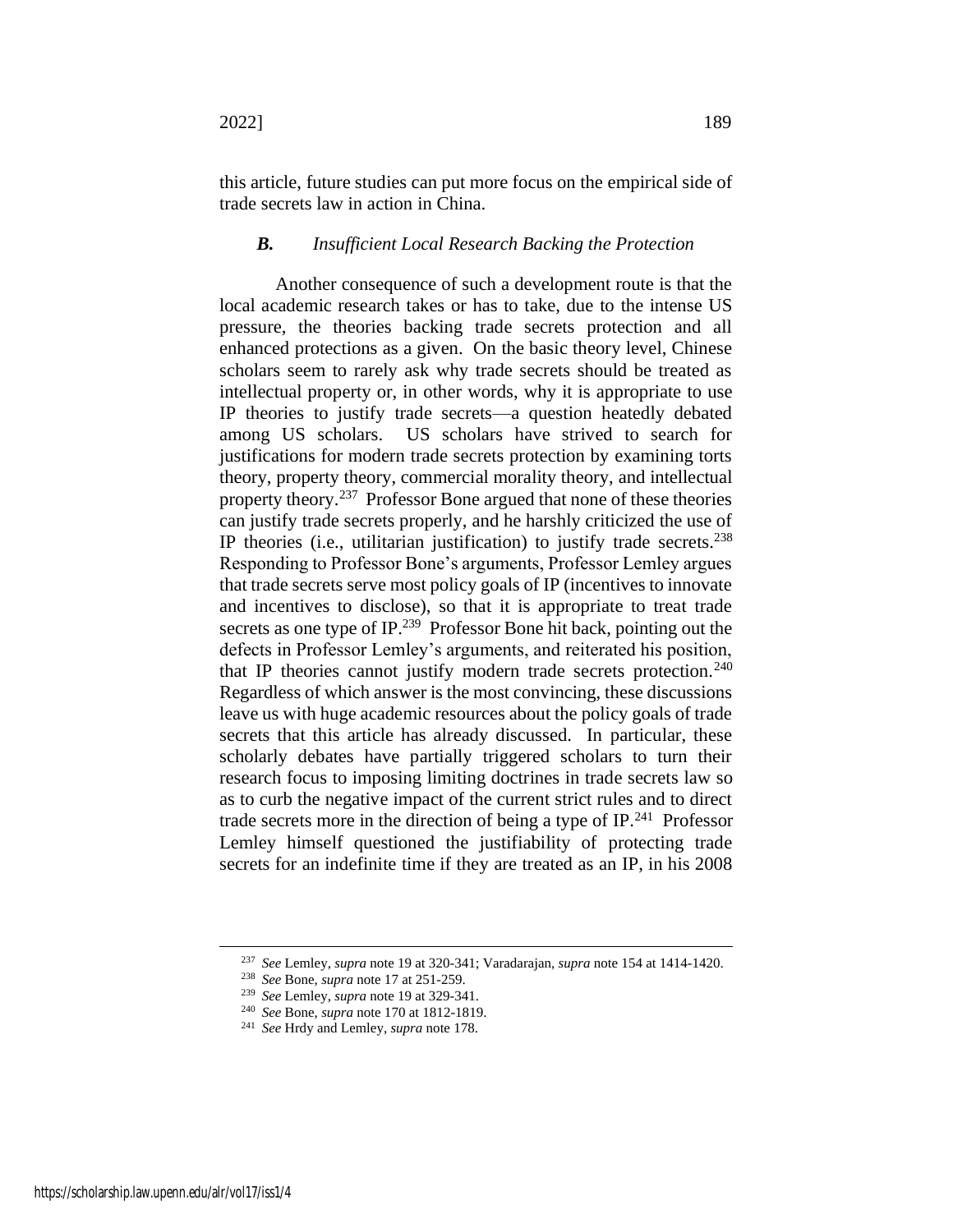this article, future studies can put more focus on the empirical side of trade secrets law in action in China.

# *B. Insufficient Local Research Backing the Protection*

Another consequence of such a development route is that the local academic research takes or has to take, due to the intense US pressure, the theories backing trade secrets protection and all enhanced protections as a given. On the basic theory level, Chinese scholars seem to rarely ask why trade secrets should be treated as intellectual property or, in other words, why it is appropriate to use IP theories to justify trade secrets—a question heatedly debated among US scholars. US scholars have strived to search for justifications for modern trade secrets protection by examining torts theory, property theory, commercial morality theory, and intellectual property theory.<sup>237</sup> Professor Bone argued that none of these theories can justify trade secrets properly, and he harshly criticized the use of IP theories (i.e., utilitarian justification) to justify trade secrets.<sup>238</sup> Responding to Professor Bone's arguments, Professor Lemley argues that trade secrets serve most policy goals of IP (incentives to innovate and incentives to disclose), so that it is appropriate to treat trade secrets as one type of IP.<sup>239</sup> Professor Bone hit back, pointing out the defects in Professor Lemley's arguments, and reiterated his position, that IP theories cannot justify modern trade secrets protection.<sup>240</sup> Regardless of which answer is the most convincing, these discussions leave us with huge academic resources about the policy goals of trade secrets that this article has already discussed. In particular, these scholarly debates have partially triggered scholars to turn their research focus to imposing limiting doctrines in trade secrets law so as to curb the negative impact of the current strict rules and to direct trade secrets more in the direction of being a type of IP.<sup>241</sup> Professor Lemley himself questioned the justifiability of protecting trade secrets for an indefinite time if they are treated as an IP, in his 2008

<sup>237</sup> *See* Lemley, *supra* not[e 19](#page-6-0) at 320-341; Varadarajan, *supra* not[e 154](#page-31-0) at 1414-1420.

<sup>238</sup> *See* Bone, *supra* note [17](#page-6-2) at 251-259.

<sup>239</sup> *See* Lemley, *supra* not[e 19](#page-6-0) at 329-341.

<sup>240</sup> *See* Bone, *supra* note [170](#page-34-1) at 1812-1819.

<sup>241</sup> *See* Hrdy and Lemley, *supra* not[e 178.](#page-35-3)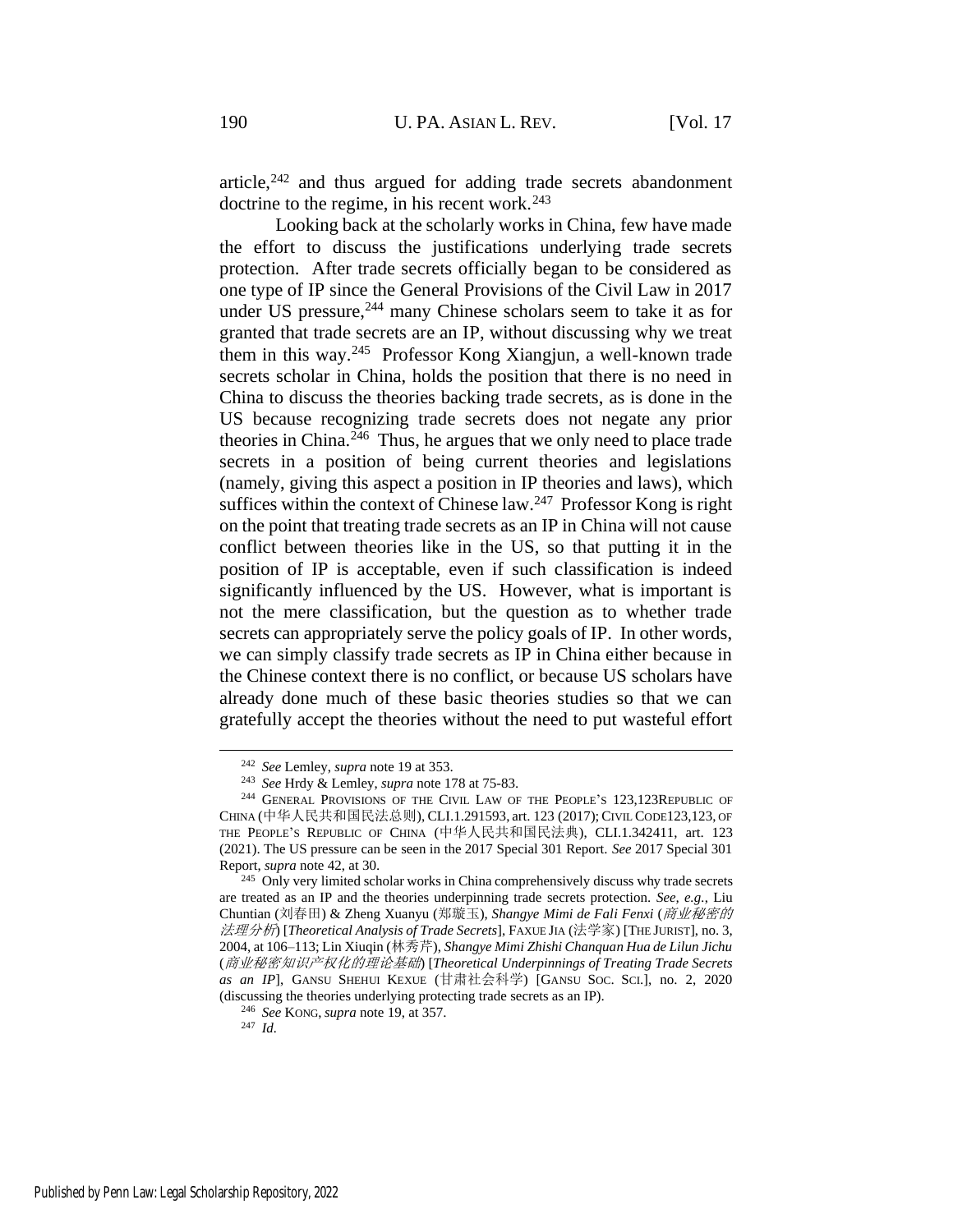article, $242$  and thus argued for adding trade secrets abandonment doctrine to the regime, in his recent work. $243$ 

Looking back at the scholarly works in China, few have made the effort to discuss the justifications underlying trade secrets protection. After trade secrets officially began to be considered as one type of IP since the General Provisions of the Civil Law in 2017 under US pressure,<sup>244</sup> many Chinese scholars seem to take it as for granted that trade secrets are an IP, without discussing why we treat them in this way.<sup>245</sup> Professor Kong Xiangjun, a well-known trade secrets scholar in China, holds the position that there is no need in China to discuss the theories backing trade secrets, as is done in the US because recognizing trade secrets does not negate any prior theories in China.<sup>246</sup> Thus, he argues that we only need to place trade secrets in a position of being current theories and legislations (namely, giving this aspect a position in IP theories and laws), which suffices within the context of Chinese  $law.<sup>247</sup>$  Professor Kong is right on the point that treating trade secrets as an IP in China will not cause conflict between theories like in the US, so that putting it in the position of IP is acceptable, even if such classification is indeed significantly influenced by the US. However, what is important is not the mere classification, but the question as to whether trade secrets can appropriately serve the policy goals of IP. In other words, we can simply classify trade secrets as IP in China either because in the Chinese context there is no conflict, or because US scholars have already done much of these basic theories studies so that we can gratefully accept the theories without the need to put wasteful effort

<sup>242</sup> *See* Lemley, *supra* not[e 19](#page-6-0) at 353.

<sup>243</sup> *See* Hrdy & Lemley, *supra* not[e 178](#page-35-3) at 75-83.

<sup>&</sup>lt;sup>244</sup> GENERAL PROVISIONS OF THE CIVIL LAW OF THE PEOPLE'S 123,123REPUBLIC OF CHINA (中华人民共和国民法总则), CLI.1.291593, art. 123 (2017); CIVIL CODE123,123, OF THE PEOPLE'S REPUBLIC OF CHINA (中华人民共和国民法典), CLI.1.342411, art. 123 (2021). The US pressure can be seen in the 2017 Special 301 Report. *See* 2017 Special 301 Report, *supra* not[e 42,](#page-10-0) at 30.

<sup>&</sup>lt;sup>245</sup> Only very limited scholar works in China comprehensively discuss why trade secrets are treated as an IP and the theories underpinning trade secrets protection. *See, e.g.*, Liu Chuntian (刘春田) & Zheng Xuanyu (郑璇玉), *Shangye Mimi de Fali Fenxi* (商业秘密的 法理分析) [*Theoretical Analysis of Trade Secrets*], FAXUE JIA (法学家) [THE JURIST], no. 3, 2004, at 106–113; Lin Xiuqin (林秀芹), *Shangye Mimi Zhishi Chanquan Hua de Lilun Jichu* (商业秘密知识产权化的理论基础) [*Theoretical Underpinnings of Treating Trade Secrets as an IP*], GANSU SHEHUI KEXUE (甘肃社会科学) [GANSU SOC. SCI.], no. 2, 2020 (discussing the theories underlying protecting trade secrets as an IP).

<sup>246</sup> *See* KONG, *supra* note [19,](#page-6-0) at 357.

<sup>247</sup> *Id.*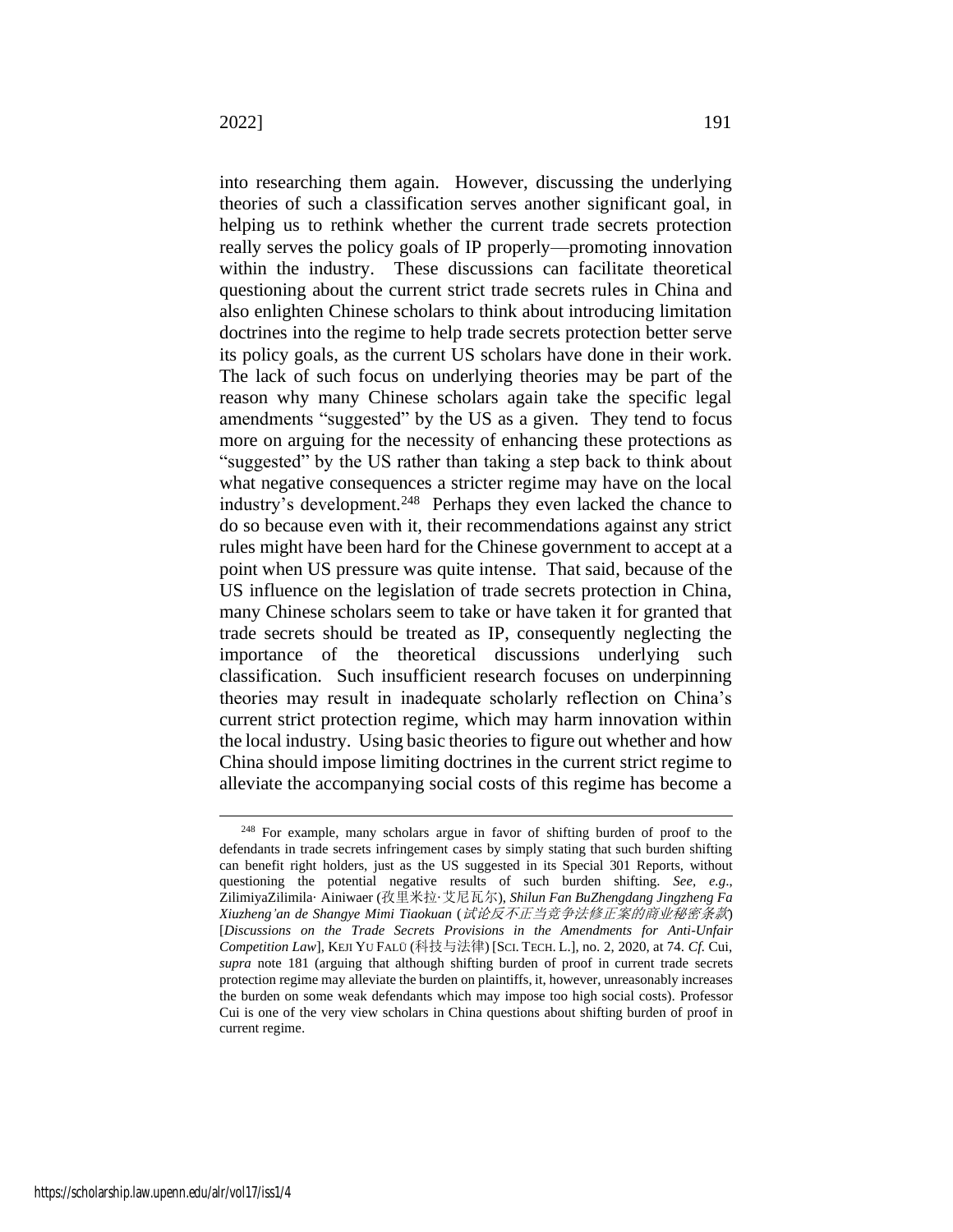into researching them again. However, discussing the underlying theories of such a classification serves another significant goal, in helping us to rethink whether the current trade secrets protection really serves the policy goals of IP properly—promoting innovation within the industry. These discussions can facilitate theoretical questioning about the current strict trade secrets rules in China and also enlighten Chinese scholars to think about introducing limitation doctrines into the regime to help trade secrets protection better serve its policy goals, as the current US scholars have done in their work. The lack of such focus on underlying theories may be part of the reason why many Chinese scholars again take the specific legal amendments "suggested" by the US as a given. They tend to focus more on arguing for the necessity of enhancing these protections as "suggested" by the US rather than taking a step back to think about what negative consequences a stricter regime may have on the local industry's development.<sup>248</sup> Perhaps they even lacked the chance to do so because even with it, their recommendations against any strict rules might have been hard for the Chinese government to accept at a point when US pressure was quite intense. That said, because of the US influence on the legislation of trade secrets protection in China, many Chinese scholars seem to take or have taken it for granted that trade secrets should be treated as IP, consequently neglecting the importance of the theoretical discussions underlying such classification. Such insufficient research focuses on underpinning theories may result in inadequate scholarly reflection on China's current strict protection regime, which may harm innovation within the local industry. Using basic theories to figure out whether and how China should impose limiting doctrines in the current strict regime to alleviate the accompanying social costs of this regime has become a

<sup>&</sup>lt;sup>248</sup> For example, many scholars argue in favor of shifting burden of proof to the defendants in trade secrets infringement cases by simply stating that such burden shifting can benefit right holders, just as the US suggested in its Special 301 Reports, without questioning the potential negative results of such burden shifting. *See, e.g*., ZilimiyaZilimila· Ainiwaer (孜里米拉·艾尼瓦尔), *Shilun Fan BuZhengdang Jingzheng Fa Xiuzheng'an de Shangye Mimi Tiaokuan* (试论反不正当竞争法修正案的商业秘密条款) [*Discussions on the Trade Secrets Provisions in the Amendments for Anti-Unfair Competition Law*], KEJI YU FALÜ (科技与法律) [SCI. TECH. L.], no. 2, 2020, at 74. *Cf.* Cui, *supra* note [181](#page-36-0) (arguing that although shifting burden of proof in current trade secrets protection regime may alleviate the burden on plaintiffs, it, however, unreasonably increases the burden on some weak defendants which may impose too high social costs). Professor Cui is one of the very view scholars in China questions about shifting burden of proof in current regime.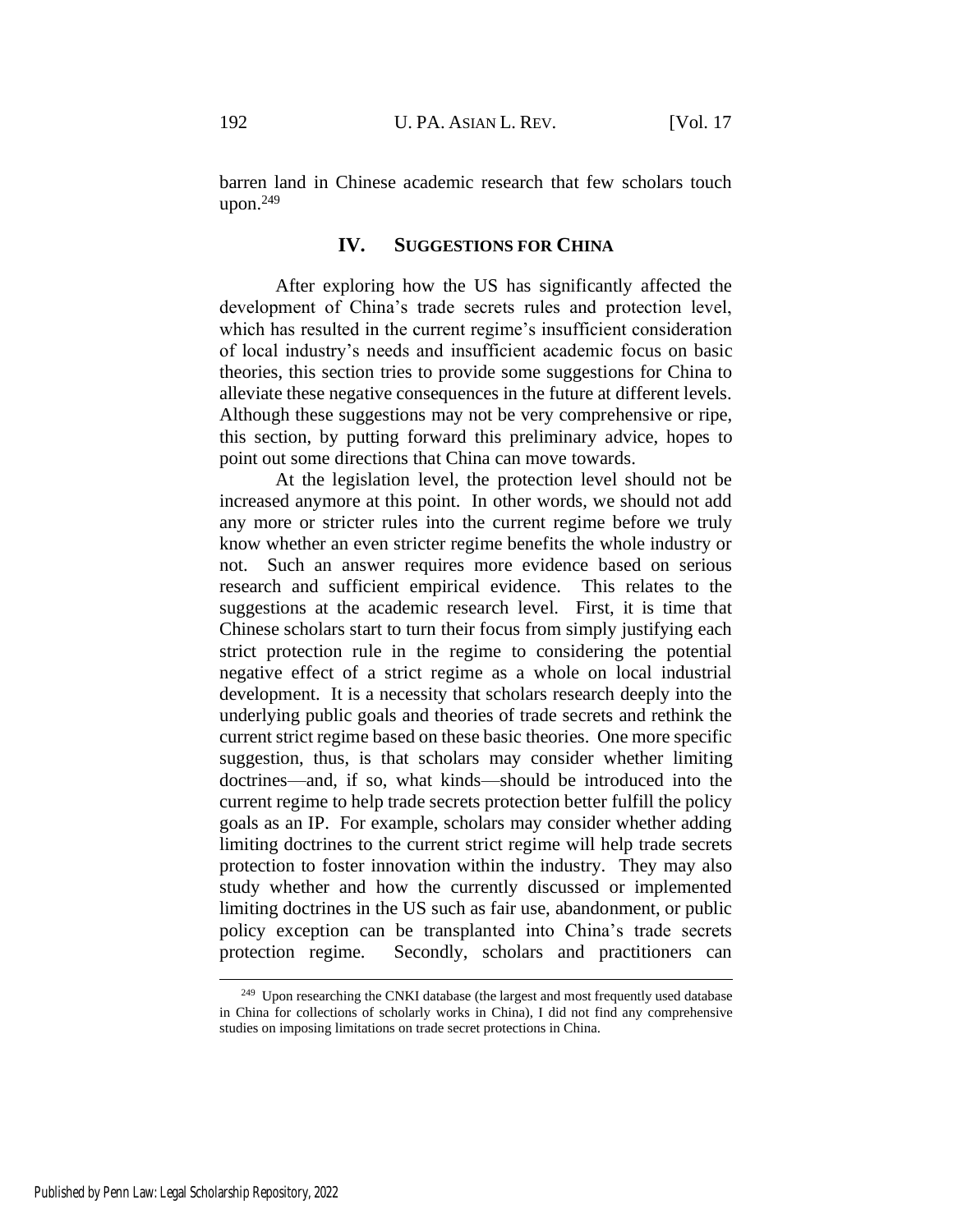barren land in Chinese academic research that few scholars touch upon. $249$ 

# **IV. SUGGESTIONS FOR CHINA**

After exploring how the US has significantly affected the development of China's trade secrets rules and protection level, which has resulted in the current regime's insufficient consideration of local industry's needs and insufficient academic focus on basic theories, this section tries to provide some suggestions for China to alleviate these negative consequences in the future at different levels. Although these suggestions may not be very comprehensive or ripe, this section, by putting forward this preliminary advice, hopes to point out some directions that China can move towards.

At the legislation level, the protection level should not be increased anymore at this point. In other words, we should not add any more or stricter rules into the current regime before we truly know whether an even stricter regime benefits the whole industry or not. Such an answer requires more evidence based on serious research and sufficient empirical evidence. This relates to the suggestions at the academic research level. First, it is time that Chinese scholars start to turn their focus from simply justifying each strict protection rule in the regime to considering the potential negative effect of a strict regime as a whole on local industrial development. It is a necessity that scholars research deeply into the underlying public goals and theories of trade secrets and rethink the current strict regime based on these basic theories. One more specific suggestion, thus, is that scholars may consider whether limiting doctrines—and, if so, what kinds—should be introduced into the current regime to help trade secrets protection better fulfill the policy goals as an IP. For example, scholars may consider whether adding limiting doctrines to the current strict regime will help trade secrets protection to foster innovation within the industry. They may also study whether and how the currently discussed or implemented limiting doctrines in the US such as fair use, abandonment, or public policy exception can be transplanted into China's trade secrets protection regime. Secondly, scholars and practitioners can

<sup>&</sup>lt;sup>249</sup> Upon researching the CNKI database (the largest and most frequently used database in China for collections of scholarly works in China), I did not find any comprehensive studies on imposing limitations on trade secret protections in China.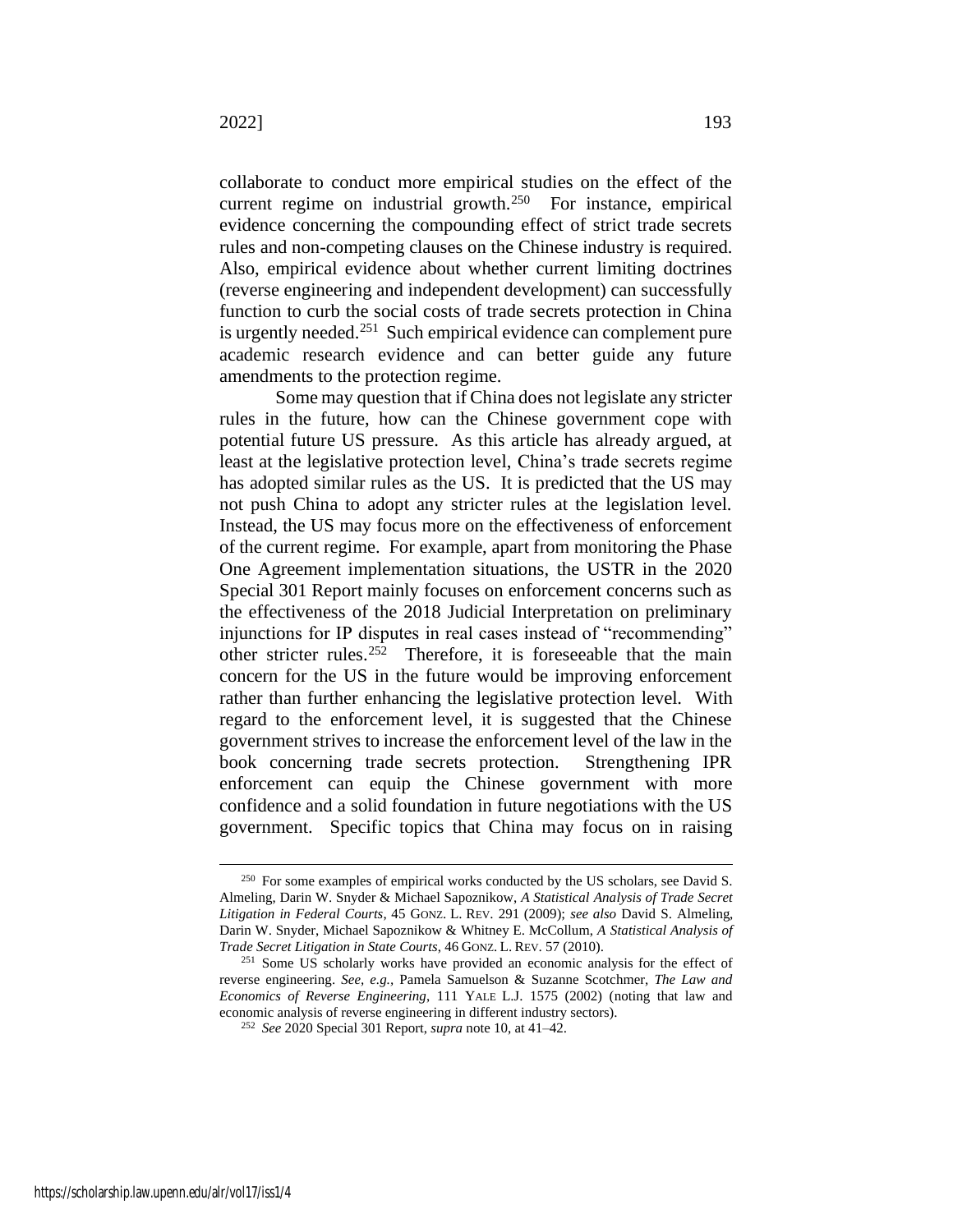collaborate to conduct more empirical studies on the effect of the current regime on industrial growth. $250$  For instance, empirical evidence concerning the compounding effect of strict trade secrets rules and non-competing clauses on the Chinese industry is required. Also, empirical evidence about whether current limiting doctrines (reverse engineering and independent development) can successfully function to curb the social costs of trade secrets protection in China is urgently needed.<sup>251</sup> Such empirical evidence can complement pure academic research evidence and can better guide any future amendments to the protection regime.

Some may question that if China does not legislate any stricter rules in the future, how can the Chinese government cope with potential future US pressure. As this article has already argued, at least at the legislative protection level, China's trade secrets regime has adopted similar rules as the US. It is predicted that the US may not push China to adopt any stricter rules at the legislation level. Instead, the US may focus more on the effectiveness of enforcement of the current regime. For example, apart from monitoring the Phase One Agreement implementation situations, the USTR in the 2020 Special 301 Report mainly focuses on enforcement concerns such as the effectiveness of the 2018 Judicial Interpretation on preliminary injunctions for IP disputes in real cases instead of "recommending" other stricter rules.<sup>252</sup> Therefore, it is foreseeable that the main concern for the US in the future would be improving enforcement rather than further enhancing the legislative protection level. With regard to the enforcement level, it is suggested that the Chinese government strives to increase the enforcement level of the law in the book concerning trade secrets protection. Strengthening IPR enforcement can equip the Chinese government with more confidence and a solid foundation in future negotiations with the US government. Specific topics that China may focus on in raising

<sup>&</sup>lt;sup>250</sup> For some examples of empirical works conducted by the US scholars, see David S. Almeling, Darin W. Snyder & Michael Sapoznikow, *A Statistical Analysis of Trade Secret Litigation in Federal Courts*, 45 GONZ. L. REV. 291 (2009); *see also* David S. Almeling, Darin W. Snyder, Michael Sapoznikow & Whitney E. McCollum, *A Statistical Analysis of Trade Secret Litigation in State Courts*, 46 GONZ. L. REV. 57 (2010).

<sup>&</sup>lt;sup>251</sup> Some US scholarly works have provided an economic analysis for the effect of reverse engineering. *See, e.g.,* Pamela Samuelson & Suzanne Scotchmer, *The Law and Economics of Reverse Engineering*, 111 YALE L.J. 1575 (2002) (noting that law and economic analysis of reverse engineering in different industry sectors).

<sup>252</sup> *See* 2020 Special 301 Report, *supra* not[e 10,](#page-4-0) at 41–42.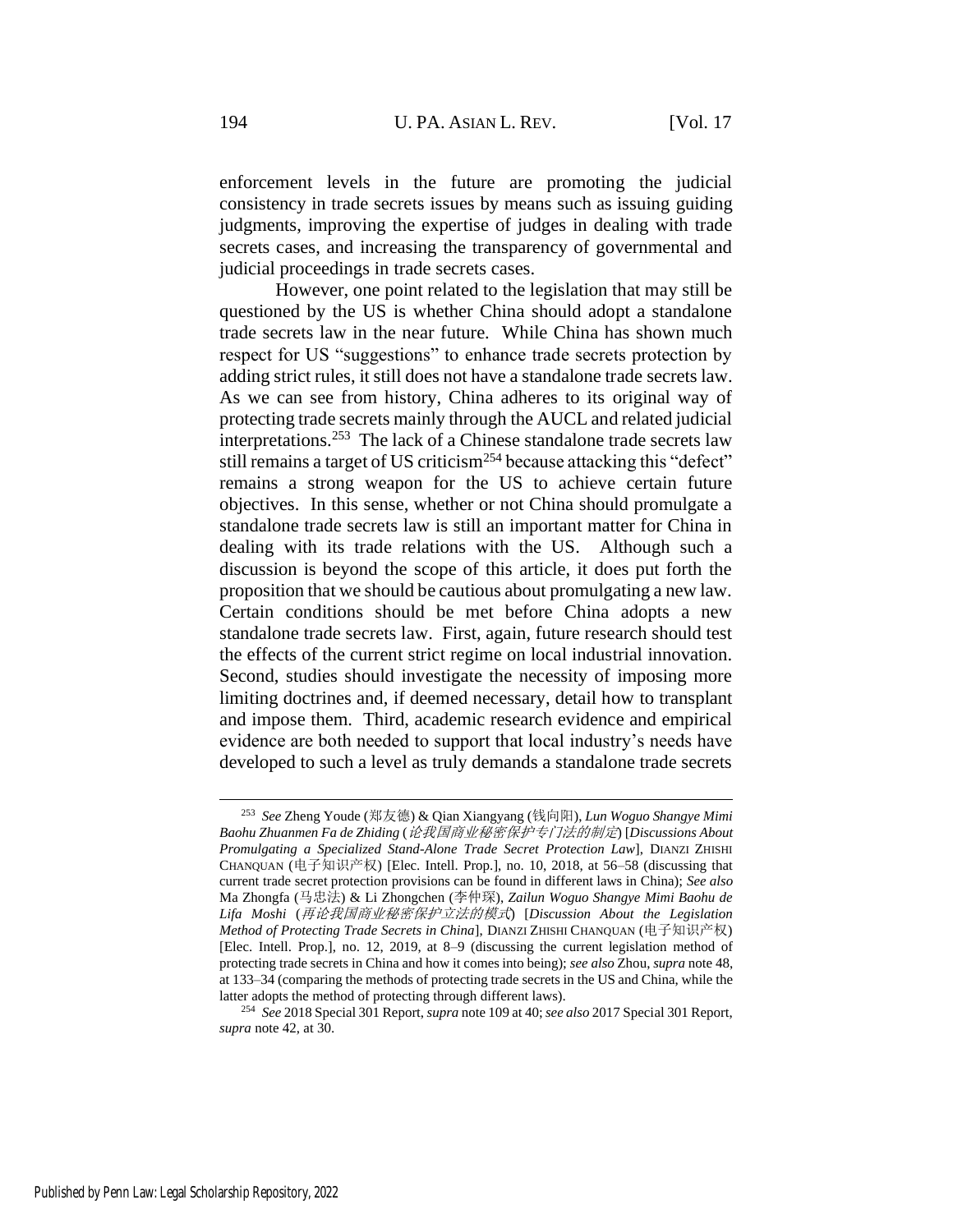enforcement levels in the future are promoting the judicial consistency in trade secrets issues by means such as issuing guiding judgments, improving the expertise of judges in dealing with trade secrets cases, and increasing the transparency of governmental and judicial proceedings in trade secrets cases.

However, one point related to the legislation that may still be questioned by the US is whether China should adopt a standalone trade secrets law in the near future. While China has shown much respect for US "suggestions" to enhance trade secrets protection by adding strict rules, it still does not have a standalone trade secrets law. As we can see from history, China adheres to its original way of protecting trade secrets mainly through the AUCL and related judicial interpretations.<sup>253</sup> The lack of a Chinese standalone trade secrets law still remains a target of US criticism<sup>254</sup> because attacking this "defect" remains a strong weapon for the US to achieve certain future objectives. In this sense, whether or not China should promulgate a standalone trade secrets law is still an important matter for China in dealing with its trade relations with the US. Although such a discussion is beyond the scope of this article, it does put forth the proposition that we should be cautious about promulgating a new law. Certain conditions should be met before China adopts a new standalone trade secrets law. First, again, future research should test the effects of the current strict regime on local industrial innovation. Second, studies should investigate the necessity of imposing more limiting doctrines and, if deemed necessary, detail how to transplant and impose them. Third, academic research evidence and empirical evidence are both needed to support that local industry's needs have developed to such a level as truly demands a standalone trade secrets

<sup>253</sup> *See* Zheng Youde (郑友德) & Qian Xiangyang (钱向阳), *Lun Woguo Shangye Mimi Baohu Zhuanmen Fa de Zhiding* (论我国商业秘密保护专门法的制定) [*Discussions About Promulgating a Specialized Stand-Alone Trade Secret Protection Law*], DIANZI ZHISHI CHANQUAN (电子知识产权) [Elec. Intell. Prop.], no. 10, 2018, at 56–58 (discussing that current trade secret protection provisions can be found in different laws in China); *See also*  Ma Zhongfa (马忠法) & Li Zhongchen (李仲琛), *Zailun Woguo Shangye Mimi Baohu de Lifa Moshi* (再论我国商业秘密保护立法的模式) [*Discussion About the Legislation Method of Protecting Trade Secrets in China*], DIANZI ZHISHI CHANQUAN (电子知识产权) [Elec. Intell. Prop.], no. 12, 2019, at 8–9 (discussing the current legislation method of protecting trade secrets in China and how it comes into being); *see also* Zhou, *supra* not[e 48,](#page-12-0)  at 133–34 (comparing the methods of protecting trade secrets in the US and China, while the latter adopts the method of protecting through different laws).

<sup>254</sup> *See* 2018 Special 301 Report, *supra* not[e 109](#page-23-0) at 40; *see also* 2017 Special 301 Report, *supra* not[e 42,](#page-10-0) at 30.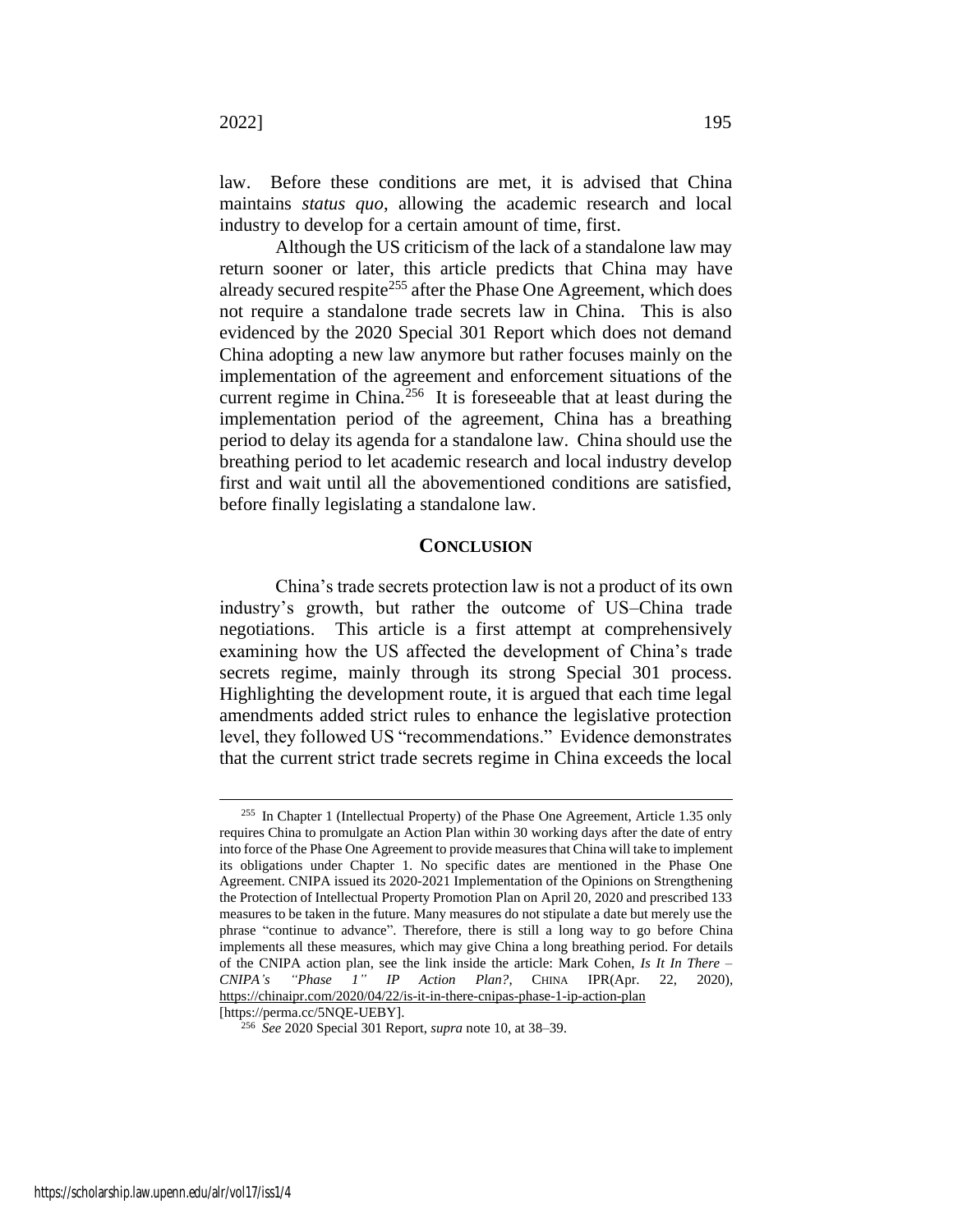law. Before these conditions are met, it is advised that China maintains *status quo*, allowing the academic research and local industry to develop for a certain amount of time, first.

Although the US criticism of the lack of a standalone law may return sooner or later, this article predicts that China may have already secured respite<sup>255</sup> after the Phase One Agreement, which does not require a standalone trade secrets law in China. This is also evidenced by the 2020 Special 301 Report which does not demand China adopting a new law anymore but rather focuses mainly on the implementation of the agreement and enforcement situations of the current regime in China. $256$  It is foreseeable that at least during the implementation period of the agreement, China has a breathing period to delay its agenda for a standalone law. China should use the breathing period to let academic research and local industry develop first and wait until all the abovementioned conditions are satisfied, before finally legislating a standalone law.

# **CONCLUSION**

China's trade secrets protection law is not a product of its own industry's growth, but rather the outcome of US–China trade negotiations. This article is a first attempt at comprehensively examining how the US affected the development of China's trade secrets regime, mainly through its strong Special 301 process. Highlighting the development route, it is argued that each time legal amendments added strict rules to enhance the legislative protection level, they followed US "recommendations." Evidence demonstrates that the current strict trade secrets regime in China exceeds the local

 $255$  In Chapter 1 (Intellectual Property) of the Phase One Agreement, Article 1.35 only requires China to promulgate an Action Plan within 30 working days after the date of entry into force of the Phase One Agreement to provide measures that China will take to implement its obligations under Chapter 1. No specific dates are mentioned in the Phase One Agreement. CNIPA issued its 2020-2021 Implementation of the Opinions on Strengthening the Protection of Intellectual Property Promotion Plan on April 20, 2020 and prescribed 133 measures to be taken in the future. Many measures do not stipulate a date but merely use the phrase "continue to advance". Therefore, there is still a long way to go before China implements all these measures, which may give China a long breathing period. For details of the CNIPA action plan, see the link inside the article: Mark Cohen, *Is It In There – CNIPA's "Phase 1" IP Action Plan?*, CHINA IPR(Apr. 22, 2020), https://chinaipr.com/2020/04/22/is-it-in-there-cnipas-phase-1-ip-action-plan

<sup>[</sup>https://perma.cc/5NQE-UEBY].

<sup>256</sup> *See* 2020 Special 301 Report, *supra* not[e 10,](#page-4-0) at 38–39.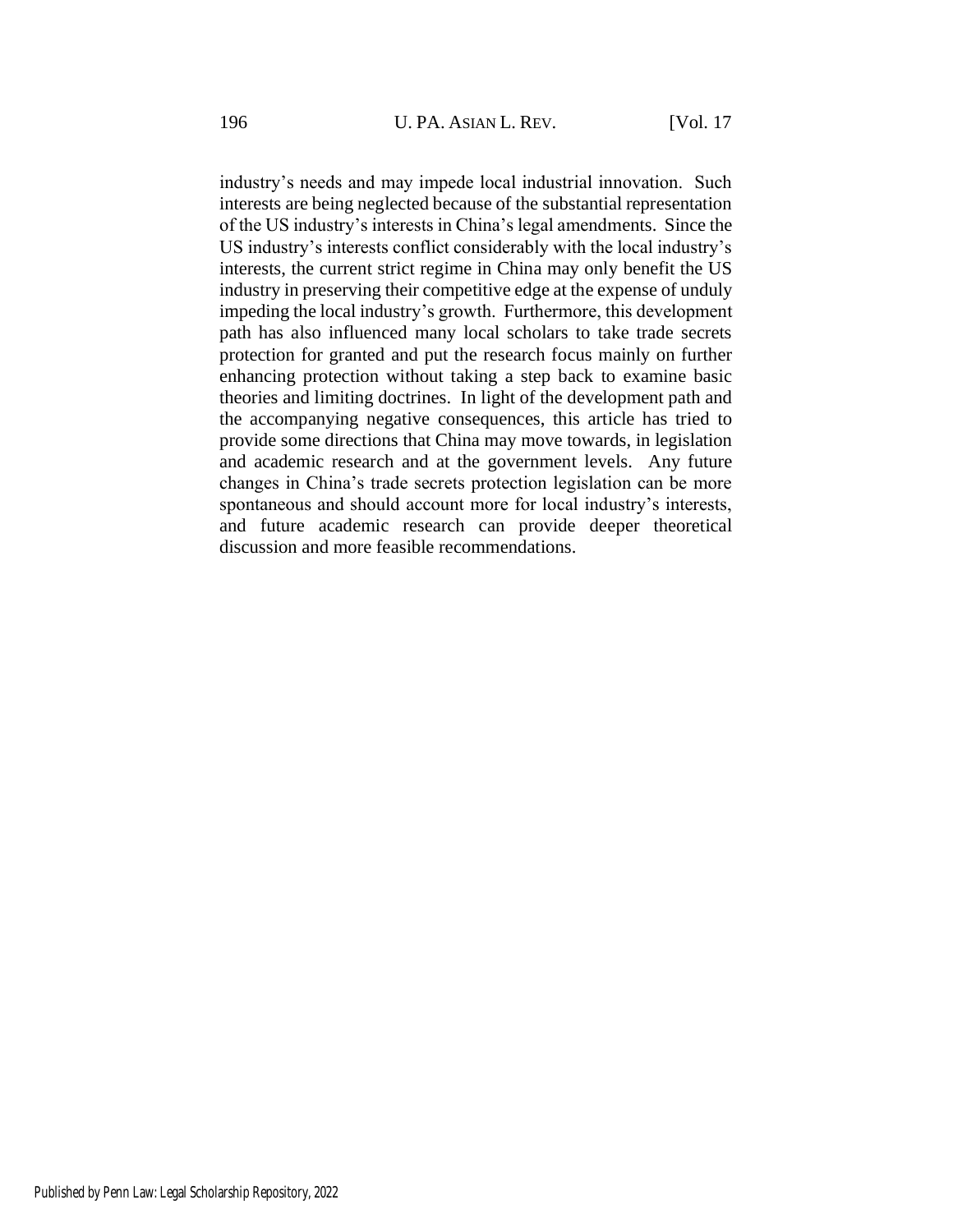industry's needs and may impede local industrial innovation. Such interests are being neglected because of the substantial representation of the US industry's interests in China's legal amendments. Since the US industry's interests conflict considerably with the local industry's interests, the current strict regime in China may only benefit the US industry in preserving their competitive edge at the expense of unduly impeding the local industry's growth. Furthermore, this development path has also influenced many local scholars to take trade secrets protection for granted and put the research focus mainly on further enhancing protection without taking a step back to examine basic theories and limiting doctrines. In light of the development path and the accompanying negative consequences, this article has tried to provide some directions that China may move towards, in legislation and academic research and at the government levels. Any future changes in China's trade secrets protection legislation can be more spontaneous and should account more for local industry's interests, and future academic research can provide deeper theoretical discussion and more feasible recommendations.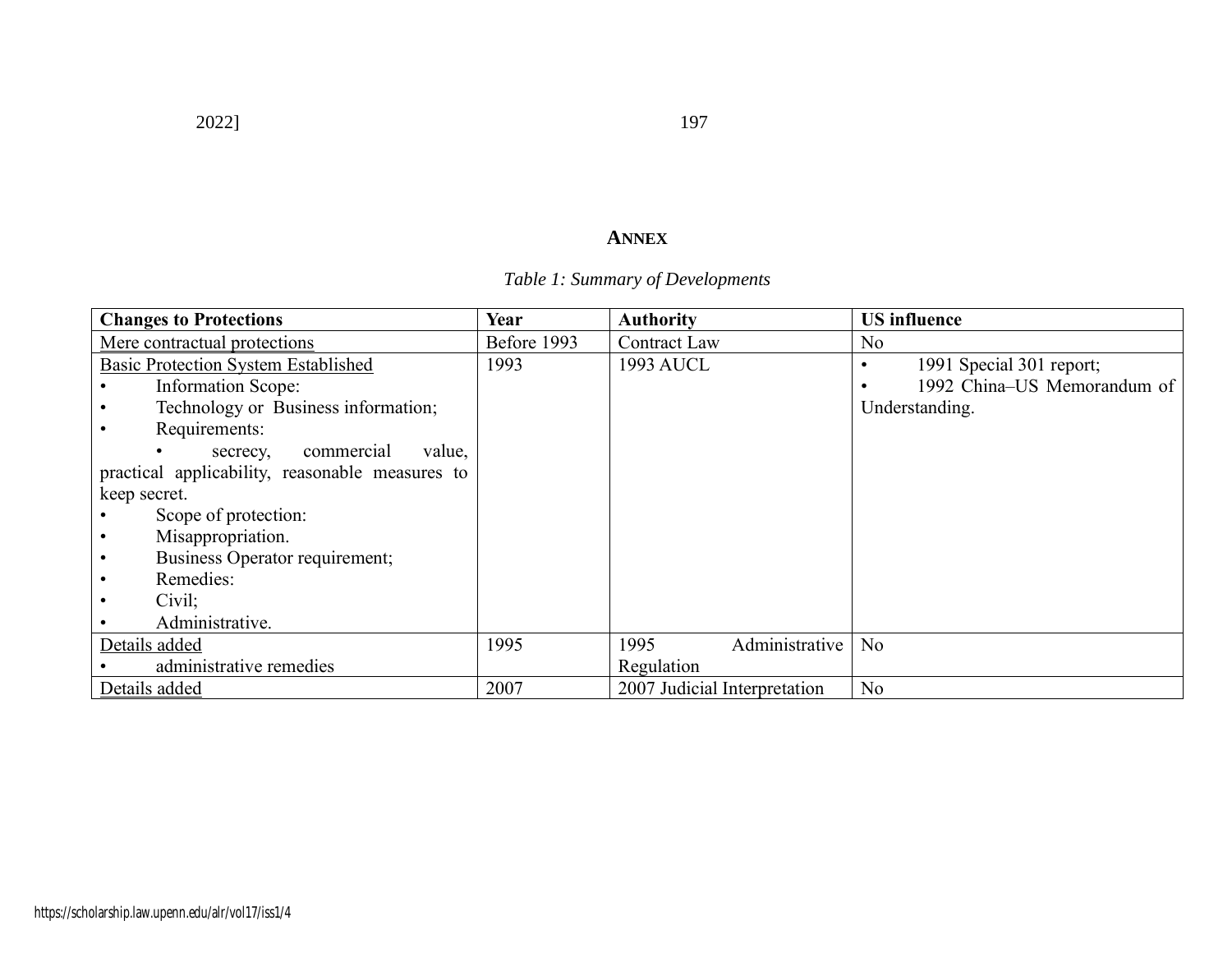# 2022] 197

# **ANNEX**

# *Table 1: Summary of Developments*

| <b>Changes to Protections</b>                   | Year        | <b>Authority</b>             | <b>US</b> influence         |
|-------------------------------------------------|-------------|------------------------------|-----------------------------|
| Mere contractual protections                    | Before 1993 | <b>Contract Law</b>          | No                          |
| <b>Basic Protection System Established</b>      | 1993        | 1993 AUCL                    | 1991 Special 301 report;    |
| <b>Information Scope:</b>                       |             |                              | 1992 China-US Memorandum of |
| Technology or Business information;             |             |                              | Understanding.              |
| Requirements:                                   |             |                              |                             |
| commercial<br>value,<br>secrecy,                |             |                              |                             |
| practical applicability, reasonable measures to |             |                              |                             |
| keep secret.                                    |             |                              |                             |
| Scope of protection:                            |             |                              |                             |
| Misappropriation.                               |             |                              |                             |
| Business Operator requirement;<br>$\bullet$     |             |                              |                             |
| Remedies:<br>$\bullet$                          |             |                              |                             |
| Civil;                                          |             |                              |                             |
| Administrative.                                 |             |                              |                             |
| Details added                                   | 1995        | Administrative<br>1995       | No                          |
| administrative remedies                         |             | Regulation                   |                             |
| Details added                                   | 2007        | 2007 Judicial Interpretation | N <sub>o</sub>              |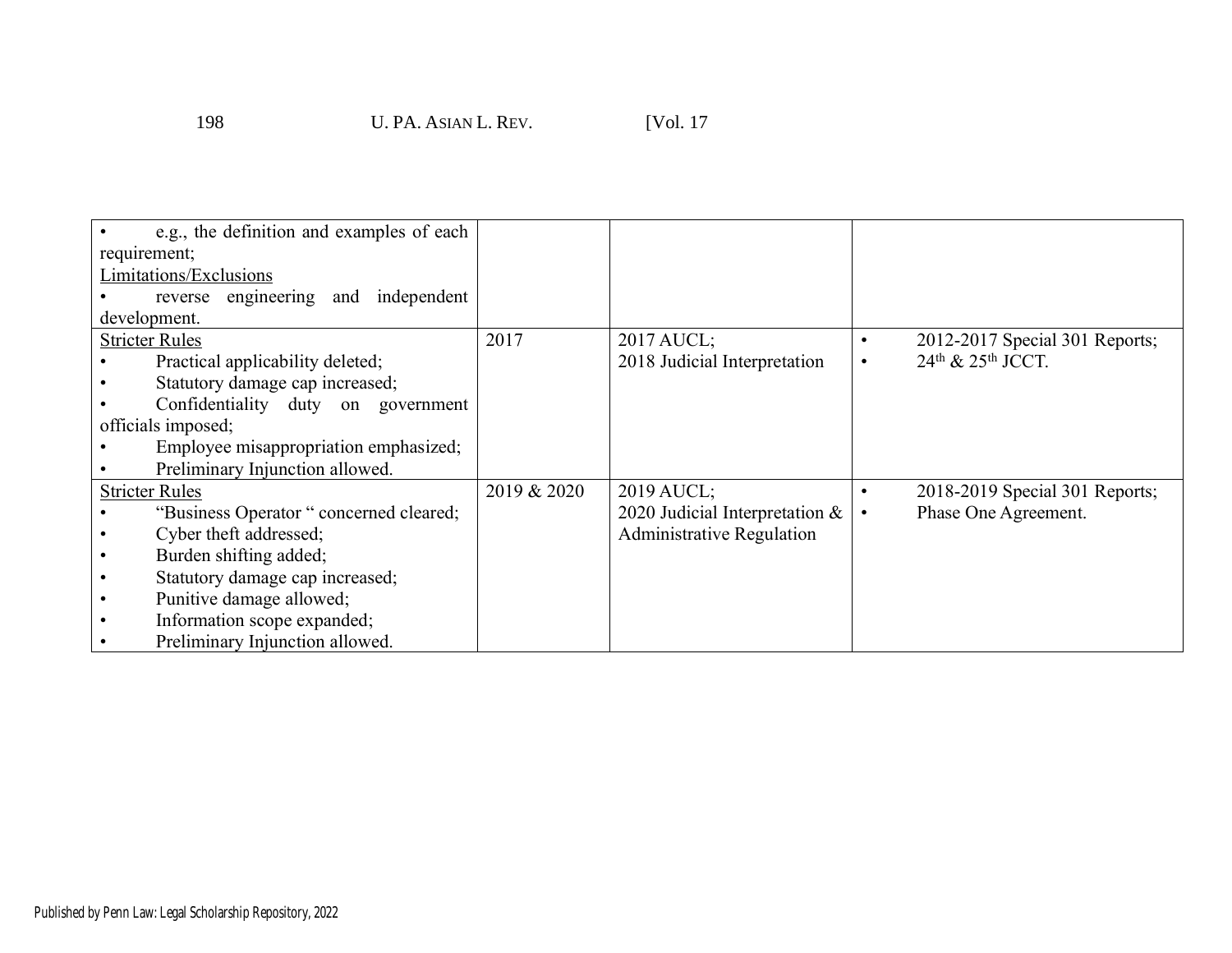| e.g., the definition and examples of each |             |                                  |                                           |
|-------------------------------------------|-------------|----------------------------------|-------------------------------------------|
| requirement;                              |             |                                  |                                           |
| Limitations/Exclusions                    |             |                                  |                                           |
| reverse engineering and independent       |             |                                  |                                           |
| development.                              |             |                                  |                                           |
| <b>Stricter Rules</b>                     | 2017        | 2017 AUCL;                       | 2012-2017 Special 301 Reports;            |
| Practical applicability deleted;          |             | 2018 Judicial Interpretation     | 24 <sup>th</sup> & 25 <sup>th</sup> JCCT. |
| Statutory damage cap increased;           |             |                                  |                                           |
| Confidentiality duty on government        |             |                                  |                                           |
| officials imposed;                        |             |                                  |                                           |
| Employee misappropriation emphasized;     |             |                                  |                                           |
| Preliminary Injunction allowed.           |             |                                  |                                           |
| <b>Stricter Rules</b>                     | 2019 & 2020 | 2019 AUCL;                       | 2018-2019 Special 301 Reports;            |
| "Business Operator" concerned cleared;    |             | 2020 Judicial Interpretation &   | Phase One Agreement.                      |
| Cyber theft addressed;                    |             | <b>Administrative Regulation</b> |                                           |
| Burden shifting added;                    |             |                                  |                                           |
| Statutory damage cap increased;           |             |                                  |                                           |
| Punitive damage allowed;                  |             |                                  |                                           |
| Information scope expanded;               |             |                                  |                                           |
| Preliminary Injunction allowed.           |             |                                  |                                           |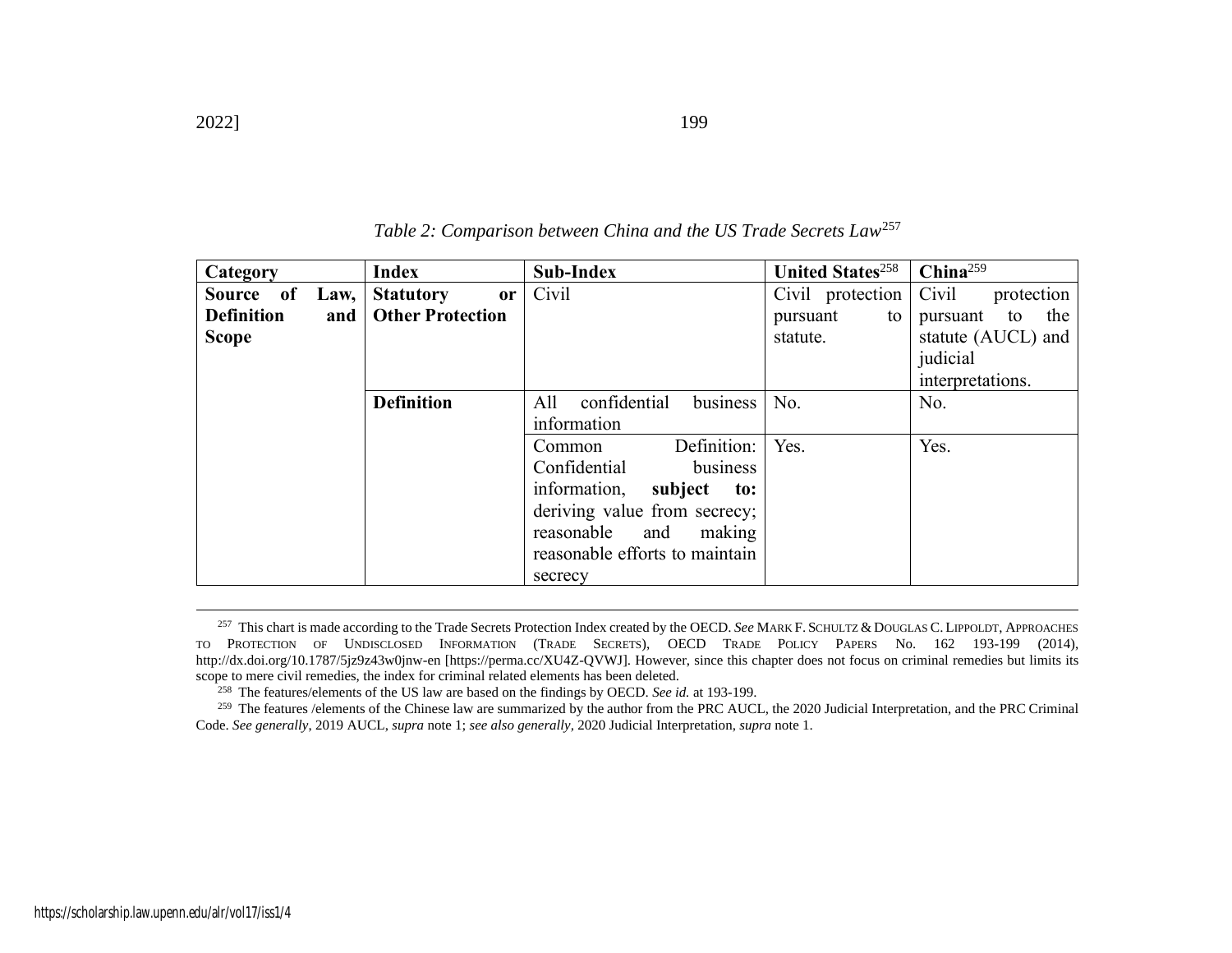| Category                    | Index                             | <b>Sub-Index</b>                | <b>United States</b> <sup>258</sup> | China <sup>259</sup>  |
|-----------------------------|-----------------------------------|---------------------------------|-------------------------------------|-----------------------|
| of<br><b>Source</b><br>Law, | <b>Statutory</b><br><sub>or</sub> | Civil                           | Civil protection                    | Civil<br>protection   |
| <b>Definition</b><br>and    | <b>Other Protection</b>           |                                 | pursuant<br>to                      | the<br>pursuant<br>to |
| <b>Scope</b>                |                                   |                                 | statute.                            | statute (AUCL) and    |
|                             |                                   |                                 |                                     | judicial              |
|                             |                                   |                                 |                                     | interpretations.      |
|                             | <b>Definition</b>                 | confidential<br>business<br>All | No.                                 | No.                   |
|                             |                                   | information                     |                                     |                       |
|                             |                                   | Definition:<br>Common           | Yes.                                | Yes.                  |
|                             |                                   | Confidential<br>business        |                                     |                       |
|                             |                                   | information,<br>subject<br>to:  |                                     |                       |
|                             |                                   | deriving value from secrecy;    |                                     |                       |
|                             |                                   | reasonable<br>making<br>and     |                                     |                       |
|                             |                                   | reasonable efforts to maintain  |                                     |                       |
|                             |                                   | secrecy                         |                                     |                       |

*Table 2: Comparison between China and the US Trade Secrets Law*<sup>257</sup>

<sup>257</sup> This chart is made according to the Trade Secrets Protection Index created by the OECD. See MARK F. SCHULTZ & DOUGLAS C. LIPPOLDT, APPROACHES TO PROTECTION OF UNDISCLOSED INFORMATION (TRADE SECRETS), OECD TRADE POLICY PAPERS No. 162 193-199 (2014), http://dx.doi.org/10.1787/5jz9z43w0jnw-en [https://perma.cc/XU4Z-QVWJ]. However, since this chapter does not focus on criminal remedies but limits its scope to mere civil remedies, the index for criminal related elements has been deleted.

<sup>258</sup> The features/elements of the US law are based on the findings by OECD. *See id.* at 193-199.

<sup>259</sup> The features /elements of the Chinese law are summarized by the author from the PRC AUCL, the 2020 Judicial Interpretation, and the PRC Criminal Code. *See generally*, 2019 AUCL, *supra* not[e 1;](#page-2-1) *see also generally,* 2020 Judicial Interpretation, *supra* not[e 1.](#page-2-1)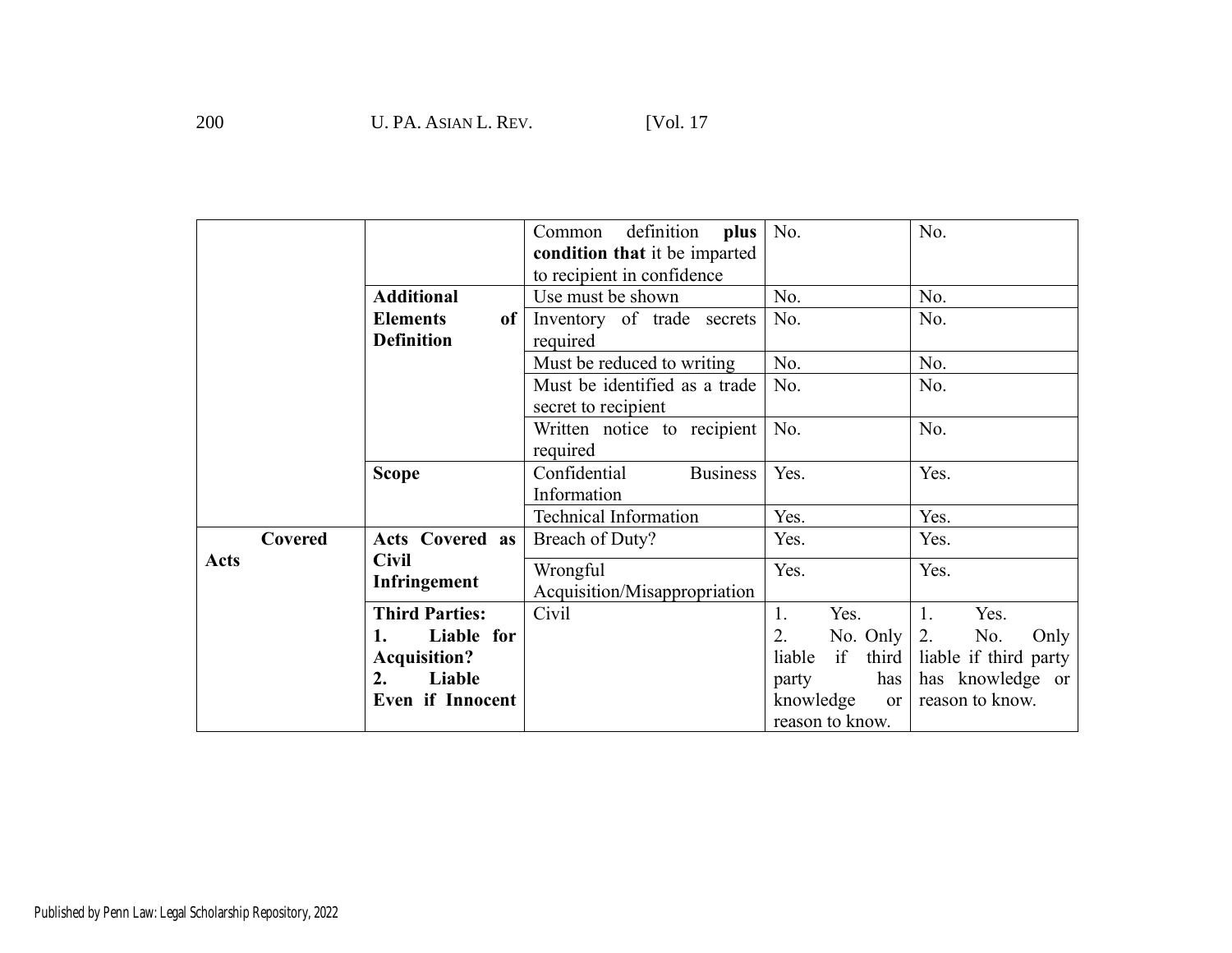|         |                        | definition<br>plus<br>Common<br>condition that it be imparted<br>to recipient in confidence | No.                        | No.                   |
|---------|------------------------|---------------------------------------------------------------------------------------------|----------------------------|-----------------------|
|         | <b>Additional</b>      | Use must be shown                                                                           | No.                        | No.                   |
|         | <b>Elements</b><br>of  | Inventory of trade secrets                                                                  | No.                        | No.                   |
|         | <b>Definition</b>      | required                                                                                    |                            |                       |
|         |                        | Must be reduced to writing                                                                  | No.                        | No.                   |
|         |                        | Must be identified as a trade<br>secret to recipient                                        | No.                        | No.                   |
|         |                        | Written notice to recipient<br>required                                                     | No.                        | No.                   |
|         | <b>Scope</b>           | <b>Business</b><br>Confidential                                                             | Yes.                       | Yes.                  |
|         |                        | Information                                                                                 |                            |                       |
|         |                        | <b>Technical Information</b>                                                                | Yes.                       | Yes.                  |
| Covered | <b>Acts Covered as</b> | Breach of Duty?                                                                             | Yes.                       | Yes.                  |
| Acts    | <b>Civil</b>           | Wrongful                                                                                    | Yes.                       | Yes.                  |
|         | Infringement           | Acquisition/Misappropriation                                                                |                            |                       |
|         | <b>Third Parties:</b>  | Civil                                                                                       | 1.<br>Yes.                 | 1.<br>Yes.            |
|         | Liable for<br>1.       |                                                                                             | 2.<br>No. Only             | 2.<br>No.<br>Only     |
|         | <b>Acquisition?</b>    |                                                                                             | if<br>third<br>liable      | liable if third party |
|         | 2.<br>Liable           |                                                                                             | has<br>party               | has knowledge or      |
|         | Even if Innocent       |                                                                                             | knowledge<br><sub>or</sub> | reason to know.       |
|         |                        |                                                                                             | reason to know.            |                       |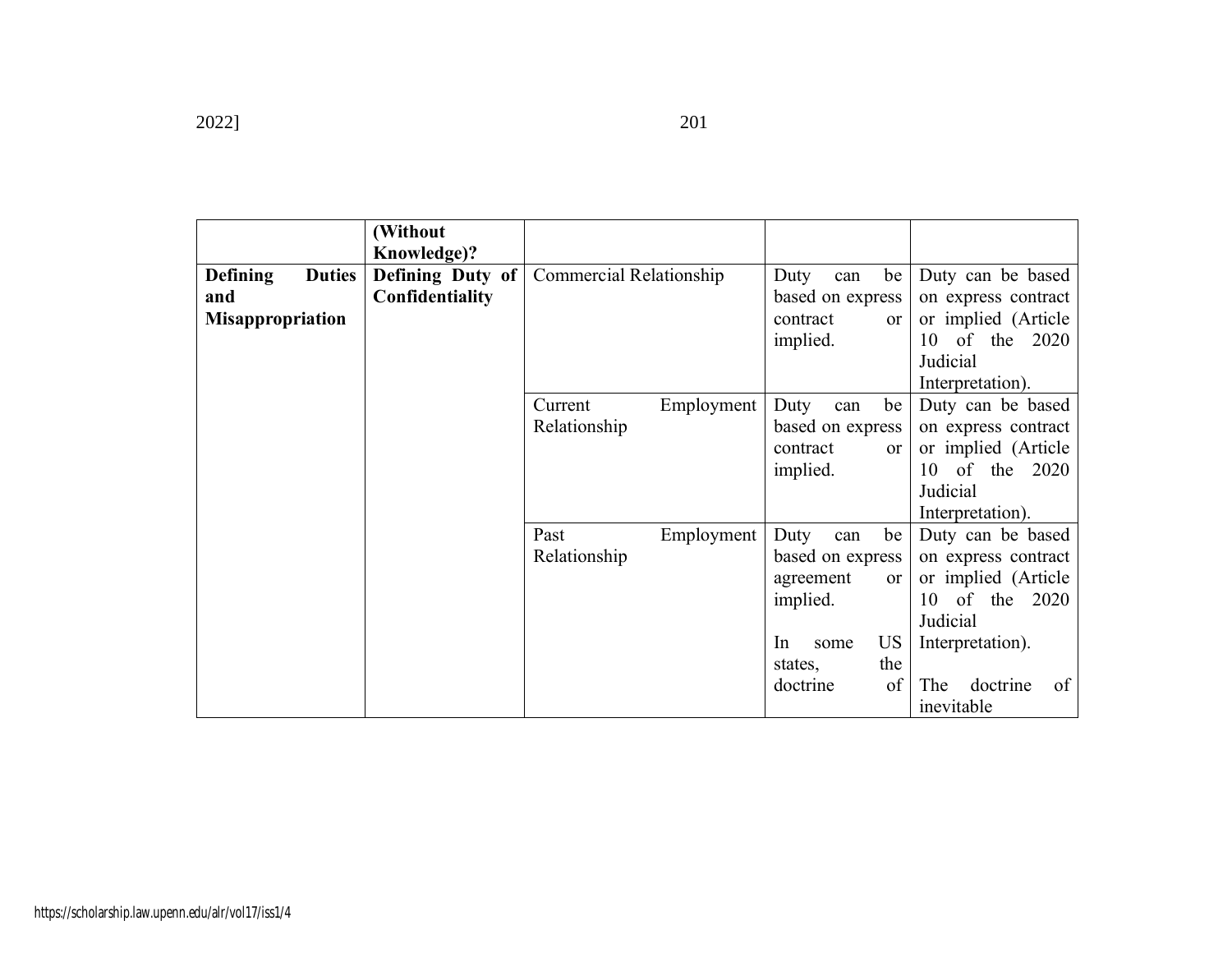|                                                                    | (Without<br>Knowledge)?             |                                       |                                                                                                                                            |                                                                                                                                                             |
|--------------------------------------------------------------------|-------------------------------------|---------------------------------------|--------------------------------------------------------------------------------------------------------------------------------------------|-------------------------------------------------------------------------------------------------------------------------------------------------------------|
| <b>Duties</b><br><b>Defining</b><br>and<br><b>Misappropriation</b> | Defining Duty of<br>Confidentiality | Commercial Relationship               | be<br>Duty<br>can<br>based on express<br>contract<br>or<br>implied.                                                                        | Duty can be based<br>on express contract<br>or implied (Article<br>10 of the 2020<br>Judicial<br>Interpretation).                                           |
|                                                                    |                                     | Current<br>Employment<br>Relationship | be<br>Duty<br>can<br>based on express<br>contract<br>or<br>implied.                                                                        | Duty can be based<br>on express contract<br>or implied (Article<br>10 of the 2020<br>Judicial<br>Interpretation).                                           |
|                                                                    |                                     | Employment<br>Past<br>Relationship    | Duty<br>be<br>can<br>based on express<br>agreement<br><b>or</b><br>implied.<br><b>US</b><br>In<br>some<br>the<br>states,<br>of<br>doctrine | Duty can be based<br>on express contract<br>or implied (Article<br>10 of the<br>2020<br>Judicial<br>Interpretation).<br>doctrine<br>of<br>The<br>inevitable |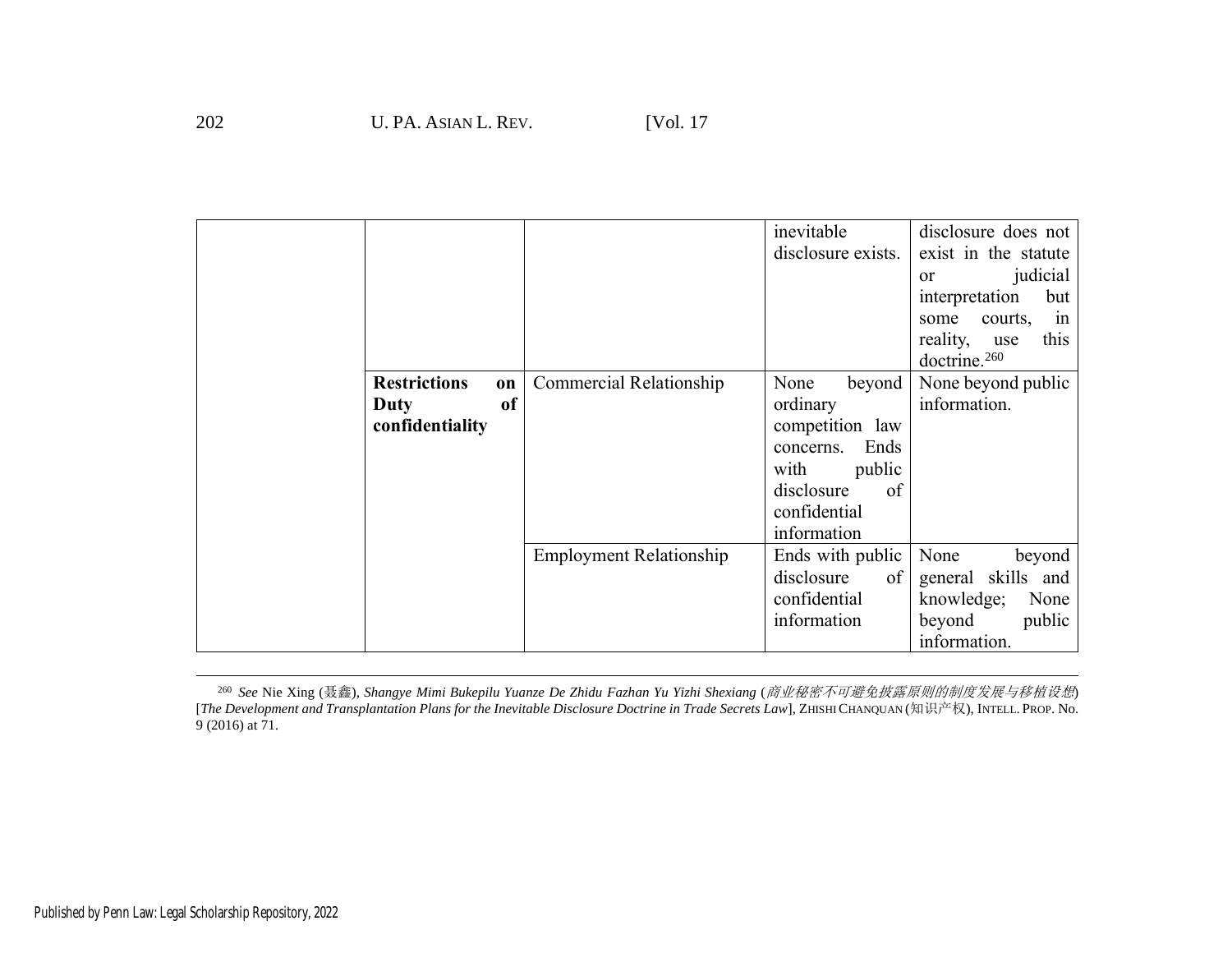|                                                            |                                | inevitable<br>disclosure exists.                                                                                                        | disclosure does not<br>exist in the statute<br>judicial<br>or<br>interpretation<br>but<br>courts,<br>some<br>1n<br>reality,<br>this<br>use<br>doctrine. <sup>260</sup> |
|------------------------------------------------------------|--------------------------------|-----------------------------------------------------------------------------------------------------------------------------------------|------------------------------------------------------------------------------------------------------------------------------------------------------------------------|
| <b>Restrictions</b><br>on<br>of<br>Duty<br>confidentiality | <b>Commercial Relationship</b> | None<br>beyond<br>ordinary<br>competition law<br>Ends<br>concerns.<br>with<br>public<br>disclosure<br>of<br>confidential<br>information | None beyond public<br>information.                                                                                                                                     |
|                                                            | <b>Employment Relationship</b> | Ends with public<br>disclosure<br>of<br>confidential<br>information                                                                     | None<br>beyond<br>general skills and<br>knowledge;<br>None<br>beyond<br>public<br>information.                                                                         |

<sup>260</sup> *See* Nie Xing (聂鑫), *Shangye Mimi Bukepilu Yuanze De Zhidu Fazhan Yu Yizhi Shexiang* (商业秘密不可避免披露原则的制度发展与移植设想) [*The Development and Transplantation Plans for the Inevitable Disclosure Doctrine in Trade Secrets Law*], ZHISHI CHANQUAN (知识产权), INTELL. PROP. No. 9 (2016) at 71.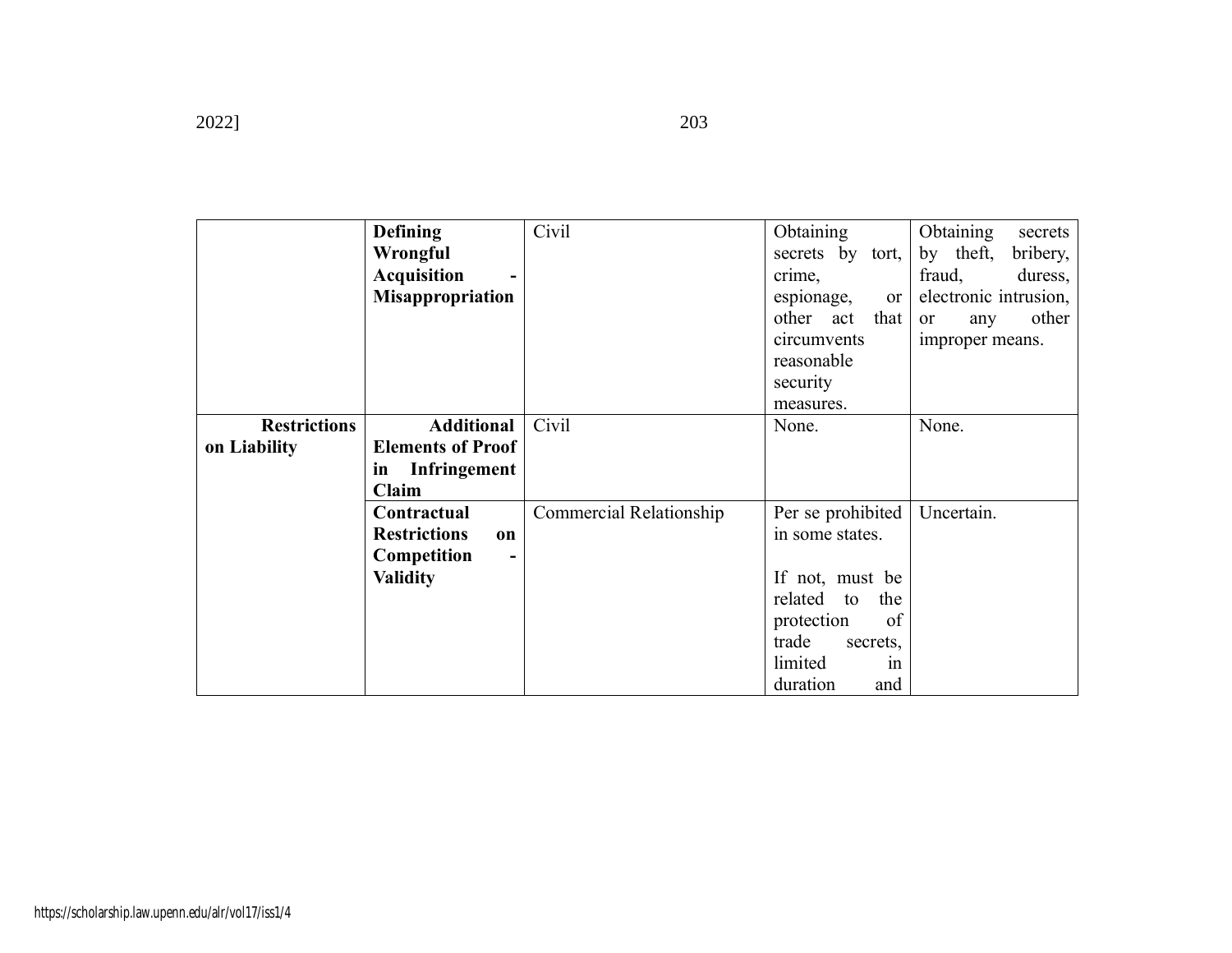|                     | <b>Defining</b>                  | Civil                   | Obtaining            | <b>Obtaining</b><br>secrets |
|---------------------|----------------------------------|-------------------------|----------------------|-----------------------------|
|                     | Wrongful                         |                         | secrets by tort,     | by theft,<br>bribery,       |
|                     | <b>Acquisition</b>               |                         | crime,               | duress,<br>fraud,           |
|                     | <b>Misappropriation</b>          |                         | espionage,<br>or     | electronic intrusion,       |
|                     |                                  |                         | other act<br>that    | other<br>or<br>any          |
|                     |                                  |                         | circumvents          | improper means.             |
|                     |                                  |                         | reasonable           |                             |
|                     |                                  |                         | security             |                             |
|                     |                                  |                         | measures.            |                             |
| <b>Restrictions</b> | <b>Additional</b>                | Civil                   | None.                | None.                       |
| on Liability        | <b>Elements of Proof</b>         |                         |                      |                             |
|                     | <b>Infringement</b><br>in        |                         |                      |                             |
|                     | Claim                            |                         |                      |                             |
|                     | Contractual                      | Commercial Relationship | Per se prohibited    | Uncertain.                  |
|                     | <b>Restrictions</b><br><b>on</b> |                         | in some states.      |                             |
|                     | Competition                      |                         |                      |                             |
|                     | <b>Validity</b>                  |                         | If not, must be      |                             |
|                     |                                  |                         | related<br>the<br>to |                             |
|                     |                                  |                         | protection<br>of     |                             |
|                     |                                  |                         | trade<br>secrets,    |                             |
|                     |                                  |                         | limited<br>1n        |                             |
|                     |                                  |                         | duration<br>and      |                             |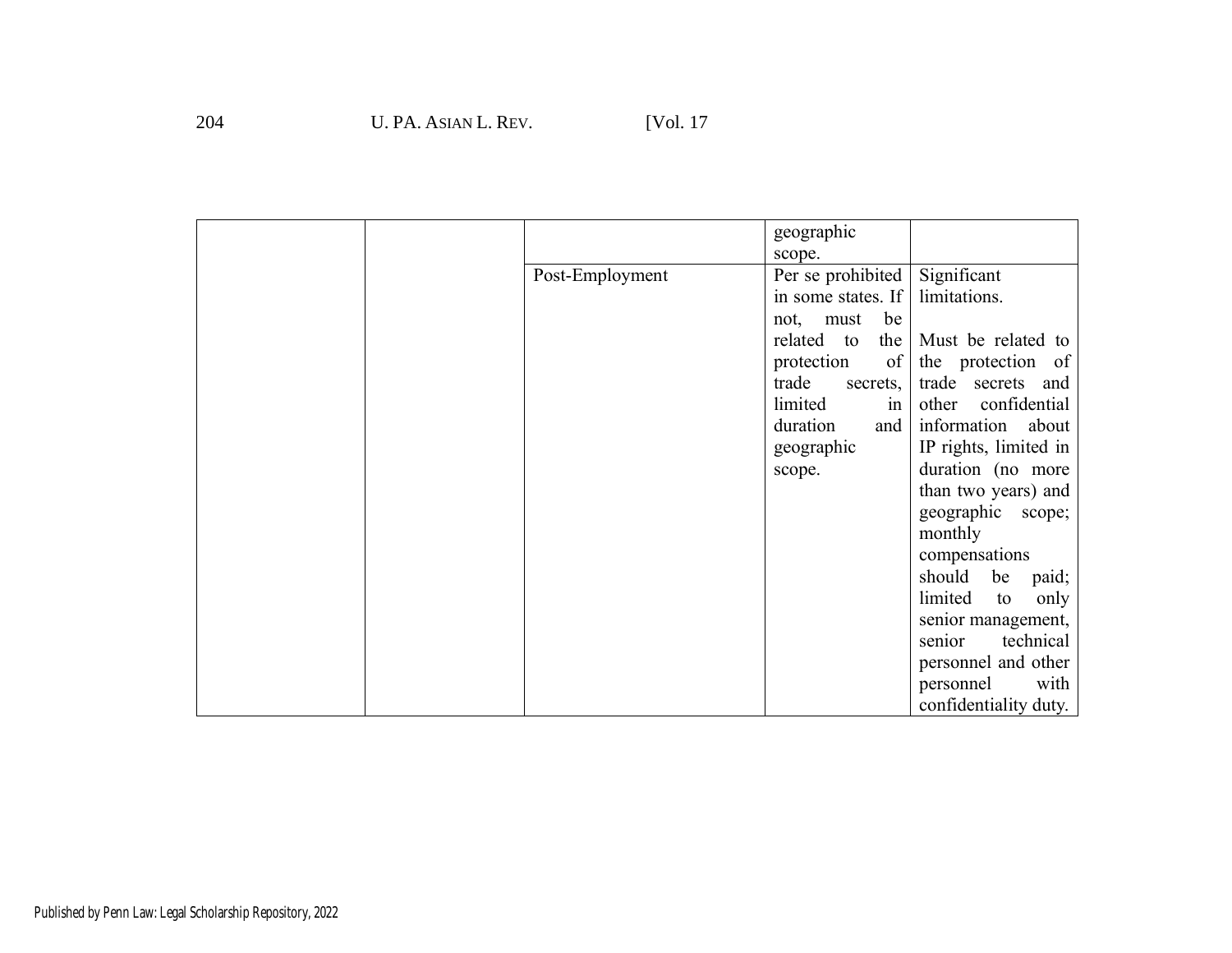|                 | geographic               |                       |
|-----------------|--------------------------|-----------------------|
|                 | scope.                   |                       |
| Post-Employment | Per se prohibited        | Significant           |
|                 | in some states. If       | limitations.          |
|                 | be<br>must<br>not,       |                       |
|                 | related to<br>the        | Must be related to    |
|                 | protection<br>$\sigma$ f | the protection of     |
|                 | trade<br>secrets,        | trade secrets and     |
|                 | limited<br>in            | confidential<br>other |
|                 | duration<br>and          | information about     |
|                 | geographic               | IP rights, limited in |
|                 | scope.                   | duration (no more     |
|                 |                          | than two years) and   |
|                 |                          | geographic<br>scope;  |
|                 |                          | monthly               |
|                 |                          | compensations         |
|                 |                          | should<br>be<br>paid; |
|                 |                          | limited<br>only<br>to |
|                 |                          | senior management,    |
|                 |                          | technical<br>senior   |
|                 |                          | personnel and other   |
|                 |                          | personnel<br>with     |
|                 |                          | confidentiality duty. |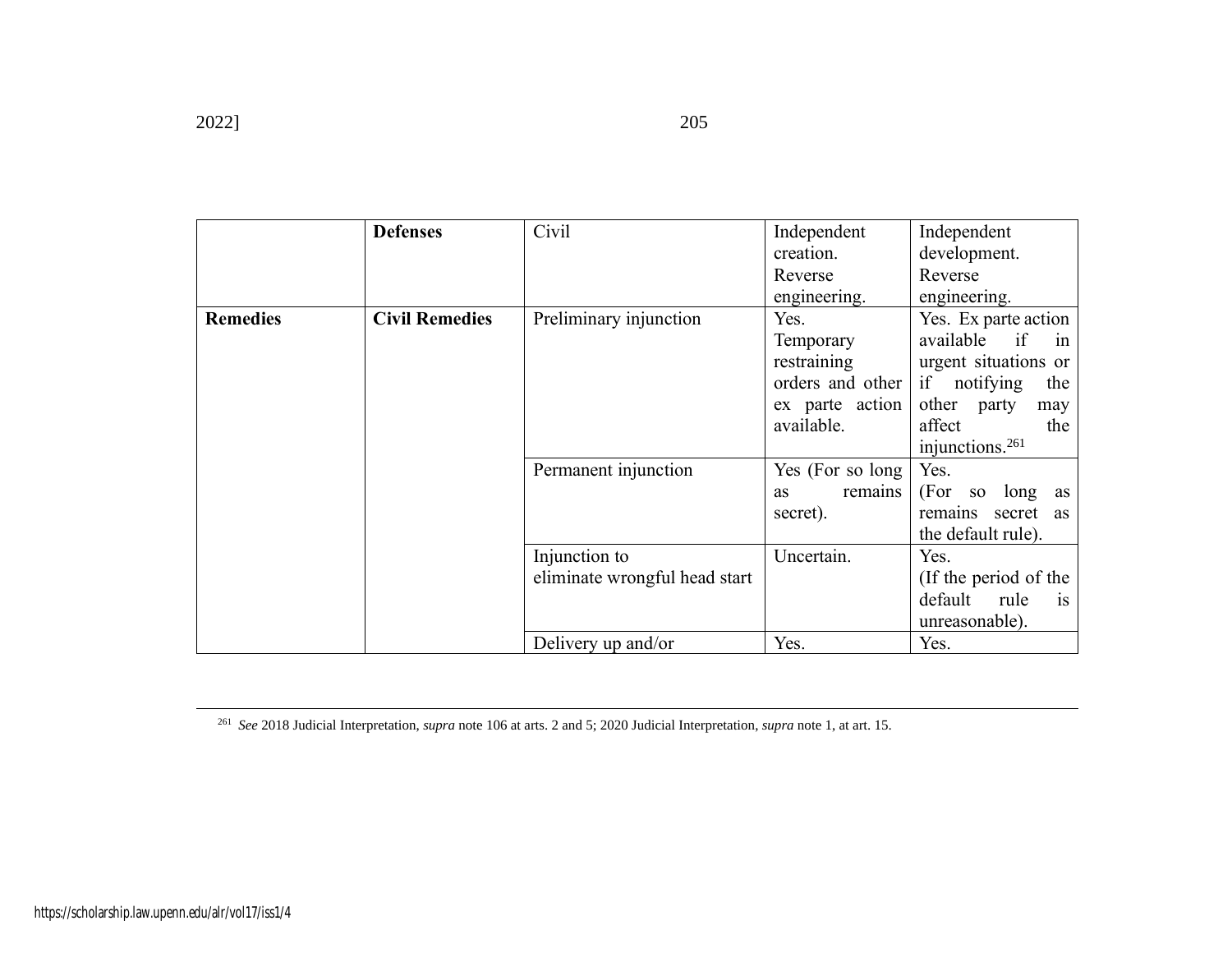|                 | <b>Defenses</b>       | Civil                         | Independent          | Independent                       |
|-----------------|-----------------------|-------------------------------|----------------------|-----------------------------------|
|                 |                       |                               | creation.            | development.                      |
|                 |                       |                               | Reverse              | Reverse                           |
|                 |                       |                               | engineering.         | engineering.                      |
| <b>Remedies</b> | <b>Civil Remedies</b> | Preliminary injunction        | Yes.                 | Yes. Ex parte action              |
|                 |                       |                               | Temporary            | available<br>if<br>in             |
|                 |                       |                               | restraining          | urgent situations or              |
|                 |                       |                               | orders and other     | if<br>notifying<br>the            |
|                 |                       |                               | ex parte action      | other<br>party<br>may             |
|                 |                       |                               | available.           | affect<br>the                     |
|                 |                       |                               |                      | injunctions. <sup>261</sup>       |
|                 |                       | Permanent injunction          | Yes (For so long)    | Yes.                              |
|                 |                       |                               | remains<br><b>as</b> | (For so long as                   |
|                 |                       |                               | secret).             | remains secret as                 |
|                 |                       |                               |                      | the default rule).                |
|                 |                       | Injunction to                 | Uncertain.           | Yes.                              |
|                 |                       | eliminate wrongful head start |                      | (If the period of the             |
|                 |                       |                               |                      | default<br>rule<br>i <sub>s</sub> |
|                 |                       |                               |                      | unreasonable).                    |
|                 |                       | Delivery up and/or            | Yes.                 | Yes.                              |

<sup>261</sup> *See* 2018 Judicial Interpretation, *supra* not[e 106](#page-22-1) at arts. 2 and 5; 2020 Judicial Interpretation, *supra* not[e 1,](#page-2-1) at art. 15.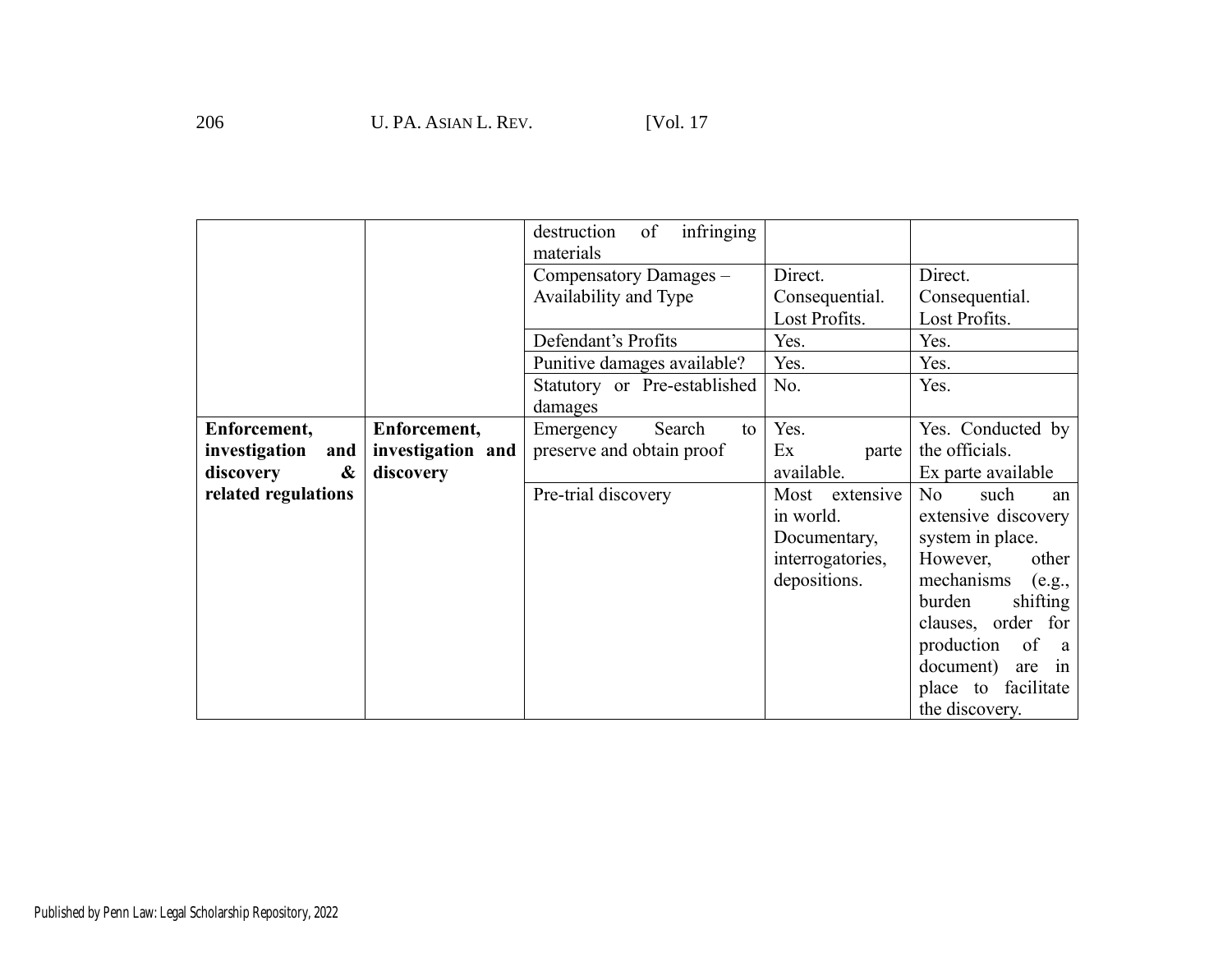|                      |                   | infringing<br>destruction<br>of |                  |                        |
|----------------------|-------------------|---------------------------------|------------------|------------------------|
|                      |                   | materials                       |                  |                        |
|                      |                   | Compensatory Damages -          | Direct.          | Direct.                |
|                      |                   | Availability and Type           | Consequential.   | Consequential.         |
|                      |                   |                                 | Lost Profits.    | Lost Profits.          |
|                      |                   | Defendant's Profits             | Yes.             | Yes.                   |
|                      |                   | Punitive damages available?     | Yes.             | Yes.                   |
|                      |                   | Statutory or Pre-established    | No.              | Yes.                   |
|                      |                   | damages                         |                  |                        |
| Enforcement,         | Enforcement,      | Emergency<br>Search<br>to       | Yes.             | Yes. Conducted by      |
| investigation<br>and | investigation and | preserve and obtain proof       | Ex<br>parte      | the officials.         |
| &<br>discovery       | discovery         |                                 | available.       | Ex parte available     |
| related regulations  |                   | Pre-trial discovery             | Most extensive   | No<br>such<br>an       |
|                      |                   |                                 | in world.        | extensive discovery    |
|                      |                   |                                 | Documentary,     | system in place.       |
|                      |                   |                                 | interrogatories, | However,<br>other      |
|                      |                   |                                 | depositions.     | mechanisms<br>(e.g.,   |
|                      |                   |                                 |                  | burden<br>shifting     |
|                      |                   |                                 |                  | clauses, order for     |
|                      |                   |                                 |                  | of<br>production<br>a  |
|                      |                   |                                 |                  | document)<br>are<br>in |
|                      |                   |                                 |                  | facilitate<br>place to |
|                      |                   |                                 |                  | the discovery.         |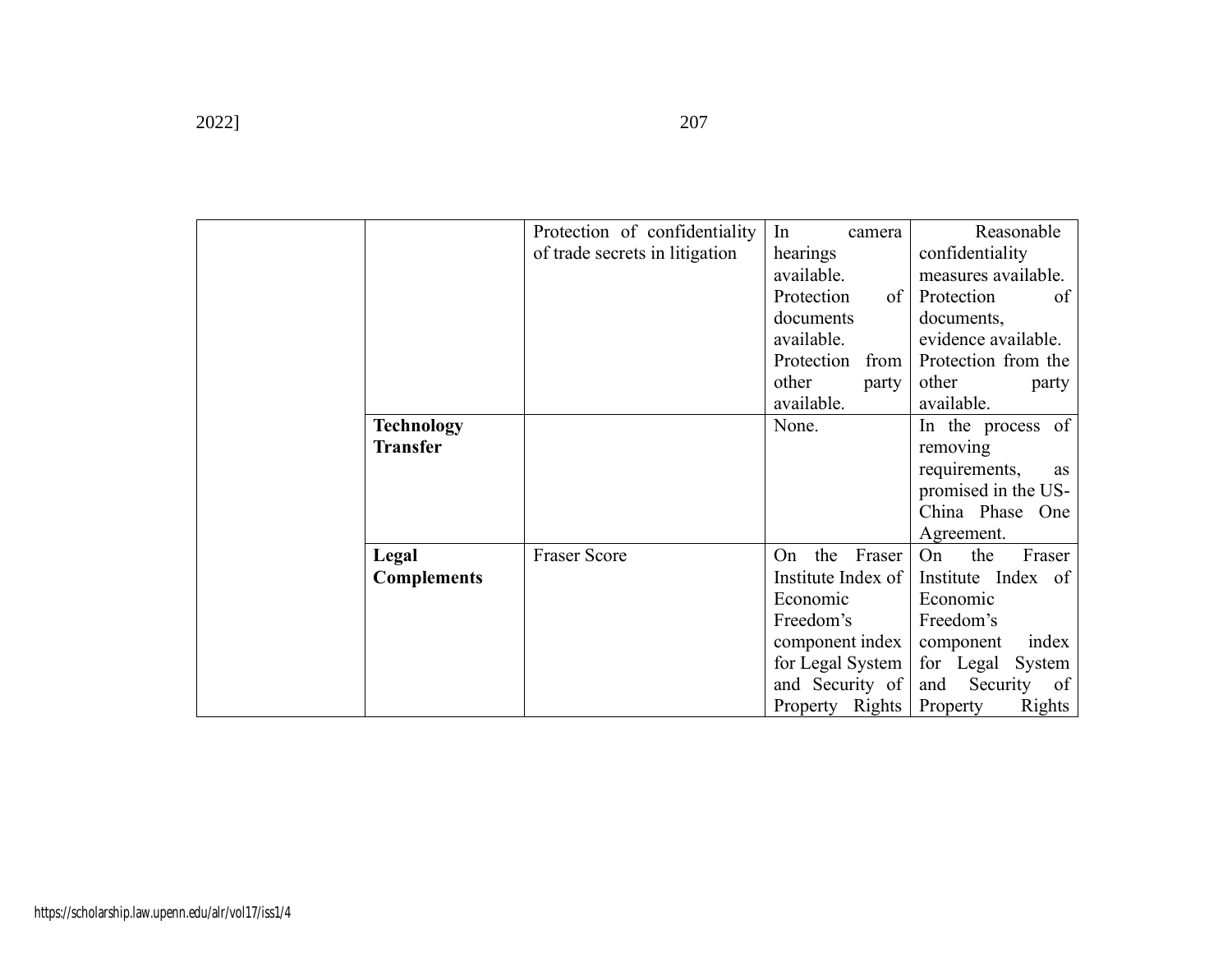|                                      | Protection of confidentiality<br>of trade secrets in litigation | In<br>camera<br>hearings<br>available.<br>Protection<br>of<br>documents<br>available.<br>Protection<br>from<br>other<br>party<br>available.     | Reasonable<br>confidentiality<br>measures available.<br>Protection<br>of<br>documents,<br>evidence available.<br>Protection from the<br>other<br>party<br>available. |
|--------------------------------------|-----------------------------------------------------------------|-------------------------------------------------------------------------------------------------------------------------------------------------|----------------------------------------------------------------------------------------------------------------------------------------------------------------------|
| <b>Technology</b><br><b>Transfer</b> |                                                                 | None.                                                                                                                                           | In the process of<br>removing<br>requirements,<br>as<br>promised in the US-<br>China Phase One<br>Agreement.                                                         |
| Legal<br><b>Complements</b>          | <b>Fraser Score</b>                                             | the<br>Fraser<br>On<br>Institute Index of<br>Economic<br>Freedom's<br>component index<br>for Legal System<br>and Security of<br>Property Rights | the<br>Fraser<br>On<br>Institute Index of<br>Economic<br>Freedom's<br>component<br>index<br>for Legal System<br>Security<br>and<br>of<br>Property<br><b>Rights</b>   |